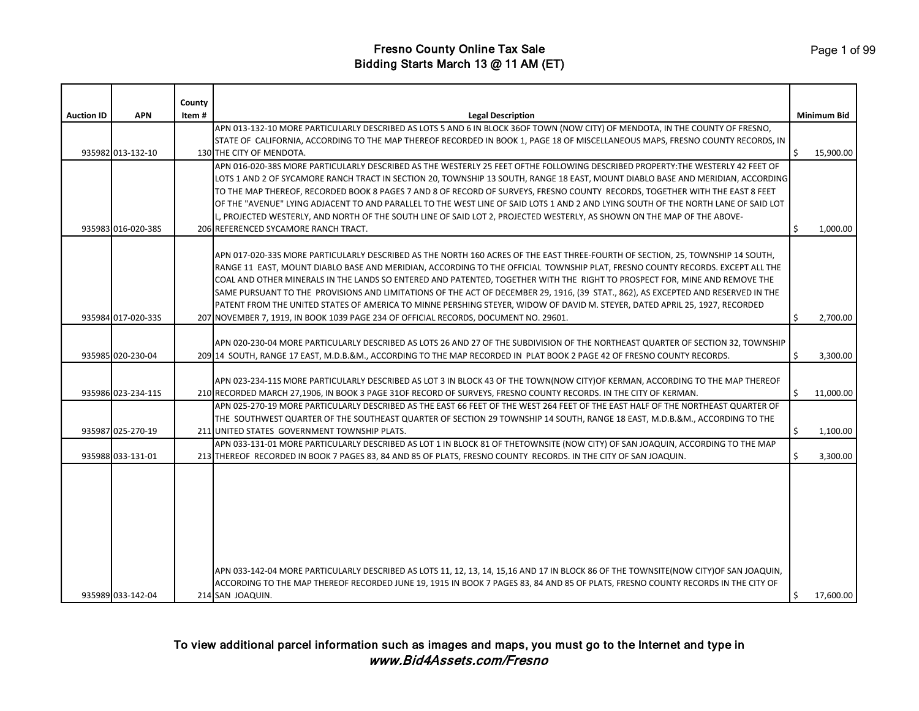| <b>APN</b><br><b>Auction ID</b><br><b>Legal Description</b><br><b>Minimum Bid</b><br>Item#<br>APN 013-132-10 MORE PARTICULARLY DESCRIBED AS LOTS 5 AND 6 IN BLOCK 36OF TOWN (NOW CITY) OF MENDOTA, IN THE COUNTY OF FRESNO,<br>STATE OF CALIFORNIA, ACCORDING TO THE MAP THEREOF RECORDED IN BOOK 1, PAGE 18 OF MISCELLANEOUS MAPS, FRESNO COUNTY RECORDS, IN<br>935982 013-132-10<br>Ŝ.<br>15,900.00<br>130 THE CITY OF MENDOTA.<br>APN 016-020-38S MORE PARTICULARLY DESCRIBED AS THE WESTERLY 25 FEET OFTHE FOLLOWING DESCRIBED PROPERTY:THE WESTERLY 42 FEET OF<br>LOTS 1 AND 2 OF SYCAMORE RANCH TRACT IN SECTION 20, TOWNSHIP 13 SOUTH, RANGE 18 EAST, MOUNT DIABLO BASE AND MERIDIAN, ACCORDING<br>TO THE MAP THEREOF, RECORDED BOOK 8 PAGES 7 AND 8 OF RECORD OF SURVEYS, FRESNO COUNTY  RECORDS, TOGETHER WITH THE EAST 8 FEET<br>OF THE "AVENUE" LYING ADJACENT TO AND PARALLEL TO THE WEST LINE OF SAID LOTS 1 AND 2 AND LYING SOUTH OF THE NORTH LANE OF SAID LOT<br>L, PROJECTED WESTERLY, AND NORTH OF THE SOUTH LINE OF SAID LOT 2, PROJECTED WESTERLY, AS SHOWN ON THE MAP OF THE ABOVE-<br>935983 016-020-38S<br>206 REFERENCED SYCAMORE RANCH TRACT.<br>1,000.00<br>APN 017-020-33S MORE PARTICULARLY DESCRIBED AS THE NORTH 160 ACRES OF THE EAST THREE-FOURTH OF SECTION, 25, TOWNSHIP 14 SOUTH,<br>RANGE 11 EAST, MOUNT DIABLO BASE AND MERIDIAN, ACCORDING TO THE OFFICIAL TOWNSHIP PLAT, FRESNO COUNTY RECORDS. EXCEPT ALL THE<br>COAL AND OTHER MINERALS IN THE LANDS SO ENTERED AND PATENTED, TOGETHER WITH THE RIGHT TO PROSPECT FOR, MINE AND REMOVE THE<br>SAME PURSUANT TO THE PROVISIONS AND LIMITATIONS OF THE ACT OF DECEMBER 29, 1916, (39 STAT., 862), AS EXCEPTED AND RESERVED IN THE<br>PATENT FROM THE UNITED STATES OF AMERICA TO MINNE PERSHING STEYER, WIDOW OF DAVID M. STEYER, DATED APRIL 25, 1927, RECORDED<br>935984 017-020-33S<br>207 NOVEMBER 7, 1919, IN BOOK 1039 PAGE 234 OF OFFICIAL RECORDS, DOCUMENT NO. 29601.<br>Ŝ.<br>2,700.00<br>APN 020-230-04 MORE PARTICULARLY DESCRIBED AS LOTS 26 AND 27 OF THE SUBDIVISION OF THE NORTHEAST QUARTER OF SECTION 32, TOWNSHIP<br>935985 020-230-04<br>3,300.00<br>209 14 SOUTH, RANGE 17 EAST, M.D.B.&M., ACCORDING TO THE MAP RECORDED IN PLAT BOOK 2 PAGE 42 OF FRESNO COUNTY RECORDS.<br>\$.<br>APN 023-234-11S MORE PARTICULARLY DESCRIBED AS LOT 3 IN BLOCK 43 OF THE TOWN(NOW CITY)OF KERMAN, ACCORDING TO THE MAP THEREOF<br>935986 023-234-11S<br>11,000.00<br>210 RECORDED MARCH 27,1906, IN BOOK 3 PAGE 31OF RECORD OF SURVEYS, FRESNO COUNTY RECORDS. IN THE CITY OF KERMAN.<br>Ŝ.<br>APN 025-270-19 MORE PARTICULARLY DESCRIBED AS THE EAST 66 FEET OF THE WEST 264 FEET OF THE EAST HALF OF THE NORTHEAST QUARTER OF<br>THE SOUTHWEST QUARTER OF THE SOUTHEAST QUARTER OF SECTION 29 TOWNSHIP 14 SOUTH, RANGE 18 EAST, M.D.B.&M., ACCORDING TO THE<br>935987 025-270-19<br>1,100.00<br>211 UNITED STATES GOVERNMENT TOWNSHIP PLATS.<br>\$.<br>APN 033-131-01 MORE PARTICULARLY DESCRIBED AS LOT 1 IN BLOCK 81 OF THETOWNSITE (NOW CITY) OF SAN JOAQUIN, ACCORDING TO THE MAP<br>935988 033-131-01<br>213 THEREOF RECORDED IN BOOK 7 PAGES 83, 84 AND 85 OF PLATS, FRESNO COUNTY RECORDS. IN THE CITY OF SAN JOAQUIN.<br>Ŝ.<br>3,300.00 |  | County |  |  |
|---------------------------------------------------------------------------------------------------------------------------------------------------------------------------------------------------------------------------------------------------------------------------------------------------------------------------------------------------------------------------------------------------------------------------------------------------------------------------------------------------------------------------------------------------------------------------------------------------------------------------------------------------------------------------------------------------------------------------------------------------------------------------------------------------------------------------------------------------------------------------------------------------------------------------------------------------------------------------------------------------------------------------------------------------------------------------------------------------------------------------------------------------------------------------------------------------------------------------------------------------------------------------------------------------------------------------------------------------------------------------------------------------------------------------------------------------------------------------------------------------------------------------------------------------------------------------------------------------------------------------------------------------------------------------------------------------------------------------------------------------------------------------------------------------------------------------------------------------------------------------------------------------------------------------------------------------------------------------------------------------------------------------------------------------------------------------------------------------------------------------------------------------------------------------------------------------------------------------------------------------------------------------------------------------------------------------------------------------------------------------------------------------------------------------------------------------------------------------------------------------------------------------------------------------------------------------------------------------------------------------------------------------------------------------------------------------------------------------------------------------------------------------------------------------------------------------------------------------------------------------------------------------------------------------------------------------------------------------------------------------------------------------------------------------------------------------------------------------------------------------------------------------------------------------------------------------------------------------------------------------|--|--------|--|--|
|                                                                                                                                                                                                                                                                                                                                                                                                                                                                                                                                                                                                                                                                                                                                                                                                                                                                                                                                                                                                                                                                                                                                                                                                                                                                                                                                                                                                                                                                                                                                                                                                                                                                                                                                                                                                                                                                                                                                                                                                                                                                                                                                                                                                                                                                                                                                                                                                                                                                                                                                                                                                                                                                                                                                                                                                                                                                                                                                                                                                                                                                                                                                                                                                                                                   |  |        |  |  |
|                                                                                                                                                                                                                                                                                                                                                                                                                                                                                                                                                                                                                                                                                                                                                                                                                                                                                                                                                                                                                                                                                                                                                                                                                                                                                                                                                                                                                                                                                                                                                                                                                                                                                                                                                                                                                                                                                                                                                                                                                                                                                                                                                                                                                                                                                                                                                                                                                                                                                                                                                                                                                                                                                                                                                                                                                                                                                                                                                                                                                                                                                                                                                                                                                                                   |  |        |  |  |
|                                                                                                                                                                                                                                                                                                                                                                                                                                                                                                                                                                                                                                                                                                                                                                                                                                                                                                                                                                                                                                                                                                                                                                                                                                                                                                                                                                                                                                                                                                                                                                                                                                                                                                                                                                                                                                                                                                                                                                                                                                                                                                                                                                                                                                                                                                                                                                                                                                                                                                                                                                                                                                                                                                                                                                                                                                                                                                                                                                                                                                                                                                                                                                                                                                                   |  |        |  |  |
|                                                                                                                                                                                                                                                                                                                                                                                                                                                                                                                                                                                                                                                                                                                                                                                                                                                                                                                                                                                                                                                                                                                                                                                                                                                                                                                                                                                                                                                                                                                                                                                                                                                                                                                                                                                                                                                                                                                                                                                                                                                                                                                                                                                                                                                                                                                                                                                                                                                                                                                                                                                                                                                                                                                                                                                                                                                                                                                                                                                                                                                                                                                                                                                                                                                   |  |        |  |  |
|                                                                                                                                                                                                                                                                                                                                                                                                                                                                                                                                                                                                                                                                                                                                                                                                                                                                                                                                                                                                                                                                                                                                                                                                                                                                                                                                                                                                                                                                                                                                                                                                                                                                                                                                                                                                                                                                                                                                                                                                                                                                                                                                                                                                                                                                                                                                                                                                                                                                                                                                                                                                                                                                                                                                                                                                                                                                                                                                                                                                                                                                                                                                                                                                                                                   |  |        |  |  |
|                                                                                                                                                                                                                                                                                                                                                                                                                                                                                                                                                                                                                                                                                                                                                                                                                                                                                                                                                                                                                                                                                                                                                                                                                                                                                                                                                                                                                                                                                                                                                                                                                                                                                                                                                                                                                                                                                                                                                                                                                                                                                                                                                                                                                                                                                                                                                                                                                                                                                                                                                                                                                                                                                                                                                                                                                                                                                                                                                                                                                                                                                                                                                                                                                                                   |  |        |  |  |
|                                                                                                                                                                                                                                                                                                                                                                                                                                                                                                                                                                                                                                                                                                                                                                                                                                                                                                                                                                                                                                                                                                                                                                                                                                                                                                                                                                                                                                                                                                                                                                                                                                                                                                                                                                                                                                                                                                                                                                                                                                                                                                                                                                                                                                                                                                                                                                                                                                                                                                                                                                                                                                                                                                                                                                                                                                                                                                                                                                                                                                                                                                                                                                                                                                                   |  |        |  |  |
|                                                                                                                                                                                                                                                                                                                                                                                                                                                                                                                                                                                                                                                                                                                                                                                                                                                                                                                                                                                                                                                                                                                                                                                                                                                                                                                                                                                                                                                                                                                                                                                                                                                                                                                                                                                                                                                                                                                                                                                                                                                                                                                                                                                                                                                                                                                                                                                                                                                                                                                                                                                                                                                                                                                                                                                                                                                                                                                                                                                                                                                                                                                                                                                                                                                   |  |        |  |  |
|                                                                                                                                                                                                                                                                                                                                                                                                                                                                                                                                                                                                                                                                                                                                                                                                                                                                                                                                                                                                                                                                                                                                                                                                                                                                                                                                                                                                                                                                                                                                                                                                                                                                                                                                                                                                                                                                                                                                                                                                                                                                                                                                                                                                                                                                                                                                                                                                                                                                                                                                                                                                                                                                                                                                                                                                                                                                                                                                                                                                                                                                                                                                                                                                                                                   |  |        |  |  |
|                                                                                                                                                                                                                                                                                                                                                                                                                                                                                                                                                                                                                                                                                                                                                                                                                                                                                                                                                                                                                                                                                                                                                                                                                                                                                                                                                                                                                                                                                                                                                                                                                                                                                                                                                                                                                                                                                                                                                                                                                                                                                                                                                                                                                                                                                                                                                                                                                                                                                                                                                                                                                                                                                                                                                                                                                                                                                                                                                                                                                                                                                                                                                                                                                                                   |  |        |  |  |
|                                                                                                                                                                                                                                                                                                                                                                                                                                                                                                                                                                                                                                                                                                                                                                                                                                                                                                                                                                                                                                                                                                                                                                                                                                                                                                                                                                                                                                                                                                                                                                                                                                                                                                                                                                                                                                                                                                                                                                                                                                                                                                                                                                                                                                                                                                                                                                                                                                                                                                                                                                                                                                                                                                                                                                                                                                                                                                                                                                                                                                                                                                                                                                                                                                                   |  |        |  |  |
|                                                                                                                                                                                                                                                                                                                                                                                                                                                                                                                                                                                                                                                                                                                                                                                                                                                                                                                                                                                                                                                                                                                                                                                                                                                                                                                                                                                                                                                                                                                                                                                                                                                                                                                                                                                                                                                                                                                                                                                                                                                                                                                                                                                                                                                                                                                                                                                                                                                                                                                                                                                                                                                                                                                                                                                                                                                                                                                                                                                                                                                                                                                                                                                                                                                   |  |        |  |  |
|                                                                                                                                                                                                                                                                                                                                                                                                                                                                                                                                                                                                                                                                                                                                                                                                                                                                                                                                                                                                                                                                                                                                                                                                                                                                                                                                                                                                                                                                                                                                                                                                                                                                                                                                                                                                                                                                                                                                                                                                                                                                                                                                                                                                                                                                                                                                                                                                                                                                                                                                                                                                                                                                                                                                                                                                                                                                                                                                                                                                                                                                                                                                                                                                                                                   |  |        |  |  |
|                                                                                                                                                                                                                                                                                                                                                                                                                                                                                                                                                                                                                                                                                                                                                                                                                                                                                                                                                                                                                                                                                                                                                                                                                                                                                                                                                                                                                                                                                                                                                                                                                                                                                                                                                                                                                                                                                                                                                                                                                                                                                                                                                                                                                                                                                                                                                                                                                                                                                                                                                                                                                                                                                                                                                                                                                                                                                                                                                                                                                                                                                                                                                                                                                                                   |  |        |  |  |
|                                                                                                                                                                                                                                                                                                                                                                                                                                                                                                                                                                                                                                                                                                                                                                                                                                                                                                                                                                                                                                                                                                                                                                                                                                                                                                                                                                                                                                                                                                                                                                                                                                                                                                                                                                                                                                                                                                                                                                                                                                                                                                                                                                                                                                                                                                                                                                                                                                                                                                                                                                                                                                                                                                                                                                                                                                                                                                                                                                                                                                                                                                                                                                                                                                                   |  |        |  |  |
|                                                                                                                                                                                                                                                                                                                                                                                                                                                                                                                                                                                                                                                                                                                                                                                                                                                                                                                                                                                                                                                                                                                                                                                                                                                                                                                                                                                                                                                                                                                                                                                                                                                                                                                                                                                                                                                                                                                                                                                                                                                                                                                                                                                                                                                                                                                                                                                                                                                                                                                                                                                                                                                                                                                                                                                                                                                                                                                                                                                                                                                                                                                                                                                                                                                   |  |        |  |  |
|                                                                                                                                                                                                                                                                                                                                                                                                                                                                                                                                                                                                                                                                                                                                                                                                                                                                                                                                                                                                                                                                                                                                                                                                                                                                                                                                                                                                                                                                                                                                                                                                                                                                                                                                                                                                                                                                                                                                                                                                                                                                                                                                                                                                                                                                                                                                                                                                                                                                                                                                                                                                                                                                                                                                                                                                                                                                                                                                                                                                                                                                                                                                                                                                                                                   |  |        |  |  |
|                                                                                                                                                                                                                                                                                                                                                                                                                                                                                                                                                                                                                                                                                                                                                                                                                                                                                                                                                                                                                                                                                                                                                                                                                                                                                                                                                                                                                                                                                                                                                                                                                                                                                                                                                                                                                                                                                                                                                                                                                                                                                                                                                                                                                                                                                                                                                                                                                                                                                                                                                                                                                                                                                                                                                                                                                                                                                                                                                                                                                                                                                                                                                                                                                                                   |  |        |  |  |
|                                                                                                                                                                                                                                                                                                                                                                                                                                                                                                                                                                                                                                                                                                                                                                                                                                                                                                                                                                                                                                                                                                                                                                                                                                                                                                                                                                                                                                                                                                                                                                                                                                                                                                                                                                                                                                                                                                                                                                                                                                                                                                                                                                                                                                                                                                                                                                                                                                                                                                                                                                                                                                                                                                                                                                                                                                                                                                                                                                                                                                                                                                                                                                                                                                                   |  |        |  |  |
|                                                                                                                                                                                                                                                                                                                                                                                                                                                                                                                                                                                                                                                                                                                                                                                                                                                                                                                                                                                                                                                                                                                                                                                                                                                                                                                                                                                                                                                                                                                                                                                                                                                                                                                                                                                                                                                                                                                                                                                                                                                                                                                                                                                                                                                                                                                                                                                                                                                                                                                                                                                                                                                                                                                                                                                                                                                                                                                                                                                                                                                                                                                                                                                                                                                   |  |        |  |  |
|                                                                                                                                                                                                                                                                                                                                                                                                                                                                                                                                                                                                                                                                                                                                                                                                                                                                                                                                                                                                                                                                                                                                                                                                                                                                                                                                                                                                                                                                                                                                                                                                                                                                                                                                                                                                                                                                                                                                                                                                                                                                                                                                                                                                                                                                                                                                                                                                                                                                                                                                                                                                                                                                                                                                                                                                                                                                                                                                                                                                                                                                                                                                                                                                                                                   |  |        |  |  |
|                                                                                                                                                                                                                                                                                                                                                                                                                                                                                                                                                                                                                                                                                                                                                                                                                                                                                                                                                                                                                                                                                                                                                                                                                                                                                                                                                                                                                                                                                                                                                                                                                                                                                                                                                                                                                                                                                                                                                                                                                                                                                                                                                                                                                                                                                                                                                                                                                                                                                                                                                                                                                                                                                                                                                                                                                                                                                                                                                                                                                                                                                                                                                                                                                                                   |  |        |  |  |
|                                                                                                                                                                                                                                                                                                                                                                                                                                                                                                                                                                                                                                                                                                                                                                                                                                                                                                                                                                                                                                                                                                                                                                                                                                                                                                                                                                                                                                                                                                                                                                                                                                                                                                                                                                                                                                                                                                                                                                                                                                                                                                                                                                                                                                                                                                                                                                                                                                                                                                                                                                                                                                                                                                                                                                                                                                                                                                                                                                                                                                                                                                                                                                                                                                                   |  |        |  |  |
|                                                                                                                                                                                                                                                                                                                                                                                                                                                                                                                                                                                                                                                                                                                                                                                                                                                                                                                                                                                                                                                                                                                                                                                                                                                                                                                                                                                                                                                                                                                                                                                                                                                                                                                                                                                                                                                                                                                                                                                                                                                                                                                                                                                                                                                                                                                                                                                                                                                                                                                                                                                                                                                                                                                                                                                                                                                                                                                                                                                                                                                                                                                                                                                                                                                   |  |        |  |  |
|                                                                                                                                                                                                                                                                                                                                                                                                                                                                                                                                                                                                                                                                                                                                                                                                                                                                                                                                                                                                                                                                                                                                                                                                                                                                                                                                                                                                                                                                                                                                                                                                                                                                                                                                                                                                                                                                                                                                                                                                                                                                                                                                                                                                                                                                                                                                                                                                                                                                                                                                                                                                                                                                                                                                                                                                                                                                                                                                                                                                                                                                                                                                                                                                                                                   |  |        |  |  |
|                                                                                                                                                                                                                                                                                                                                                                                                                                                                                                                                                                                                                                                                                                                                                                                                                                                                                                                                                                                                                                                                                                                                                                                                                                                                                                                                                                                                                                                                                                                                                                                                                                                                                                                                                                                                                                                                                                                                                                                                                                                                                                                                                                                                                                                                                                                                                                                                                                                                                                                                                                                                                                                                                                                                                                                                                                                                                                                                                                                                                                                                                                                                                                                                                                                   |  |        |  |  |
|                                                                                                                                                                                                                                                                                                                                                                                                                                                                                                                                                                                                                                                                                                                                                                                                                                                                                                                                                                                                                                                                                                                                                                                                                                                                                                                                                                                                                                                                                                                                                                                                                                                                                                                                                                                                                                                                                                                                                                                                                                                                                                                                                                                                                                                                                                                                                                                                                                                                                                                                                                                                                                                                                                                                                                                                                                                                                                                                                                                                                                                                                                                                                                                                                                                   |  |        |  |  |
|                                                                                                                                                                                                                                                                                                                                                                                                                                                                                                                                                                                                                                                                                                                                                                                                                                                                                                                                                                                                                                                                                                                                                                                                                                                                                                                                                                                                                                                                                                                                                                                                                                                                                                                                                                                                                                                                                                                                                                                                                                                                                                                                                                                                                                                                                                                                                                                                                                                                                                                                                                                                                                                                                                                                                                                                                                                                                                                                                                                                                                                                                                                                                                                                                                                   |  |        |  |  |
|                                                                                                                                                                                                                                                                                                                                                                                                                                                                                                                                                                                                                                                                                                                                                                                                                                                                                                                                                                                                                                                                                                                                                                                                                                                                                                                                                                                                                                                                                                                                                                                                                                                                                                                                                                                                                                                                                                                                                                                                                                                                                                                                                                                                                                                                                                                                                                                                                                                                                                                                                                                                                                                                                                                                                                                                                                                                                                                                                                                                                                                                                                                                                                                                                                                   |  |        |  |  |
|                                                                                                                                                                                                                                                                                                                                                                                                                                                                                                                                                                                                                                                                                                                                                                                                                                                                                                                                                                                                                                                                                                                                                                                                                                                                                                                                                                                                                                                                                                                                                                                                                                                                                                                                                                                                                                                                                                                                                                                                                                                                                                                                                                                                                                                                                                                                                                                                                                                                                                                                                                                                                                                                                                                                                                                                                                                                                                                                                                                                                                                                                                                                                                                                                                                   |  |        |  |  |
|                                                                                                                                                                                                                                                                                                                                                                                                                                                                                                                                                                                                                                                                                                                                                                                                                                                                                                                                                                                                                                                                                                                                                                                                                                                                                                                                                                                                                                                                                                                                                                                                                                                                                                                                                                                                                                                                                                                                                                                                                                                                                                                                                                                                                                                                                                                                                                                                                                                                                                                                                                                                                                                                                                                                                                                                                                                                                                                                                                                                                                                                                                                                                                                                                                                   |  |        |  |  |
|                                                                                                                                                                                                                                                                                                                                                                                                                                                                                                                                                                                                                                                                                                                                                                                                                                                                                                                                                                                                                                                                                                                                                                                                                                                                                                                                                                                                                                                                                                                                                                                                                                                                                                                                                                                                                                                                                                                                                                                                                                                                                                                                                                                                                                                                                                                                                                                                                                                                                                                                                                                                                                                                                                                                                                                                                                                                                                                                                                                                                                                                                                                                                                                                                                                   |  |        |  |  |
|                                                                                                                                                                                                                                                                                                                                                                                                                                                                                                                                                                                                                                                                                                                                                                                                                                                                                                                                                                                                                                                                                                                                                                                                                                                                                                                                                                                                                                                                                                                                                                                                                                                                                                                                                                                                                                                                                                                                                                                                                                                                                                                                                                                                                                                                                                                                                                                                                                                                                                                                                                                                                                                                                                                                                                                                                                                                                                                                                                                                                                                                                                                                                                                                                                                   |  |        |  |  |
|                                                                                                                                                                                                                                                                                                                                                                                                                                                                                                                                                                                                                                                                                                                                                                                                                                                                                                                                                                                                                                                                                                                                                                                                                                                                                                                                                                                                                                                                                                                                                                                                                                                                                                                                                                                                                                                                                                                                                                                                                                                                                                                                                                                                                                                                                                                                                                                                                                                                                                                                                                                                                                                                                                                                                                                                                                                                                                                                                                                                                                                                                                                                                                                                                                                   |  |        |  |  |
| APN 033-142-04 MORE PARTICULARLY DESCRIBED AS LOTS 11, 12, 13, 14, 15,16 AND 17 IN BLOCK 86 OF THE TOWNSITE(NOW CITY)OF SAN JOAQUIN,<br>ACCORDING TO THE MAP THEREOF RECORDED JUNE 19, 1915 IN BOOK 7 PAGES 83, 84 AND 85 OF PLATS, FRESNO COUNTY RECORDS IN THE CITY OF                                                                                                                                                                                                                                                                                                                                                                                                                                                                                                                                                                                                                                                                                                                                                                                                                                                                                                                                                                                                                                                                                                                                                                                                                                                                                                                                                                                                                                                                                                                                                                                                                                                                                                                                                                                                                                                                                                                                                                                                                                                                                                                                                                                                                                                                                                                                                                                                                                                                                                                                                                                                                                                                                                                                                                                                                                                                                                                                                                          |  |        |  |  |
| 935989 033-142-04<br>214 SAN JOAQUIN.<br>Ŝ.<br>17,600.00                                                                                                                                                                                                                                                                                                                                                                                                                                                                                                                                                                                                                                                                                                                                                                                                                                                                                                                                                                                                                                                                                                                                                                                                                                                                                                                                                                                                                                                                                                                                                                                                                                                                                                                                                                                                                                                                                                                                                                                                                                                                                                                                                                                                                                                                                                                                                                                                                                                                                                                                                                                                                                                                                                                                                                                                                                                                                                                                                                                                                                                                                                                                                                                          |  |        |  |  |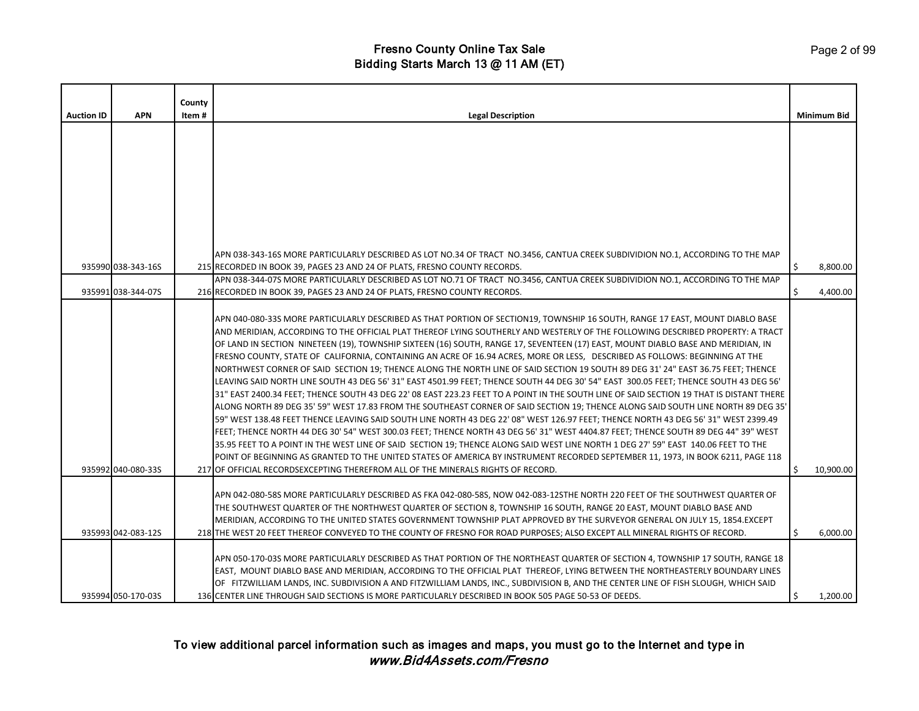|                   |                    | County |                                                                                                                                                                                                                                                                                                                                                                                                                                                                                                                                                                                                                                                                                                                                                                                                                                                                                                                                                                                                                                                                                                                                                                                                                                                                                                                                                                                                                                                                                                                                                                                                                                                         |    |                    |
|-------------------|--------------------|--------|---------------------------------------------------------------------------------------------------------------------------------------------------------------------------------------------------------------------------------------------------------------------------------------------------------------------------------------------------------------------------------------------------------------------------------------------------------------------------------------------------------------------------------------------------------------------------------------------------------------------------------------------------------------------------------------------------------------------------------------------------------------------------------------------------------------------------------------------------------------------------------------------------------------------------------------------------------------------------------------------------------------------------------------------------------------------------------------------------------------------------------------------------------------------------------------------------------------------------------------------------------------------------------------------------------------------------------------------------------------------------------------------------------------------------------------------------------------------------------------------------------------------------------------------------------------------------------------------------------------------------------------------------------|----|--------------------|
| <b>Auction ID</b> | <b>APN</b>         | Item # | <b>Legal Description</b>                                                                                                                                                                                                                                                                                                                                                                                                                                                                                                                                                                                                                                                                                                                                                                                                                                                                                                                                                                                                                                                                                                                                                                                                                                                                                                                                                                                                                                                                                                                                                                                                                                |    | <b>Minimum Bid</b> |
|                   |                    |        |                                                                                                                                                                                                                                                                                                                                                                                                                                                                                                                                                                                                                                                                                                                                                                                                                                                                                                                                                                                                                                                                                                                                                                                                                                                                                                                                                                                                                                                                                                                                                                                                                                                         |    |                    |
|                   |                    |        | APN 038-343-16S MORE PARTICULARLY DESCRIBED AS LOT NO.34 OF TRACT NO.3456, CANTUA CREEK SUBDIVIDION NO.1, ACCORDING TO THE MAP                                                                                                                                                                                                                                                                                                                                                                                                                                                                                                                                                                                                                                                                                                                                                                                                                                                                                                                                                                                                                                                                                                                                                                                                                                                                                                                                                                                                                                                                                                                          |    |                    |
|                   | 935990 038-343-16S |        | 215 RECORDED IN BOOK 39, PAGES 23 AND 24 OF PLATS, FRESNO COUNTY RECORDS.<br>APN 038-344-07S MORE PARTICULARLY DESCRIBED AS LOT NO.71 OF TRACT NO.3456, CANTUA CREEK SUBDIVIDION NO.1, ACCORDING TO THE MAP                                                                                                                                                                                                                                                                                                                                                                                                                                                                                                                                                                                                                                                                                                                                                                                                                                                                                                                                                                                                                                                                                                                                                                                                                                                                                                                                                                                                                                             | \$ | 8,800.00           |
|                   | 935991 038-344-07S |        | 216 RECORDED IN BOOK 39, PAGES 23 AND 24 OF PLATS, FRESNO COUNTY RECORDS.                                                                                                                                                                                                                                                                                                                                                                                                                                                                                                                                                                                                                                                                                                                                                                                                                                                                                                                                                                                                                                                                                                                                                                                                                                                                                                                                                                                                                                                                                                                                                                               |    | 4,400.00           |
|                   |                    |        | APN 040-080-33S MORE PARTICULARLY DESCRIBED AS THAT PORTION OF SECTION19, TOWNSHIP 16 SOUTH, RANGE 17 EAST, MOUNT DIABLO BASE<br>AND MERIDIAN, ACCORDING TO THE OFFICIAL PLAT THEREOF LYING SOUTHERLY AND WESTERLY OF THE FOLLOWING DESCRIBED PROPERTY: A TRACT<br>OF LAND IN SECTION NINETEEN (19), TOWNSHIP SIXTEEN (16) SOUTH, RANGE 17, SEVENTEEN (17) EAST, MOUNT DIABLO BASE AND MERIDIAN, IN<br>FRESNO COUNTY, STATE OF CALIFORNIA, CONTAINING AN ACRE OF 16.94 ACRES, MORE OR LESS, DESCRIBED AS FOLLOWS: BEGINNING AT THE<br>NORTHWEST CORNER OF SAID SECTION 19; THENCE ALONG THE NORTH LINE OF SAID SECTION 19 SOUTH 89 DEG 31' 24" EAST 36.75 FEET; THENCE<br>LEAVING SAID NORTH LINE SOUTH 43 DEG 56' 31" EAST 4501.99 FEET; THENCE SOUTH 44 DEG 30' 54" EAST 300.05 FEET; THENCE SOUTH 43 DEG 56'<br>31" EAST 2400.34 FEET; THENCE SOUTH 43 DEG 22' 08 EAST 223.23 FEET TO A POINT IN THE SOUTH LINE OF SAID SECTION 19 THAT IS DISTANT THERE<br>ALONG NORTH 89 DEG 35' 59" WEST 17.83 FROM THE SOUTHEAST CORNER OF SAID SECTION 19; THENCE ALONG SAID SOUTH LINE NORTH 89 DEG 35'<br>59" WEST 138.48 FEET THENCE LEAVING SAID SOUTH LINE NORTH 43 DEG 22' 08" WEST 126.97 FEET; THENCE NORTH 43 DEG 56' 31" WEST 2399.49<br>FEET; THENCE NORTH 44 DEG 30' 54" WEST 300.03 FEET; THENCE NORTH 43 DEG 56' 31" WEST 4404.87 FEET; THENCE SOUTH 89 DEG 44" 39" WEST<br>35.95 FEET TO A POINT IN THE WEST LINE OF SAID SECTION 19; THENCE ALONG SAID WEST LINE NORTH 1 DEG 27' 59" EAST 140.06 FEET TO THE<br>POINT OF BEGINNING AS GRANTED TO THE UNITED STATES OF AMERICA BY INSTRUMENT RECORDED SEPTEMBER 11, 1973, IN BOOK 6211, PAGE 118 |    |                    |
|                   | 935992 040-080-33S |        | 217 OF OFFICIAL RECORDSEXCEPTING THEREFROM ALL OF THE MINERALS RIGHTS OF RECORD.                                                                                                                                                                                                                                                                                                                                                                                                                                                                                                                                                                                                                                                                                                                                                                                                                                                                                                                                                                                                                                                                                                                                                                                                                                                                                                                                                                                                                                                                                                                                                                        |    | 10,900.00          |
|                   | 935993 042-083-12S |        | APN 042-080-58S MORE PARTICULARLY DESCRIBED AS FKA 042-080-58S, NOW 042-083-12STHE NORTH 220 FEET OF THE SOUTHWEST QUARTER OF<br>THE SOUTHWEST QUARTER OF THE NORTHWEST QUARTER OF SECTION 8, TOWNSHIP 16 SOUTH, RANGE 20 EAST, MOUNT DIABLO BASE AND<br>MERIDIAN, ACCORDING TO THE UNITED STATES GOVERNMENT TOWNSHIP PLAT APPROVED BY THE SURVEYOR GENERAL ON JULY 15, 1854.EXCEPT<br>218 THE WEST 20 FEET THEREOF CONVEYED TO THE COUNTY OF FRESNO FOR ROAD PURPOSES; ALSO EXCEPT ALL MINERAL RIGHTS OF RECORD.                                                                                                                                                                                                                                                                                                                                                                                                                                                                                                                                                                                                                                                                                                                                                                                                                                                                                                                                                                                                                                                                                                                                       | Ŝ. | 6,000.00           |
|                   | 935994 050-170-03S |        | APN 050-170-03S MORE PARTICULARLY DESCRIBED AS THAT PORTION OF THE NORTHEAST QUARTER OF SECTION 4, TOWNSHIP 17 SOUTH, RANGE 18<br>EAST, MOUNT DIABLO BASE AND MERIDIAN, ACCORDING TO THE OFFICIAL PLAT THEREOF, LYING BETWEEN THE NORTHEASTERLY BOUNDARY LINES<br>OF FITZWILLIAM LANDS, INC. SUBDIVISION A AND FITZWILLIAM LANDS, INC., SUBDIVISION B, AND THE CENTER LINE OF FISH SLOUGH, WHICH SAID<br>136 CENTER LINE THROUGH SAID SECTIONS IS MORE PARTICULARLY DESCRIBED IN BOOK 505 PAGE 50-53 OF DEEDS.                                                                                                                                                                                                                                                                                                                                                                                                                                                                                                                                                                                                                                                                                                                                                                                                                                                                                                                                                                                                                                                                                                                                          |    | 1,200.00           |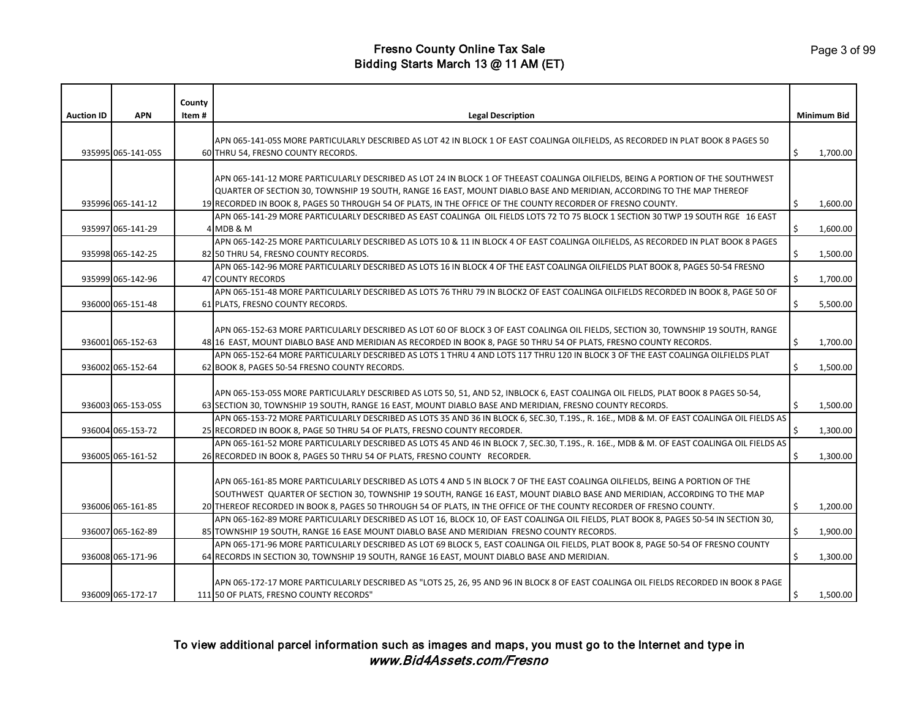| <b>Auction ID</b> | <b>APN</b>         | County<br>Item# | <b>Legal Description</b>                                                                                                                                                                                                                                 |    | <b>Minimum Bid</b> |
|-------------------|--------------------|-----------------|----------------------------------------------------------------------------------------------------------------------------------------------------------------------------------------------------------------------------------------------------------|----|--------------------|
|                   |                    |                 | APN 065-141-05S MORE PARTICULARLY DESCRIBED AS LOT 42 IN BLOCK 1 OF EAST COALINGA OILFIELDS, AS RECORDED IN PLAT BOOK 8 PAGES 50                                                                                                                         |    |                    |
|                   | 935995 065-141-05S |                 | 60 THRU 54, FRESNO COUNTY RECORDS.                                                                                                                                                                                                                       | \$ | 1,700.00           |
|                   |                    |                 | APN 065-141-12 MORE PARTICULARLY DESCRIBED AS LOT 24 IN BLOCK 1 OF THEEAST COALINGA OILFIELDS, BEING A PORTION OF THE SOUTHWEST<br>QUARTER OF SECTION 30, TOWNSHIP 19 SOUTH, RANGE 16 EAST, MOUNT DIABLO BASE AND MERIDIAN, ACCORDING TO THE MAP THEREOF |    |                    |
|                   | 935996 065-141-12  |                 | 19 RECORDED IN BOOK 8, PAGES 50 THROUGH 54 OF PLATS, IN THE OFFICE OF THE COUNTY RECORDER OF FRESNO COUNTY.                                                                                                                                              | Ŝ. | 1,600.00           |
|                   | 935997 065-141-29  |                 | APN 065-141-29 MORE PARTICULARLY DESCRIBED AS EAST COALINGA OIL FIELDS LOTS 72 TO 75 BLOCK 1 SECTION 30 TWP 19 SOUTH RGE 16 EAST<br>4 MDB & M                                                                                                            | \$ | 1,600.00           |
|                   | 935998 065-142-25  |                 | APN 065-142-25 MORE PARTICULARLY DESCRIBED AS LOTS 10 & 11 IN BLOCK 4 OF EAST COALINGA OILFIELDS, AS RECORDED IN PLAT BOOK 8 PAGES<br>82 50 THRU 54, FRESNO COUNTY RECORDS.                                                                              | \$ | 1,500.00           |
|                   |                    |                 | APN 065-142-96 MORE PARTICULARLY DESCRIBED AS LOTS 16 IN BLOCK 4 OF THE EAST COALINGA OILFIELDS PLAT BOOK 8, PAGES 50-54 FRESNO                                                                                                                          |    |                    |
|                   | 935999 065-142-96  |                 | 47 COUNTY RECORDS                                                                                                                                                                                                                                        | \$ | 1,700.00           |
|                   |                    |                 | APN 065-151-48 MORE PARTICULARLY DESCRIBED AS LOTS 76 THRU 79 IN BLOCK2 OF EAST COALINGA OILFIELDS RECORDED IN BOOK 8, PAGE 50 OF                                                                                                                        |    |                    |
|                   | 936000 065-151-48  |                 | 61 PLATS, FRESNO COUNTY RECORDS.                                                                                                                                                                                                                         | \$ | 5,500.00           |
|                   |                    |                 | APN 065-152-63 MORE PARTICULARLY DESCRIBED AS LOT 60 OF BLOCK 3 OF EAST COALINGA OIL FIELDS, SECTION 30, TOWNSHIP 19 SOUTH, RANGE                                                                                                                        |    |                    |
|                   | 936001 065-152-63  |                 | 48 16 EAST, MOUNT DIABLO BASE AND MERIDIAN AS RECORDED IN BOOK 8, PAGE 50 THRU 54 OF PLATS, FRESNO COUNTY RECORDS.                                                                                                                                       | \$ | 1,700.00           |
|                   |                    |                 | APN 065-152-64 MORE PARTICULARLY DESCRIBED AS LOTS 1 THRU 4 AND LOTS 117 THRU 120 IN BLOCK 3 OF THE EAST COALINGA OILFIELDS PLAT                                                                                                                         |    |                    |
|                   | 936002 065-152-64  |                 | 62 BOOK 8, PAGES 50-54 FRESNO COUNTY RECORDS.                                                                                                                                                                                                            | \$ | 1,500.00           |
|                   | 936003 065-153-05S |                 | APN 065-153-05S MORE PARTICULARLY DESCRIBED AS LOTS 50, 51, AND 52, INBLOCK 6, EAST COALINGA OIL FIELDS, PLAT BOOK 8 PAGES 50-54,<br>63 SECTION 30, TOWNSHIP 19 SOUTH, RANGE 16 EAST, MOUNT DIABLO BASE AND MERIDIAN, FRESNO COUNTY RECORDS.             | \$ | 1,500.00           |
|                   |                    |                 | APN 065-153-72 MORE PARTICULARLY DESCRIBED AS LOTS 35 AND 36 IN BLOCK 6, SEC.30, T.19S., R. 16E., MDB & M. OF EAST COALINGA OIL FIELDS AS                                                                                                                |    |                    |
|                   | 936004 065-153-72  |                 | 25 RECORDED IN BOOK 8, PAGE 50 THRU 54 OF PLATS, FRESNO COUNTY RECORDER.                                                                                                                                                                                 | Ś. | 1,300.00           |
|                   |                    |                 | APN 065-161-52 MORE PARTICULARLY DESCRIBED AS LOTS 45 AND 46 IN BLOCK 7, SEC.30, T.19S., R. 16E., MDB & M. OF EAST COALINGA OIL FIELDS AS                                                                                                                |    |                    |
|                   | 936005 065-161-52  |                 | 26 RECORDED IN BOOK 8, PAGES 50 THRU 54 OF PLATS, FRESNO COUNTY RECORDER.                                                                                                                                                                                | \$ | 1,300.00           |
|                   |                    |                 | APN 065-161-85 MORE PARTICULARLY DESCRIBED AS LOTS 4 AND 5 IN BLOCK 7 OF THE EAST COALINGA OILFIELDS, BEING A PORTION OF THE<br>SOUTHWEST QUARTER OF SECTION 30, TOWNSHIP 19 SOUTH, RANGE 16 EAST, MOUNT DIABLO BASE AND MERIDIAN, ACCORDING TO THE MAP  |    |                    |
|                   | 936006 065-161-85  |                 | 20 THEREOF RECORDED IN BOOK 8, PAGES 50 THROUGH 54 OF PLATS, IN THE OFFICE OF THE COUNTY RECORDER OF FRESNO COUNTY.                                                                                                                                      | \$ | 1,200.00           |
|                   |                    |                 | APN 065-162-89 MORE PARTICULARLY DESCRIBED AS LOT 16, BLOCK 10, OF EAST COALINGA OIL FIELDS, PLAT BOOK 8, PAGES 50-54 IN SECTION 30,                                                                                                                     |    |                    |
|                   | 936007 065-162-89  |                 | 85 TOWNSHIP 19 SOUTH, RANGE 16 EASE MOUNT DIABLO BASE AND MERIDIAN FRESNO COUNTY RECORDS.                                                                                                                                                                | \$ | 1,900.00           |
|                   | 936008 065-171-96  |                 | APN 065-171-96 MORE PARTICULARLY DESCRIBED AS LOT 69 BLOCK 5, EAST COALINGA OIL FIELDS, PLAT BOOK 8, PAGE 50-54 OF FRESNO COUNTY<br>64 RECORDS IN SECTION 30, TOWNSHIP 19 SOUTH, RANGE 16 EAST, MOUNT DIABLO BASE AND MERIDIAN.                          | Ś. | 1,300.00           |
|                   |                    |                 |                                                                                                                                                                                                                                                          |    |                    |
|                   | 936009 065-172-17  |                 | APN 065-172-17 MORE PARTICULARLY DESCRIBED AS "LOTS 25, 26, 95 AND 96 IN BLOCK 8 OF EAST COALINGA OIL FIELDS RECORDED IN BOOK 8 PAGE<br>111 50 OF PLATS, FRESNO COUNTY RECORDS"                                                                          | \$ | 1,500.00           |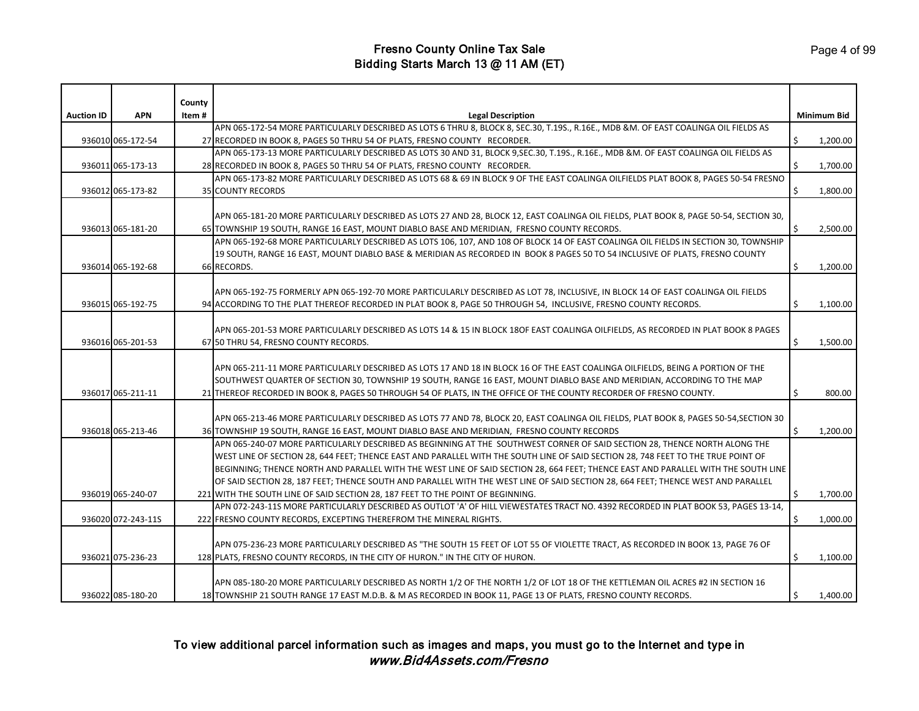| <b>Auction ID</b> | <b>APN</b>         | County<br>Item # | <b>Legal Description</b>                                                                                                                                                                                                                         |    | <b>Minimum Bid</b> |
|-------------------|--------------------|------------------|--------------------------------------------------------------------------------------------------------------------------------------------------------------------------------------------------------------------------------------------------|----|--------------------|
|                   |                    |                  | APN 065-172-54 MORE PARTICULARLY DESCRIBED AS LOTS 6 THRU 8, BLOCK 8, SEC.30, T.19S., R.16E., MDB &M. OF EAST COALINGA OIL FIELDS AS                                                                                                             |    |                    |
|                   | 936010 065-172-54  |                  | 27 RECORDED IN BOOK 8, PAGES 50 THRU 54 OF PLATS, FRESNO COUNTY RECORDER.                                                                                                                                                                        | \$ | 1,200.00           |
|                   |                    |                  | APN 065-173-13 MORE PARTICULARLY DESCRIBED AS LOTS 30 AND 31, BLOCK 9,SEC.30, T.19S., R.16E., MDB &M. OF EAST COALINGA OIL FIELDS AS                                                                                                             |    |                    |
|                   | 936011 065-173-13  |                  | 28 RECORDED IN BOOK 8, PAGES 50 THRU 54 OF PLATS, FRESNO COUNTY RECORDER.                                                                                                                                                                        | \$ | 1,700.00           |
|                   |                    |                  | APN 065-173-82 MORE PARTICULARLY DESCRIBED AS LOTS 68 & 69 IN BLOCK 9 OF THE EAST COALINGA OILFIELDS PLAT BOOK 8, PAGES 50-54 FRESNO                                                                                                             |    |                    |
|                   | 936012 065-173-82  |                  | <b>35 COUNTY RECORDS</b>                                                                                                                                                                                                                         | \$ | 1,800.00           |
|                   |                    |                  |                                                                                                                                                                                                                                                  |    |                    |
|                   |                    |                  | APN 065-181-20 MORE PARTICULARLY DESCRIBED AS LOTS 27 AND 28, BLOCK 12, EAST COALINGA OIL FIELDS, PLAT BOOK 8, PAGE 50-54, SECTION 30,                                                                                                           |    |                    |
|                   | 936013 065-181-20  |                  | 65 TOWNSHIP 19 SOUTH, RANGE 16 EAST, MOUNT DIABLO BASE AND MERIDIAN, FRESNO COUNTY RECORDS.                                                                                                                                                      |    | 2,500.00           |
|                   |                    |                  | APN 065-192-68 MORE PARTICULARLY DESCRIBED AS LOTS 106, 107, AND 108 OF BLOCK 14 OF EAST COALINGA OIL FIELDS IN SECTION 30, TOWNSHIP                                                                                                             |    |                    |
|                   |                    |                  | 19 SOUTH, RANGE 16 EAST, MOUNT DIABLO BASE & MERIDIAN AS RECORDED IN BOOK 8 PAGES 50 TO 54 INCLUSIVE OF PLATS, FRESNO COUNTY                                                                                                                     |    |                    |
|                   | 936014 065-192-68  |                  | 66 RECORDS.                                                                                                                                                                                                                                      | \$ | 1,200.00           |
|                   |                    |                  |                                                                                                                                                                                                                                                  |    |                    |
|                   |                    |                  | APN 065-192-75 FORMERLY APN 065-192-70 MORE PARTICULARLY DESCRIBED AS LOT 78, INCLUSIVE, IN BLOCK 14 OF EAST COALINGA OIL FIELDS                                                                                                                 |    |                    |
|                   | 936015 065-192-75  |                  | 94 ACCORDING TO THE PLAT THEREOF RECORDED IN PLAT BOOK 8, PAGE 50 THROUGH 54, INCLUSIVE, FRESNO COUNTY RECORDS.                                                                                                                                  | \$ | 1,100.00           |
|                   |                    |                  |                                                                                                                                                                                                                                                  |    |                    |
|                   |                    |                  | APN 065-201-53 MORE PARTICULARLY DESCRIBED AS LOTS 14 & 15 IN BLOCK 18OF EAST COALINGA OILFIELDS, AS RECORDED IN PLAT BOOK 8 PAGES                                                                                                               |    |                    |
|                   | 936016 065-201-53  |                  | 67 50 THRU 54, FRESNO COUNTY RECORDS.                                                                                                                                                                                                            | \$ | 1,500.00           |
|                   |                    |                  |                                                                                                                                                                                                                                                  |    |                    |
|                   |                    |                  | APN 065-211-11 MORE PARTICULARLY DESCRIBED AS LOTS 17 AND 18 IN BLOCK 16 OF THE EAST COALINGA OILFIELDS, BEING A PORTION OF THE                                                                                                                  |    |                    |
|                   |                    |                  | SOUTHWEST QUARTER OF SECTION 30, TOWNSHIP 19 SOUTH, RANGE 16 EAST, MOUNT DIABLO BASE AND MERIDIAN, ACCORDING TO THE MAP                                                                                                                          |    |                    |
|                   | 936017 065-211-11  |                  | 21 THEREOF RECORDED IN BOOK 8, PAGES 50 THROUGH 54 OF PLATS, IN THE OFFICE OF THE COUNTY RECORDER OF FRESNO COUNTY.                                                                                                                              | \$ | 800.00             |
|                   |                    |                  |                                                                                                                                                                                                                                                  |    |                    |
|                   |                    |                  | APN 065-213-46 MORE PARTICULARLY DESCRIBED AS LOTS 77 AND 78, BLOCK 20, EAST COALINGA OIL FIELDS, PLAT BOOK 8, PAGES 50-54,SECTION 30                                                                                                            |    |                    |
|                   | 936018 065-213-46  |                  | 36 TOWNSHIP 19 SOUTH, RANGE 16 EAST, MOUNT DIABLO BASE AND MERIDIAN, FRESNO COUNTY RECORDS                                                                                                                                                       | \$ | 1,200.00           |
|                   |                    |                  | APN 065-240-07 MORE PARTICULARLY DESCRIBED AS BEGINNING AT THE SOUTHWEST CORNER OF SAID SECTION 28, THENCE NORTH ALONG THE                                                                                                                       |    |                    |
|                   |                    |                  | WEST LINE OF SECTION 28, 644 FEET; THENCE EAST AND PARALLEL WITH THE SOUTH LINE OF SAID SECTION 28, 748 FEET TO THE TRUE POINT OF                                                                                                                |    |                    |
|                   |                    |                  | BEGINNING; THENCE NORTH AND PARALLEL WITH THE WEST LINE OF SAID SECTION 28, 664 FEET; THENCE EAST AND PARALLEL WITH THE SOUTH LINE                                                                                                               |    |                    |
|                   |                    |                  | OF SAID SECTION 28, 187 FEET; THENCE SOUTH AND PARALLEL WITH THE WEST LINE OF SAID SECTION 28, 664 FEET; THENCE WEST AND PARALLEL                                                                                                                |    |                    |
|                   | 936019 065-240-07  |                  | 221 WITH THE SOUTH LINE OF SAID SECTION 28, 187 FEET TO THE POINT OF BEGINNING.                                                                                                                                                                  | \$ | 1,700.00           |
|                   |                    |                  | APN 072-243-11S MORE PARTICULARLY DESCRIBED AS OUTLOT 'A' OF HILL VIEWESTATES TRACT NO. 4392 RECORDED IN PLAT BOOK 53, PAGES 13-14,                                                                                                              |    |                    |
|                   | 936020 072-243-11S |                  | 222 FRESNO COUNTY RECORDS, EXCEPTING THEREFROM THE MINERAL RIGHTS.                                                                                                                                                                               | Ŝ. | 1,000.00           |
|                   |                    |                  |                                                                                                                                                                                                                                                  |    |                    |
|                   |                    |                  | APN 075-236-23 MORE PARTICULARLY DESCRIBED AS "THE SOUTH 15 FEET OF LOT 55 OF VIOLETTE TRACT, AS RECORDED IN BOOK 13, PAGE 76 OF                                                                                                                 |    |                    |
|                   | 936021 075-236-23  |                  | 128 PLATS, FRESNO COUNTY RECORDS, IN THE CITY OF HURON." IN THE CITY OF HURON.                                                                                                                                                                   | \$ | 1,100.00           |
|                   |                    |                  |                                                                                                                                                                                                                                                  |    |                    |
|                   | 936022 085-180-20  |                  | APN 085-180-20 MORE PARTICULARLY DESCRIBED AS NORTH 1/2 OF THE NORTH 1/2 OF LOT 18 OF THE KETTLEMAN OIL ACRES #2 IN SECTION 16<br>18 TOWNSHIP 21 SOUTH RANGE 17 EAST M.D.B. & M AS RECORDED IN BOOK 11, PAGE 13 OF PLATS, FRESNO COUNTY RECORDS. | \$ | 1,400.00           |
|                   |                    |                  |                                                                                                                                                                                                                                                  |    |                    |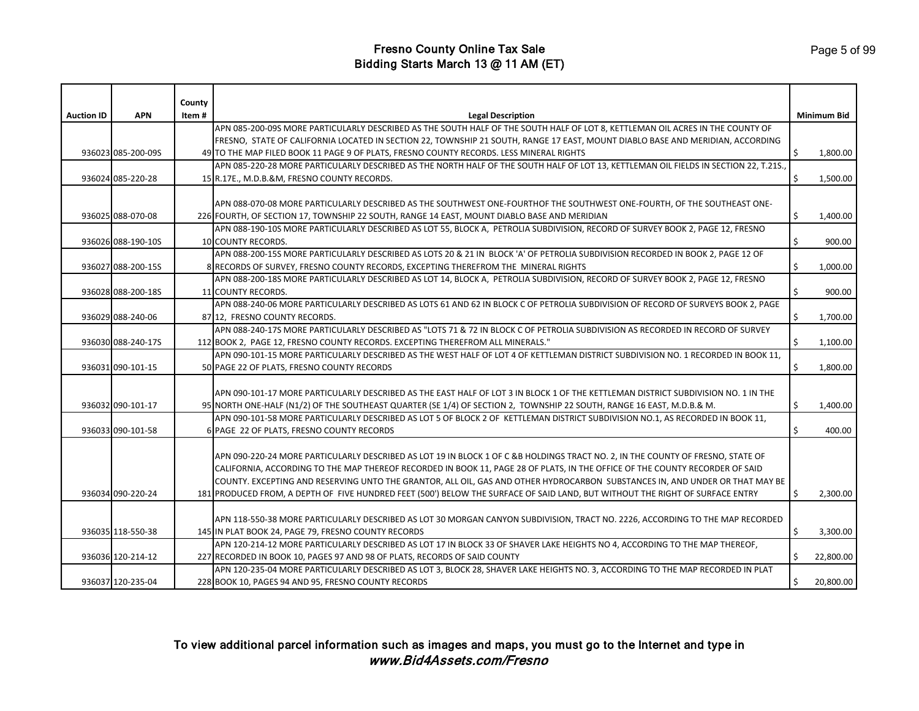|                   |                    | County |                                                                                                                                       |    |                    |
|-------------------|--------------------|--------|---------------------------------------------------------------------------------------------------------------------------------------|----|--------------------|
| <b>Auction ID</b> | <b>APN</b>         | Item#  | <b>Legal Description</b>                                                                                                              |    | <b>Minimum Bid</b> |
|                   |                    |        | APN 085-200-09S MORE PARTICULARLY DESCRIBED AS THE SOUTH HALF OF THE SOUTH HALF OF LOT 8, KETTLEMAN OIL ACRES IN THE COUNTY OF        |    |                    |
|                   |                    |        | FRESNO, STATE OF CALIFORNIA LOCATED IN SECTION 22, TOWNSHIP 21 SOUTH, RANGE 17 EAST, MOUNT DIABLO BASE AND MERIDIAN, ACCORDING        |    |                    |
|                   | 936023 085-200-09S |        | 49 TO THE MAP FILED BOOK 11 PAGE 9 OF PLATS, FRESNO COUNTY RECORDS. LESS MINERAL RIGHTS                                               | \$ | 1,800.00           |
|                   |                    |        | APN 085-220-28 MORE PARTICULARLY DESCRIBED AS THE NORTH HALF OF THE SOUTH HALF OF LOT 13, KETTLEMAN OIL FIELDS IN SECTION 22, T.21S., |    |                    |
|                   | 936024 085-220-28  |        | 15 R.17E., M.D.B.&M, FRESNO COUNTY RECORDS.                                                                                           | \$ | 1,500.00           |
|                   |                    |        |                                                                                                                                       |    |                    |
|                   |                    |        | APN 088-070-08 MORE PARTICULARLY DESCRIBED AS THE SOUTHWEST ONE-FOURTHOF THE SOUTHWEST ONE-FOURTH, OF THE SOUTHEAST ONE-              |    |                    |
|                   | 936025 088-070-08  |        | 226 FOURTH, OF SECTION 17, TOWNSHIP 22 SOUTH, RANGE 14 EAST, MOUNT DIABLO BASE AND MERIDIAN                                           | \$ | 1,400.00           |
|                   |                    |        | APN 088-190-10S MORE PARTICULARLY DESCRIBED AS LOT 55, BLOCK A, PETROLIA SUBDIVISION, RECORD OF SURVEY BOOK 2, PAGE 12, FRESNO        |    |                    |
|                   | 936026 088-190-10S |        | <b>10 COUNTY RECORDS.</b>                                                                                                             | \$ | 900.00             |
|                   |                    |        | APN 088-200-15S MORE PARTICULARLY DESCRIBED AS LOTS 20 & 21 IN BLOCK 'A' OF PETROLIA SUBDIVISION RECORDED IN BOOK 2, PAGE 12 OF       |    |                    |
|                   | 936027 088-200-15S |        | 8 RECORDS OF SURVEY, FRESNO COUNTY RECORDS, EXCEPTING THEREFROM THE MINERAL RIGHTS                                                    | \$ | 1,000.00           |
|                   |                    |        | APN 088-200-18S MORE PARTICULARLY DESCRIBED AS LOT 14, BLOCK A, PETROLIA SUBDIVISION, RECORD OF SURVEY BOOK 2, PAGE 12, FRESNO        |    |                    |
|                   | 936028 088-200-18S |        | 11 COUNTY RECORDS.                                                                                                                    | \$ | 900.00             |
|                   |                    |        | APN 088-240-06 MORE PARTICULARLY DESCRIBED AS LOTS 61 AND 62 IN BLOCK C OF PETROLIA SUBDIVISION OF RECORD OF SURVEYS BOOK 2, PAGE     |    |                    |
|                   | 936029 088-240-06  |        | 87 12, FRESNO COUNTY RECORDS.                                                                                                         | \$ | 1,700.00           |
|                   |                    |        | APN 088-240-17S MORE PARTICULARLY DESCRIBED AS "LOTS 71 & 72 IN BLOCK C OF PETROLIA SUBDIVISION AS RECORDED IN RECORD OF SURVEY       |    |                    |
|                   | 936030 088-240-17S |        | 112 BOOK 2, PAGE 12, FRESNO COUNTY RECORDS. EXCEPTING THEREFROM ALL MINERALS."                                                        | \$ | 1,100.00           |
|                   |                    |        | APN 090-101-15 MORE PARTICULARLY DESCRIBED AS THE WEST HALF OF LOT 4 OF KETTLEMAN DISTRICT SUBDIVISION NO. 1 RECORDED IN BOOK 11,     |    |                    |
|                   | 936031 090-101-15  |        | 50 PAGE 22 OF PLATS, FRESNO COUNTY RECORDS                                                                                            | Ś. | 1,800.00           |
|                   |                    |        |                                                                                                                                       |    |                    |
|                   |                    |        | APN 090-101-17 MORE PARTICULARLY DESCRIBED AS THE EAST HALF OF LOT 3 IN BLOCK 1 OF THE KETTLEMAN DISTRICT SUBDIVISION NO. 1 IN THE    |    |                    |
|                   | 936032 090-101-17  |        | 95 NORTH ONE-HALF (N1/2) OF THE SOUTHEAST QUARTER (SE 1/4) OF SECTION 2, TOWNSHIP 22 SOUTH, RANGE 16 EAST, M.D.B.& M.                 | \$ | 1,400.00           |
|                   |                    |        | APN 090-101-58 MORE PARTICULARLY DESCRIBED AS LOT 5 OF BLOCK 2 OF KETTLEMAN DISTRICT SUBDIVISION NO.1, AS RECORDED IN BOOK 11,        |    |                    |
|                   | 936033 090-101-58  |        | 6 PAGE 22 OF PLATS, FRESNO COUNTY RECORDS                                                                                             | \$ | 400.00             |
|                   |                    |        |                                                                                                                                       |    |                    |
|                   |                    |        | APN 090-220-24 MORE PARTICULARLY DESCRIBED AS LOT 19 IN BLOCK 1 OF C &B HOLDINGS TRACT NO. 2, IN THE COUNTY OF FRESNO, STATE OF       |    |                    |
|                   |                    |        | CALIFORNIA, ACCORDING TO THE MAP THEREOF RECORDED IN BOOK 11, PAGE 28 OF PLATS, IN THE OFFICE OF THE COUNTY RECORDER OF SAID          |    |                    |
|                   |                    |        | COUNTY. EXCEPTING AND RESERVING UNTO THE GRANTOR, ALL OIL, GAS AND OTHER HYDROCARBON SUBSTANCES IN, AND UNDER OR THAT MAY BE          |    |                    |
|                   | 936034 090-220-24  |        | 181 PRODUCED FROM, A DEPTH OF FIVE HUNDRED FEET (500') BELOW THE SURFACE OF SAID LAND, BUT WITHOUT THE RIGHT OF SURFACE ENTRY         | Ś. | 2,300.00           |
|                   |                    |        |                                                                                                                                       |    |                    |
|                   |                    |        | APN 118-550-38 MORE PARTICULARLY DESCRIBED AS LOT 30 MORGAN CANYON SUBDIVISION, TRACT NO. 2226, ACCORDING TO THE MAP RECORDED         |    |                    |
|                   | 936035 118-550-38  |        | 145 IN PLAT BOOK 24, PAGE 79, FRESNO COUNTY RECORDS                                                                                   | \$ | 3,300.00           |
|                   |                    |        | APN 120-214-12 MORE PARTICULARLY DESCRIBED AS LOT 17 IN BLOCK 33 OF SHAVER LAKE HEIGHTS NO 4, ACCORDING TO THE MAP THEREOF,           |    |                    |
|                   | 936036 120-214-12  |        | 227 RECORDED IN BOOK 10, PAGES 97 AND 98 OF PLATS, RECORDS OF SAID COUNTY                                                             | Ŝ. | 22,800.00          |
|                   |                    |        | APN 120-235-04 MORE PARTICULARLY DESCRIBED AS LOT 3, BLOCK 28, SHAVER LAKE HEIGHTS NO. 3, ACCORDING TO THE MAP RECORDED IN PLAT       |    |                    |
|                   | 936037 120-235-04  |        | 228 BOOK 10, PAGES 94 AND 95, FRESNO COUNTY RECORDS                                                                                   | \$ | 20,800.00          |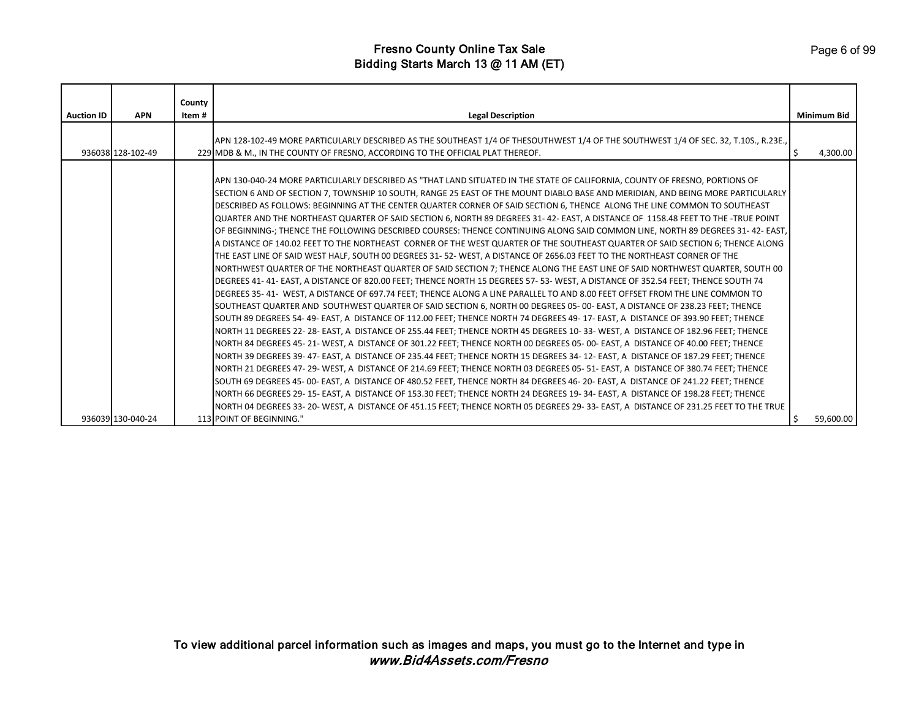|                   |                   | County |                                                                                                                                                                                                                                                                                                                                                                                                                                                                                                                                                                                                                                                                                                                                                                                                                                                                                                                                                                                                                                                                                                                                                                                                                                                                                                                                                                                                                                                                                                                                                                                                                                                                                                                                                                                                                                                                                                                                                                                                                                                                                                                                                                                                                                                                                                                                                                                                                                                                                                                                          |                    |
|-------------------|-------------------|--------|------------------------------------------------------------------------------------------------------------------------------------------------------------------------------------------------------------------------------------------------------------------------------------------------------------------------------------------------------------------------------------------------------------------------------------------------------------------------------------------------------------------------------------------------------------------------------------------------------------------------------------------------------------------------------------------------------------------------------------------------------------------------------------------------------------------------------------------------------------------------------------------------------------------------------------------------------------------------------------------------------------------------------------------------------------------------------------------------------------------------------------------------------------------------------------------------------------------------------------------------------------------------------------------------------------------------------------------------------------------------------------------------------------------------------------------------------------------------------------------------------------------------------------------------------------------------------------------------------------------------------------------------------------------------------------------------------------------------------------------------------------------------------------------------------------------------------------------------------------------------------------------------------------------------------------------------------------------------------------------------------------------------------------------------------------------------------------------------------------------------------------------------------------------------------------------------------------------------------------------------------------------------------------------------------------------------------------------------------------------------------------------------------------------------------------------------------------------------------------------------------------------------------------------|--------------------|
| <b>Auction ID</b> | <b>APN</b>        | Item#  | <b>Legal Description</b>                                                                                                                                                                                                                                                                                                                                                                                                                                                                                                                                                                                                                                                                                                                                                                                                                                                                                                                                                                                                                                                                                                                                                                                                                                                                                                                                                                                                                                                                                                                                                                                                                                                                                                                                                                                                                                                                                                                                                                                                                                                                                                                                                                                                                                                                                                                                                                                                                                                                                                                 | <b>Minimum Bid</b> |
|                   | 936038 128-102-49 |        | APN 128-102-49 MORE PARTICULARLY DESCRIBED AS THE SOUTHEAST 1/4 OF THESOUTHWEST 1/4 OF THE SOUTHWEST 1/4 OF SEC. 32, T.10S., R.23E.,<br>229 MDB & M., IN THE COUNTY OF FRESNO, ACCORDING TO THE OFFICIAL PLAT THEREOF.                                                                                                                                                                                                                                                                                                                                                                                                                                                                                                                                                                                                                                                                                                                                                                                                                                                                                                                                                                                                                                                                                                                                                                                                                                                                                                                                                                                                                                                                                                                                                                                                                                                                                                                                                                                                                                                                                                                                                                                                                                                                                                                                                                                                                                                                                                                   | 4,300.00           |
|                   |                   |        | APN 130-040-24 MORE PARTICULARLY DESCRIBED AS "THAT LAND SITUATED IN THE STATE OF CALIFORNIA, COUNTY OF FRESNO, PORTIONS OF<br>SECTION 6 AND OF SECTION 7, TOWNSHIP 10 SOUTH, RANGE 25 EAST OF THE MOUNT DIABLO BASE AND MERIDIAN, AND BEING MORE PARTICULARLY<br>DESCRIBED AS FOLLOWS: BEGINNING AT THE CENTER QUARTER CORNER OF SAID SECTION 6, THENCE ALONG THE LINE COMMON TO SOUTHEAST<br>QUARTER AND THE NORTHEAST QUARTER OF SAID SECTION 6, NORTH 89 DEGREES 31-42-EAST, A DISTANCE OF 1158.48 FEET TO THE -TRUE POINT<br>OF BEGINNING-; THENCE THE FOLLOWING DESCRIBED COURSES: THENCE CONTINUING ALONG SAID COMMON LINE, NORTH 89 DEGREES 31-42-EAST<br>A DISTANCE OF 140.02 FEET TO THE NORTHEAST CORNER OF THE WEST QUARTER OF THE SOUTHEAST QUARTER OF SAID SECTION 6; THENCE ALONG<br>THE EAST LINE OF SAID WEST HALF, SOUTH 00 DEGREES 31-52-WEST, A DISTANCE OF 2656.03 FEET TO THE NORTHEAST CORNER OF THE<br>NORTHWEST QUARTER OF THE NORTHEAST QUARTER OF SAID SECTION 7; THENCE ALONG THE EAST LINE OF SAID NORTHWEST QUARTER, SOUTH 00<br>DEGREES 41-41-EAST, A DISTANCE OF 820.00 FEET; THENCE NORTH 15 DEGREES 57-53-WEST, A DISTANCE OF 352.54 FEET; THENCE SOUTH 74<br>DEGREES 35-41- WEST, A DISTANCE OF 697.74 FEET; THENCE ALONG A LINE PARALLEL TO AND 8.00 FEET OFFSET FROM THE LINE COMMON TO<br>SOUTHEAST QUARTER AND SOUTHWEST QUARTER OF SAID SECTION 6, NORTH 00 DEGREES 05- 00- EAST, A DISTANCE OF 238.23 FEET; THENCE<br>SOUTH 89 DEGREES 54-49-EAST, A DISTANCE OF 112.00 FEET; THENCE NORTH 74 DEGREES 49-17-EAST, A DISTANCE OF 393.90 FEET; THENCE<br>NORTH 11 DEGREES 22-28- EAST, A DISTANCE OF 255.44 FEET; THENCE NORTH 45 DEGREES 10-33-WEST, A DISTANCE OF 182.96 FEET; THENCE<br>NORTH 84 DEGREES 45-21-WEST, A DISTANCE OF 301.22 FEET; THENCE NORTH 00 DEGREES 05-00-EAST, A DISTANCE OF 40.00 FEET; THENCE<br>NORTH 39 DEGREES 39-47-EAST, A DISTANCE OF 235.44 FEET; THENCE NORTH 15 DEGREES 34-12-EAST, A DISTANCE OF 187.29 FEET; THENCE<br>NORTH 21 DEGREES 47-29-WEST, A DISTANCE OF 214.69 FEET; THENCE NORTH 03 DEGREES 05-51-EAST, A DISTANCE OF 380.74 FEET; THENCE<br>SOUTH 69 DEGREES 45-00-EAST, A DISTANCE OF 480.52 FEET, THENCE NORTH 84 DEGREES 46-20-EAST, A DISTANCE OF 241.22 FEET; THENCE<br>NORTH 66 DEGREES 29-15-EAST, A DISTANCE OF 153.30 FEET; THENCE NORTH 24 DEGREES 19-34-EAST, A DISTANCE OF 198.28 FEET; THENCE<br>NORTH 04 DEGREES 33-20-WEST, A DISTANCE OF 451.15 FEET; THENCE NORTH 05 DEGREES 29-33- EAST, A DISTANCE OF 231.25 FEET TO THE TRUE |                    |
|                   | 936039 130-040-24 |        | 113 POINT OF BEGINNING."                                                                                                                                                                                                                                                                                                                                                                                                                                                                                                                                                                                                                                                                                                                                                                                                                                                                                                                                                                                                                                                                                                                                                                                                                                                                                                                                                                                                                                                                                                                                                                                                                                                                                                                                                                                                                                                                                                                                                                                                                                                                                                                                                                                                                                                                                                                                                                                                                                                                                                                 | 59,600.00          |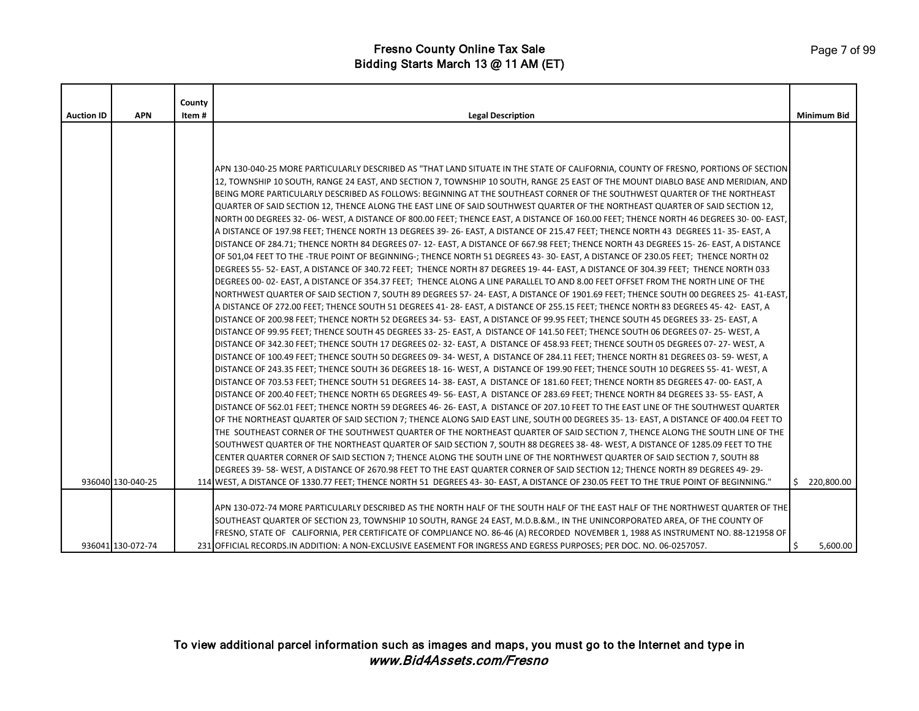|                   |                   | County |                                                                                                                                                                                                                                                               |                    |
|-------------------|-------------------|--------|---------------------------------------------------------------------------------------------------------------------------------------------------------------------------------------------------------------------------------------------------------------|--------------------|
| <b>Auction ID</b> | <b>APN</b>        | Item#  | <b>Legal Description</b>                                                                                                                                                                                                                                      | <b>Minimum Bid</b> |
|                   |                   |        |                                                                                                                                                                                                                                                               |                    |
|                   |                   |        |                                                                                                                                                                                                                                                               |                    |
|                   |                   |        |                                                                                                                                                                                                                                                               |                    |
|                   |                   |        |                                                                                                                                                                                                                                                               |                    |
|                   |                   |        | APN 130-040-25 MORE PARTICULARLY DESCRIBED AS "THAT LAND SITUATE IN THE STATE OF CALIFORNIA, COUNTY OF FRESNO, PORTIONS OF SECTION                                                                                                                            |                    |
|                   |                   |        | 12, TOWNSHIP 10 SOUTH, RANGE 24 EAST, AND SECTION 7, TOWNSHIP 10 SOUTH, RANGE 25 EAST OF THE MOUNT DIABLO BASE AND MERIDIAN, AND<br>BEING MORE PARTICULARLY DESCRIBED AS FOLLOWS: BEGINNING AT THE SOUTHEAST CORNER OF THE SOUTHWEST QUARTER OF THE NORTHEAST |                    |
|                   |                   |        | QUARTER OF SAID SECTION 12, THENCE ALONG THE EAST LINE OF SAID SOUTHWEST QUARTER OF THE NORTHEAST QUARTER OF SAID SECTION 12,                                                                                                                                 |                    |
|                   |                   |        | NORTH 00 DEGREES 32- 06- WEST, A DISTANCE OF 800.00 FEET; THENCE EAST, A DISTANCE OF 160.00 FEET; THENCE NORTH 46 DEGREES 30- 00- EAST,                                                                                                                       |                    |
|                   |                   |        | A DISTANCE OF 197.98 FEET; THENCE NORTH 13 DEGREES 39-26- EAST, A DISTANCE OF 215.47 FEET; THENCE NORTH 43 DEGREES 11-35- EAST, A                                                                                                                             |                    |
|                   |                   |        | DISTANCE OF 284.71; THENCE NORTH 84 DEGREES 07-12-EAST, A DISTANCE OF 667.98 FEET; THENCE NORTH 43 DEGREES 15-26-EAST, A DISTANCE                                                                                                                             |                    |
|                   |                   |        | OF 501,04 FEET TO THE -TRUE POINT OF BEGINNING-; THENCE NORTH 51 DEGREES 43-30- EAST, A DISTANCE OF 230.05 FEET; THENCE NORTH 02                                                                                                                              |                    |
|                   |                   |        | DEGREES 55-52-EAST, A DISTANCE OF 340.72 FEET; THENCE NORTH 87 DEGREES 19-44-EAST, A DISTANCE OF 304.39 FEET; THENCE NORTH 033                                                                                                                                |                    |
|                   |                   |        | DEGREES 00-02-EAST, A DISTANCE OF 354.37 FEET; THENCE ALONG A LINE PARALLEL TO AND 8.00 FEET OFFSET FROM THE NORTH LINE OF THE                                                                                                                                |                    |
|                   |                   |        | NORTHWEST QUARTER OF SAID SECTION 7, SOUTH 89 DEGREES 57-24- EAST, A DISTANCE OF 1901.69 FEET; THENCE SOUTH 00 DEGREES 25- 41-EAST,                                                                                                                           |                    |
|                   |                   |        | A DISTANCE OF 272.00 FEET; THENCE SOUTH 51 DEGREES 41- 28- EAST, A DISTANCE OF 255.15 FEET; THENCE NORTH 83 DEGREES 45- 42- EAST, A                                                                                                                           |                    |
|                   |                   |        | DISTANCE OF 200.98 FEET; THENCE NORTH 52 DEGREES 34-53- EAST, A DISTANCE OF 99.95 FEET; THENCE SOUTH 45 DEGREES 33-25-EAST, A                                                                                                                                 |                    |
|                   |                   |        | DISTANCE OF 99.95 FEET; THENCE SOUTH 45 DEGREES 33- 25- EAST, A DISTANCE OF 141.50 FEET; THENCE SOUTH 06 DEGREES 07- 25- WEST, A                                                                                                                              |                    |
|                   |                   |        | DISTANCE OF 342.30 FEET; THENCE SOUTH 17 DEGREES 02-32-EAST, A DISTANCE OF 458.93 FEET; THENCE SOUTH 05 DEGREES 07-27-WEST, A                                                                                                                                 |                    |
|                   |                   |        | DISTANCE OF 100.49 FEET; THENCE SOUTH 50 DEGREES 09-34-WEST, A DISTANCE OF 284.11 FEET; THENCE NORTH 81 DEGREES 03-59-WEST, A                                                                                                                                 |                    |
|                   |                   |        | DISTANCE OF 243.35 FEET; THENCE SOUTH 36 DEGREES 18-16-WEST, A DISTANCE OF 199.90 FEET; THENCE SOUTH 10 DEGREES 55-41-WEST, A                                                                                                                                 |                    |
|                   |                   |        | DISTANCE OF 703.53 FEET; THENCE SOUTH 51 DEGREES 14- 38- EAST, A DISTANCE OF 181.60 FEET; THENCE NORTH 85 DEGREES 47- 00- EAST, A                                                                                                                             |                    |
|                   |                   |        | DISTANCE OF 200.40 FEET; THENCE NORTH 65 DEGREES 49- 56- EAST, A DISTANCE OF 283.69 FEET; THENCE NORTH 84 DEGREES 33- 55- EAST, A                                                                                                                             |                    |
|                   |                   |        | DISTANCE OF 562.01 FEET; THENCE NORTH 59 DEGREES 46-26-EAST, A DISTANCE OF 207.10 FEET TO THE EAST LINE OF THE SOUTHWEST QUARTER                                                                                                                              |                    |
|                   |                   |        | OF THE NORTHEAST QUARTER OF SAID SECTION 7; THENCE ALONG SAID EAST LINE, SOUTH 00 DEGREES 35-13-EAST, A DISTANCE OF 400.04 FEET TO                                                                                                                            |                    |
|                   |                   |        | THE SOUTHEAST CORNER OF THE SOUTHWEST QUARTER OF THE NORTHEAST QUARTER OF SAID SECTION 7, THENCE ALONG THE SOUTH LINE OF THE                                                                                                                                  |                    |
|                   |                   |        | SOUTHWEST QUARTER OF THE NORTHEAST QUARTER OF SAID SECTION 7, SOUTH 88 DEGREES 38-48-WEST, A DISTANCE OF 1285.09 FEET TO THE                                                                                                                                  |                    |
|                   |                   |        | CENTER QUARTER CORNER OF SAID SECTION 7; THENCE ALONG THE SOUTH LINE OF THE NORTHWEST QUARTER OF SAID SECTION 7, SOUTH 88                                                                                                                                     |                    |
|                   |                   |        | DEGREES 39-58-WEST, A DISTANCE OF 2670.98 FEET TO THE EAST QUARTER CORNER OF SAID SECTION 12; THENCE NORTH 89 DEGREES 49-29-                                                                                                                                  |                    |
|                   | 936040 130-040-25 |        | 114 WEST, A DISTANCE OF 1330.77 FEET; THENCE NORTH 51 DEGREES 43-30- EAST, A DISTANCE OF 230.05 FEET TO THE TRUE POINT OF BEGINNING."                                                                                                                         | \$220,800.00       |
|                   |                   |        |                                                                                                                                                                                                                                                               |                    |
|                   |                   |        | APN 130-072-74 MORE PARTICULARLY DESCRIBED AS THE NORTH HALF OF THE SOUTH HALF OF THE EAST HALF OF THE NORTHWEST QUARTER OF THE                                                                                                                               |                    |
|                   |                   |        | SOUTHEAST QUARTER OF SECTION 23, TOWNSHIP 10 SOUTH, RANGE 24 EAST, M.D.B.&M., IN THE UNINCORPORATED AREA, OF THE COUNTY OF                                                                                                                                    |                    |
|                   |                   |        | FRESNO, STATE OF CALIFORNIA, PER CERTIFICATE OF COMPLIANCE NO. 86-46 (A) RECORDED NOVEMBER 1, 1988 AS INSTRUMENT NO. 88-121958 OF                                                                                                                             |                    |
|                   | 936041 130-072-74 |        | 231 OFFICIAL RECORDS.IN ADDITION: A NON-EXCLUSIVE EASEMENT FOR INGRESS AND EGRESS PURPOSES; PER DOC. NO. 06-0257057.                                                                                                                                          | S.<br>5,600.00     |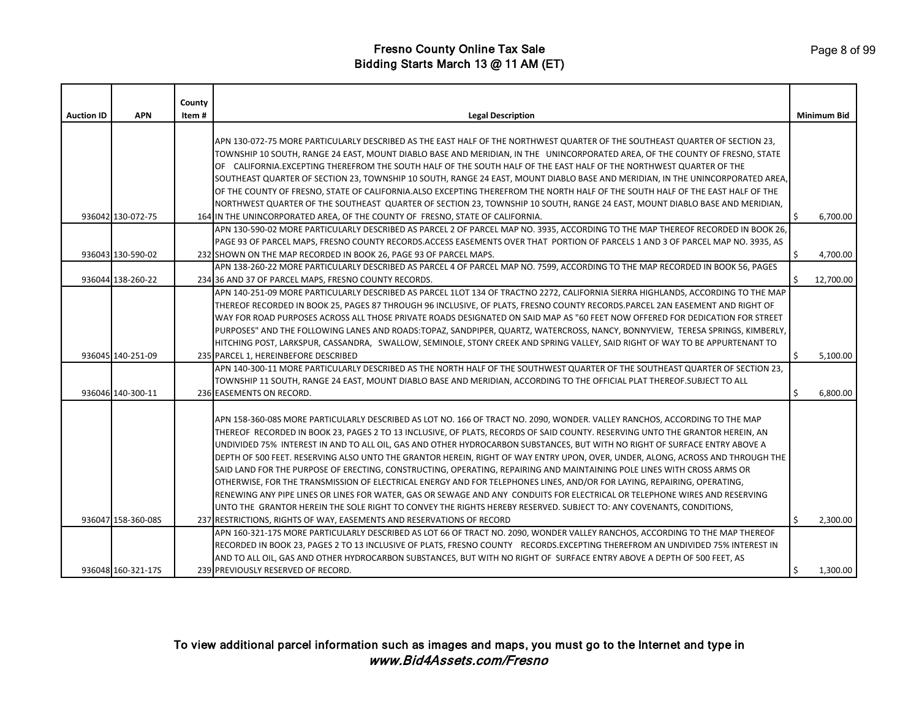|                   |                    | County |                                                                                                                                  |    |                    |
|-------------------|--------------------|--------|----------------------------------------------------------------------------------------------------------------------------------|----|--------------------|
| <b>Auction ID</b> | <b>APN</b>         | Item#  | <b>Legal Description</b>                                                                                                         |    | <b>Minimum Bid</b> |
|                   |                    |        |                                                                                                                                  |    |                    |
|                   |                    |        | APN 130-072-75 MORE PARTICULARLY DESCRIBED AS THE EAST HALF OF THE NORTHWEST QUARTER OF THE SOUTHEAST QUARTER OF SECTION 23,     |    |                    |
|                   |                    |        | TOWNSHIP 10 SOUTH, RANGE 24 EAST, MOUNT DIABLO BASE AND MERIDIAN, IN THE UNINCORPORATED AREA, OF THE COUNTY OF FRESNO, STATE     |    |                    |
|                   |                    |        | OF CALIFORNIA.EXCEPTING THEREFROM THE SOUTH HALF OF THE SOUTH HALF OF THE EAST HALF OF THE NORTHWEST QUARTER OF THE              |    |                    |
|                   |                    |        | SOUTHEAST QUARTER OF SECTION 23, TOWNSHIP 10 SOUTH, RANGE 24 EAST, MOUNT DIABLO BASE AND MERIDIAN, IN THE UNINCORPORATED AREA,   |    |                    |
|                   |                    |        | OF THE COUNTY OF FRESNO, STATE OF CALIFORNIA.ALSO EXCEPTING THEREFROM THE NORTH HALF OF THE SOUTH HALF OF THE EAST HALF OF THE   |    |                    |
|                   |                    |        | NORTHWEST QUARTER OF THE SOUTHEAST QUARTER OF SECTION 23, TOWNSHIP 10 SOUTH, RANGE 24 EAST, MOUNT DIABLO BASE AND MERIDIAN,      |    |                    |
|                   | 936042 130-072-75  |        | 164 IN THE UNINCORPORATED AREA, OF THE COUNTY OF FRESNO, STATE OF CALIFORNIA.                                                    | Ś. | 6,700.00           |
|                   |                    |        | APN 130-590-02 MORE PARTICULARLY DESCRIBED AS PARCEL 2 OF PARCEL MAP NO. 3935, ACCORDING TO THE MAP THEREOF RECORDED IN BOOK 26, |    |                    |
|                   |                    |        | PAGE 93 OF PARCEL MAPS, FRESNO COUNTY RECORDS.ACCESS EASEMENTS OVER THAT PORTION OF PARCELS 1 AND 3 OF PARCEL MAP NO. 3935, AS   |    |                    |
|                   | 936043 130-590-02  |        | 232 SHOWN ON THE MAP RECORDED IN BOOK 26, PAGE 93 OF PARCEL MAPS.                                                                | Ŝ. | 4,700.00           |
|                   |                    |        | APN 138-260-22 MORE PARTICULARLY DESCRIBED AS PARCEL 4 OF PARCEL MAP NO. 7599, ACCORDING TO THE MAP RECORDED IN BOOK 56, PAGES   |    |                    |
|                   | 936044 138-260-22  |        | 234 36 AND 37 OF PARCEL MAPS, FRESNO COUNTY RECORDS.                                                                             |    | 12,700.00          |
|                   |                    |        | APN 140-251-09 MORE PARTICULARLY DESCRIBED AS PARCEL 1LOT 134 OF TRACTNO 2272, CALIFORNIA SIERRA HIGHLANDS, ACCORDING TO THE MAP |    |                    |
|                   |                    |        | THEREOF RECORDED IN BOOK 25, PAGES 87 THROUGH 96 INCLUSIVE, OF PLATS, FRESNO COUNTY RECORDS.PARCEL 2AN EASEMENT AND RIGHT OF     |    |                    |
|                   |                    |        | WAY FOR ROAD PURPOSES ACROSS ALL THOSE PRIVATE ROADS DESIGNATED ON SAID MAP AS "60 FEET NOW OFFERED FOR DEDICATION FOR STREET    |    |                    |
|                   |                    |        | PURPOSES" AND THE FOLLOWING LANES AND ROADS:TOPAZ, SANDPIPER, QUARTZ, WATERCROSS, NANCY, BONNYVIEW, TERESA SPRINGS, KIMBERLY,    |    |                    |
|                   |                    |        | HITCHING POST, LARKSPUR, CASSANDRA, SWALLOW, SEMINOLE, STONY CREEK AND SPRING VALLEY, SAID RIGHT OF WAY TO BE APPURTENANT TO     |    |                    |
|                   | 936045 140-251-09  |        | 235 PARCEL 1, HEREINBEFORE DESCRIBED                                                                                             | ¢  | 5,100.00           |
|                   |                    |        | APN 140-300-11 MORE PARTICULARLY DESCRIBED AS THE NORTH HALF OF THE SOUTHWEST QUARTER OF THE SOUTHEAST QUARTER OF SECTION 23,    |    |                    |
|                   |                    |        | TOWNSHIP 11 SOUTH, RANGE 24 EAST, MOUNT DIABLO BASE AND MERIDIAN, ACCORDING TO THE OFFICIAL PLAT THEREOF.SUBJECT TO ALL          |    |                    |
|                   | 936046 140-300-11  |        | 236 EASEMENTS ON RECORD.                                                                                                         | \$ | 6,800.00           |
|                   |                    |        |                                                                                                                                  |    |                    |
|                   |                    |        | APN 158-360-08S MORE PARTICULARLY DESCRIBED AS LOT NO. 166 OF TRACT NO. 2090, WONDER. VALLEY RANCHOS, ACCORDING TO THE MAP       |    |                    |
|                   |                    |        | THEREOF RECORDED IN BOOK 23, PAGES 2 TO 13 INCLUSIVE, OF PLATS, RECORDS OF SAID COUNTY. RESERVING UNTO THE GRANTOR HEREIN, AN    |    |                    |
|                   |                    |        | UNDIVIDED 75% INTEREST IN AND TO ALL OIL, GAS AND OTHER HYDROCARBON SUBSTANCES, BUT WITH NO RIGHT OF SURFACE ENTRY ABOVE A       |    |                    |
|                   |                    |        | DEPTH OF 500 FEET. RESERVING ALSO UNTO THE GRANTOR HEREIN, RIGHT OF WAY ENTRY UPON, OVER, UNDER, ALONG, ACROSS AND THROUGH THE   |    |                    |
|                   |                    |        | SAID LAND FOR THE PURPOSE OF ERECTING, CONSTRUCTING, OPERATING, REPAIRING AND MAINTAINING POLE LINES WITH CROSS ARMS OR          |    |                    |
|                   |                    |        | OTHERWISE, FOR THE TRANSMISSION OF ELECTRICAL ENERGY AND FOR TELEPHONES LINES, AND/OR FOR LAYING, REPAIRING, OPERATING,          |    |                    |
|                   |                    |        | RENEWING ANY PIPE LINES OR LINES FOR WATER, GAS OR SEWAGE AND ANY CONDUITS FOR ELECTRICAL OR TELEPHONE WIRES AND RESERVING       |    |                    |
|                   |                    |        | UNTO THE GRANTOR HEREIN THE SOLE RIGHT TO CONVEY THE RIGHTS HEREBY RESERVED. SUBJECT TO: ANY COVENANTS, CONDITIONS,              |    |                    |
|                   | 936047 158-360-08S |        | 237 RESTRICTIONS, RIGHTS OF WAY, EASEMENTS AND RESERVATIONS OF RECORD                                                            | Ŝ. | 2,300.00           |
|                   |                    |        | APN 160-321-17S MORE PARTICULARLY DESCRIBED AS LOT 66 OF TRACT NO. 2090, WONDER VALLEY RANCHOS, ACCORDING TO THE MAP THEREOF     |    |                    |
|                   |                    |        | RECORDED IN BOOK 23, PAGES 2 TO 13 INCLUSIVE OF PLATS, FRESNO COUNTY RECORDS.EXCEPTING THEREFROM AN UNDIVIDED 75% INTEREST IN    |    |                    |
|                   |                    |        | AND TO ALL OIL, GAS AND OTHER HYDROCARBON SUBSTANCES, BUT WITH NO RIGHT OF SURFACE ENTRY ABOVE A DEPTH OF 500 FEET, AS           |    |                    |
|                   | 936048 160-321-17S |        | 239 PREVIOUSLY RESERVED OF RECORD.                                                                                               | Ŝ. | 1,300.00           |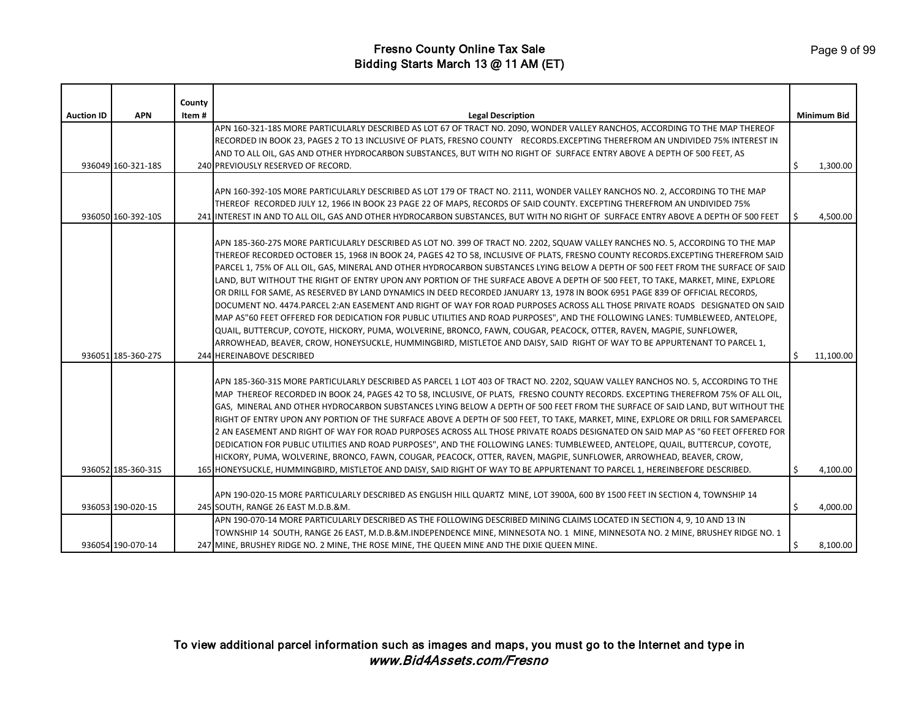|                   |                    | County |                                                                                                                                                                                                                                                                                                                                                                                                                                                                                                                                                                                                                                                                                                                                                                                                                                                                                                                                                                                                                                                                                                                                                                                             |    |                    |
|-------------------|--------------------|--------|---------------------------------------------------------------------------------------------------------------------------------------------------------------------------------------------------------------------------------------------------------------------------------------------------------------------------------------------------------------------------------------------------------------------------------------------------------------------------------------------------------------------------------------------------------------------------------------------------------------------------------------------------------------------------------------------------------------------------------------------------------------------------------------------------------------------------------------------------------------------------------------------------------------------------------------------------------------------------------------------------------------------------------------------------------------------------------------------------------------------------------------------------------------------------------------------|----|--------------------|
| <b>Auction ID</b> | <b>APN</b>         | Item#  | <b>Legal Description</b>                                                                                                                                                                                                                                                                                                                                                                                                                                                                                                                                                                                                                                                                                                                                                                                                                                                                                                                                                                                                                                                                                                                                                                    |    | <b>Minimum Bid</b> |
|                   |                    |        | APN 160-321-18S MORE PARTICULARLY DESCRIBED AS LOT 67 OF TRACT NO. 2090, WONDER VALLEY RANCHOS, ACCORDING TO THE MAP THEREOF<br>RECORDED IN BOOK 23, PAGES 2 TO 13 INCLUSIVE OF PLATS, FRESNO COUNTY RECORDS.EXCEPTING THEREFROM AN UNDIVIDED 75% INTEREST IN<br>AND TO ALL OIL, GAS AND OTHER HYDROCARBON SUBSTANCES, BUT WITH NO RIGHT OF SURFACE ENTRY ABOVE A DEPTH OF 500 FEET, AS                                                                                                                                                                                                                                                                                                                                                                                                                                                                                                                                                                                                                                                                                                                                                                                                     |    |                    |
|                   | 936049 160-321-18S |        | 240 PREVIOUSLY RESERVED OF RECORD.                                                                                                                                                                                                                                                                                                                                                                                                                                                                                                                                                                                                                                                                                                                                                                                                                                                                                                                                                                                                                                                                                                                                                          | Ŝ  | 1,300.00           |
|                   | 936050 160-392-10S |        | APN 160-392-10S MORE PARTICULARLY DESCRIBED AS LOT 179 OF TRACT NO. 2111, WONDER VALLEY RANCHOS NO. 2, ACCORDING TO THE MAP<br>THEREOF RECORDED JULY 12, 1966 IN BOOK 23 PAGE 22 OF MAPS, RECORDS OF SAID COUNTY. EXCEPTING THEREFROM AN UNDIVIDED 75%<br>241 INTEREST IN AND TO ALL OIL, GAS AND OTHER HYDROCARBON SUBSTANCES, BUT WITH NO RIGHT OF SURFACE ENTRY ABOVE A DEPTH OF 500 FEET                                                                                                                                                                                                                                                                                                                                                                                                                                                                                                                                                                                                                                                                                                                                                                                                | Ŝ. | 4,500.00           |
|                   |                    |        | APN 185-360-27S MORE PARTICULARLY DESCRIBED AS LOT NO. 399 OF TRACT NO. 2202, SQUAW VALLEY RANCHES NO. 5, ACCORDING TO THE MAP<br>THEREOF RECORDED OCTOBER 15, 1968 IN BOOK 24, PAGES 42 TO 58, INCLUSIVE OF PLATS, FRESNO COUNTY RECORDS.EXCEPTING THEREFROM SAID<br>PARCEL 1, 75% OF ALL OIL, GAS, MINERAL AND OTHER HYDROCARBON SUBSTANCES LYING BELOW A DEPTH OF 500 FEET FROM THE SURFACE OF SAID<br>LAND, BUT WITHOUT THE RIGHT OF ENTRY UPON ANY PORTION OF THE SURFACE ABOVE A DEPTH OF 500 FEET, TO TAKE, MARKET, MINE, EXPLORE<br>OR DRILL FOR SAME, AS RESERVED BY LAND DYNAMICS IN DEED RECORDED JANUARY 13, 1978 IN BOOK 6951 PAGE 839 OF OFFICIAL RECORDS,<br>DOCUMENT NO. 4474.PARCEL 2:AN EASEMENT AND RIGHT OF WAY FOR ROAD PURPOSES ACROSS ALL THOSE PRIVATE ROADS DESIGNATED ON SAID<br>MAP AS"60 FEET OFFERED FOR DEDICATION FOR PUBLIC UTILITIES AND ROAD PURPOSES", AND THE FOLLOWING LANES: TUMBLEWEED, ANTELOPE,<br>QUAIL, BUTTERCUP, COYOTE, HICKORY, PUMA, WOLVERINE, BRONCO, FAWN, COUGAR, PEACOCK, OTTER, RAVEN, MAGPIE, SUNFLOWER,<br>ARROWHEAD, BEAVER, CROW, HONEYSUCKLE, HUMMINGBIRD, MISTLETOE AND DAISY, SAID RIGHT OF WAY TO BE APPURTENANT TO PARCEL 1, |    |                    |
|                   | 936051 185-360-27S |        | 244 HEREINABOVE DESCRIBED                                                                                                                                                                                                                                                                                                                                                                                                                                                                                                                                                                                                                                                                                                                                                                                                                                                                                                                                                                                                                                                                                                                                                                   | Ŝ. | 11,100.00          |
|                   | 936052 185-360-31S |        | APN 185-360-31S MORE PARTICULARLY DESCRIBED AS PARCEL 1 LOT 403 OF TRACT NO. 2202, SQUAW VALLEY RANCHOS NO. 5, ACCORDING TO THE<br>MAP THEREOF RECORDED IN BOOK 24, PAGES 42 TO 58, INCLUSIVE, OF PLATS, FRESNO COUNTY RECORDS. EXCEPTING THEREFROM 75% OF ALL OIL,<br>GAS, MINERAL AND OTHER HYDROCARBON SUBSTANCES LYING BELOW A DEPTH OF 500 FEET FROM THE SURFACE OF SAID LAND, BUT WITHOUT THE<br>RIGHT OF ENTRY UPON ANY PORTION OF THE SURFACE ABOVE A DEPTH OF 500 FEET, TO TAKE, MARKET, MINE, EXPLORE OR DRILL FOR SAMEPARCEL<br>2 AN EASEMENT AND RIGHT OF WAY FOR ROAD PURPOSES ACROSS ALL THOSE PRIVATE ROADS DESIGNATED ON SAID MAP AS "60 FEET OFFERED FOR<br>DEDICATION FOR PUBLIC UTILITIES AND ROAD PURPOSES", AND THE FOLLOWING LANES: TUMBLEWEED, ANTELOPE, QUAIL, BUTTERCUP, COYOTE,<br>HICKORY, PUMA, WOLVERINE, BRONCO, FAWN, COUGAR, PEACOCK, OTTER, RAVEN, MAGPIE, SUNFLOWER, ARROWHEAD, BEAVER, CROW,<br>165 HONEYSUCKLE, HUMMINGBIRD, MISTLETOE AND DAISY, SAID RIGHT OF WAY TO BE APPURTENANT TO PARCEL 1, HEREINBEFORE DESCRIBED.                                                                                                                              | Ś  | 4,100.00           |
|                   |                    |        |                                                                                                                                                                                                                                                                                                                                                                                                                                                                                                                                                                                                                                                                                                                                                                                                                                                                                                                                                                                                                                                                                                                                                                                             |    |                    |
|                   | 936053 190-020-15  |        | APN 190-020-15 MORE PARTICULARLY DESCRIBED AS ENGLISH HILL QUARTZ MINE, LOT 3900A, 600 BY 1500 FEET IN SECTION 4, TOWNSHIP 14<br>245 SOUTH, RANGE 26 EAST M.D.B.&M.                                                                                                                                                                                                                                                                                                                                                                                                                                                                                                                                                                                                                                                                                                                                                                                                                                                                                                                                                                                                                         | \$ | 4,000.00           |
|                   |                    |        | APN 190-070-14 MORE PARTICULARLY DESCRIBED AS THE FOLLOWING DESCRIBED MINING CLAIMS LOCATED IN SECTION 4, 9, 10 AND 13 IN                                                                                                                                                                                                                                                                                                                                                                                                                                                                                                                                                                                                                                                                                                                                                                                                                                                                                                                                                                                                                                                                   |    |                    |
|                   | 936054 190-070-14  |        | TOWNSHIP 14 SOUTH, RANGE 26 EAST, M.D.B.&M.INDEPENDENCE MINE, MINNESOTA NO. 1 MINE, MINNESOTA NO. 2 MINE, BRUSHEY RIDGE NO. 1<br>247 MINE, BRUSHEY RIDGE NO. 2 MINE, THE ROSE MINE, THE QUEEN MINE AND THE DIXIE QUEEN MINE.                                                                                                                                                                                                                                                                                                                                                                                                                                                                                                                                                                                                                                                                                                                                                                                                                                                                                                                                                                | Ś  | 8,100.00           |
|                   |                    |        |                                                                                                                                                                                                                                                                                                                                                                                                                                                                                                                                                                                                                                                                                                                                                                                                                                                                                                                                                                                                                                                                                                                                                                                             |    |                    |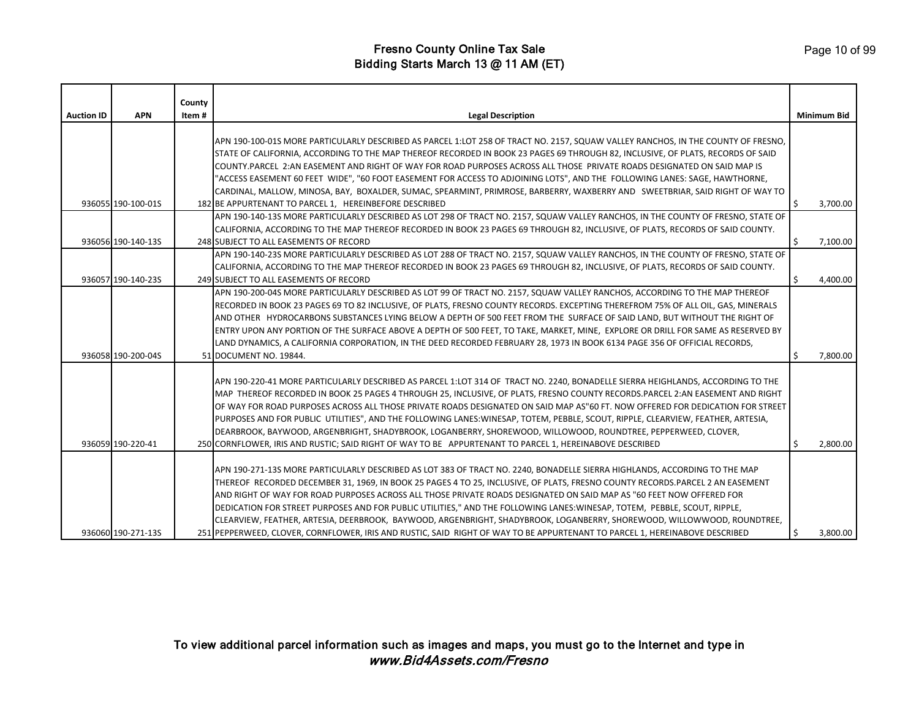| <b>Auction ID</b> | <b>APN</b>         | County<br>Item# | <b>Legal Description</b>                                                                                                                                                                                                                                             |    | <b>Minimum Bid</b> |
|-------------------|--------------------|-----------------|----------------------------------------------------------------------------------------------------------------------------------------------------------------------------------------------------------------------------------------------------------------------|----|--------------------|
|                   |                    |                 | APN 190-100-01S MORE PARTICULARLY DESCRIBED AS PARCEL 1:LOT 258 OF TRACT NO. 2157, SQUAW VALLEY RANCHOS, IN THE COUNTY OF FRESNO,<br>STATE OF CALIFORNIA, ACCORDING TO THE MAP THEREOF RECORDED IN BOOK 23 PAGES 69 THROUGH 82, INCLUSIVE, OF PLATS, RECORDS OF SAID |    |                    |
|                   |                    |                 | COUNTY.PARCEL 2:AN EASEMENT AND RIGHT OF WAY FOR ROAD PURPOSES ACROSS ALL THOSE PRIVATE ROADS DESIGNATED ON SAID MAP IS                                                                                                                                              |    |                    |
|                   |                    |                 | "ACCESS EASEMENT 60 FEET WIDE", "60 FOOT EASEMENT FOR ACCESS TO ADJOINING LOTS", AND THE FOLLOWING LANES: SAGE, HAWTHORNE,<br>CARDINAL, MALLOW, MINOSA, BAY, BOXALDER, SUMAC, SPEARMINT, PRIMROSE, BARBERRY, WAXBERRY AND SWEETBRIAR, SAID RIGHT OF WAY TO           |    |                    |
|                   | 936055 190-100-01S |                 | 182 BE APPURTENANT TO PARCEL 1, HEREINBEFORE DESCRIBED                                                                                                                                                                                                               | Ś. | 3,700.00           |
|                   |                    |                 | APN 190-140-13S MORE PARTICULARLY DESCRIBED AS LOT 298 OF TRACT NO. 2157, SQUAW VALLEY RANCHOS, IN THE COUNTY OF FRESNO, STATE OF                                                                                                                                    |    |                    |
|                   |                    |                 | CALIFORNIA, ACCORDING TO THE MAP THEREOF RECORDED IN BOOK 23 PAGES 69 THROUGH 82, INCLUSIVE, OF PLATS, RECORDS OF SAID COUNTY.                                                                                                                                       |    |                    |
|                   | 936056 190-140-13S |                 | 248 SUBJECT TO ALL EASEMENTS OF RECORD                                                                                                                                                                                                                               | \$ | 7,100.00           |
|                   |                    |                 | APN 190-140-23S MORE PARTICULARLY DESCRIBED AS LOT 288 OF TRACT NO. 2157, SQUAW VALLEY RANCHOS, IN THE COUNTY OF FRESNO, STATE OF<br>CALIFORNIA, ACCORDING TO THE MAP THEREOF RECORDED IN BOOK 23 PAGES 69 THROUGH 82, INCLUSIVE, OF PLATS, RECORDS OF SAID COUNTY.  |    |                    |
|                   | 936057 190-140-23S |                 | 249 SUBJECT TO ALL EASEMENTS OF RECORD                                                                                                                                                                                                                               | Ś. | 4,400.00           |
|                   |                    |                 | APN 190-200-04S MORE PARTICULARLY DESCRIBED AS LOT 99 OF TRACT NO. 2157, SQUAW VALLEY RANCHOS, ACCORDING TO THE MAP THEREOF                                                                                                                                          |    |                    |
|                   |                    |                 | RECORDED IN BOOK 23 PAGES 69 TO 82 INCLUSIVE, OF PLATS, FRESNO COUNTY RECORDS. EXCEPTING THEREFROM 75% OF ALL OIL, GAS, MINERALS                                                                                                                                     |    |                    |
|                   |                    |                 | AND OTHER HYDROCARBONS SUBSTANCES LYING BELOW A DEPTH OF 500 FEET FROM THE SURFACE OF SAID LAND, BUT WITHOUT THE RIGHT OF                                                                                                                                            |    |                    |
|                   |                    |                 | ENTRY UPON ANY PORTION OF THE SURFACE ABOVE A DEPTH OF 500 FEET, TO TAKE, MARKET, MINE, EXPLORE OR DRILL FOR SAME AS RESERVED BY                                                                                                                                     |    |                    |
|                   | 936058 190-200-04S |                 | LAND DYNAMICS, A CALIFORNIA CORPORATION, IN THE DEED RECORDED FEBRUARY 28, 1973 IN BOOK 6134 PAGE 356 OF OFFICIAL RECORDS,<br>51 DOCUMENT NO. 19844.                                                                                                                 | Ŝ. | 7,800.00           |
|                   |                    |                 |                                                                                                                                                                                                                                                                      |    |                    |
|                   |                    |                 | APN 190-220-41 MORE PARTICULARLY DESCRIBED AS PARCEL 1:LOT 314 OF TRACT NO. 2240, BONADELLE SIERRA HEIGHLANDS, ACCORDING TO THE                                                                                                                                      |    |                    |
|                   |                    |                 | MAP THEREOF RECORDED IN BOOK 25 PAGES 4 THROUGH 25, INCLUSIVE, OF PLATS, FRESNO COUNTY RECORDS.PARCEL 2:AN EASEMENT AND RIGHT                                                                                                                                        |    |                    |
|                   |                    |                 | OF WAY FOR ROAD PURPOSES ACROSS ALL THOSE PRIVATE ROADS DESIGNATED ON SAID MAP AS"60 FT. NOW OFFERED FOR DEDICATION FOR STREET                                                                                                                                       |    |                    |
|                   |                    |                 | PURPOSES AND FOR PUBLIC UTILITIES", AND THE FOLLOWING LANES:WINESAP, TOTEM, PEBBLE, SCOUT, RIPPLE, CLEARVIEW, FEATHER, ARTESIA,                                                                                                                                      |    |                    |
|                   |                    |                 | DEARBROOK, BAYWOOD, ARGENBRIGHT, SHADYBROOK, LOGANBERRY, SHOREWOOD, WILLOWOOD, ROUNDTREE, PEPPERWEED, CLOVER,                                                                                                                                                        |    |                    |
|                   | 936059 190-220-41  |                 | 250 CORNFLOWER, IRIS AND RUSTIC; SAID RIGHT OF WAY TO BE APPURTENANT TO PARCEL 1, HEREINABOVE DESCRIBED                                                                                                                                                              | Ś. | 2,800.00           |
|                   |                    |                 | APN 190-271-13S MORE PARTICULARLY DESCRIBED AS LOT 383 OF TRACT NO. 2240, BONADELLE SIERRA HIGHLANDS, ACCORDING TO THE MAP                                                                                                                                           |    |                    |
|                   |                    |                 | THEREOF RECORDED DECEMBER 31, 1969, IN BOOK 25 PAGES 4 TO 25, INCLUSIVE, OF PLATS, FRESNO COUNTY RECORDS.PARCEL 2 AN EASEMENT                                                                                                                                        |    |                    |
|                   |                    |                 | AND RIGHT OF WAY FOR ROAD PURPOSES ACROSS ALL THOSE PRIVATE ROADS DESIGNATED ON SAID MAP AS "60 FEET NOW OFFERED FOR                                                                                                                                                 |    |                    |
|                   |                    |                 | DEDICATION FOR STREET PURPOSES AND FOR PUBLIC UTILITIES," AND THE FOLLOWING LANES:WINESAP, TOTEM, PEBBLE, SCOUT, RIPPLE,                                                                                                                                             |    |                    |
|                   |                    |                 | CLEARVIEW, FEATHER, ARTESIA, DEERBROOK, BAYWOOD, ARGENBRIGHT, SHADYBROOK, LOGANBERRY, SHOREWOOD, WILLOWWOOD, ROUNDTREE,                                                                                                                                              |    |                    |
|                   | 936060 190-271-13S |                 | 251 PEPPERWEED, CLOVER, CORNFLOWER, IRIS AND RUSTIC, SAID RIGHT OF WAY TO BE APPURTENANT TO PARCEL 1, HEREINABOVE DESCRIBED                                                                                                                                          | Ŝ. | 3,800.00           |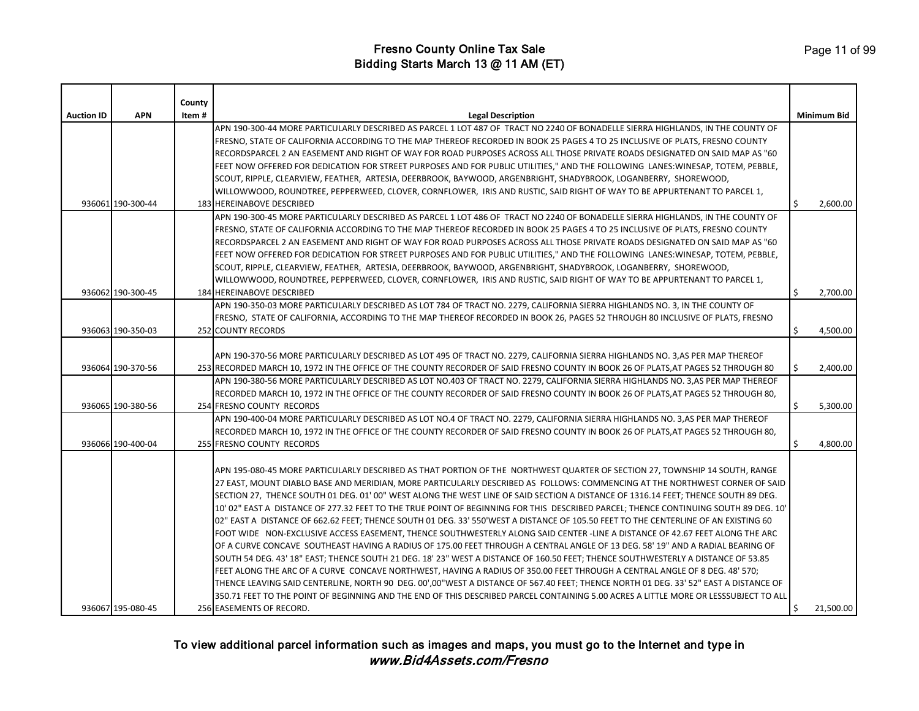|                   |                   | County |                                                                                                                                                                                                                                                                             |     |                    |
|-------------------|-------------------|--------|-----------------------------------------------------------------------------------------------------------------------------------------------------------------------------------------------------------------------------------------------------------------------------|-----|--------------------|
| <b>Auction ID</b> | <b>APN</b>        | Item#  | <b>Legal Description</b>                                                                                                                                                                                                                                                    |     | <b>Minimum Bid</b> |
|                   |                   |        | APN 190-300-44 MORE PARTICULARLY DESCRIBED AS PARCEL 1 LOT 487 OF TRACT NO 2240 OF BONADELLE SIERRA HIGHLANDS, IN THE COUNTY OF                                                                                                                                             |     |                    |
|                   |                   |        | FRESNO, STATE OF CALIFORNIA ACCORDING TO THE MAP THEREOF RECORDED IN BOOK 25 PAGES 4 TO 25 INCLUSIVE OF PLATS, FRESNO COUNTY                                                                                                                                                |     |                    |
|                   |                   |        | RECORDSPARCEL 2 AN EASEMENT AND RIGHT OF WAY FOR ROAD PURPOSES ACROSS ALL THOSE PRIVATE ROADS DESIGNATED ON SAID MAP AS "60                                                                                                                                                 |     |                    |
|                   |                   |        | FEET NOW OFFERED FOR DEDICATION FOR STREET PURPOSES AND FOR PUBLIC UTILITIES," AND THE FOLLOWING LANES:WINESAP, TOTEM, PEBBLE,                                                                                                                                              |     |                    |
|                   |                   |        | SCOUT, RIPPLE, CLEARVIEW, FEATHER, ARTESIA, DEERBROOK, BAYWOOD, ARGENBRIGHT, SHADYBROOK, LOGANBERRY, SHOREWOOD,                                                                                                                                                             |     |                    |
|                   |                   |        | WILLOWWOOD, ROUNDTREE, PEPPERWEED, CLOVER, CORNFLOWER, IRIS AND RUSTIC, SAID RIGHT OF WAY TO BE APPURTENANT TO PARCEL 1,                                                                                                                                                    |     |                    |
|                   | 936061 190-300-44 |        | <b>183 HEREINABOVE DESCRIBED</b>                                                                                                                                                                                                                                            | Ŝ.  | 2,600.00           |
|                   |                   |        | APN 190-300-45 MORE PARTICULARLY DESCRIBED AS PARCEL 1 LOT 486 OF TRACT NO 2240 OF BONADELLE SIERRA HIGHLANDS, IN THE COUNTY OF                                                                                                                                             |     |                    |
|                   |                   |        | FRESNO, STATE OF CALIFORNIA ACCORDING TO THE MAP THEREOF RECORDED IN BOOK 25 PAGES 4 TO 25 INCLUSIVE OF PLATS, FRESNO COUNTY                                                                                                                                                |     |                    |
|                   |                   |        | RECORDSPARCEL 2 AN EASEMENT AND RIGHT OF WAY FOR ROAD PURPOSES ACROSS ALL THOSE PRIVATE ROADS DESIGNATED ON SAID MAP AS "60                                                                                                                                                 |     |                    |
|                   |                   |        | FEET NOW OFFERED FOR DEDICATION FOR STREET PURPOSES AND FOR PUBLIC UTILITIES," AND THE FOLLOWING LANES:WINESAP, TOTEM, PEBBLE,                                                                                                                                              |     |                    |
|                   |                   |        | SCOUT, RIPPLE, CLEARVIEW, FEATHER, ARTESIA, DEERBROOK, BAYWOOD, ARGENBRIGHT, SHADYBROOK, LOGANBERRY, SHOREWOOD,                                                                                                                                                             |     |                    |
|                   |                   |        | WILLOWWOOD, ROUNDTREE, PEPPERWEED, CLOVER, CORNFLOWER, IRIS AND RUSTIC, SAID RIGHT OF WAY TO BE APPURTENANT TO PARCEL 1,                                                                                                                                                    |     |                    |
|                   | 936062 190-300-45 |        | 184 HEREINABOVE DESCRIBED                                                                                                                                                                                                                                                   | Ś.  | 2,700.00           |
|                   |                   |        | APN 190-350-03 MORE PARTICULARLY DESCRIBED AS LOT 784 OF TRACT NO. 2279, CALIFORNIA SIERRA HIGHLANDS NO. 3, IN THE COUNTY OF                                                                                                                                                |     |                    |
|                   |                   |        | FRESNO, STATE OF CALIFORNIA, ACCORDING TO THE MAP THEREOF RECORDED IN BOOK 26, PAGES 52 THROUGH 80 INCLUSIVE OF PLATS, FRESNO                                                                                                                                               |     |                    |
|                   | 936063 190-350-03 |        | <b>252 COUNTY RECORDS</b>                                                                                                                                                                                                                                                   | Ŝ.  | 4,500.00           |
|                   |                   |        |                                                                                                                                                                                                                                                                             |     |                    |
|                   |                   |        | APN 190-370-56 MORE PARTICULARLY DESCRIBED AS LOT 495 OF TRACT NO. 2279, CALIFORNIA SIERRA HIGHLANDS NO. 3,AS PER MAP THEREOF                                                                                                                                               |     |                    |
|                   | 936064 190-370-56 |        | 253 RECORDED MARCH 10, 1972 IN THE OFFICE OF THE COUNTY RECORDER OF SAID FRESNO COUNTY IN BOOK 26 OF PLATS,AT PAGES 52 THROUGH 80                                                                                                                                           | \$. | 2,400.00           |
|                   |                   |        | APN 190-380-56 MORE PARTICULARLY DESCRIBED AS LOT NO.403 OF TRACT NO. 2279, CALIFORNIA SIERRA HIGHLANDS NO. 3,AS PER MAP THEREOF                                                                                                                                            |     |                    |
|                   |                   |        | RECORDED MARCH 10, 1972 IN THE OFFICE OF THE COUNTY RECORDER OF SAID FRESNO COUNTY IN BOOK 26 OF PLATS, AT PAGES 52 THROUGH 80,                                                                                                                                             |     |                    |
|                   | 936065 190-380-56 |        | 254 FRESNO COUNTY RECORDS                                                                                                                                                                                                                                                   | Ś.  | 5,300.00           |
|                   |                   |        | APN 190-400-04 MORE PARTICULARLY DESCRIBED AS LOT NO.4 OF TRACT NO. 2279, CALIFORNIA SIERRA HIGHLANDS NO. 3,AS PER MAP THEREOF                                                                                                                                              |     |                    |
|                   |                   |        | RECORDED MARCH 10, 1972 IN THE OFFICE OF THE COUNTY RECORDER OF SAID FRESNO COUNTY IN BOOK 26 OF PLATS, AT PAGES 52 THROUGH 80,                                                                                                                                             |     |                    |
|                   | 936066 190-400-04 |        | 255 FRESNO COUNTY RECORDS                                                                                                                                                                                                                                                   | Ŝ.  | 4,800.00           |
|                   |                   |        |                                                                                                                                                                                                                                                                             |     |                    |
|                   |                   |        | APN 195-080-45 MORE PARTICULARLY DESCRIBED AS THAT PORTION OF THE NORTHWEST QUARTER OF SECTION 27, TOWNSHIP 14 SOUTH, RANGE                                                                                                                                                 |     |                    |
|                   |                   |        | 27 EAST, MOUNT DIABLO BASE AND MERIDIAN, MORE PARTICULARLY DESCRIBED AS FOLLOWS: COMMENCING AT THE NORTHWEST CORNER OF SAID                                                                                                                                                 |     |                    |
|                   |                   |        | SECTION 27, THENCE SOUTH 01 DEG. 01' 00" WEST ALONG THE WEST LINE OF SAID SECTION A DISTANCE OF 1316.14 FEET; THENCE SOUTH 89 DEG.                                                                                                                                          |     |                    |
|                   |                   |        | 10' 02" EAST A DISTANCE OF 277.32 FEET TO THE TRUE POINT OF BEGINNING FOR THIS DESCRIBED PARCEL; THENCE CONTINUING SOUTH 89 DEG. 10'<br>02" EAST A DISTANCE OF 662.62 FEET; THENCE SOUTH 01 DEG. 33' 550'WEST A DISTANCE OF 105.50 FEET TO THE CENTERLINE OF AN EXISTING 60 |     |                    |
|                   |                   |        | FOOT WIDE NON-EXCLUSIVE ACCESS EASEMENT, THENCE SOUTHWESTERLY ALONG SAID CENTER -LINE A DISTANCE OF 42.67 FEET ALONG THE ARC                                                                                                                                                |     |                    |
|                   |                   |        | OF A CURVE CONCAVE SOUTHEAST HAVING A RADIUS OF 175.00 FEET THROUGH A CENTRAL ANGLE OF 13 DEG. 58' 19" AND A RADIAL BEARING OF                                                                                                                                              |     |                    |
|                   |                   |        | SOUTH 54 DEG. 43' 18" EAST; THENCE SOUTH 21 DEG. 18' 23" WEST A DISTANCE OF 160.50 FEET; THENCE SOUTHWESTERLY A DISTANCE OF 53.85                                                                                                                                           |     |                    |
|                   |                   |        | FEET ALONG THE ARC OF A CURVE CONCAVE NORTHWEST, HAVING A RADIUS OF 350.00 FEET THROUGH A CENTRAL ANGLE OF 8 DEG. 48' 570;                                                                                                                                                  |     |                    |
|                   |                   |        | THENCE LEAVING SAID CENTERLINE, NORTH 90 DEG. 00',00"WEST A DISTANCE OF 567.40 FEET; THENCE NORTH 01 DEG. 33' 52" EAST A DISTANCE OF                                                                                                                                        |     |                    |
|                   |                   |        | 350.71 FEET TO THE POINT OF BEGINNING AND THE END OF THIS DESCRIBED PARCEL CONTAINING 5.00 ACRES A LITTLE MORE OR LESSSUBJECT TO ALL                                                                                                                                        |     |                    |
|                   | 936067 195-080-45 |        | 256 EASEMENTS OF RECORD.                                                                                                                                                                                                                                                    | Ŝ.  | 21,500.00          |
|                   |                   |        |                                                                                                                                                                                                                                                                             |     |                    |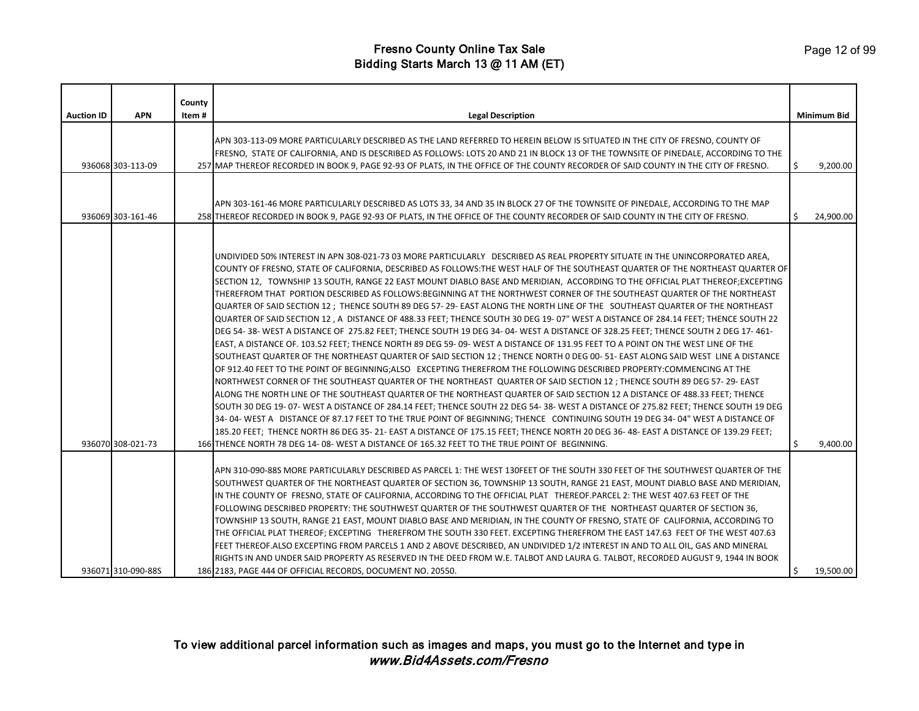| <b>Auction ID</b> | <b>APN</b>         | County<br>Item# | <b>Legal Description</b>                                                                                                                                                                                                                                                                                                                                                                                                                                                                                                                                                                                                                                                                                                                                                                                                                                                                                                                                                                                                                                                                                                                                                                                                                                                                                                                                                                                                                                                                                                                                                                                                                                                                                                                                                                                                                                                                                                                                                                                                                                                                  |    | <b>Minimum Bid</b> |
|-------------------|--------------------|-----------------|-------------------------------------------------------------------------------------------------------------------------------------------------------------------------------------------------------------------------------------------------------------------------------------------------------------------------------------------------------------------------------------------------------------------------------------------------------------------------------------------------------------------------------------------------------------------------------------------------------------------------------------------------------------------------------------------------------------------------------------------------------------------------------------------------------------------------------------------------------------------------------------------------------------------------------------------------------------------------------------------------------------------------------------------------------------------------------------------------------------------------------------------------------------------------------------------------------------------------------------------------------------------------------------------------------------------------------------------------------------------------------------------------------------------------------------------------------------------------------------------------------------------------------------------------------------------------------------------------------------------------------------------------------------------------------------------------------------------------------------------------------------------------------------------------------------------------------------------------------------------------------------------------------------------------------------------------------------------------------------------------------------------------------------------------------------------------------------------|----|--------------------|
|                   |                    |                 |                                                                                                                                                                                                                                                                                                                                                                                                                                                                                                                                                                                                                                                                                                                                                                                                                                                                                                                                                                                                                                                                                                                                                                                                                                                                                                                                                                                                                                                                                                                                                                                                                                                                                                                                                                                                                                                                                                                                                                                                                                                                                           |    |                    |
|                   | 936068 303-113-09  |                 | APN 303-113-09 MORE PARTICULARLY DESCRIBED AS THE LAND REFERRED TO HEREIN BELOW IS SITUATED IN THE CITY OF FRESNO, COUNTY OF<br>FRESNO, STATE OF CALIFORNIA, AND IS DESCRIBED AS FOLLOWS: LOTS 20 AND 21 IN BLOCK 13 OF THE TOWNSITE OF PINEDALE, ACCORDING TO THE<br>257 MAP THEREOF RECORDED IN BOOK 9, PAGE 92-93 OF PLATS, IN THE OFFICE OF THE COUNTY RECORDER OF SAID COUNTY IN THE CITY OF FRESNO.                                                                                                                                                                                                                                                                                                                                                                                                                                                                                                                                                                                                                                                                                                                                                                                                                                                                                                                                                                                                                                                                                                                                                                                                                                                                                                                                                                                                                                                                                                                                                                                                                                                                                 | Ŝ. | 9,200.00           |
|                   | 936069 303-161-46  |                 | APN 303-161-46 MORE PARTICULARLY DESCRIBED AS LOTS 33, 34 AND 35 IN BLOCK 27 OF THE TOWNSITE OF PINEDALE, ACCORDING TO THE MAP<br>258 THEREOF RECORDED IN BOOK 9, PAGE 92-93 OF PLATS, IN THE OFFICE OF THE COUNTY RECORDER OF SAID COUNTY IN THE CITY OF FRESNO.                                                                                                                                                                                                                                                                                                                                                                                                                                                                                                                                                                                                                                                                                                                                                                                                                                                                                                                                                                                                                                                                                                                                                                                                                                                                                                                                                                                                                                                                                                                                                                                                                                                                                                                                                                                                                         | Ś  | 24,900.00          |
|                   | 936070 308-021-73  |                 | UNDIVIDED 50% INTEREST IN APN 308-021-73 03 MORE PARTICULARLY DESCRIBED AS REAL PROPERTY SITUATE IN THE UNINCORPORATED AREA,<br>COUNTY OF FRESNO, STATE OF CALIFORNIA, DESCRIBED AS FOLLOWS:THE WEST HALF OF THE SOUTHEAST QUARTER OF THE NORTHEAST QUARTER OF<br>SECTION 12, TOWNSHIP 13 SOUTH, RANGE 22 EAST MOUNT DIABLO BASE AND MERIDIAN, ACCORDING TO THE OFFICIAL PLAT THEREOF;EXCEPTING<br>THEREFROM THAT PORTION DESCRIBED AS FOLLOWS:BEGINNING AT THE NORTHWEST CORNER OF THE SOUTHEAST QUARTER OF THE NORTHEAST<br>QUARTER OF SAID SECTION 12 ; THENCE SOUTH 89 DEG 57-29-EAST ALONG THE NORTH LINE OF THE SOUTHEAST QUARTER OF THE NORTHEAST<br>QUARTER OF SAID SECTION 12, A DISTANCE OF 488.33 FEET; THENCE SOUTH 30 DEG 19-07" WEST A DISTANCE OF 284.14 FEET; THENCE SOUTH 22<br>DEG 54-38-WEST A DISTANCE OF 275.82 FEET; THENCE SOUTH 19 DEG 34-04-WEST A DISTANCE OF 328.25 FEET; THENCE SOUTH 2 DEG 17-461-<br>EAST, A DISTANCE OF. 103.52 FEET; THENCE NORTH 89 DEG 59-09-WEST A DISTANCE OF 131.95 FEET TO A POINT ON THE WEST LINE OF THE<br>SOUTHEAST QUARTER OF THE NORTHEAST QUARTER OF SAID SECTION 12 ; THENCE NORTH 0 DEG 00-51-EAST ALONG SAID WEST LINE A DISTANCE<br>OF 912.40 FEET TO THE POINT OF BEGINNING;ALSO EXCEPTING THEREFROM THE FOLLOWING DESCRIBED PROPERTY:COMMENCING AT THE<br>NORTHWEST CORNER OF THE SOUTHEAST QUARTER OF THE NORTHEAST QUARTER OF SAID SECTION 12; THENCE SOUTH 89 DEG 57-29-EAST<br>ALONG THE NORTH LINE OF THE SOUTHEAST QUARTER OF THE NORTHEAST QUARTER OF SAID SECTION 12 A DISTANCE OF 488.33 FEET; THENCE<br>SOUTH 30 DEG 19-07-WEST A DISTANCE OF 284.14 FEET; THENCE SOUTH 22 DEG 54-38-WEST A DISTANCE OF 275.82 FEET; THENCE SOUTH 19 DEG<br>34-04-WEST A DISTANCE OF 87.17 FEET TO THE TRUE POINT OF BEGINNING; THENCE CONTINUING SOUTH 19 DEG 34-04" WEST A DISTANCE OF<br>185.20 FEET; THENCE NORTH 86 DEG 35-21-EAST A DISTANCE OF 175.15 FEET; THENCE NORTH 20 DEG 36-48-EAST A DISTANCE OF 139.29 FEET;<br>166 THENCE NORTH 78 DEG 14-08-WEST A DISTANCE OF 165.32 FEET TO THE TRUE POINT OF BEGINNING. | Ŝ. | 9,400.00           |
|                   | 936071 310-090-88S |                 | APN 310-090-88S MORE PARTICULARLY DESCRIBED AS PARCEL 1: THE WEST 130FEET OF THE SOUTH 330 FEET OF THE SOUTHWEST QUARTER OF THE<br>SOUTHWEST QUARTER OF THE NORTHEAST QUARTER OF SECTION 36, TOWNSHIP 13 SOUTH, RANGE 21 EAST, MOUNT DIABLO BASE AND MERIDIAN,<br>IN THE COUNTY OF FRESNO, STATE OF CALIFORNIA, ACCORDING TO THE OFFICIAL PLAT THEREOF.PARCEL 2: THE WEST 407.63 FEET OF THE<br>FOLLOWING DESCRIBED PROPERTY: THE SOUTHWEST QUARTER OF THE SOUTHWEST QUARTER OF THE NORTHEAST QUARTER OF SECTION 36,<br>TOWNSHIP 13 SOUTH, RANGE 21 EAST, MOUNT DIABLO BASE AND MERIDIAN, IN THE COUNTY OF FRESNO, STATE OF CALIFORNIA, ACCORDING TO<br>THE OFFICIAL PLAT THEREOF; EXCEPTING THEREFROM THE SOUTH 330 FEET. EXCEPTING THEREFROM THE EAST 147.63 FEET OF THE WEST 407.63<br>FEET THEREOF.ALSO EXCEPTING FROM PARCELS 1 AND 2 ABOVE DESCRIBED, AN UNDIVIDED 1/2 INTEREST IN AND TO ALL OIL, GAS AND MINERAL<br>RIGHTS IN AND UNDER SAID PROPERTY AS RESERVED IN THE DEED FROM W.E. TALBOT AND LAURA G. TALBOT, RECORDED AUGUST 9, 1944 IN BOOK<br>186 2183, PAGE 444 OF OFFICIAL RECORDS, DOCUMENT NO. 20550.                                                                                                                                                                                                                                                                                                                                                                                                                                                                                                                                                                                                                                                                                                                                                                                                                                                                                                                                                                | \$ | 19,500.00          |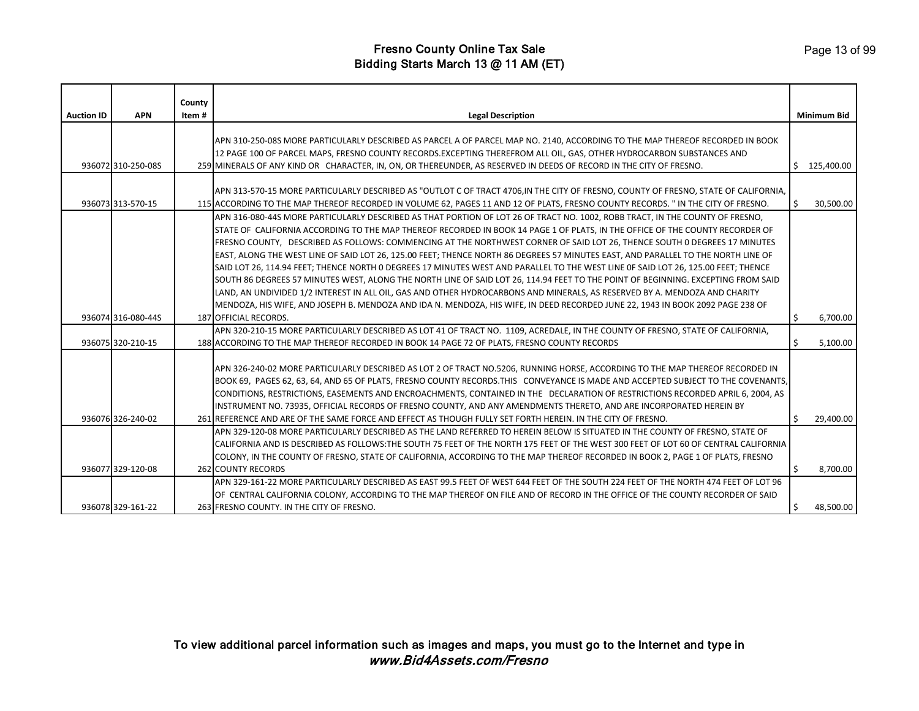| <b>Auction ID</b> | <b>APN</b>         | County<br>Item # | <b>Legal Description</b>                                                                                                            |    | <b>Minimum Bid</b> |
|-------------------|--------------------|------------------|-------------------------------------------------------------------------------------------------------------------------------------|----|--------------------|
|                   |                    |                  |                                                                                                                                     |    |                    |
|                   |                    |                  | APN 310-250-08S MORE PARTICULARLY DESCRIBED AS PARCEL A OF PARCEL MAP NO. 2140, ACCORDING TO THE MAP THEREOF RECORDED IN BOOK       |    |                    |
|                   |                    |                  | 12 PAGE 100 OF PARCEL MAPS, FRESNO COUNTY RECORDS.EXCEPTING THEREFROM ALL OIL, GAS, OTHER HYDROCARBON SUBSTANCES AND                |    |                    |
|                   | 936072 310-250-08S |                  | 259 MINERALS OF ANY KIND OR CHARACTER, IN, ON, OR THEREUNDER, AS RESERVED IN DEEDS OF RECORD IN THE CITY OF FRESNO.                 |    | 125.400.00         |
|                   |                    |                  |                                                                                                                                     |    |                    |
|                   |                    |                  | APN 313-570-15 MORE PARTICULARLY DESCRIBED AS "OUTLOT C OF TRACT 4706,IN THE CITY OF FRESNO, COUNTY OF FRESNO, STATE OF CALIFORNIA, |    |                    |
|                   | 936073 313-570-15  |                  | 115 ACCORDING TO THE MAP THEREOF RECORDED IN VOLUME 62, PAGES 11 AND 12 OF PLATS, FRESNO COUNTY RECORDS. " IN THE CITY OF FRESNO.   | Ŝ. | 30,500.00          |
|                   |                    |                  | APN 316-080-44S MORE PARTICULARLY DESCRIBED AS THAT PORTION OF LOT 26 OF TRACT NO. 1002, ROBB TRACT, IN THE COUNTY OF FRESNO,       |    |                    |
|                   |                    |                  | STATE OF CALIFORNIA ACCORDING TO THE MAP THEREOF RECORDED IN BOOK 14 PAGE 1 OF PLATS, IN THE OFFICE OF THE COUNTY RECORDER OF       |    |                    |
|                   |                    |                  | FRESNO COUNTY, DESCRIBED AS FOLLOWS: COMMENCING AT THE NORTHWEST CORNER OF SAID LOT 26, THENCE SOUTH 0 DEGREES 17 MINUTES           |    |                    |
|                   |                    |                  | EAST, ALONG THE WEST LINE OF SAID LOT 26, 125.00 FEET; THENCE NORTH 86 DEGREES 57 MINUTES EAST, AND PARALLEL TO THE NORTH LINE OF   |    |                    |
|                   |                    |                  | SAID LOT 26, 114.94 FEET; THENCE NORTH 0 DEGREES 17 MINUTES WEST AND PARALLEL TO THE WEST LINE OF SAID LOT 26, 125.00 FEET; THENCE  |    |                    |
|                   |                    |                  | SOUTH 86 DEGREES 57 MINUTES WEST, ALONG THE NORTH LINE OF SAID LOT 26, 114.94 FEET TO THE POINT OF BEGINNING. EXCEPTING FROM SAID   |    |                    |
|                   |                    |                  | LAND, AN UNDIVIDED 1/2 INTEREST IN ALL OIL, GAS AND OTHER HYDROCARBONS AND MINERALS, AS RESERVED BY A. MENDOZA AND CHARITY          |    |                    |
|                   |                    |                  | MENDOZA, HIS WIFE, AND JOSEPH B. MENDOZA AND IDA N. MENDOZA, HIS WIFE, IN DEED RECORDED JUNE 22, 1943 IN BOOK 2092 PAGE 238 OF      |    |                    |
|                   | 936074 316-080-44S |                  | <b>187 OFFICIAL RECORDS.</b>                                                                                                        | \$ | 6,700.00           |
|                   |                    |                  | APN 320-210-15 MORE PARTICULARLY DESCRIBED AS LOT 41 OF TRACT NO. 1109, ACREDALE, IN THE COUNTY OF FRESNO, STATE OF CALIFORNIA,     |    |                    |
|                   | 936075 320-210-15  |                  | 188 ACCORDING TO THE MAP THEREOF RECORDED IN BOOK 14 PAGE 72 OF PLATS, FRESNO COUNTY RECORDS                                        | S  | 5,100.00           |
|                   |                    |                  |                                                                                                                                     |    |                    |
|                   |                    |                  | APN 326-240-02 MORE PARTICULARLY DESCRIBED AS LOT 2 OF TRACT NO.5206, RUNNING HORSE, ACCORDING TO THE MAP THEREOF RECORDED IN       |    |                    |
|                   |                    |                  | BOOK 69, PAGES 62, 63, 64, AND 65 OF PLATS, FRESNO COUNTY RECORDS.THIS CONVEYANCE IS MADE AND ACCEPTED SUBJECT TO THE COVENANTS,    |    |                    |
|                   |                    |                  | CONDITIONS, RESTRICTIONS, EASEMENTS AND ENCROACHMENTS, CONTAINED IN THE DECLARATION OF RESTRICTIONS RECORDED APRIL 6, 2004, AS      |    |                    |
|                   |                    |                  | INSTRUMENT NO. 73935, OFFICIAL RECORDS OF FRESNO COUNTY, AND ANY AMENDMENTS THERETO, AND ARE INCORPORATED HEREIN BY                 |    |                    |
|                   | 936076 326-240-02  |                  | 261 REFERENCE AND ARE OF THE SAME FORCE AND EFFECT AS THOUGH FULLY SET FORTH HEREIN. IN THE CITY OF FRESNO.                         |    | 29,400.00          |
|                   |                    |                  | APN 329-120-08 MORE PARTICULARLY DESCRIBED AS THE LAND REFERRED TO HEREIN BELOW IS SITUATED IN THE COUNTY OF FRESNO, STATE OF       |    |                    |
|                   |                    |                  | CALIFORNIA AND IS DESCRIBED AS FOLLOWS:THE SOUTH 75 FEET OF THE NORTH 175 FEET OF THE WEST 300 FEET OF LOT 60 OF CENTRAL CALIFORNIA |    |                    |
|                   |                    |                  | COLONY, IN THE COUNTY OF FRESNO, STATE OF CALIFORNIA, ACCORDING TO THE MAP THEREOF RECORDED IN BOOK 2, PAGE 1 OF PLATS, FRESNO      |    |                    |
|                   | 936077 329-120-08  |                  | <b>262 COUNTY RECORDS</b>                                                                                                           |    | 8,700.00           |
|                   |                    |                  | APN 329-161-22 MORE PARTICULARLY DESCRIBED AS EAST 99.5 FEET OF WEST 644 FEET OF THE SOUTH 224 FEET OF THE NORTH 474 FEET OF LOT 96 |    |                    |
|                   |                    |                  | OF CENTRAL CALIFORNIA COLONY, ACCORDING TO THE MAP THEREOF ON FILE AND OF RECORD IN THE OFFICE OF THE COUNTY RECORDER OF SAID       |    |                    |
|                   | 936078 329-161-22  |                  | 263 FRESNO COUNTY. IN THE CITY OF FRESNO.                                                                                           | Ŝ. | 48,500.00          |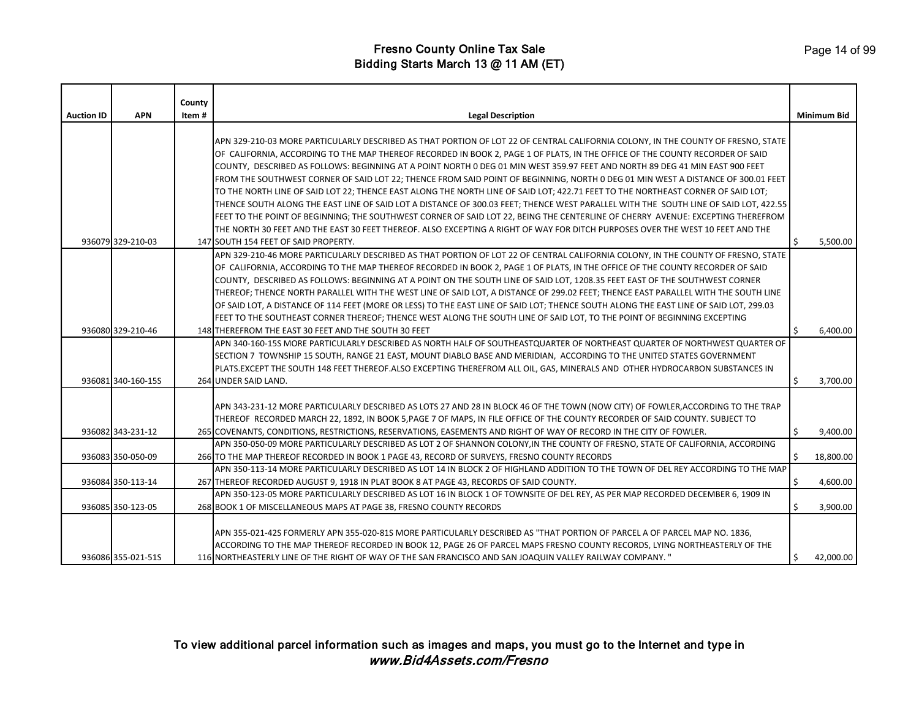|                   |                    | County |                                                                                                                                                                                                                                                         |    |                    |
|-------------------|--------------------|--------|---------------------------------------------------------------------------------------------------------------------------------------------------------------------------------------------------------------------------------------------------------|----|--------------------|
| <b>Auction ID</b> | <b>APN</b>         | Item#  | <b>Legal Description</b>                                                                                                                                                                                                                                |    | <b>Minimum Bid</b> |
|                   |                    |        |                                                                                                                                                                                                                                                         |    |                    |
|                   |                    |        | APN 329-210-03 MORE PARTICULARLY DESCRIBED AS THAT PORTION OF LOT 22 OF CENTRAL CALIFORNIA COLONY, IN THE COUNTY OF FRESNO, STATE                                                                                                                       |    |                    |
|                   |                    |        | OF CALIFORNIA, ACCORDING TO THE MAP THEREOF RECORDED IN BOOK 2, PAGE 1 OF PLATS, IN THE OFFICE OF THE COUNTY RECORDER OF SAID                                                                                                                           |    |                    |
|                   |                    |        | COUNTY, DESCRIBED AS FOLLOWS: BEGINNING AT A POINT NORTH 0 DEG 01 MIN WEST 359.97 FEET AND NORTH 89 DEG 41 MIN EAST 900 FEET                                                                                                                            |    |                    |
|                   |                    |        | FROM THE SOUTHWEST CORNER OF SAID LOT 22; THENCE FROM SAID POINT OF BEGINNING, NORTH 0 DEG 01 MIN WEST A DISTANCE OF 300.01 FEET                                                                                                                        |    |                    |
|                   |                    |        | TO THE NORTH LINE OF SAID LOT 22; THENCE EAST ALONG THE NORTH LINE OF SAID LOT; 422.71 FEET TO THE NORTHEAST CORNER OF SAID LOT;                                                                                                                        |    |                    |
|                   |                    |        | THENCE SOUTH ALONG THE EAST LINE OF SAID LOT A DISTANCE OF 300.03 FEET; THENCE WEST PARALLEL WITH THE SOUTH LINE OF SAID LOT, 422.55                                                                                                                    |    |                    |
|                   |                    |        | FEET TO THE POINT OF BEGINNING; THE SOUTHWEST CORNER OF SAID LOT 22, BEING THE CENTERLINE OF CHERRY AVENUE: EXCEPTING THEREFROM                                                                                                                         |    |                    |
|                   |                    |        | THE NORTH 30 FEET AND THE EAST 30 FEET THEREOF. ALSO EXCEPTING A RIGHT OF WAY FOR DITCH PURPOSES OVER THE WEST 10 FEET AND THE                                                                                                                          |    |                    |
|                   | 936079 329-210-03  |        | 147 SOUTH 154 FEET OF SAID PROPERTY.                                                                                                                                                                                                                    |    | 5,500.00           |
|                   |                    |        | APN 329-210-46 MORE PARTICULARLY DESCRIBED AS THAT PORTION OF LOT 22 OF CENTRAL CALIFORNIA COLONY, IN THE COUNTY OF FRESNO, STATE                                                                                                                       |    |                    |
|                   |                    |        | OF CALIFORNIA, ACCORDING TO THE MAP THEREOF RECORDED IN BOOK 2, PAGE 1 OF PLATS, IN THE OFFICE OF THE COUNTY RECORDER OF SAID                                                                                                                           |    |                    |
|                   |                    |        | COUNTY, DESCRIBED AS FOLLOWS: BEGINNING AT A POINT ON THE SOUTH LINE OF SAID LOT, 1208.35 FEET EAST OF THE SOUTHWEST CORNER                                                                                                                             |    |                    |
|                   |                    |        | THEREOF; THENCE NORTH PARALLEL WITH THE WEST LINE OF SAID LOT, A DISTANCE OF 299.02 FEET; THENCE EAST PARALLEL WITH THE SOUTH LINE                                                                                                                      |    |                    |
|                   |                    |        | OF SAID LOT, A DISTANCE OF 114 FEET (MORE OR LESS) TO THE EAST LINE OF SAID LOT; THENCE SOUTH ALONG THE EAST LINE OF SAID LOT, 299.03                                                                                                                   |    |                    |
|                   |                    |        | FEET TO THE SOUTHEAST CORNER THEREOF; THENCE WEST ALONG THE SOUTH LINE OF SAID LOT, TO THE POINT OF BEGINNING EXCEPTING                                                                                                                                 |    |                    |
|                   | 936080 329-210-46  |        | 148 THEREFROM THE EAST 30 FEET AND THE SOUTH 30 FEET                                                                                                                                                                                                    |    | 6,400.00           |
|                   |                    |        | APN 340-160-15S MORE PARTICULARLY DESCRIBED AS NORTH HALF OF SOUTHEASTQUARTER OF NORTHEAST QUARTER OF NORTHWEST QUARTER OF                                                                                                                              |    |                    |
|                   |                    |        | SECTION 7 TOWNSHIP 15 SOUTH, RANGE 21 EAST, MOUNT DIABLO BASE AND MERIDIAN, ACCORDING TO THE UNITED STATES GOVERNMENT                                                                                                                                   |    |                    |
|                   |                    |        | PLATS.EXCEPT THE SOUTH 148 FEET THEREOF.ALSO EXCEPTING THEREFROM ALL OIL, GAS, MINERALS AND OTHER HYDROCARBON SUBSTANCES IN                                                                                                                             |    |                    |
|                   | 936081 340-160-15S |        | 264 UNDER SAID LAND.                                                                                                                                                                                                                                    | S  | 3,700.00           |
|                   |                    |        |                                                                                                                                                                                                                                                         |    |                    |
|                   |                    |        | APN 343-231-12 MORE PARTICULARLY DESCRIBED AS LOTS 27 AND 28 IN BLOCK 46 OF THE TOWN (NOW CITY) OF FOWLER,ACCORDING TO THE TRAP                                                                                                                         |    |                    |
|                   |                    |        | THEREOF RECORDED MARCH 22, 1892, IN BOOK 5, PAGE 7 OF MAPS, IN FILE OFFICE OF THE COUNTY RECORDER OF SAID COUNTY. SUBJECT TO                                                                                                                            |    |                    |
|                   | 936082 343-231-12  |        | 265 COVENANTS, CONDITIONS, RESTRICTIONS, RESERVATIONS, EASEMENTS AND RIGHT OF WAY OF RECORD IN THE CITY OF FOWLER.                                                                                                                                      | Ŝ  | 9,400.00           |
|                   |                    |        | APN 350-050-09 MORE PARTICULARLY DESCRIBED AS LOT 2 OF SHANNON COLONY, IN THE COUNTY OF FRESNO, STATE OF CALIFORNIA, ACCORDING                                                                                                                          |    |                    |
|                   | 936083 350-050-09  |        | 266 TO THE MAP THEREOF RECORDED IN BOOK 1 PAGE 43, RECORD OF SURVEYS, FRESNO COUNTY RECORDS                                                                                                                                                             |    | 18,800.00          |
|                   |                    |        | APN 350-113-14 MORE PARTICULARLY DESCRIBED AS LOT 14 IN BLOCK 2 OF HIGHLAND ADDITION TO THE TOWN OF DEL REY ACCORDING TO THE MAP                                                                                                                        |    |                    |
|                   | 936084 350-113-14  |        | 267 THEREOF RECORDED AUGUST 9, 1918 IN PLAT BOOK 8 AT PAGE 43, RECORDS OF SAID COUNTY.                                                                                                                                                                  |    | 4,600.00           |
|                   | 936085 350-123-05  |        | APN 350-123-05 MORE PARTICULARLY DESCRIBED AS LOT 16 IN BLOCK 1 OF TOWNSITE OF DEL REY, AS PER MAP RECORDED DECEMBER 6, 1909 IN<br>268 BOOK 1 OF MISCELLANEOUS MAPS AT PAGE 38, FRESNO COUNTY RECORDS                                                   |    | 3,900.00           |
|                   |                    |        |                                                                                                                                                                                                                                                         |    |                    |
|                   |                    |        |                                                                                                                                                                                                                                                         |    |                    |
|                   |                    |        | APN 355-021-42S FORMERLY APN 355-020-81S MORE PARTICULARLY DESCRIBED AS "THAT PORTION OF PARCEL A OF PARCEL MAP NO. 1836,<br>ACCORDING TO THE MAP THEREOF RECORDED IN BOOK 12, PAGE 26 OF PARCEL MAPS FRESNO COUNTY RECORDS, LYING NORTHEASTERLY OF THE |    |                    |
|                   | 936086 355-021-51S |        | 116 NORTHEASTERLY LINE OF THE RIGHT OF WAY OF THE SAN FRANCISCO AND SAN JOAQUIN VALLEY RAILWAY COMPANY. "                                                                                                                                               | Ś. | 42,000.00          |
|                   |                    |        |                                                                                                                                                                                                                                                         |    |                    |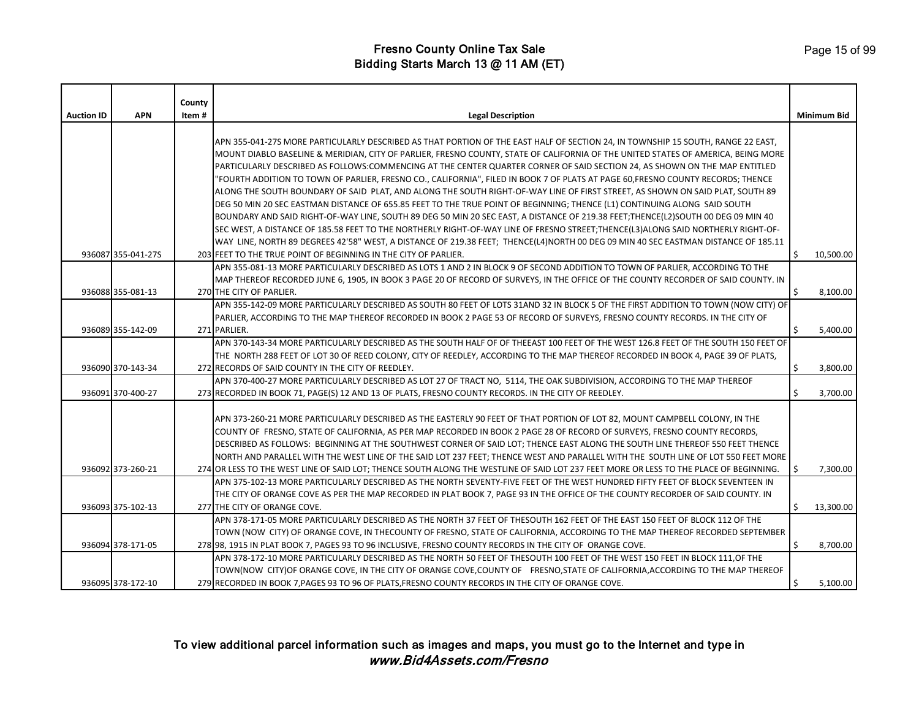|                   |                    | County |                                                                                                                                                                                                                                                                       |    |                    |
|-------------------|--------------------|--------|-----------------------------------------------------------------------------------------------------------------------------------------------------------------------------------------------------------------------------------------------------------------------|----|--------------------|
| <b>Auction ID</b> | <b>APN</b>         | Item#  | <b>Legal Description</b>                                                                                                                                                                                                                                              |    | <b>Minimum Bid</b> |
|                   |                    |        |                                                                                                                                                                                                                                                                       |    |                    |
|                   |                    |        | APN 355-041-27S MORE PARTICULARLY DESCRIBED AS THAT PORTION OF THE EAST HALF OF SECTION 24, IN TOWNSHIP 15 SOUTH, RANGE 22 EAST,<br>MOUNT DIABLO BASELINE & MERIDIAN, CITY OF PARLIER, FRESNO COUNTY, STATE OF CALIFORNIA OF THE UNITED STATES OF AMERICA, BEING MORE |    |                    |
|                   |                    |        | PARTICULARLY DESCRIBED AS FOLLOWS:COMMENCING AT THE CENTER QUARTER CORNER OF SAID SECTION 24, AS SHOWN ON THE MAP ENTITLED                                                                                                                                            |    |                    |
|                   |                    |        | 'FOURTH ADDITION TO TOWN OF PARLIER, FRESNO CO., CALIFORNIA", FILED IN BOOK 7 OF PLATS AT PAGE 60,FRESNO COUNTY RECORDS; THENCE                                                                                                                                       |    |                    |
|                   |                    |        | ALONG THE SOUTH BOUNDARY OF SAID PLAT, AND ALONG THE SOUTH RIGHT-OF-WAY LINE OF FIRST STREET, AS SHOWN ON SAID PLAT, SOUTH 89                                                                                                                                         |    |                    |
|                   |                    |        | DEG 50 MIN 20 SEC EASTMAN DISTANCE OF 655.85 FEET TO THE TRUE POINT OF BEGINNING; THENCE (L1) CONTINUING ALONG SAID SOUTH                                                                                                                                             |    |                    |
|                   |                    |        | BOUNDARY AND SAID RIGHT-OF-WAY LINE, SOUTH 89 DEG 50 MIN 20 SEC EAST, A DISTANCE OF 219.38 FEET;THENCE(L2)SOUTH 00 DEG 09 MIN 40                                                                                                                                      |    |                    |
|                   |                    |        | SEC WEST, A DISTANCE OF 185.58 FEET TO THE NORTHERLY RIGHT-OF-WAY LINE OF FRESNO STREET;THENCE(L3)ALONG SAID NORTHERLY RIGHT-OF-                                                                                                                                      |    |                    |
|                   |                    |        | WAY LINE, NORTH 89 DEGREES 42'58" WEST, A DISTANCE OF 219.38 FEET; THENCE(L4)NORTH 00 DEG 09 MIN 40 SEC EASTMAN DISTANCE OF 185.11                                                                                                                                    |    |                    |
|                   | 936087 355-041-27S |        | 203 FEET TO THE TRUE POINT OF BEGINNING IN THE CITY OF PARLIER.                                                                                                                                                                                                       | Ŝ. | 10,500.00          |
|                   |                    |        | APN 355-081-13 MORE PARTICULARLY DESCRIBED AS LOTS 1 AND 2 IN BLOCK 9 OF SECOND ADDITION TO TOWN OF PARLIER, ACCORDING TO THE                                                                                                                                         |    |                    |
|                   |                    |        | MAP THEREOF RECORDED JUNE 6, 1905, IN BOOK 3 PAGE 20 OF RECORD OF SURVEYS, IN THE OFFICE OF THE COUNTY RECORDER OF SAID COUNTY. IN                                                                                                                                    |    |                    |
|                   | 936088 355-081-13  |        | 270 THE CITY OF PARLIER.                                                                                                                                                                                                                                              | Ś. | 8,100.00           |
|                   |                    |        | APN 355-142-09 MORE PARTICULARLY DESCRIBED AS SOUTH 80 FEET OF LOTS 31AND 32 IN BLOCK 5 OF THE FIRST ADDITION TO TOWN (NOW CITY) OF                                                                                                                                   |    |                    |
|                   |                    |        | PARLIER, ACCORDING TO THE MAP THEREOF RECORDED IN BOOK 2 PAGE 53 OF RECORD OF SURVEYS, FRESNO COUNTY RECORDS. IN THE CITY OF                                                                                                                                          |    |                    |
|                   | 936089 355-142-09  |        | 271 PARLIER.<br>APN 370-143-34 MORE PARTICULARLY DESCRIBED AS THE SOUTH HALF OF OF THEEAST 100 FEET OF THE WEST 126.8 FEET OF THE SOUTH 150 FEET OF                                                                                                                   | \$ | 5,400.00           |
|                   |                    |        | THE NORTH 288 FEET OF LOT 30 OF REED COLONY, CITY OF REEDLEY, ACCORDING TO THE MAP THEREOF RECORDED IN BOOK 4, PAGE 39 OF PLATS,                                                                                                                                      |    |                    |
|                   | 936090 370-143-34  |        | 272 RECORDS OF SAID COUNTY IN THE CITY OF REEDLEY.                                                                                                                                                                                                                    | Ś  | 3,800.00           |
|                   |                    |        | APN 370-400-27 MORE PARTICULARLY DESCRIBED AS LOT 27 OF TRACT NO, 5114, THE OAK SUBDIVISION, ACCORDING TO THE MAP THEREOF                                                                                                                                             |    |                    |
|                   | 936091 370-400-27  |        | 273 RECORDED IN BOOK 71, PAGE(S) 12 AND 13 OF PLATS, FRESNO COUNTY RECORDS. IN THE CITY OF REEDLEY.                                                                                                                                                                   |    | 3,700.00           |
|                   |                    |        |                                                                                                                                                                                                                                                                       |    |                    |
|                   |                    |        | APN 373-260-21 MORE PARTICULARLY DESCRIBED AS THE EASTERLY 90 FEET OF THAT PORTION OF LOT 82, MOUNT CAMPBELL COLONY, IN THE                                                                                                                                           |    |                    |
|                   |                    |        | COUNTY OF FRESNO, STATE OF CALIFORNIA, AS PER MAP RECORDED IN BOOK 2 PAGE 28 OF RECORD OF SURVEYS, FRESNO COUNTY RECORDS,                                                                                                                                             |    |                    |
|                   |                    |        | DESCRIBED AS FOLLOWS: BEGINNING AT THE SOUTHWEST CORNER OF SAID LOT; THENCE EAST ALONG THE SOUTH LINE THEREOF 550 FEET THENCE                                                                                                                                         |    |                    |
|                   |                    |        | NORTH AND PARALLEL WITH THE WEST LINE OF THE SAID LOT 237 FEET; THENCE WEST AND PARALLEL WITH THE SOUTH LINE OF LOT 550 FEET MORE                                                                                                                                     |    |                    |
|                   | 936092 373-260-21  |        | 274 OR LESS TO THE WEST LINE OF SAID LOT; THENCE SOUTH ALONG THE WESTLINE OF SAID LOT 237 FEET MORE OR LESS TO THE PLACE OF BEGINNING.                                                                                                                                |    | 7,300.00           |
|                   |                    |        | APN 375-102-13 MORE PARTICULARLY DESCRIBED AS THE NORTH SEVENTY-FIVE FEET OF THE WEST HUNDRED FIFTY FEET OF BLOCK SEVENTEEN IN                                                                                                                                        |    |                    |
|                   |                    |        | THE CITY OF ORANGE COVE AS PER THE MAP RECORDED IN PLAT BOOK 7, PAGE 93 IN THE OFFICE OF THE COUNTY RECORDER OF SAID COUNTY. IN                                                                                                                                       |    |                    |
|                   | 936093 375-102-13  |        | 277 THE CITY OF ORANGE COVE.                                                                                                                                                                                                                                          | Ś. | 13,300.00          |
|                   |                    |        | APN 378-171-05 MORE PARTICULARLY DESCRIBED AS THE NORTH 37 FEET OF THESOUTH 162 FEET OF THE EAST 150 FEET OF BLOCK 112 OF THE                                                                                                                                         |    |                    |
|                   | 936094 378-171-05  |        | TOWN (NOW CITY) OF ORANGE COVE, IN THECOUNTY OF FRESNO, STATE OF CALIFORNIA, ACCORDING TO THE MAP THEREOF RECORDED SEPTEMBER<br>278 98, 1915 IN PLAT BOOK 7, PAGES 93 TO 96 INCLUSIVE, FRESNO COUNTY RECORDS IN THE CITY OF ORANGE COVE.                              | Ś  | 8,700.00           |
|                   |                    |        | APN 378-172-10 MORE PARTICULARLY DESCRIBED AS THE NORTH 50 FEET OF THESOUTH 100 FEET OF THE WEST 150 FEET IN BLOCK 111, OF THE                                                                                                                                        |    |                    |
|                   |                    |        | TOWN(NOW CITY)OF ORANGE COVE, IN THE CITY OF ORANGE COVE, COUNTY OF FRESNO, STATE OF CALIFORNIA, ACCORDING TO THE MAP THEREOF                                                                                                                                         |    |                    |
|                   | 936095 378-172-10  |        | 279 RECORDED IN BOOK 7, PAGES 93 TO 96 OF PLATS, FRESNO COUNTY RECORDS IN THE CITY OF ORANGE COVE.                                                                                                                                                                    |    | 5,100.00           |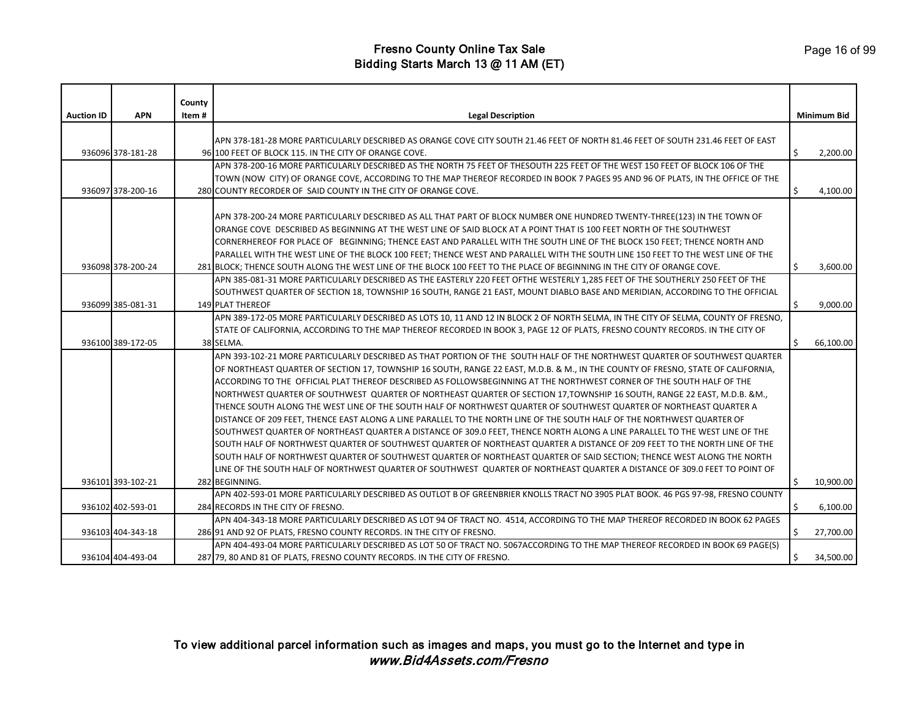|                   |                   | County |                                                                                                                                                                                                                                                      |    |             |
|-------------------|-------------------|--------|------------------------------------------------------------------------------------------------------------------------------------------------------------------------------------------------------------------------------------------------------|----|-------------|
| <b>Auction ID</b> | <b>APN</b>        | Item#  | <b>Legal Description</b>                                                                                                                                                                                                                             |    | Minimum Bid |
|                   |                   |        |                                                                                                                                                                                                                                                      |    |             |
|                   |                   |        | APN 378-181-28 MORE PARTICULARLY DESCRIBED AS ORANGE COVE CITY SOUTH 21.46 FEET OF NORTH 81.46 FEET OF SOUTH 231.46 FEET OF EAST                                                                                                                     |    |             |
|                   | 936096 378-181-28 |        | 96 100 FEET OF BLOCK 115. IN THE CITY OF ORANGE COVE.                                                                                                                                                                                                | Ś. | 2,200.00    |
|                   |                   |        | APN 378-200-16 MORE PARTICULARLY DESCRIBED AS THE NORTH 75 FEET OF THESOUTH 225 FEET OF THE WEST 150 FEET OF BLOCK 106 OF THE                                                                                                                        |    |             |
|                   |                   |        | TOWN (NOW CITY) OF ORANGE COVE, ACCORDING TO THE MAP THEREOF RECORDED IN BOOK 7 PAGES 95 AND 96 OF PLATS, IN THE OFFICE OF THE                                                                                                                       |    |             |
|                   | 936097 378-200-16 |        | 280 COUNTY RECORDER OF SAID COUNTY IN THE CITY OF ORANGE COVE.                                                                                                                                                                                       | \$ | 4,100.00    |
|                   |                   |        | APN 378-200-24 MORE PARTICULARLY DESCRIBED AS ALL THAT PART OF BLOCK NUMBER ONE HUNDRED TWENTY-THREE(123) IN THE TOWN OF                                                                                                                             |    |             |
|                   |                   |        | ORANGE COVE DESCRIBED AS BEGINNING AT THE WEST LINE OF SAID BLOCK AT A POINT THAT IS 100 FEET NORTH OF THE SOUTHWEST                                                                                                                                 |    |             |
|                   |                   |        | CORNERHEREOF FOR PLACE OF BEGINNING; THENCE EAST AND PARALLEL WITH THE SOUTH LINE OF THE BLOCK 150 FEET; THENCE NORTH AND                                                                                                                            |    |             |
|                   |                   |        | PARALLEL WITH THE WEST LINE OF THE BLOCK 100 FEET; THENCE WEST AND PARALLEL WITH THE SOUTH LINE 150 FEET TO THE WEST LINE OF THE                                                                                                                     |    |             |
|                   | 936098 378-200-24 |        | 281 BLOCK; THENCE SOUTH ALONG THE WEST LINE OF THE BLOCK 100 FEET TO THE PLACE OF BEGINNING IN THE CITY OF ORANGE COVE.                                                                                                                              | \$ | 3,600.00    |
|                   |                   |        | APN 385-081-31 MORE PARTICULARLY DESCRIBED AS THE EASTERLY 220 FEET OFTHE WESTERLY 1,285 FEET OF THE SOUTHERLY 250 FEET OF THE                                                                                                                       |    |             |
|                   |                   |        | SOUTHWEST QUARTER OF SECTION 18, TOWNSHIP 16 SOUTH, RANGE 21 EAST, MOUNT DIABLO BASE AND MERIDIAN, ACCORDING TO THE OFFICIAL                                                                                                                         |    |             |
|                   | 936099 385-081-31 |        | <b>149 PLAT THEREOF</b>                                                                                                                                                                                                                              | \$ | 9,000.00    |
|                   |                   |        | APN 389-172-05 MORE PARTICULARLY DESCRIBED AS LOTS 10, 11 AND 12 IN BLOCK 2 OF NORTH SELMA, IN THE CITY OF SELMA, COUNTY OF FRESNO,                                                                                                                  |    |             |
|                   |                   |        | STATE OF CALIFORNIA, ACCORDING TO THE MAP THEREOF RECORDED IN BOOK 3, PAGE 12 OF PLATS, FRESNO COUNTY RECORDS. IN THE CITY OF                                                                                                                        |    |             |
|                   | 936100 389-172-05 |        | 38 SELMA.                                                                                                                                                                                                                                            | Ś  | 66,100.00   |
|                   |                   |        | APN 393-102-21 MORE PARTICULARLY DESCRIBED AS THAT PORTION OF THE SOUTH HALF OF THE NORTHWEST QUARTER OF SOUTHWEST QUARTER                                                                                                                           |    |             |
|                   |                   |        | OF NORTHEAST QUARTER OF SECTION 17, TOWNSHIP 16 SOUTH, RANGE 22 EAST, M.D.B. & M., IN THE COUNTY OF FRESNO, STATE OF CALIFORNIA,                                                                                                                     |    |             |
|                   |                   |        | ACCORDING TO THE OFFICIAL PLAT THEREOF DESCRIBED AS FOLLOWSBEGINNING AT THE NORTHWEST CORNER OF THE SOUTH HALF OF THE                                                                                                                                |    |             |
|                   |                   |        | NORTHWEST QUARTER OF SOUTHWEST QUARTER OF NORTHEAST QUARTER OF SECTION 17,TOWNSHIP 16 SOUTH, RANGE 22 EAST, M.D.B. &M.,                                                                                                                              |    |             |
|                   |                   |        | THENCE SOUTH ALONG THE WEST LINE OF THE SOUTH HALF OF NORTHWEST QUARTER OF SOUTHWEST QUARTER OF NORTHEAST QUARTER A                                                                                                                                  |    |             |
|                   |                   |        | DISTANCE OF 209 FEET, THENCE EAST ALONG A LINE PARALLEL TO THE NORTH LINE OF THE SOUTH HALF OF THE NORTHWEST QUARTER OF                                                                                                                              |    |             |
|                   |                   |        | SOUTHWEST QUARTER OF NORTHEAST QUARTER A DISTANCE OF 309.0 FEET, THENCE NORTH ALONG A LINE PARALLEL TO THE WEST LINE OF THE                                                                                                                          |    |             |
|                   |                   |        | SOUTH HALF OF NORTHWEST QUARTER OF SOUTHWEST QUARTER OF NORTHEAST QUARTER A DISTANCE OF 209 FEET TO THE NORTH LINE OF THE                                                                                                                            |    |             |
|                   |                   |        | SOUTH HALF OF NORTHWEST QUARTER OF SOUTHWEST QUARTER OF NORTHEAST QUARTER OF SAID SECTION; THENCE WEST ALONG THE NORTH<br>LINE OF THE SOUTH HALF OF NORTHWEST QUARTER OF SOUTHWEST QUARTER OF NORTHEAST QUARTER A DISTANCE OF 309.0 FEET TO POINT OF |    |             |
|                   | 936101 393-102-21 |        | 282 BEGINNING.                                                                                                                                                                                                                                       | Ŝ. | 10,900.00   |
|                   |                   |        | APN 402-593-01 MORE PARTICULARLY DESCRIBED AS OUTLOT B OF GREENBRIER KNOLLS TRACT NO 3905 PLAT BOOK. 46 PGS 97-98, FRESNO COUNTY                                                                                                                     |    |             |
|                   | 936102 402-593-01 |        | 284 RECORDS IN THE CITY OF FRESNO.                                                                                                                                                                                                                   |    | 6,100.00    |
|                   |                   |        | APN 404-343-18 MORE PARTICULARLY DESCRIBED AS LOT 94 OF TRACT NO. 4514, ACCORDING TO THE MAP THEREOF RECORDED IN BOOK 62 PAGES                                                                                                                       |    |             |
|                   | 936103 404-343-18 |        | 286 91 AND 92 OF PLATS, FRESNO COUNTY RECORDS. IN THE CITY OF FRESNO.                                                                                                                                                                                | \$ | 27,700.00   |
|                   |                   |        | APN 404-493-04 MORE PARTICULARLY DESCRIBED AS LOT 50 OF TRACT NO. 5067ACCORDING TO THE MAP THEREOF RECORDED IN BOOK 69 PAGE(S)                                                                                                                       |    |             |
|                   | 936104 404-493-04 |        | 287 79, 80 AND 81 OF PLATS, FRESNO COUNTY RECORDS. IN THE CITY OF FRESNO.                                                                                                                                                                            | Ś. | 34,500.00   |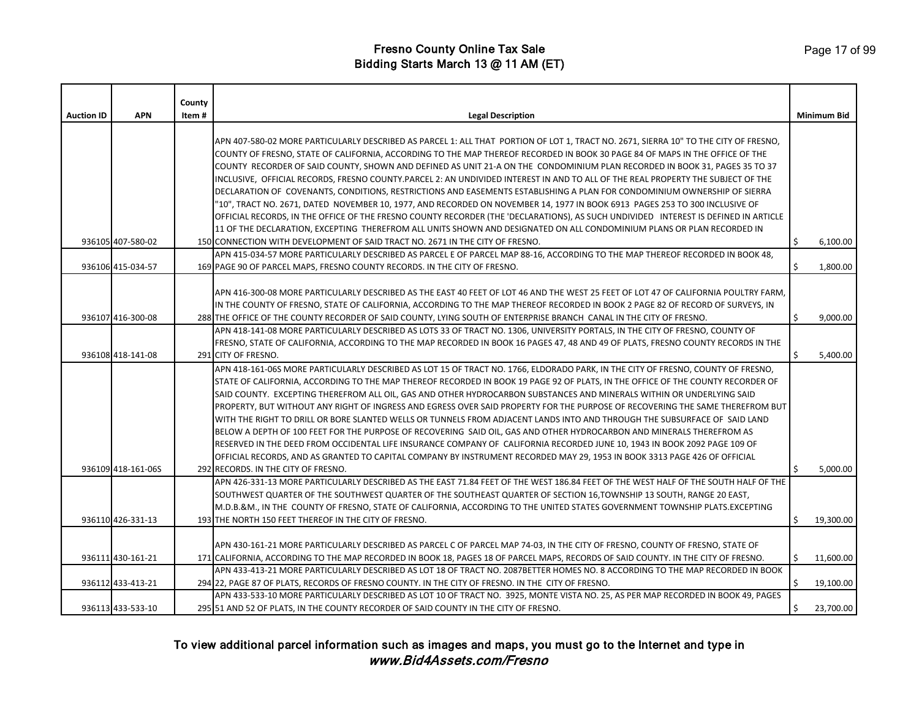|                   |                                        | County |                                                                                                                                                                                                                                                                                                                                                                                                                                                                                                                                                                                                                                                                                                                                                                                                                                                                                                                                                                                                                                                                                      |          |                      |
|-------------------|----------------------------------------|--------|--------------------------------------------------------------------------------------------------------------------------------------------------------------------------------------------------------------------------------------------------------------------------------------------------------------------------------------------------------------------------------------------------------------------------------------------------------------------------------------------------------------------------------------------------------------------------------------------------------------------------------------------------------------------------------------------------------------------------------------------------------------------------------------------------------------------------------------------------------------------------------------------------------------------------------------------------------------------------------------------------------------------------------------------------------------------------------------|----------|----------------------|
| <b>Auction ID</b> | <b>APN</b>                             | Item#  | <b>Legal Description</b>                                                                                                                                                                                                                                                                                                                                                                                                                                                                                                                                                                                                                                                                                                                                                                                                                                                                                                                                                                                                                                                             |          | <b>Minimum Bid</b>   |
|                   |                                        |        | APN 407-580-02 MORE PARTICULARLY DESCRIBED AS PARCEL 1: ALL THAT PORTION OF LOT 1, TRACT NO. 2671, SIERRA 10" TO THE CITY OF FRESNO,<br>COUNTY OF FRESNO, STATE OF CALIFORNIA, ACCORDING TO THE MAP THEREOF RECORDED IN BOOK 30 PAGE 84 OF MAPS IN THE OFFICE OF THE<br>COUNTY RECORDER OF SAID COUNTY, SHOWN AND DEFINED AS UNIT 21-A ON THE CONDOMINIUM PLAN RECORDED IN BOOK 31, PAGES 35 TO 37<br>INCLUSIVE, OFFICIAL RECORDS, FRESNO COUNTY.PARCEL 2: AN UNDIVIDED INTEREST IN AND TO ALL OF THE REAL PROPERTY THE SUBJECT OF THE<br>DECLARATION OF COVENANTS, CONDITIONS, RESTRICTIONS AND EASEMENTS ESTABLISHING A PLAN FOR CONDOMINIUM OWNERSHIP OF SIERRA<br>"10", TRACT NO. 2671, DATED NOVEMBER 10, 1977, AND RECORDED ON NOVEMBER 14, 1977 IN BOOK 6913 PAGES 253 TO 300 INCLUSIVE OF<br>OFFICIAL RECORDS, IN THE OFFICE OF THE FRESNO COUNTY RECORDER (THE 'DECLARATIONS), AS SUCH UNDIVIDED INTEREST IS DEFINED IN ARTICLE<br>11 OF THE DECLARATION, EXCEPTING THEREFROM ALL UNITS SHOWN AND DESIGNATED ON ALL CONDOMINIUM PLANS OR PLAN RECORDED IN                   |          |                      |
|                   | 936105 407-580-02                      |        | 150 CONNECTION WITH DEVELOPMENT OF SAID TRACT NO. 2671 IN THE CITY OF FRESNO.                                                                                                                                                                                                                                                                                                                                                                                                                                                                                                                                                                                                                                                                                                                                                                                                                                                                                                                                                                                                        | \$       | 6,100.00             |
|                   |                                        |        | APN 415-034-57 MORE PARTICULARLY DESCRIBED AS PARCEL E OF PARCEL MAP 88-16, ACCORDING TO THE MAP THEREOF RECORDED IN BOOK 48,                                                                                                                                                                                                                                                                                                                                                                                                                                                                                                                                                                                                                                                                                                                                                                                                                                                                                                                                                        |          |                      |
|                   | 936106 415-034-57<br>936107 416-300-08 |        | 169 PAGE 90 OF PARCEL MAPS, FRESNO COUNTY RECORDS. IN THE CITY OF FRESNO.<br>APN 416-300-08 MORE PARTICULARLY DESCRIBED AS THE EAST 40 FEET OF LOT 46 AND THE WEST 25 FEET OF LOT 47 OF CALIFORNIA POULTRY FARM,<br>IN THE COUNTY OF FRESNO, STATE OF CALIFORNIA, ACCORDING TO THE MAP THEREOF RECORDED IN BOOK 2 PAGE 82 OF RECORD OF SURVEYS, IN<br>288 THE OFFICE OF THE COUNTY RECORDER OF SAID COUNTY, LYING SOUTH OF ENTERPRISE BRANCH CANAL IN THE CITY OF FRESNO.                                                                                                                                                                                                                                                                                                                                                                                                                                                                                                                                                                                                            | Ś.<br>\$ | 1,800.00<br>9,000.00 |
|                   |                                        |        | APN 418-141-08 MORE PARTICULARLY DESCRIBED AS LOTS 33 OF TRACT NO. 1306, UNIVERSITY PORTALS, IN THE CITY OF FRESNO, COUNTY OF                                                                                                                                                                                                                                                                                                                                                                                                                                                                                                                                                                                                                                                                                                                                                                                                                                                                                                                                                        |          |                      |
|                   | 936108 418-141-08                      |        | FRESNO, STATE OF CALIFORNIA, ACCORDING TO THE MAP RECORDED IN BOOK 16 PAGES 47, 48 AND 49 OF PLATS, FRESNO COUNTY RECORDS IN THE<br>291 CITY OF FRESNO.                                                                                                                                                                                                                                                                                                                                                                                                                                                                                                                                                                                                                                                                                                                                                                                                                                                                                                                              | Ŝ.       | 5,400.00             |
|                   | 936109 418-161-06S                     |        | APN 418-161-06S MORE PARTICULARLY DESCRIBED AS LOT 15 OF TRACT NO. 1766, ELDORADO PARK, IN THE CITY OF FRESNO, COUNTY OF FRESNO,<br>STATE OF CALIFORNIA, ACCORDING TO THE MAP THEREOF RECORDED IN BOOK 19 PAGE 92 OF PLATS, IN THE OFFICE OF THE COUNTY RECORDER OF<br>SAID COUNTY. EXCEPTING THEREFROM ALL OIL, GAS AND OTHER HYDROCARBON SUBSTANCES AND MINERALS WITHIN OR UNDERLYING SAID<br>PROPERTY, BUT WITHOUT ANY RIGHT OF INGRESS AND EGRESS OVER SAID PROPERTY FOR THE PURPOSE OF RECOVERING THE SAME THEREFROM BUT<br>WITH THE RIGHT TO DRILL OR BORE SLANTED WELLS OR TUNNELS FROM ADJACENT LANDS INTO AND THROUGH THE SUBSURFACE OF SAID LAND<br>BELOW A DEPTH OF 100 FEET FOR THE PURPOSE OF RECOVERING SAID OIL, GAS AND OTHER HYDROCARBON AND MINERALS THEREFROM AS<br>RESERVED IN THE DEED FROM OCCIDENTAL LIFE INSURANCE COMPANY OF CALIFORNIA RECORDED JUNE 10, 1943 IN BOOK 2092 PAGE 109 OF<br>OFFICIAL RECORDS, AND AS GRANTED TO CAPITAL COMPANY BY INSTRUMENT RECORDED MAY 29, 1953 IN BOOK 3313 PAGE 426 OF OFFICIAL<br>292 RECORDS. IN THE CITY OF FRESNO. |          | 5,000.00             |
|                   |                                        |        | APN 426-331-13 MORE PARTICULARLY DESCRIBED AS THE EAST 71.84 FEET OF THE WEST 186.84 FEET OF THE WEST HALF OF THE SOUTH HALF OF THE<br>SOUTHWEST QUARTER OF THE SOUTHWEST QUARTER OF THE SOUTHEAST QUARTER OF SECTION 16,TOWNSHIP 13 SOUTH, RANGE 20 EAST,<br>M.D.B.&M., IN THE COUNTY OF FRESNO, STATE OF CALIFORNIA, ACCORDING TO THE UNITED STATES GOVERNMENT TOWNSHIP PLATS.EXCEPTING                                                                                                                                                                                                                                                                                                                                                                                                                                                                                                                                                                                                                                                                                            |          |                      |
|                   | 936110 426-331-13                      |        | 193 THE NORTH 150 FEET THEREOF IN THE CITY OF FRESNO.                                                                                                                                                                                                                                                                                                                                                                                                                                                                                                                                                                                                                                                                                                                                                                                                                                                                                                                                                                                                                                | Ŝ.       | 19,300.00            |
|                   | 936111 430-161-21                      |        | APN 430-161-21 MORE PARTICULARLY DESCRIBED AS PARCEL C OF PARCEL MAP 74-03, IN THE CITY OF FRESNO, COUNTY OF FRESNO, STATE OF<br>171 CALIFORNIA, ACCORDING TO THE MAP RECORDED IN BOOK 18, PAGES 18 OF PARCEL MAPS, RECORDS OF SAID COUNTY. IN THE CITY OF FRESNO.<br>APN 433-413-21 MORE PARTICULARLY DESCRIBED AS LOT 18 OF TRACT NO. 2087BETTER HOMES NO. 8 ACCORDING TO THE MAP RECORDED IN BOOK                                                                                                                                                                                                                                                                                                                                                                                                                                                                                                                                                                                                                                                                                 | Ś.       | 11,600.00            |
|                   | 936112 433-413-21                      |        | 294 22, PAGE 87 OF PLATS, RECORDS OF FRESNO COUNTY. IN THE CITY OF FRESNO. IN THE CITY OF FRESNO.                                                                                                                                                                                                                                                                                                                                                                                                                                                                                                                                                                                                                                                                                                                                                                                                                                                                                                                                                                                    | Ŝ.       | 19,100.00            |
|                   | 936113 433-533-10                      |        | APN 433-533-10 MORE PARTICULARLY DESCRIBED AS LOT 10 OF TRACT NO. 3925, MONTE VISTA NO. 25, AS PER MAP RECORDED IN BOOK 49, PAGES<br>295 51 AND 52 OF PLATS. IN THE COUNTY RECORDER OF SAID COUNTY IN THE CITY OF FRESNO.                                                                                                                                                                                                                                                                                                                                                                                                                                                                                                                                                                                                                                                                                                                                                                                                                                                            | \$       | 23,700.00            |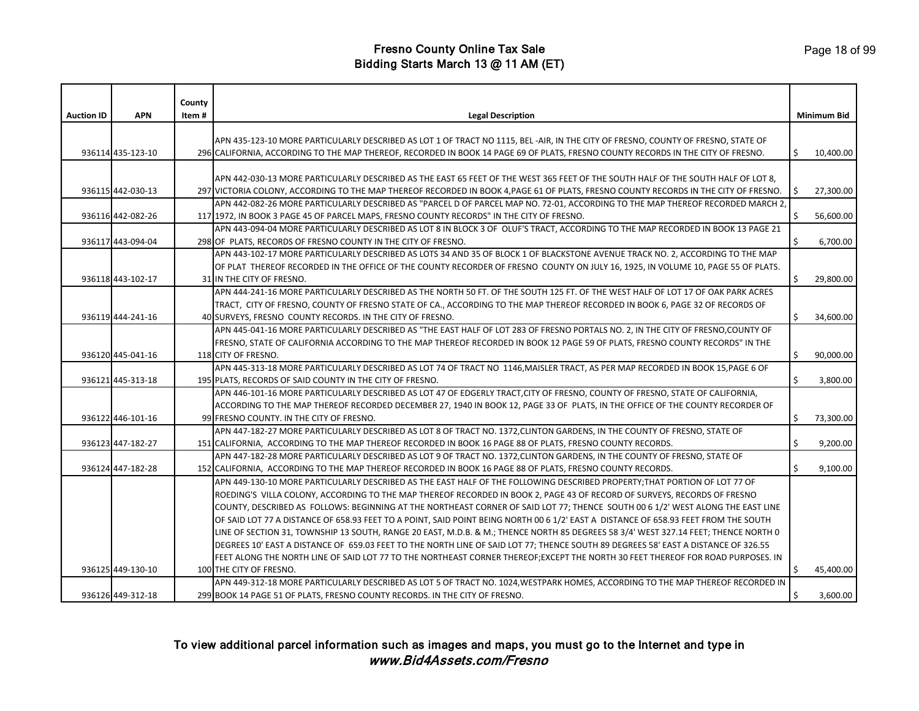| <b>Auction ID</b> | <b>APN</b>        | County<br>Item # | <b>Legal Description</b>                                                                                                             |    | <b>Minimum Bid</b> |
|-------------------|-------------------|------------------|--------------------------------------------------------------------------------------------------------------------------------------|----|--------------------|
|                   |                   |                  |                                                                                                                                      |    |                    |
|                   |                   |                  | APN 435-123-10 MORE PARTICULARLY DESCRIBED AS LOT 1 OF TRACT NO 1115, BEL -AIR, IN THE CITY OF FRESNO, COUNTY OF FRESNO, STATE OF    |    |                    |
|                   | 936114 435-123-10 |                  | 296 CALIFORNIA, ACCORDING TO THE MAP THEREOF, RECORDED IN BOOK 14 PAGE 69 OF PLATS, FRESNO COUNTY RECORDS IN THE CITY OF FRESNO.     | Ŝ. | 10,400.00          |
|                   |                   |                  |                                                                                                                                      |    |                    |
|                   |                   |                  | APN 442-030-13 MORE PARTICULARLY DESCRIBED AS THE EAST 65 FEET OF THE WEST 365 FEET OF THE SOUTH HALF OF THE SOUTH HALF OF LOT 8,    |    |                    |
|                   | 936115 442-030-13 |                  | 297 VICTORIA COLONY, ACCORDING TO THE MAP THEREOF RECORDED IN BOOK 4, PAGE 61 OF PLATS, FRESNO COUNTY RECORDS IN THE CITY OF FRESNO. | S. | 27,300.00          |
|                   |                   |                  | APN 442-082-26 MORE PARTICULARLY DESCRIBED AS "PARCEL D OF PARCEL MAP NO. 72-01, ACCORDING TO THE MAP THEREOF RECORDED MARCH 2,      |    |                    |
|                   | 936116 442-082-26 |                  | 117 1972, IN BOOK 3 PAGE 45 OF PARCEL MAPS, FRESNO COUNTY RECORDS" IN THE CITY OF FRESNO.                                            | \$ | 56,600.00          |
|                   |                   |                  | APN 443-094-04 MORE PARTICULARLY DESCRIBED AS LOT 8 IN BLOCK 3 OF OLUF'S TRACT, ACCORDING TO THE MAP RECORDED IN BOOK 13 PAGE 21     |    |                    |
|                   | 936117 443-094-04 |                  | 298 OF PLATS, RECORDS OF FRESNO COUNTY IN THE CITY OF FRESNO.                                                                        |    | 6,700.00           |
|                   |                   |                  | APN 443-102-17 MORE PARTICULARLY DESCRIBED AS LOTS 34 AND 35 OF BLOCK 1 OF BLACKSTONE AVENUE TRACK NO. 2, ACCORDING TO THE MAP       |    |                    |
|                   |                   |                  | OF PLAT THEREOF RECORDED IN THE OFFICE OF THE COUNTY RECORDER OF FRESNO COUNTY ON JULY 16, 1925, IN VOLUME 10, PAGE 55 OF PLATS.     |    |                    |
|                   | 936118 443-102-17 |                  | 31 IN THE CITY OF FRESNO.                                                                                                            | Ś  | 29,800.00          |
|                   |                   |                  | APN 444-241-16 MORE PARTICULARLY DESCRIBED AS THE NORTH 50 FT. OF THE SOUTH 125 FT. OF THE WEST HALF OF LOT 17 OF OAK PARK ACRES     |    |                    |
|                   |                   |                  | TRACT, CITY OF FRESNO, COUNTY OF FRESNO STATE OF CA., ACCORDING TO THE MAP THEREOF RECORDED IN BOOK 6, PAGE 32 OF RECORDS OF         |    |                    |
|                   | 936119 444-241-16 |                  | 40 SURVEYS, FRESNO COUNTY RECORDS. IN THE CITY OF FRESNO.                                                                            |    | 34,600.00          |
|                   |                   |                  | APN 445-041-16 MORE PARTICULARLY DESCRIBED AS "THE EAST HALF OF LOT 283 OF FRESNO PORTALS NO. 2, IN THE CITY OF FRESNO, COUNTY OF    |    |                    |
|                   |                   |                  | FRESNO, STATE OF CALIFORNIA ACCORDING TO THE MAP THEREOF RECORDED IN BOOK 12 PAGE 59 OF PLATS, FRESNO COUNTY RECORDS" IN THE         |    |                    |
|                   | 936120 445-041-16 |                  | 118 CITY OF FRESNO.                                                                                                                  |    | 90,000.00          |
|                   |                   |                  | APN 445-313-18 MORE PARTICULARLY DESCRIBED AS LOT 74 OF TRACT NO 1146, MAISLER TRACT, AS PER MAP RECORDED IN BOOK 15, PAGE 6 OF      |    |                    |
|                   | 936121 445-313-18 |                  | 195 PLATS, RECORDS OF SAID COUNTY IN THE CITY OF FRESNO.                                                                             | \$ | 3,800.00           |
|                   |                   |                  | APN 446-101-16 MORE PARTICULARLY DESCRIBED AS LOT 47 OF EDGERLY TRACT, CITY OF FRESNO, COUNTY OF FRESNO, STATE OF CALIFORNIA,        |    |                    |
|                   |                   |                  | ACCORDING TO THE MAP THEREOF RECORDED DECEMBER 27, 1940 IN BOOK 12, PAGE 33 OF PLATS, IN THE OFFICE OF THE COUNTY RECORDER OF        |    |                    |
|                   | 936122 446-101-16 |                  | 99 FRESNO COUNTY. IN THE CITY OF FRESNO.                                                                                             | \$ | 73,300.00          |
|                   |                   |                  | APN 447-182-27 MORE PARTICULARLY DESCRIBED AS LOT 8 OF TRACT NO. 1372,CLINTON GARDENS, IN THE COUNTY OF FRESNO, STATE OF             |    |                    |
|                   | 936123 447-182-27 |                  | 151 CALIFORNIA, ACCORDING TO THE MAP THEREOF RECORDED IN BOOK 16 PAGE 88 OF PLATS, FRESNO COUNTY RECORDS.                            | \$ | 9,200.00           |
|                   |                   |                  | APN 447-182-28 MORE PARTICULARLY DESCRIBED AS LOT 9 OF TRACT NO. 1372, CLINTON GARDENS, IN THE COUNTY OF FRESNO, STATE OF            |    |                    |
|                   | 936124 447-182-28 |                  | 152 CALIFORNIA, ACCORDING TO THE MAP THEREOF RECORDED IN BOOK 16 PAGE 88 OF PLATS, FRESNO COUNTY RECORDS.                            |    | 9,100.00           |
|                   |                   |                  | APN 449-130-10 MORE PARTICULARLY DESCRIBED AS THE EAST HALF OF THE FOLLOWING DESCRIBED PROPERTY;THAT PORTION OF LOT 77 OF            |    |                    |
|                   |                   |                  | ROEDING'S VILLA COLONY, ACCORDING TO THE MAP THEREOF RECORDED IN BOOK 2, PAGE 43 OF RECORD OF SURVEYS, RECORDS OF FRESNO             |    |                    |
|                   |                   |                  | COUNTY, DESCRIBED AS FOLLOWS: BEGINNING AT THE NORTHEAST CORNER OF SAID LOT 77; THENCE SOUTH 00 6 1/2' WEST ALONG THE EAST LINE      |    |                    |
|                   |                   |                  | OF SAID LOT 77 A DISTANCE OF 658.93 FEET TO A POINT, SAID POINT BEING NORTH 00 6 1/2' EAST A DISTANCE OF 658.93 FEET FROM THE SOUTH  |    |                    |
|                   |                   |                  | LINE OF SECTION 31, TOWNSHIP 13 SOUTH, RANGE 20 EAST, M.D.B. & M.; THENCE NORTH 85 DEGREES 58 3/4' WEST 327.14 FEET; THENCE NORTH 0  |    |                    |
|                   |                   |                  | DEGREES 10' EAST A DISTANCE OF 659.03 FEET TO THE NORTH LINE OF SAID LOT 77; THENCE SOUTH 89 DEGREES 58' EAST A DISTANCE OF 326.55   |    |                    |
|                   |                   |                  | FEET ALONG THE NORTH LINE OF SAID LOT 77 TO THE NORTHEAST CORNER THEREOF;EXCEPT THE NORTH 30 FEET THEREOF FOR ROAD PURPOSES. IN      |    |                    |
|                   | 936125 449-130-10 |                  | 100 THE CITY OF FRESNO.                                                                                                              | Ś. | 45,400.00          |
|                   |                   |                  | APN 449-312-18 MORE PARTICULARLY DESCRIBED AS LOT 5 OF TRACT NO. 1024,WESTPARK HOMES, ACCORDING TO THE MAP THEREOF RECORDED IN       |    |                    |
|                   | 936126 449-312-18 |                  | 299 BOOK 14 PAGE 51 OF PLATS, FRESNO COUNTY RECORDS. IN THE CITY OF FRESNO.                                                          |    | 3,600.00           |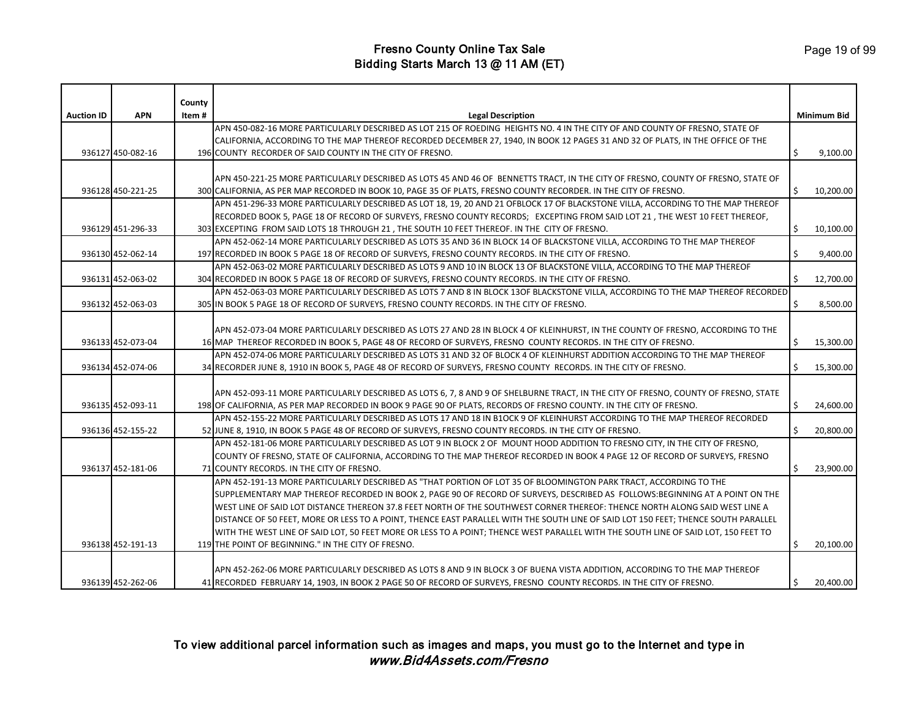|                   |                   | County |                                                                                                                                     |    |             |
|-------------------|-------------------|--------|-------------------------------------------------------------------------------------------------------------------------------------|----|-------------|
| <b>Auction ID</b> | <b>APN</b>        | ltem # | <b>Legal Description</b>                                                                                                            |    | Minimum Bid |
|                   |                   |        | APN 450-082-16 MORE PARTICULARLY DESCRIBED AS LOT 215 OF ROEDING HEIGHTS NO. 4 IN THE CITY OF AND COUNTY OF FRESNO, STATE OF        |    |             |
|                   |                   |        | CALIFORNIA, ACCORDING TO THE MAP THEREOF RECORDED DECEMBER 27, 1940, IN BOOK 12 PAGES 31 AND 32 OF PLATS, IN THE OFFICE OF THE      |    |             |
|                   | 936127 450-082-16 |        | 196 COUNTY RECORDER OF SAID COUNTY IN THE CITY OF FRESNO.                                                                           | \$ | 9,100.00    |
|                   |                   |        |                                                                                                                                     |    |             |
|                   |                   |        | APN 450-221-25 MORE PARTICULARLY DESCRIBED AS LOTS 45 AND 46 OF BENNETTS TRACT, IN THE CITY OF FRESNO, COUNTY OF FRESNO, STATE OF   |    |             |
|                   | 936128 450-221-25 |        | 300 CALIFORNIA, AS PER MAP RECORDED IN BOOK 10, PAGE 35 OF PLATS, FRESNO COUNTY RECORDER. IN THE CITY OF FRESNO.                    | Ŝ. | 10,200.00   |
|                   |                   |        | APN 451-296-33 MORE PARTICULARLY DESCRIBED AS LOT 18, 19, 20 AND 21 OFBLOCK 17 OF BLACKSTONE VILLA, ACCORDING TO THE MAP THEREOF    |    |             |
|                   |                   |        | RECORDED BOOK 5, PAGE 18 OF RECORD OF SURVEYS, FRESNO COUNTY RECORDS; EXCEPTING FROM SAID LOT 21, THE WEST 10 FEET THEREOF,         |    |             |
|                   | 936129 451-296-33 |        | 303 EXCEPTING FROM SAID LOTS 18 THROUGH 21, THE SOUTH 10 FEET THEREOF. IN THE CITY OF FRESNO.                                       | \$ | 10,100.00   |
|                   |                   |        | APN 452-062-14 MORE PARTICULARLY DESCRIBED AS LOTS 35 AND 36 IN BLOCK 14 OF BLACKSTONE VILLA, ACCORDING TO THE MAP THEREOF          |    |             |
|                   | 936130 452-062-14 |        | 197 RECORDED IN BOOK 5 PAGE 18 OF RECORD OF SURVEYS, FRESNO COUNTY RECORDS. IN THE CITY OF FRESNO.                                  | \$ | 9,400.00    |
|                   |                   |        | APN 452-063-02 MORE PARTICULARLY DESCRIBED AS LOTS 9 AND 10 IN BLOCK 13 OF BLACKSTONE VILLA. ACCORDING TO THE MAP THEREOF           |    |             |
|                   | 936131 452-063-02 |        | 304 RECORDED IN BOOK 5 PAGE 18 OF RECORD OF SURVEYS, FRESNO COUNTY RECORDS. IN THE CITY OF FRESNO.                                  |    | 12,700.00   |
|                   |                   |        | APN 452-063-03 MORE PARTICULARLY DESCRIBED AS LOTS 7 AND 8 IN BLOCK 13OF BLACKSTONE VILLA, ACCORDING TO THE MAP THEREOF RECORDED    |    |             |
|                   | 936132 452-063-03 |        | 305 IN BOOK 5 PAGE 18 OF RECORD OF SURVEYS, FRESNO COUNTY RECORDS. IN THE CITY OF FRESNO.                                           | \$ | 8,500.00    |
|                   |                   |        |                                                                                                                                     |    |             |
|                   |                   |        | APN 452-073-04 MORE PARTICULARLY DESCRIBED AS LOTS 27 AND 28 IN BLOCK 4 OF KLEINHURST, IN THE COUNTY OF FRESNO, ACCORDING TO THE    |    |             |
|                   | 936133 452-073-04 |        | 16 MAP THEREOF RECORDED IN BOOK 5, PAGE 48 OF RECORD OF SURVEYS, FRESNO COUNTY RECORDS. IN THE CITY OF FRESNO.                      | \$ | 15,300.00   |
|                   |                   |        | APN 452-074-06 MORE PARTICULARLY DESCRIBED AS LOTS 31 AND 32 OF BLOCK 4 OF KLEINHURST ADDITION ACCORDING TO THE MAP THEREOF         |    |             |
|                   | 936134 452-074-06 |        | 34 RECORDER JUNE 8, 1910 IN BOOK 5, PAGE 48 OF RECORD OF SURVEYS, FRESNO COUNTY RECORDS. IN THE CITY OF FRESNO.                     | Ŝ. | 15,300.00   |
|                   |                   |        |                                                                                                                                     |    |             |
|                   |                   |        | APN 452-093-11 MORE PARTICULARLY DESCRIBED AS LOTS 6, 7, 8 AND 9 OF SHELBURNE TRACT, IN THE CITY OF FRESNO, COUNTY OF FRESNO, STATE |    |             |
|                   | 936135 452-093-11 |        | 198 OF CALIFORNIA, AS PER MAP RECORDED IN BOOK 9 PAGE 90 OF PLATS, RECORDS OF FRESNO COUNTY. IN THE CITY OF FRESNO.                 | \$ | 24,600.00   |
|                   |                   |        | APN 452-155-22 MORE PARTICULARLY DESCRIBED AS LOTS 17 AND 18 IN B1OCK 9 OF KLEINHURST ACCORDING TO THE MAP THEREOF RECORDED         |    |             |
|                   | 936136 452-155-22 |        | 52 JUNE 8, 1910, IN BOOK 5 PAGE 48 OF RECORD OF SURVEYS, FRESNO COUNTY RECORDS. IN THE CITY OF FRESNO.                              | \$ | 20,800.00   |
|                   |                   |        | APN 452-181-06 MORE PARTICULARLY DESCRIBED AS LOT 9 IN BLOCK 2 OF MOUNT HOOD ADDITION TO FRESNO CITY, IN THE CITY OF FRESNO,        |    |             |
|                   |                   |        | COUNTY OF FRESNO, STATE OF CALIFORNIA, ACCORDING TO THE MAP THEREOF RECORDED IN BOOK 4 PAGE 12 OF RECORD OF SURVEYS, FRESNO         |    |             |
|                   | 936137 452-181-06 |        | 71 COUNTY RECORDS. IN THE CITY OF FRESNO.                                                                                           | Ś. | 23,900.00   |
|                   |                   |        | APN 452-191-13 MORE PARTICULARLY DESCRIBED AS "THAT PORTION OF LOT 35 OF BLOOMINGTON PARK TRACT, ACCORDING TO THE                   |    |             |
|                   |                   |        | SUPPLEMENTARY MAP THEREOF RECORDED IN BOOK 2, PAGE 90 OF RECORD OF SURVEYS, DESCRIBED AS FOLLOWS:BEGINNING AT A POINT ON THE        |    |             |
|                   |                   |        | WEST LINE OF SAID LOT DISTANCE THEREON 37.8 FEET NORTH OF THE SOUTHWEST CORNER THEREOF: THENCE NORTH ALONG SAID WEST LINE A         |    |             |
|                   |                   |        | DISTANCE OF 50 FEET, MORE OR LESS TO A POINT, THENCE EAST PARALLEL WITH THE SOUTH LINE OF SAID LOT 150 FEET; THENCE SOUTH PARALLEL  |    |             |
|                   |                   |        | WITH THE WEST LINE OF SAID LOT, 50 FEET MORE OR LESS TO A POINT; THENCE WEST PARALLEL WITH THE SOUTH LINE OF SAID LOT, 150 FEET TO  |    |             |
|                   | 936138 452-191-13 |        | 119 THE POINT OF BEGINNING." IN THE CITY OF FRESNO.                                                                                 | \$ | 20,100.00   |
|                   |                   |        |                                                                                                                                     |    |             |
|                   |                   |        | APN 452-262-06 MORE PARTICULARLY DESCRIBED AS LOTS 8 AND 9 IN BLOCK 3 OF BUENA VISTA ADDITION, ACCORDING TO THE MAP THEREOF         |    |             |
|                   | 936139 452-262-06 |        | 41 RECORDED FEBRUARY 14, 1903, IN BOOK 2 PAGE 50 OF RECORD OF SURVEYS, FRESNO COUNTY RECORDS. IN THE CITY OF FRESNO.                | \$ | 20,400.00   |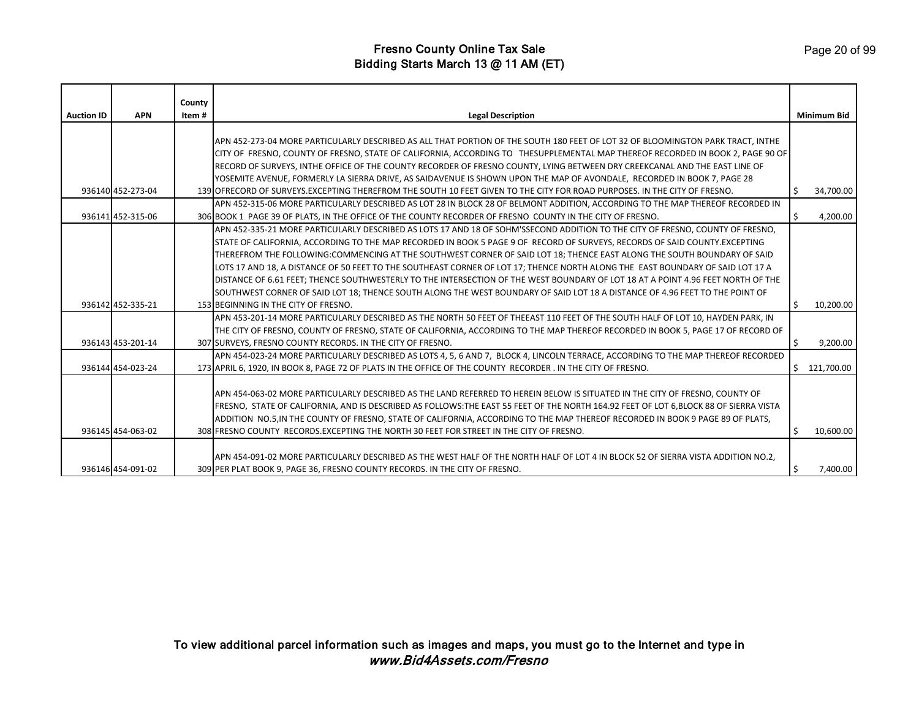|                   |                   | County |                                                                                                                                      |    |                    |
|-------------------|-------------------|--------|--------------------------------------------------------------------------------------------------------------------------------------|----|--------------------|
| <b>Auction ID</b> | <b>APN</b>        | Item#  | <b>Legal Description</b>                                                                                                             |    | <b>Minimum Bid</b> |
|                   |                   |        |                                                                                                                                      |    |                    |
|                   |                   |        | APN 452-273-04 MORE PARTICULARLY DESCRIBED AS ALL THAT PORTION OF THE SOUTH 180 FEET OF LOT 32 OF BLOOMINGTON PARK TRACT, INTHE      |    |                    |
|                   |                   |        | CITY OF FRESNO, COUNTY OF FRESNO, STATE OF CALIFORNIA, ACCORDING TO THESUPPLEMENTAL MAP THEREOF RECORDED IN BOOK 2, PAGE 90 OF       |    |                    |
|                   |                   |        | RECORD OF SURVEYS, INTHE OFFICE OF THE COUNTY RECORDER OF FRESNO COUNTY, LYING BETWEEN DRY CREEKCANAL AND THE EAST LINE OF           |    |                    |
|                   |                   |        | YOSEMITE AVENUE, FORMERLY LA SIERRA DRIVE, AS SAIDAVENUE IS SHOWN UPON THE MAP OF AVONDALE, RECORDED IN BOOK 7, PAGE 28              |    |                    |
|                   | 936140 452-273-04 |        | 139 OFRECORD OF SURVEYS EXCEPTING THEREFROM THE SOUTH 10 FEET GIVEN TO THE CITY FOR ROAD PURPOSES. IN THE CITY OF FRESNO.            | .S | 34,700.00          |
|                   |                   |        | APN 452-315-06 MORE PARTICULARLY DESCRIBED AS LOT 28 IN BLOCK 28 OF BELMONT ADDITION, ACCORDING TO THE MAP THEREOF RECORDED IN       |    |                    |
|                   | 936141 452-315-06 |        | 306 BOOK 1 PAGE 39 OF PLATS, IN THE OFFICE OF THE COUNTY RECORDER OF FRESNO COUNTY IN THE CITY OF FRESNO.                            | Ŝ. | 4,200.00           |
|                   |                   |        | APN 452-335-21 MORE PARTICULARLY DESCRIBED AS LOTS 17 AND 18 OF SOHM'SSECOND ADDITION TO THE CITY OF FRESNO, COUNTY OF FRESNO,       |    |                    |
|                   |                   |        | STATE OF CALIFORNIA, ACCORDING TO THE MAP RECORDED IN BOOK 5 PAGE 9 OF RECORD OF SURVEYS, RECORDS OF SAID COUNTY.EXCEPTING           |    |                    |
|                   |                   |        | THEREFROM THE FOLLOWING:COMMENCING AT THE SOUTHWEST CORNER OF SAID LOT 18; THENCE EAST ALONG THE SOUTH BOUNDARY OF SAID              |    |                    |
|                   |                   |        | LOTS 17 AND 18, A DISTANCE OF 50 FEET TO THE SOUTHEAST CORNER OF LOT 17; THENCE NORTH ALONG THE EAST BOUNDARY OF SAID LOT 17 A       |    |                    |
|                   |                   |        | DISTANCE OF 6.61 FEET; THENCE SOUTHWESTERLY TO THE INTERSECTION OF THE WEST BOUNDARY OF LOT 18 AT A POINT 4.96 FEET NORTH OF THE     |    |                    |
|                   |                   |        | SOUTHWEST CORNER OF SAID LOT 18; THENCE SOUTH ALONG THE WEST BOUNDARY OF SAID LOT 18 A DISTANCE OF 4.96 FEET TO THE POINT OF         |    |                    |
|                   | 936142 452-335-21 |        | 153 BEGINNING IN THE CITY OF FRESNO.                                                                                                 | \$ | 10,200.00          |
|                   |                   |        | APN 453-201-14 MORE PARTICULARLY DESCRIBED AS THE NORTH 50 FEET OF THEEAST 110 FEET OF THE SOUTH HALF OF LOT 10, HAYDEN PARK, IN     |    |                    |
|                   |                   |        | THE CITY OF FRESNO, COUNTY OF FRESNO, STATE OF CALIFORNIA, ACCORDING TO THE MAP THEREOF RECORDED IN BOOK 5, PAGE 17 OF RECORD OF     |    |                    |
|                   | 936143 453-201-14 |        | 307 SURVEYS, FRESNO COUNTY RECORDS. IN THE CITY OF FRESNO.                                                                           | -Ś | 9,200.00           |
|                   |                   |        | APN 454-023-24 MORE PARTICULARLY DESCRIBED AS LOTS 4, 5, 6 AND 7, BLOCK 4, LINCOLN TERRACE, ACCORDING TO THE MAP THEREOF RECORDED    |    |                    |
|                   | 936144 454-023-24 |        | 173 APRIL 6, 1920, IN BOOK 8, PAGE 72 OF PLATS IN THE OFFICE OF THE COUNTY RECORDER . IN THE CITY OF FRESNO.                         | Ŝ. | 121,700.00         |
|                   |                   |        |                                                                                                                                      |    |                    |
|                   |                   |        | APN 454-063-02 MORE PARTICULARLY DESCRIBED AS THE LAND REFERRED TO HEREIN BELOW IS SITUATED IN THE CITY OF FRESNO, COUNTY OF         |    |                    |
|                   |                   |        | FRESNO, STATE OF CALIFORNIA, AND IS DESCRIBED AS FOLLOWS:THE EAST 55 FEET OF THE NORTH 164.92 FEET OF LOT 6,BLOCK 88 OF SIERRA VISTA |    |                    |
|                   |                   |        | ADDITION NO.5, IN THE COUNTY OF FRESNO, STATE OF CALIFORNIA, ACCORDING TO THE MAP THEREOF RECORDED IN BOOK 9 PAGE 89 OF PLATS,       |    |                    |
|                   | 936145 454-063-02 |        | 308 FRESNO COUNTY RECORDS. EXCEPTING THE NORTH 30 FEET FOR STREET IN THE CITY OF FRESNO.                                             | Ŝ. | 10,600.00          |
|                   |                   |        |                                                                                                                                      |    |                    |
|                   |                   |        | APN 454-091-02 MORE PARTICULARLY DESCRIBED AS THE WEST HALF OF THE NORTH HALF OF LOT 4 IN BLOCK 52 OF SIERRA VISTA ADDITION NO.2,    |    |                    |
|                   | 936146 454-091-02 |        | 309 PER PLAT BOOK 9, PAGE 36, FRESNO COUNTY RECORDS. IN THE CITY OF FRESNO.                                                          | Ŝ. | 7,400.00           |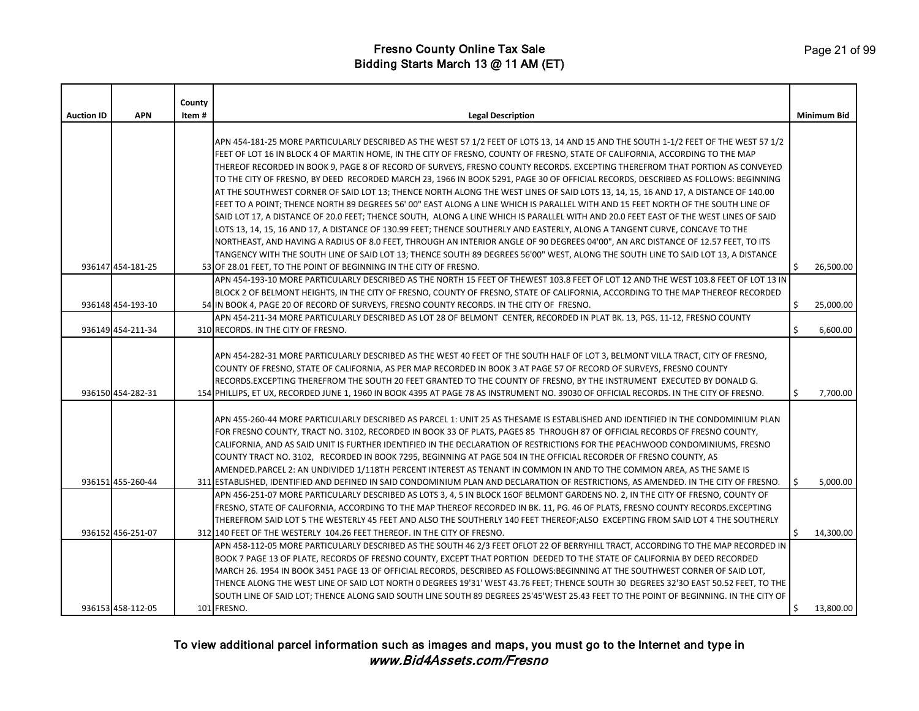|                   |                   | County |                                                                                                                                                                                                                                                                                                                                                                                                                                                                                                                                                                                                                                                                                                                                                                                                                                                                                                                                                                                                                                                                                                                                                                                                                                                                                                                                                                      |    |                    |
|-------------------|-------------------|--------|----------------------------------------------------------------------------------------------------------------------------------------------------------------------------------------------------------------------------------------------------------------------------------------------------------------------------------------------------------------------------------------------------------------------------------------------------------------------------------------------------------------------------------------------------------------------------------------------------------------------------------------------------------------------------------------------------------------------------------------------------------------------------------------------------------------------------------------------------------------------------------------------------------------------------------------------------------------------------------------------------------------------------------------------------------------------------------------------------------------------------------------------------------------------------------------------------------------------------------------------------------------------------------------------------------------------------------------------------------------------|----|--------------------|
| <b>Auction ID</b> | <b>APN</b>        | Item # | <b>Legal Description</b>                                                                                                                                                                                                                                                                                                                                                                                                                                                                                                                                                                                                                                                                                                                                                                                                                                                                                                                                                                                                                                                                                                                                                                                                                                                                                                                                             |    | <b>Minimum Bid</b> |
|                   |                   |        | APN 454-181-25 MORE PARTICULARLY DESCRIBED AS THE WEST 57 1/2 FEET OF LOTS 13, 14 AND 15 AND THE SOUTH 1-1/2 FEET OF THE WEST 57 1/2<br>FEET OF LOT 16 IN BLOCK 4 OF MARTIN HOME, IN THE CITY OF FRESNO, COUNTY OF FRESNO, STATE OF CALIFORNIA, ACCORDING TO THE MAP<br>THEREOF RECORDED IN BOOK 9, PAGE 8 OF RECORD OF SURVEYS, FRESNO COUNTY RECORDS. EXCEPTING THEREFROM THAT PORTION AS CONVEYED<br>TO THE CITY OF FRESNO, BY DEED RECORDED MARCH 23, 1966 IN BOOK 5291, PAGE 30 OF OFFICIAL RECORDS, DESCRIBED AS FOLLOWS: BEGINNING<br>AT THE SOUTHWEST CORNER OF SAID LOT 13; THENCE NORTH ALONG THE WEST LINES OF SAID LOTS 13, 14, 15, 16 AND 17, A DISTANCE OF 140.00<br>FEET TO A POINT; THENCE NORTH 89 DEGREES 56' 00" EAST ALONG A LINE WHICH IS PARALLEL WITH AND 15 FEET NORTH OF THE SOUTH LINE OF<br>SAID LOT 17, A DISTANCE OF 20.0 FEET; THENCE SOUTH, ALONG A LINE WHICH IS PARALLEL WITH AND 20.0 FEET EAST OF THE WEST LINES OF SAID<br>LOTS 13, 14, 15, 16 AND 17, A DISTANCE OF 130.99 FEET; THENCE SOUTHERLY AND EASTERLY, ALONG A TANGENT CURVE, CONCAVE TO THE<br>NORTHEAST, AND HAVING A RADIUS OF 8.0 FEET, THROUGH AN INTERIOR ANGLE OF 90 DEGREES 04'00", AN ARC DISTANCE OF 12.57 FEET, TO ITS<br>TANGENCY WITH THE SOUTH LINE OF SAID LOT 13; THENCE SOUTH 89 DEGREES 56'00" WEST, ALONG THE SOUTH LINE TO SAID LOT 13, A DISTANCE |    |                    |
|                   | 936147 454-181-25 |        | 53 OF 28.01 FEET, TO THE POINT OF BEGINNING IN THE CITY OF FRESNO.                                                                                                                                                                                                                                                                                                                                                                                                                                                                                                                                                                                                                                                                                                                                                                                                                                                                                                                                                                                                                                                                                                                                                                                                                                                                                                   | Ŝ. | 26,500.00          |
|                   | 936148 454-193-10 |        | APN 454-193-10 MORE PARTICULARLY DESCRIBED AS THE NORTH 15 FEET OF THEWEST 103.8 FEET OF LOT 12 AND THE WEST 103.8 FEET OF LOT 13 IN<br>BLOCK 2 OF BELMONT HEIGHTS, IN THE CITY OF FRESNO, COUNTY OF FRESNO, STATE OF CALIFORNIA, ACCORDING TO THE MAP THEREOF RECORDED<br>54 IN BOOK 4, PAGE 20 OF RECORD OF SURVEYS, FRESNO COUNTY RECORDS. IN THE CITY OF FRESNO.                                                                                                                                                                                                                                                                                                                                                                                                                                                                                                                                                                                                                                                                                                                                                                                                                                                                                                                                                                                                 | \$ | 25,000.00          |
|                   |                   |        | APN 454-211-34 MORE PARTICULARLY DESCRIBED AS LOT 28 OF BELMONT CENTER, RECORDED IN PLAT BK. 13, PGS. 11-12, FRESNO COUNTY                                                                                                                                                                                                                                                                                                                                                                                                                                                                                                                                                                                                                                                                                                                                                                                                                                                                                                                                                                                                                                                                                                                                                                                                                                           |    |                    |
|                   | 936149 454-211-34 |        | 310 RECORDS. IN THE CITY OF FRESNO.                                                                                                                                                                                                                                                                                                                                                                                                                                                                                                                                                                                                                                                                                                                                                                                                                                                                                                                                                                                                                                                                                                                                                                                                                                                                                                                                  | Ŝ. | 6,600.00           |
|                   | 936150 454-282-31 |        | APN 454-282-31 MORE PARTICULARLY DESCRIBED AS THE WEST 40 FEET OF THE SOUTH HALF OF LOT 3, BELMONT VILLA TRACT, CITY OF FRESNO,<br>COUNTY OF FRESNO, STATE OF CALIFORNIA, AS PER MAP RECORDED IN BOOK 3 AT PAGE 57 OF RECORD OF SURVEYS, FRESNO COUNTY<br>RECORDS.EXCEPTING THEREFROM THE SOUTH 20 FEET GRANTED TO THE COUNTY OF FRESNO, BY THE INSTRUMENT EXECUTED BY DONALD G.<br>154 PHILLIPS, ET UX, RECORDED JUNE 1, 1960 IN BOOK 4395 AT PAGE 78 AS INSTRUMENT NO. 39030 OF OFFICIAL RECORDS. IN THE CITY OF FRESNO.                                                                                                                                                                                                                                                                                                                                                                                                                                                                                                                                                                                                                                                                                                                                                                                                                                           | Ŝ. | 7,700.00           |
|                   | 936151 455-260-44 |        | APN 455-260-44 MORE PARTICULARLY DESCRIBED AS PARCEL 1: UNIT 25 AS THESAME IS ESTABLISHED AND IDENTIFIED IN THE CONDOMINIUM PLAN<br>FOR FRESNO COUNTY, TRACT NO. 3102, RECORDED IN BOOK 33 OF PLATS, PAGES 85 THROUGH 87 OF OFFICIAL RECORDS OF FRESNO COUNTY,<br>CALIFORNIA, AND AS SAID UNIT IS FURTHER IDENTIFIED IN THE DECLARATION OF RESTRICTIONS FOR THE PEACHWOOD CONDOMINIUMS, FRESNO<br>COUNTY TRACT NO. 3102, RECORDED IN BOOK 7295, BEGINNING AT PAGE 504 IN THE OFFICIAL RECORDER OF FRESNO COUNTY, AS<br>AMENDED.PARCEL 2: AN UNDIVIDED 1/118TH PERCENT INTEREST AS TENANT IN COMMON IN AND TO THE COMMON AREA, AS THE SAME IS<br>311 ESTABLISHED, IDENTIFIED AND DEFINED IN SAID CONDOMINIUM PLAN AND DECLARATION OF RESTRICTIONS, AS AMENDED. IN THE CITY OF FRESNO.                                                                                                                                                                                                                                                                                                                                                                                                                                                                                                                                                                                 | Ŝ. | 5.000.00           |
|                   | 936152 456-251-07 |        | APN 456-251-07 MORE PARTICULARLY DESCRIBED AS LOTS 3, 4, 5 IN BLOCK 16OF BELMONT GARDENS NO. 2, IN THE CITY OF FRESNO, COUNTY OF<br>FRESNO, STATE OF CALIFORNIA, ACCORDING TO THE MAP THEREOF RECORDED IN BK. 11, PG. 46 OF PLATS, FRESNO COUNTY RECORDS.EXCEPTING<br>THEREFROM SAID LOT 5 THE WESTERLY 45 FEET AND ALSO THE SOUTHERLY 140 FEET THEREOF;ALSO EXCEPTING FROM SAID LOT 4 THE SOUTHERLY<br>312 140 FEET OF THE WESTERLY 104.26 FEET THEREOF. IN THE CITY OF FRESNO.                                                                                                                                                                                                                                                                                                                                                                                                                                                                                                                                                                                                                                                                                                                                                                                                                                                                                     | Ŝ. | 14,300.00          |
|                   | 936153 458-112-05 |        | APN 458-112-05 MORE PARTICULARLY DESCRIBED AS THE SOUTH 46 2/3 FEET OFLOT 22 OF BERRYHILL TRACT, ACCORDING TO THE MAP RECORDED IN<br>BOOK 7 PAGE 13 OF PLATE, RECORDS OF FRESNO COUNTY, EXCEPT THAT PORTION DEEDED TO THE STATE OF CALIFORNIA BY DEED RECORDED<br>MARCH 26. 1954 IN BOOK 3451 PAGE 13 OF OFFICIAL RECORDS, DESCRIBED AS FOLLOWS:BEGINNING AT THE SOUTHWEST CORNER OF SAID LOT,<br>THENCE ALONG THE WEST LINE OF SAID LOT NORTH 0 DEGREES 19'31' WEST 43.76 FEET; THENCE SOUTH 30 DEGREES 32'30 EAST 50.52 FEET, TO THE<br>SOUTH LINE OF SAID LOT; THENCE ALONG SAID SOUTH LINE SOUTH 89 DEGREES 25'45'WEST 25.43 FEET TO THE POINT OF BEGINNING. IN THE CITY OF<br>101 FRESNO.                                                                                                                                                                                                                                                                                                                                                                                                                                                                                                                                                                                                                                                                       |    | 13,800.00          |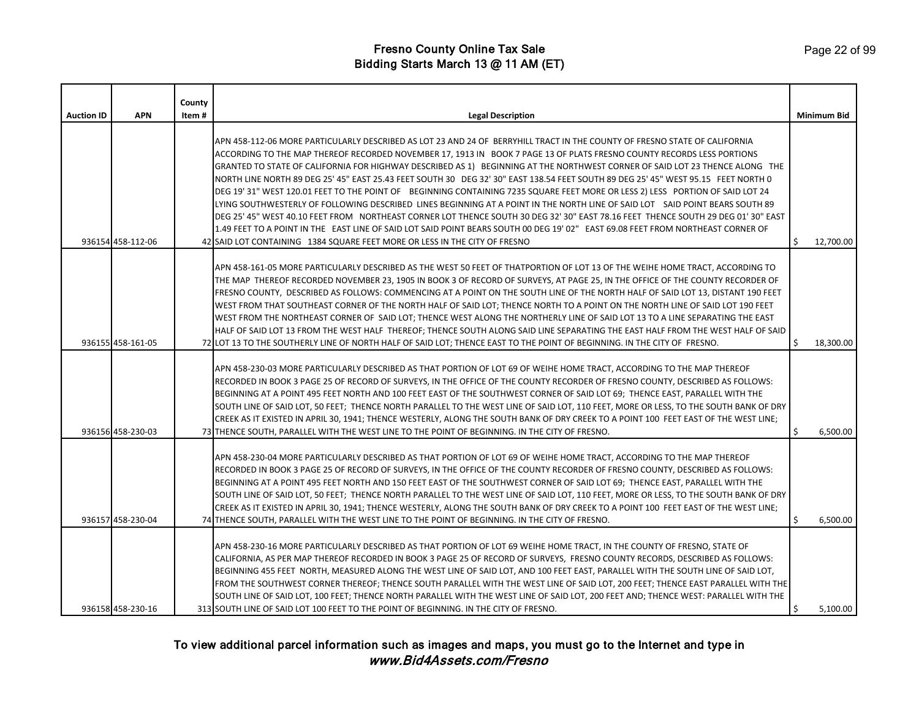|                   |                   | County |                                                                                                                                                                                                                                                                                                                                                                                                                                                                                                                                                                                                                                                                                                                                                                                                                                                                                                                                                                                                                                                                                                                                                       |                    |
|-------------------|-------------------|--------|-------------------------------------------------------------------------------------------------------------------------------------------------------------------------------------------------------------------------------------------------------------------------------------------------------------------------------------------------------------------------------------------------------------------------------------------------------------------------------------------------------------------------------------------------------------------------------------------------------------------------------------------------------------------------------------------------------------------------------------------------------------------------------------------------------------------------------------------------------------------------------------------------------------------------------------------------------------------------------------------------------------------------------------------------------------------------------------------------------------------------------------------------------|--------------------|
| <b>Auction ID</b> | <b>APN</b>        | Item#  | <b>Legal Description</b>                                                                                                                                                                                                                                                                                                                                                                                                                                                                                                                                                                                                                                                                                                                                                                                                                                                                                                                                                                                                                                                                                                                              | <b>Minimum Bid</b> |
|                   | 936154 458-112-06 |        | APN 458-112-06 MORE PARTICULARLY DESCRIBED AS LOT 23 AND 24 OF BERRYHILL TRACT IN THE COUNTY OF FRESNO STATE OF CALIFORNIA<br>ACCORDING TO THE MAP THEREOF RECORDED NOVEMBER 17, 1913 IN BOOK 7 PAGE 13 OF PLATS FRESNO COUNTY RECORDS LESS PORTIONS<br>GRANTED TO STATE OF CALIFORNIA FOR HIGHWAY DESCRIBED AS 1) BEGINNING AT THE NORTHWEST CORNER OF SAID LOT 23 THENCE ALONG THE<br>NORTH LINE NORTH 89 DEG 25' 45" EAST 25.43 FEET SOUTH 30 DEG 32' 30" EAST 138.54 FEET SOUTH 89 DEG 25' 45" WEST 95.15 FEET NORTH 0<br>DEG 19' 31" WEST 120.01 FEET TO THE POINT OF BEGINNING CONTAINING 7235 SQUARE FEET MORE OR LESS 2) LESS PORTION OF SAID LOT 24<br>LYING SOUTHWESTERLY OF FOLLOWING DESCRIBED LINES BEGINNING AT A POINT IN THE NORTH LINE OF SAID LOT SAID POINT BEARS SOUTH 89<br>DEG 25' 45" WEST 40.10 FEET FROM NORTHEAST CORNER LOT THENCE SOUTH 30 DEG 32' 30" EAST 78.16 FEET THENCE SOUTH 29 DEG 01' 30" EAST<br>1.49 FEET TO A POINT IN THE EAST LINE OF SAID LOT SAID POINT BEARS SOUTH 00 DEG 19' 02" EAST 69.08 FEET FROM NORTHEAST CORNER OF<br>42 SAID LOT CONTAINING 1384 SQUARE FEET MORE OR LESS IN THE CITY OF FRESNO | 12,700.00          |
|                   | 936155 458-161-05 |        | APN 458-161-05 MORE PARTICULARLY DESCRIBED AS THE WEST 50 FEET OF THATPORTION OF LOT 13 OF THE WEIHE HOME TRACT, ACCORDING TO<br>THE MAP THEREOF RECORDED NOVEMBER 23, 1905 IN BOOK 3 OF RECORD OF SURVEYS, AT PAGE 25, IN THE OFFICE OF THE COUNTY RECORDER OF<br>FRESNO COUNTY, DESCRIBED AS FOLLOWS: COMMENCING AT A POINT ON THE SOUTH LINE OF THE NORTH HALF OF SAID LOT 13, DISTANT 190 FEET<br>WEST FROM THAT SOUTHEAST CORNER OF THE NORTH HALF OF SAID LOT; THENCE NORTH TO A POINT ON THE NORTH LINE OF SAID LOT 190 FEET<br>WEST FROM THE NORTHEAST CORNER OF SAID LOT; THENCE WEST ALONG THE NORTHERLY LINE OF SAID LOT 13 TO A LINE SEPARATING THE EAST<br>HALF OF SAID LOT 13 FROM THE WEST HALF THEREOF; THENCE SOUTH ALONG SAID LINE SEPARATING THE EAST HALF FROM THE WEST HALF OF SAID<br>72 LOT 13 TO THE SOUTHERLY LINE OF NORTH HALF OF SAID LOT; THENCE EAST TO THE POINT OF BEGINNING. IN THE CITY OF FRESNO.                                                                                                                                                                                                                  | 18,300.00          |
|                   | 936156 458-230-03 |        | APN 458-230-03 MORE PARTICULARLY DESCRIBED AS THAT PORTION OF LOT 69 OF WEIHE HOME TRACT, ACCORDING TO THE MAP THEREOF<br>RECORDED IN BOOK 3 PAGE 25 OF RECORD OF SURVEYS, IN THE OFFICE OF THE COUNTY RECORDER OF FRESNO COUNTY, DESCRIBED AS FOLLOWS:<br>BEGINNING AT A POINT 495 FEET NORTH AND 100 FEET EAST OF THE SOUTHWEST CORNER OF SAID LOT 69; THENCE EAST, PARALLEL WITH THE<br>SOUTH LINE OF SAID LOT, 50 FEET; THENCE NORTH PARALLEL TO THE WEST LINE OF SAID LOT, 110 FEET, MORE OR LESS, TO THE SOUTH BANK OF DRY<br>CREEK AS IT EXISTED IN APRIL 30, 1941; THENCE WESTERLY, ALONG THE SOUTH BANK OF DRY CREEK TO A POINT 100 FEET EAST OF THE WEST LINE;<br>73 THENCE SOUTH, PARALLEL WITH THE WEST LINE TO THE POINT OF BEGINNING. IN THE CITY OF FRESNO.                                                                                                                                                                                                                                                                                                                                                                            | 6,500.00           |
|                   | 936157 458-230-04 |        | APN 458-230-04 MORE PARTICULARLY DESCRIBED AS THAT PORTION OF LOT 69 OF WEIHE HOME TRACT, ACCORDING TO THE MAP THEREOF<br>RECORDED IN BOOK 3 PAGE 25 OF RECORD OF SURVEYS, IN THE OFFICE OF THE COUNTY RECORDER OF FRESNO COUNTY, DESCRIBED AS FOLLOWS:<br>BEGINNING AT A POINT 495 FEET NORTH AND 150 FEET EAST OF THE SOUTHWEST CORNER OF SAID LOT 69; THENCE EAST, PARALLEL WITH THE<br>SOUTH LINE OF SAID LOT, 50 FEET; THENCE NORTH PARALLEL TO THE WEST LINE OF SAID LOT, 110 FEET, MORE OR LESS, TO THE SOUTH BANK OF DRY<br>CREEK AS IT EXISTED IN APRIL 30, 1941; THENCE WESTERLY, ALONG THE SOUTH BANK OF DRY CREEK TO A POINT 100 FEET EAST OF THE WEST LINE;<br>74 THENCE SOUTH, PARALLEL WITH THE WEST LINE TO THE POINT OF BEGINNING. IN THE CITY OF FRESNO.                                                                                                                                                                                                                                                                                                                                                                            | 6,500.00           |
|                   | 936158 458-230-16 |        | APN 458-230-16 MORE PARTICULARLY DESCRIBED AS THAT PORTION OF LOT 69 WEIHE HOME TRACT, IN THE COUNTY OF FRESNO, STATE OF<br>CALIFORNIA, AS PER MAP THEREOF RECORDED IN BOOK 3 PAGE 25 OF RECORD OF SURVEYS, FRESNO COUNTY RECORDS, DESCRIBED AS FOLLOWS:<br>BEGINNING 455 FEET NORTH, MEASURED ALONG THE WEST LINE OF SAID LOT, AND 100 FEET EAST, PARALLEL WITH THE SOUTH LINE OF SAID LOT,<br>FROM THE SOUTHWEST CORNER THEREOF; THENCE SOUTH PARALLEL WITH THE WEST LINE OF SAID LOT, 200 FEET; THENCE EAST PARALLEL WITH THE<br>SOUTH LINE OF SAID LOT, 100 FEET; THENCE NORTH PARALLEL WITH THE WEST LINE OF SAID LOT, 200 FEET AND; THENCE WEST: PARALLEL WITH THE<br>313 SOUTH LINE OF SAID LOT 100 FEET TO THE POINT OF BEGINNING. IN THE CITY OF FRESNO.                                                                                                                                                                                                                                                                                                                                                                                     | 5,100.00           |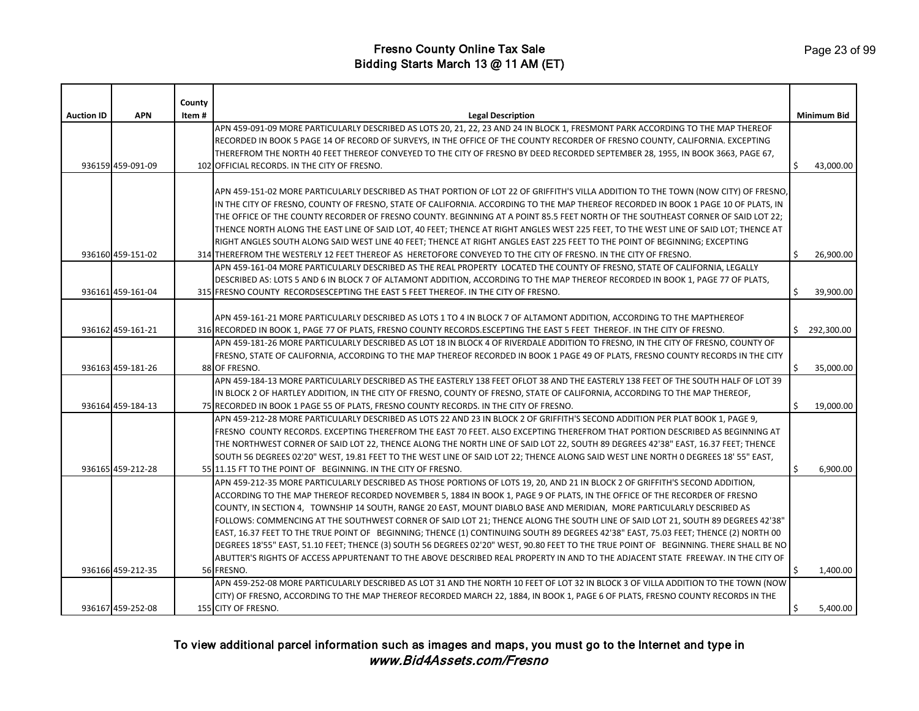|                   |                   | County |                                                                                                                                        |    |                    |
|-------------------|-------------------|--------|----------------------------------------------------------------------------------------------------------------------------------------|----|--------------------|
| <b>Auction ID</b> | <b>APN</b>        | Item#  | <b>Legal Description</b>                                                                                                               |    | <b>Minimum Bid</b> |
|                   |                   |        | APN 459-091-09 MORE PARTICULARLY DESCRIBED AS LOTS 20, 21, 22, 23 AND 24 IN BLOCK 1, FRESMONT PARK ACCORDING TO THE MAP THEREOF        |    |                    |
|                   |                   |        | RECORDED IN BOOK 5 PAGE 14 OF RECORD OF SURVEYS, IN THE OFFICE OF THE COUNTY RECORDER OF FRESNO COUNTY, CALIFORNIA. EXCEPTING          |    |                    |
|                   |                   |        | THEREFROM THE NORTH 40 FEET THEREOF CONVEYED TO THE CITY OF FRESNO BY DEED RECORDED SEPTEMBER 28, 1955, IN BOOK 3663, PAGE 67,         |    |                    |
|                   | 936159 459-091-09 |        | 102 OFFICIAL RECORDS. IN THE CITY OF FRESNO.                                                                                           | Ś  | 43,000.00          |
|                   |                   |        |                                                                                                                                        |    |                    |
|                   |                   |        | APN 459-151-02 MORE PARTICULARLY DESCRIBED AS THAT PORTION OF LOT 22 OF GRIFFITH'S VILLA ADDITION TO THE TOWN (NOW CITY) OF FRESNO,    |    |                    |
|                   |                   |        | IN THE CITY OF FRESNO, COUNTY OF FRESNO, STATE OF CALIFORNIA. ACCORDING TO THE MAP THEREOF RECORDED IN BOOK 1 PAGE 10 OF PLATS, IN     |    |                    |
|                   |                   |        | THE OFFICE OF THE COUNTY RECORDER OF FRESNO COUNTY. BEGINNING AT A POINT 85.5 FEET NORTH OF THE SOUTHEAST CORNER OF SAID LOT 22;       |    |                    |
|                   |                   |        | THENCE NORTH ALONG THE EAST LINE OF SAID LOT, 40 FEET; THENCE AT RIGHT ANGLES WEST 225 FEET, TO THE WEST LINE OF SAID LOT; THENCE AT   |    |                    |
|                   |                   |        | RIGHT ANGLES SOUTH ALONG SAID WEST LINE 40 FEET; THENCE AT RIGHT ANGLES EAST 225 FEET TO THE POINT OF BEGINNING; EXCEPTING             |    |                    |
|                   | 936160 459-151-02 |        | 314 THEREFROM THE WESTERLY 12 FEET THEREOF AS HERETOFORE CONVEYED TO THE CITY OF FRESNO. IN THE CITY OF FRESNO.                        | Ś  | 26,900.00          |
|                   |                   |        | APN 459-161-04 MORE PARTICULARLY DESCRIBED AS THE REAL PROPERTY LOCATED THE COUNTY OF FRESNO, STATE OF CALIFORNIA, LEGALLY             |    |                    |
|                   |                   |        | DESCRIBED AS: LOTS 5 AND 6 IN BLOCK 7 OF ALTAMONT ADDITION, ACCORDING TO THE MAP THEREOF RECORDED IN BOOK 1, PAGE 77 OF PLATS,         |    |                    |
|                   | 936161 459-161-04 |        | 315 FRESNO COUNTY RECORDSESCEPTING THE EAST 5 FEET THEREOF. IN THE CITY OF FRESNO.                                                     | Ś  | 39,900.00          |
|                   |                   |        |                                                                                                                                        |    |                    |
|                   |                   |        | APN 459-161-21 MORE PARTICULARLY DESCRIBED AS LOTS 1 TO 4 IN BLOCK 7 OF ALTAMONT ADDITION, ACCORDING TO THE MAPTHEREOF                 |    |                    |
|                   | 936162 459-161-21 |        | 316 RECORDED IN BOOK 1, PAGE 77 OF PLATS, FRESNO COUNTY RECORDS.ESCEPTING THE EAST 5 FEET THEREOF. IN THE CITY OF FRESNO.              | \$ | 292,300.00         |
|                   |                   |        | APN 459-181-26 MORE PARTICULARLY DESCRIBED AS LOT 18 IN BLOCK 4 OF RIVERDALE ADDITION TO FRESNO, IN THE CITY OF FRESNO, COUNTY OF      |    |                    |
|                   |                   |        | FRESNO, STATE OF CALIFORNIA, ACCORDING TO THE MAP THEREOF RECORDED IN BOOK 1 PAGE 49 OF PLATS, FRESNO COUNTY RECORDS IN THE CITY       |    |                    |
|                   | 936163 459-181-26 |        | 88 OF FRESNO.                                                                                                                          | \$ | 35,000.00          |
|                   |                   |        | APN 459-184-13 MORE PARTICULARLY DESCRIBED AS THE EASTERLY 138 FEET OFLOT 38 AND THE EASTERLY 138 FEET OF THE SOUTH HALF OF LOT 39     |    |                    |
|                   |                   |        | IN BLOCK 2 OF HARTLEY ADDITION, IN THE CITY OF FRESNO, COUNTY OF FRESNO, STATE OF CALIFORNIA, ACCORDING TO THE MAP THEREOF,            |    |                    |
|                   | 936164 459-184-13 |        | 75 RECORDED IN BOOK 1 PAGE 55 OF PLATS, FRESNO COUNTY RECORDS. IN THE CITY OF FRESNO.                                                  | \$ | 19,000.00          |
|                   |                   |        | APN 459-212-28 MORE PARTICULARLY DESCRIBED AS LOTS 22 AND 23 IN BLOCK 2 OF GRIFFITH'S SECOND ADDITION PER PLAT BOOK 1, PAGE 9,         |    |                    |
|                   |                   |        | FRESNO COUNTY RECORDS. EXCEPTING THEREFROM THE EAST 70 FEET. ALSO EXCEPTING THEREFROM THAT PORTION DESCRIBED AS BEGINNING AT           |    |                    |
|                   |                   |        | THE NORTHWEST CORNER OF SAID LOT 22, THENCE ALONG THE NORTH LINE OF SAID LOT 22, SOUTH 89 DEGREES 42'38" EAST, 16.37 FEET; THENCE      |    |                    |
|                   |                   |        | SOUTH 56 DEGREES 02'20" WEST, 19.81 FEET TO THE WEST LINE OF SAID LOT 22; THENCE ALONG SAID WEST LINE NORTH 0 DEGREES 18' 55" EAST,    |    |                    |
|                   | 936165 459-212-28 |        | 55 11.15 FT TO THE POINT OF BEGINNING. IN THE CITY OF FRESNO.                                                                          | Ś. | 6,900.00           |
|                   |                   |        | APN 459-212-35 MORE PARTICULARLY DESCRIBED AS THOSE PORTIONS OF LOTS 19, 20, AND 21 IN BLOCK 2 OF GRIFFITH'S SECOND ADDITION,          |    |                    |
|                   |                   |        | ACCORDING TO THE MAP THEREOF RECORDED NOVEMBER 5, 1884 IN BOOK 1, PAGE 9 OF PLATS, IN THE OFFICE OF THE RECORDER OF FRESNO             |    |                    |
|                   |                   |        | COUNTY, IN SECTION 4, TOWNSHIP 14 SOUTH, RANGE 20 EAST, MOUNT DIABLO BASE AND MERIDIAN, MORE PARTICULARLY DESCRIBED AS                 |    |                    |
|                   |                   |        | FOLLOWS: COMMENCING AT THE SOUTHWEST CORNER OF SAID LOT 21; THENCE ALONG THE SOUTH LINE OF SAID LOT 21, SOUTH 89 DEGREES 42'38"        |    |                    |
|                   |                   |        | EAST, 16.37 FEET TO THE TRUE POINT OF BEGINNING; THENCE (1) CONTINUING SOUTH 89 DEGREES 42'38" EAST, 75.03 FEET; THENCE (2) NORTH 00   |    |                    |
|                   |                   |        | DEGREES 18'55" EAST, 51.10 FEET; THENCE (3) SOUTH 56 DEGREES 02'20" WEST, 90.80 FEET TO THE TRUE POINT OF BEGINNING. THERE SHALL BE NO |    |                    |
|                   |                   |        | ABUTTER'S RIGHTS OF ACCESS APPURTENANT TO THE ABOVE DESCRIBED REAL PROPERTY IN AND TO THE ADJACENT STATE FREEWAY. IN THE CITY OF       |    |                    |
|                   | 936166 459-212-35 |        | 56 FRESNO.                                                                                                                             |    | 1,400.00           |
|                   |                   |        | APN 459-252-08 MORE PARTICULARLY DESCRIBED AS LOT 31 AND THE NORTH 10 FEET OF LOT 32 IN BLOCK 3 OF VILLA ADDITION TO THE TOWN (NOW     |    |                    |
|                   |                   |        | CITY) OF FRESNO, ACCORDING TO THE MAP THEREOF RECORDED MARCH 22, 1884, IN BOOK 1, PAGE 6 OF PLATS, FRESNO COUNTY RECORDS IN THE        |    |                    |
|                   | 936167 459-252-08 |        | 155 CITY OF FRESNO.                                                                                                                    |    | 5,400.00           |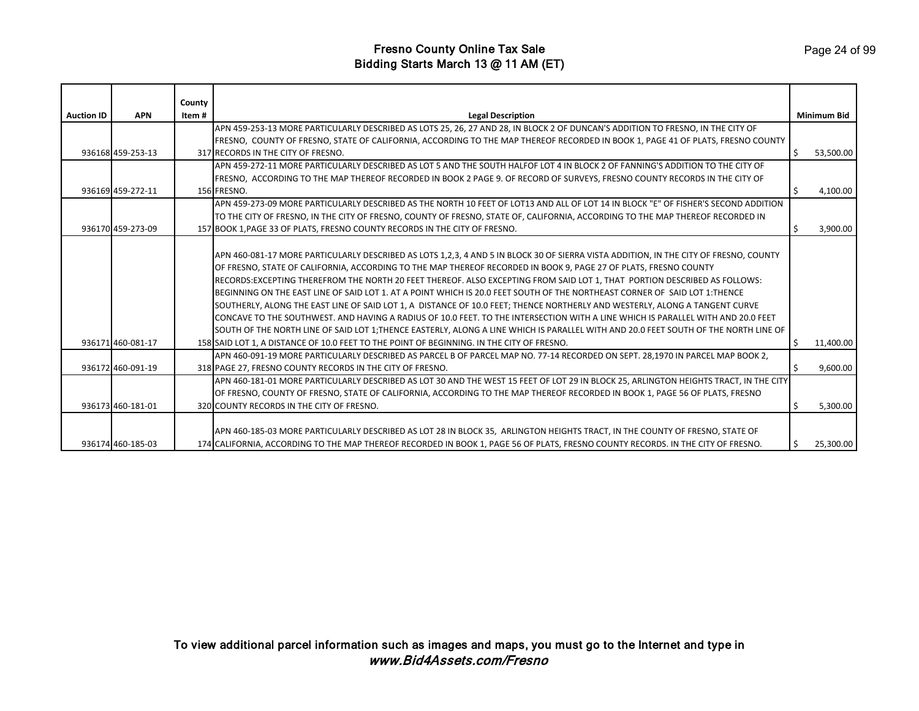|                   |                   | County |                                                                                                                                       |    |                    |
|-------------------|-------------------|--------|---------------------------------------------------------------------------------------------------------------------------------------|----|--------------------|
| <b>Auction ID</b> | <b>APN</b>        | Item # | <b>Legal Description</b>                                                                                                              |    | <b>Minimum Bid</b> |
|                   |                   |        | APN 459-253-13 MORE PARTICULARLY DESCRIBED AS LOTS 25, 26, 27 AND 28, IN BLOCK 2 OF DUNCAN'S ADDITION TO FRESNO, IN THE CITY OF       |    |                    |
|                   |                   |        | FRESNO, COUNTY OF FRESNO, STATE OF CALIFORNIA, ACCORDING TO THE MAP THEREOF RECORDED IN BOOK 1, PAGE 41 OF PLATS, FRESNO COUNTY       |    |                    |
|                   | 936168 459-253-13 |        | 317 RECORDS IN THE CITY OF FRESNO.                                                                                                    |    | 53,500.00          |
|                   |                   |        | APN 459-272-11 MORE PARTICULARLY DESCRIBED AS LOT 5 AND THE SOUTH HALFOF LOT 4 IN BLOCK 2 OF FANNING'S ADDITION TO THE CITY OF        |    |                    |
|                   |                   |        | FRESNO, ACCORDING TO THE MAP THEREOF RECORDED IN BOOK 2 PAGE 9. OF RECORD OF SURVEYS, FRESNO COUNTY RECORDS IN THE CITY OF            |    |                    |
|                   | 936169 459-272-11 |        | 156 FRESNO.                                                                                                                           |    | 4,100.00           |
|                   |                   |        | LAPN 459-273-09 MORE PARTICULARLY DESCRIBED AS THE NORTH 10 FEET OF LOT13 AND ALL OF LOT 14 IN BLOCK "E" OF FISHER'S SECOND ADDITION  |    |                    |
|                   |                   |        | TO THE CITY OF FRESNO, IN THE CITY OF FRESNO, COUNTY OF FRESNO, STATE OF, CALIFORNIA, ACCORDING TO THE MAP THEREOF RECORDED IN        |    |                    |
|                   | 936170 459-273-09 |        | 157 BOOK 1, PAGE 33 OF PLATS, FRESNO COUNTY RECORDS IN THE CITY OF FRESNO.                                                            |    | 3,900.00           |
|                   |                   |        |                                                                                                                                       |    |                    |
|                   |                   |        | APN 460-081-17 MORE PARTICULARLY DESCRIBED AS LOTS 1,2,3, 4 AND 5 IN BLOCK 30 OF SIERRA VISTA ADDITION, IN THE CITY OF FRESNO, COUNTY |    |                    |
|                   |                   |        | OF FRESNO, STATE OF CALIFORNIA, ACCORDING TO THE MAP THEREOF RECORDED IN BOOK 9, PAGE 27 OF PLATS, FRESNO COUNTY                      |    |                    |
|                   |                   |        | RECORDS:EXCEPTING THEREFROM THE NORTH 20 FEET THEREOF. ALSO EXCEPTING FROM SAID LOT 1, THAT PORTION DESCRIBED AS FOLLOWS:             |    |                    |
|                   |                   |        | BEGINNING ON THE EAST LINE OF SAID LOT 1. AT A POINT WHICH IS 20.0 FEET SOUTH OF THE NORTHEAST CORNER OF SAID LOT 1:THENCE            |    |                    |
|                   |                   |        | SOUTHERLY, ALONG THE EAST LINE OF SAID LOT 1, A DISTANCE OF 10.0 FEET; THENCE NORTHERLY AND WESTERLY, ALONG A TANGENT CURVE           |    |                    |
|                   |                   |        | CONCAVE TO THE SOUTHWEST. AND HAVING A RADIUS OF 10.0 FEET. TO THE INTERSECTION WITH A LINE WHICH IS PARALLEL WITH AND 20.0 FEET      |    |                    |
|                   |                   |        | SOUTH OF THE NORTH LINE OF SAID LOT 1;THENCE EASTERLY, ALONG A LINE WHICH IS PARALLEL WITH AND 20.0 FEET SOUTH OF THE NORTH LINE OF   |    |                    |
|                   | 936171 460-081-17 |        | 158 SAID LOT 1, A DISTANCE OF 10.0 FEET TO THE POINT OF BEGINNING. IN THE CITY OF FRESNO.                                             | Ŝ. | 11,400.00          |
|                   |                   |        | APN 460-091-19 MORE PARTICULARLY DESCRIBED AS PARCEL B OF PARCEL MAP NO. 77-14 RECORDED ON SEPT. 28,1970 IN PARCEL MAP BOOK 2,        |    |                    |
|                   | 936172 460-091-19 |        | 318 PAGE 27, FRESNO COUNTY RECORDS IN THE CITY OF FRESNO.                                                                             |    | 9.600.00           |
|                   |                   |        | APN 460-181-01 MORE PARTICULARLY DESCRIBED AS LOT 30 AND THE WEST 15 FEET OF LOT 29 IN BLOCK 25, ARLINGTON HEIGHTS TRACT, IN THE CITY |    |                    |
|                   |                   |        | OF FRESNO, COUNTY OF FRESNO, STATE OF CALIFORNIA, ACCORDING TO THE MAP THEREOF RECORDED IN BOOK 1, PAGE 56 OF PLATS, FRESNO           |    |                    |
|                   | 936173 460-181-01 |        | 320 COUNTY RECORDS IN THE CITY OF FRESNO.                                                                                             |    | 5,300.00           |
|                   |                   |        |                                                                                                                                       |    |                    |
|                   |                   |        | APN 460-185-03 MORE PARTICULARLY DESCRIBED AS LOT 28 IN BLOCK 35, ARLINGTON HEIGHTS TRACT, IN THE COUNTY OF FRESNO, STATE OF          |    |                    |
|                   | 936174 460-185-03 |        | 174 CALIFORNIA, ACCORDING TO THE MAP THEREOF RECORDED IN BOOK 1, PAGE 56 OF PLATS, FRESNO COUNTY RECORDS. IN THE CITY OF FRESNO.      |    | 25,300.00          |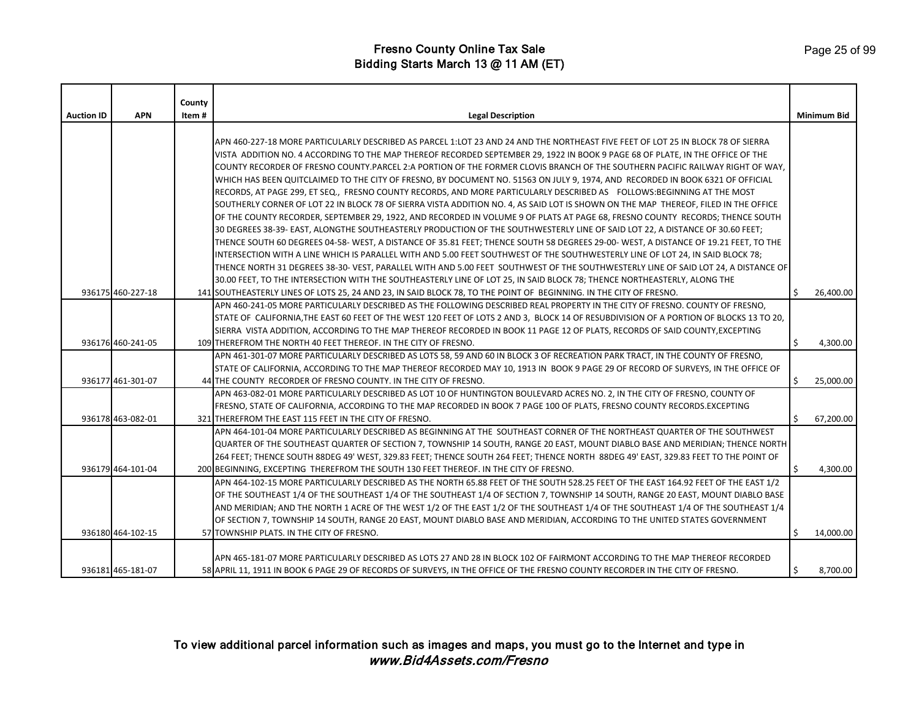| <b>Auction ID</b> | <b>APN</b>        | County<br>Item # | <b>Legal Description</b>                                                                                                               |    | <b>Minimum Bid</b> |
|-------------------|-------------------|------------------|----------------------------------------------------------------------------------------------------------------------------------------|----|--------------------|
|                   |                   |                  |                                                                                                                                        |    |                    |
|                   |                   |                  | APN 460-227-18 MORE PARTICULARLY DESCRIBED AS PARCEL 1:LOT 23 AND 24 AND THE NORTHEAST FIVE FEET OF LOT 25 IN BLOCK 78 OF SIERRA       |    |                    |
|                   |                   |                  | VISTA ADDITION NO. 4 ACCORDING TO THE MAP THEREOF RECORDED SEPTEMBER 29, 1922 IN BOOK 9 PAGE 68 OF PLATE, IN THE OFFICE OF THE         |    |                    |
|                   |                   |                  | COUNTY RECORDER OF FRESNO COUNTY PARCEL 2:A PORTION OF THE FORMER CLOVIS BRANCH OF THE SOUTHERN PACIFIC RAILWAY RIGHT OF WAY,          |    |                    |
|                   |                   |                  | WHICH HAS BEEN QUITCLAIMED TO THE CITY OF FRESNO, BY DOCUMENT NO. 51563 ON JULY 9, 1974, AND RECORDED IN BOOK 6321 OF OFFICIAL         |    |                    |
|                   |                   |                  | RECORDS, AT PAGE 299, ET SEQ., FRESNO COUNTY RECORDS, AND MORE PARTICULARLY DESCRIBED AS FOLLOWS:BEGINNING AT THE MOST                 |    |                    |
|                   |                   |                  | SOUTHERLY CORNER OF LOT 22 IN BLOCK 78 OF SIERRA VISTA ADDITION NO. 4, AS SAID LOT IS SHOWN ON THE MAP THEREOF, FILED IN THE OFFICE    |    |                    |
|                   |                   |                  | OF THE COUNTY RECORDER, SEPTEMBER 29, 1922, AND RECORDED IN VOLUME 9 OF PLATS AT PAGE 68, FRESNO COUNTY RECORDS; THENCE SOUTH          |    |                    |
|                   |                   |                  | 30 DEGREES 38-39- EAST, ALONGTHE SOUTHEASTERLY PRODUCTION OF THE SOUTHWESTERLY LINE OF SAID LOT 22, A DISTANCE OF 30.60 FEET;          |    |                    |
|                   |                   |                  | THENCE SOUTH 60 DEGREES 04-58-WEST, A DISTANCE OF 35.81 FEET; THENCE SOUTH 58 DEGREES 29-00-WEST, A DISTANCE OF 19.21 FEET, TO THE     |    |                    |
|                   |                   |                  | INTERSECTION WITH A LINE WHICH IS PARALLEL WITH AND 5.00 FEET SOUTHWEST OF THE SOUTHWESTERLY LINE OF LOT 24, IN SAID BLOCK 78;         |    |                    |
|                   |                   |                  | THENCE NORTH 31 DEGREES 38-30-VEST, PARALLEL WITH AND 5.00 FEET SOUTHWEST OF THE SOUTHWESTERLY LINE OF SAID LOT 24, A DISTANCE OF      |    |                    |
|                   |                   |                  | 30.00 FEET, TO THE INTERSECTION WITH THE SOUTHEASTERLY LINE OF LOT 25, IN SAID BLOCK 78; THENCE NORTHEASTERLY, ALONG THE               |    |                    |
|                   | 936175 460-227-18 |                  | 141 SOUTHEASTERLY LINES OF LOTS 25, 24 AND 23, IN SAID BLOCK 78, TO THE POINT OF BEGINNING. IN THE CITY OF FRESNO.                     | Ŝ. | 26,400.00          |
|                   |                   |                  | APN 460-241-05 MORE PARTICULARLY DESCRIBED AS THE FOLLOWING DESCRIBED REAL PROPERTY IN THE CITY OF FRESNO. COUNTY OF FRESNO,           |    |                    |
|                   |                   |                  | STATE OF CALIFORNIA, THE EAST 60 FEET OF THE WEST 120 FEET OF LOTS 2 AND 3, BLOCK 14 OF RESUBDIVISION OF A PORTION OF BLOCKS 13 TO 20, |    |                    |
|                   |                   |                  | SIERRA VISTA ADDITION, ACCORDING TO THE MAP THEREOF RECORDED IN BOOK 11 PAGE 12 OF PLATS, RECORDS OF SAID COUNTY,EXCEPTING             |    |                    |
|                   | 936176 460-241-05 |                  | 109 THEREFROM THE NORTH 40 FEET THEREOF. IN THE CITY OF FRESNO.                                                                        | \$ | 4,300.00           |
|                   |                   |                  | APN 461-301-07 MORE PARTICULARLY DESCRIBED AS LOTS 58, 59 AND 60 IN BLOCK 3 OF RECREATION PARK TRACT, IN THE COUNTY OF FRESNO,         |    |                    |
|                   |                   |                  | STATE OF CALIFORNIA, ACCORDING TO THE MAP THEREOF RECORDED MAY 10, 1913 IN BOOK 9 PAGE 29 OF RECORD OF SURVEYS, IN THE OFFICE OF       |    |                    |
|                   | 936177 461-301-07 |                  | 44 THE COUNTY RECORDER OF FRESNO COUNTY. IN THE CITY OF FRESNO.                                                                        | \$ | 25,000.00          |
|                   |                   |                  | APN 463-082-01 MORE PARTICULARLY DESCRIBED AS LOT 10 OF HUNTINGTON BOULEVARD ACRES NO. 2, IN THE CITY OF FRESNO, COUNTY OF             |    |                    |
|                   |                   |                  | FRESNO, STATE OF CALIFORNIA, ACCORDING TO THE MAP RECORDED IN BOOK 7 PAGE 100 OF PLATS, FRESNO COUNTY RECORDS.EXCEPTING                |    |                    |
|                   | 936178 463-082-01 |                  | 321 THEREFROM THE EAST 115 FEET IN THE CITY OF FRESNO.                                                                                 | Ś. | 67,200.00          |
|                   |                   |                  | APN 464-101-04 MORE PARTICULARLY DESCRIBED AS BEGINNING AT THE SOUTHEAST CORNER OF THE NORTHEAST QUARTER OF THE SOUTHWEST              |    |                    |
|                   |                   |                  | QUARTER OF THE SOUTHEAST QUARTER OF SECTION 7, TOWNSHIP 14 SOUTH, RANGE 20 EAST, MOUNT DIABLO BASE AND MERIDIAN; THENCE NORTH          |    |                    |
|                   |                   |                  | 264 FEET; THENCE SOUTH 88DEG 49' WEST, 329.83 FEET; THENCE SOUTH 264 FEET; THENCE NORTH 88DEG 49' EAST, 329.83 FEET TO THE POINT OF    |    |                    |
|                   | 936179 464-101-04 |                  | 200 BEGINNING, EXCEPTING THEREFROM THE SOUTH 130 FEET THEREOF. IN THE CITY OF FRESNO.                                                  |    | 4.300.00           |
|                   |                   |                  | APN 464-102-15 MORE PARTICULARLY DESCRIBED AS THE NORTH 65.88 FEET OF THE SOUTH 528.25 FEET OF THE EAST 164.92 FEET OF THE EAST 1/2    |    |                    |
|                   |                   |                  | OF THE SOUTHEAST 1/4 OF THE SOUTHEAST 1/4 OF THE SOUTHEAST 1/4 OF SECTION 7, TOWNSHIP 14 SOUTH, RANGE 20 EAST, MOUNT DIABLO BASE       |    |                    |
|                   |                   |                  | AND MERIDIAN; AND THE NORTH 1 ACRE OF THE WEST 1/2 OF THE EAST 1/2 OF THE SOUTHEAST 1/4 OF THE SOUTHEAST 1/4 OF THE SOUTHEAST 1/4      |    |                    |
|                   |                   |                  | OF SECTION 7, TOWNSHIP 14 SOUTH, RANGE 20 EAST, MOUNT DIABLO BASE AND MERIDIAN, ACCORDING TO THE UNITED STATES GOVERNMENT              |    |                    |
|                   | 936180 464-102-15 |                  | 57 TOWNSHIP PLATS. IN THE CITY OF FRESNO.                                                                                              |    | 14,000.00          |
|                   |                   |                  |                                                                                                                                        |    |                    |
|                   |                   |                  | APN 465-181-07 MORE PARTICULARLY DESCRIBED AS LOTS 27 AND 28 IN BLOCK 102 OF FAIRMONT ACCORDING TO THE MAP THEREOF RECORDED            |    |                    |
|                   | 936181 465-181-07 |                  | 58 APRIL 11, 1911 IN BOOK 6 PAGE 29 OF RECORDS OF SURVEYS, IN THE OFFICE OF THE FRESNO COUNTY RECORDER IN THE CITY OF FRESNO.          | Ś. | 8,700.00           |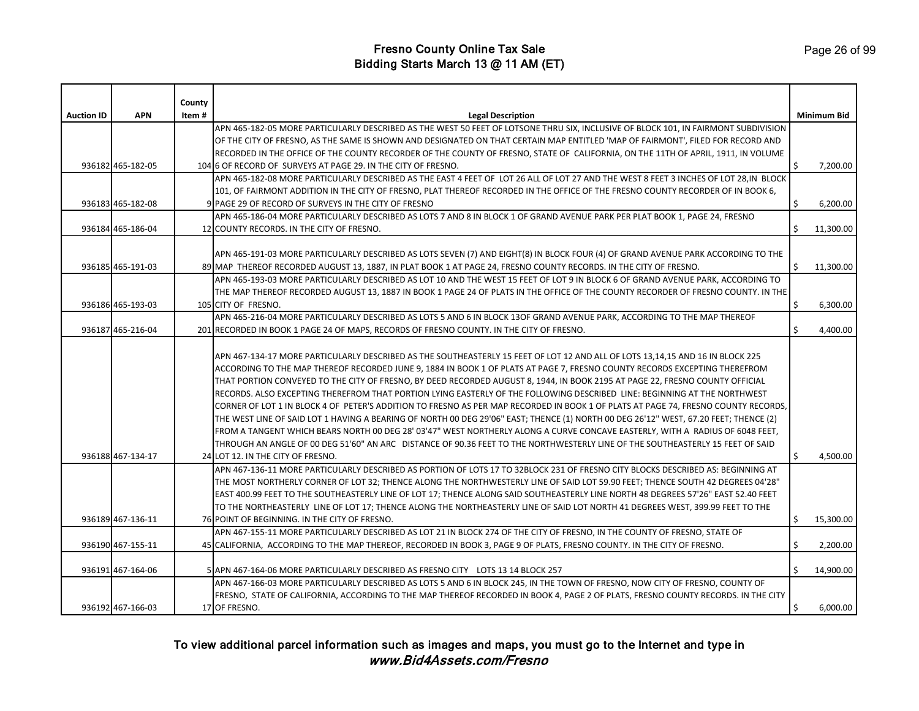|                   |                   | County |                                                                                                                                                                                                                                                                                                                                                                                                                                                                                                                                                                                                                                                                                                                                                                                                                                                                                                                                                                                                                                                                                                                                                                                                                                                                                                                                                                                                                                                                                                                                                                                                                                                                  |    |             |
|-------------------|-------------------|--------|------------------------------------------------------------------------------------------------------------------------------------------------------------------------------------------------------------------------------------------------------------------------------------------------------------------------------------------------------------------------------------------------------------------------------------------------------------------------------------------------------------------------------------------------------------------------------------------------------------------------------------------------------------------------------------------------------------------------------------------------------------------------------------------------------------------------------------------------------------------------------------------------------------------------------------------------------------------------------------------------------------------------------------------------------------------------------------------------------------------------------------------------------------------------------------------------------------------------------------------------------------------------------------------------------------------------------------------------------------------------------------------------------------------------------------------------------------------------------------------------------------------------------------------------------------------------------------------------------------------------------------------------------------------|----|-------------|
| <b>Auction ID</b> | <b>APN</b>        | Item#  | <b>Legal Description</b>                                                                                                                                                                                                                                                                                                                                                                                                                                                                                                                                                                                                                                                                                                                                                                                                                                                                                                                                                                                                                                                                                                                                                                                                                                                                                                                                                                                                                                                                                                                                                                                                                                         |    | Minimum Bid |
|                   |                   |        | APN 465-182-05 MORE PARTICULARLY DESCRIBED AS THE WEST 50 FEET OF LOTSONE THRU SIX, INCLUSIVE OF BLOCK 101, IN FAIRMONT SUBDIVISION                                                                                                                                                                                                                                                                                                                                                                                                                                                                                                                                                                                                                                                                                                                                                                                                                                                                                                                                                                                                                                                                                                                                                                                                                                                                                                                                                                                                                                                                                                                              |    |             |
|                   |                   |        | OF THE CITY OF FRESNO, AS THE SAME IS SHOWN AND DESIGNATED ON THAT CERTAIN MAP ENTITLED 'MAP OF FAIRMONT', FILED FOR RECORD AND                                                                                                                                                                                                                                                                                                                                                                                                                                                                                                                                                                                                                                                                                                                                                                                                                                                                                                                                                                                                                                                                                                                                                                                                                                                                                                                                                                                                                                                                                                                                  |    |             |
|                   |                   |        | RECORDED IN THE OFFICE OF THE COUNTY RECORDER OF THE COUNTY OF FRESNO, STATE OF CALIFORNIA, ON THE 11TH OF APRIL, 1911, IN VOLUME                                                                                                                                                                                                                                                                                                                                                                                                                                                                                                                                                                                                                                                                                                                                                                                                                                                                                                                                                                                                                                                                                                                                                                                                                                                                                                                                                                                                                                                                                                                                |    |             |
|                   | 936182 465-182-05 |        | 104 6 OF RECORD OF SURVEYS AT PAGE 29. IN THE CITY OF FRESNO.                                                                                                                                                                                                                                                                                                                                                                                                                                                                                                                                                                                                                                                                                                                                                                                                                                                                                                                                                                                                                                                                                                                                                                                                                                                                                                                                                                                                                                                                                                                                                                                                    | \$ | 7,200.00    |
|                   |                   |        | APN 465-182-08 MORE PARTICULARLY DESCRIBED AS THE EAST 4 FEET OF LOT 26 ALL OF LOT 27 AND THE WEST 8 FEET 3 INCHES OF LOT 28, IN BLOCK                                                                                                                                                                                                                                                                                                                                                                                                                                                                                                                                                                                                                                                                                                                                                                                                                                                                                                                                                                                                                                                                                                                                                                                                                                                                                                                                                                                                                                                                                                                           |    |             |
|                   |                   |        | 101, OF FAIRMONT ADDITION IN THE CITY OF FRESNO, PLAT THEREOF RECORDED IN THE OFFICE OF THE FRESNO COUNTY RECORDER OF IN BOOK 6,                                                                                                                                                                                                                                                                                                                                                                                                                                                                                                                                                                                                                                                                                                                                                                                                                                                                                                                                                                                                                                                                                                                                                                                                                                                                                                                                                                                                                                                                                                                                 |    |             |
|                   | 936183 465-182-08 |        | 9 PAGE 29 OF RECORD OF SURVEYS IN THE CITY OF FRESNO                                                                                                                                                                                                                                                                                                                                                                                                                                                                                                                                                                                                                                                                                                                                                                                                                                                                                                                                                                                                                                                                                                                                                                                                                                                                                                                                                                                                                                                                                                                                                                                                             | \$ | 6,200.00    |
|                   |                   |        | APN 465-186-04 MORE PARTICULARLY DESCRIBED AS LOTS 7 AND 8 IN BLOCK 1 OF GRAND AVENUE PARK PER PLAT BOOK 1, PAGE 24, FRESNO                                                                                                                                                                                                                                                                                                                                                                                                                                                                                                                                                                                                                                                                                                                                                                                                                                                                                                                                                                                                                                                                                                                                                                                                                                                                                                                                                                                                                                                                                                                                      |    |             |
|                   | 936184 465-186-04 |        | 12 COUNTY RECORDS. IN THE CITY OF FRESNO.                                                                                                                                                                                                                                                                                                                                                                                                                                                                                                                                                                                                                                                                                                                                                                                                                                                                                                                                                                                                                                                                                                                                                                                                                                                                                                                                                                                                                                                                                                                                                                                                                        | Ŝ. | 11,300.00   |
|                   |                   |        |                                                                                                                                                                                                                                                                                                                                                                                                                                                                                                                                                                                                                                                                                                                                                                                                                                                                                                                                                                                                                                                                                                                                                                                                                                                                                                                                                                                                                                                                                                                                                                                                                                                                  |    |             |
|                   |                   |        | APN 465-191-03 MORE PARTICULARLY DESCRIBED AS LOTS SEVEN (7) AND EIGHT(8) IN BLOCK FOUR (4) OF GRAND AVENUE PARK ACCORDING TO THE                                                                                                                                                                                                                                                                                                                                                                                                                                                                                                                                                                                                                                                                                                                                                                                                                                                                                                                                                                                                                                                                                                                                                                                                                                                                                                                                                                                                                                                                                                                                |    |             |
|                   | 936185 465-191-03 |        | 89 MAP THEREOF RECORDED AUGUST 13, 1887, IN PLAT BOOK 1 AT PAGE 24, FRESNO COUNTY RECORDS. IN THE CITY OF FRESNO.                                                                                                                                                                                                                                                                                                                                                                                                                                                                                                                                                                                                                                                                                                                                                                                                                                                                                                                                                                                                                                                                                                                                                                                                                                                                                                                                                                                                                                                                                                                                                | \$ | 11,300.00   |
|                   |                   |        | APN 465-193-03 MORE PARTICULARLY DESCRIBED AS LOT 10 AND THE WEST 15 FEET OF LOT 9 IN BLOCK 6 OF GRAND AVENUE PARK, ACCORDING TO                                                                                                                                                                                                                                                                                                                                                                                                                                                                                                                                                                                                                                                                                                                                                                                                                                                                                                                                                                                                                                                                                                                                                                                                                                                                                                                                                                                                                                                                                                                                 |    |             |
|                   |                   |        | THE MAP THEREOF RECORDED AUGUST 13, 1887 IN BOOK 1 PAGE 24 OF PLATS IN THE OFFICE OF THE COUNTY RECORDER OF FRESNO COUNTY. IN THE                                                                                                                                                                                                                                                                                                                                                                                                                                                                                                                                                                                                                                                                                                                                                                                                                                                                                                                                                                                                                                                                                                                                                                                                                                                                                                                                                                                                                                                                                                                                |    |             |
|                   | 936186 465-193-03 |        | 105 CITY OF FRESNO.                                                                                                                                                                                                                                                                                                                                                                                                                                                                                                                                                                                                                                                                                                                                                                                                                                                                                                                                                                                                                                                                                                                                                                                                                                                                                                                                                                                                                                                                                                                                                                                                                                              | \$ | 6,300.00    |
|                   |                   |        | APN 465-216-04 MORE PARTICULARLY DESCRIBED AS LOTS 5 AND 6 IN BLOCK 13OF GRAND AVENUE PARK, ACCORDING TO THE MAP THEREOF                                                                                                                                                                                                                                                                                                                                                                                                                                                                                                                                                                                                                                                                                                                                                                                                                                                                                                                                                                                                                                                                                                                                                                                                                                                                                                                                                                                                                                                                                                                                         |    |             |
|                   | 936187 465-216-04 |        | 201 RECORDED IN BOOK 1 PAGE 24 OF MAPS, RECORDS OF FRESNO COUNTY. IN THE CITY OF FRESNO.                                                                                                                                                                                                                                                                                                                                                                                                                                                                                                                                                                                                                                                                                                                                                                                                                                                                                                                                                                                                                                                                                                                                                                                                                                                                                                                                                                                                                                                                                                                                                                         | Ŝ. | 4,400.00    |
|                   | 936188 467-134-17 |        | APN 467-134-17 MORE PARTICULARLY DESCRIBED AS THE SOUTHEASTERLY 15 FEET OF LOT 12 AND ALL OF LOTS 13,14,15 AND 16 IN BLOCK 225<br>ACCORDING TO THE MAP THEREOF RECORDED JUNE 9, 1884 IN BOOK 1 OF PLATS AT PAGE 7, FRESNO COUNTY RECORDS EXCEPTING THEREFROM<br>THAT PORTION CONVEYED TO THE CITY OF FRESNO, BY DEED RECORDED AUGUST 8, 1944, IN BOOK 2195 AT PAGE 22, FRESNO COUNTY OFFICIAL<br>RECORDS. ALSO EXCEPTING THEREFROM THAT PORTION LYING EASTERLY OF THE FOLLOWING DESCRIBED LINE: BEGINNING AT THE NORTHWEST<br>CORNER OF LOT 1 IN BLOCK 4 OF PETER'S ADDITION TO FRESNO AS PER MAP RECORDED IN BOOK 1 OF PLATS AT PAGE 74, FRESNO COUNTY RECORDS,<br>THE WEST LINE OF SAID LOT 1 HAVING A BEARING OF NORTH 00 DEG 29'06" EAST; THENCE (1) NORTH 00 DEG 26'12" WEST, 67.20 FEET; THENCE (2)<br>FROM A TANGENT WHICH BEARS NORTH 00 DEG 28' 03'47" WEST NORTHERLY ALONG A CURVE CONCAVE EASTERLY, WITH A RADIUS OF 6048 FEET,<br>THROUGH AN ANGLE OF 00 DEG 51'60" AN ARC DISTANCE OF 90.36 FEET TO THE NORTHWESTERLY LINE OF THE SOUTHEASTERLY 15 FEET OF SAID<br>24 LOT 12. IN THE CITY OF FRESNO.<br>APN 467-136-11 MORE PARTICULARLY DESCRIBED AS PORTION OF LOTS 17 TO 32BLOCK 231 OF FRESNO CITY BLOCKS DESCRIBED AS: BEGINNING AT<br>THE MOST NORTHERLY CORNER OF LOT 32; THENCE ALONG THE NORTHWESTERLY LINE OF SAID LOT 59.90 FEET; THENCE SOUTH 42 DEGREES 04'28"<br>EAST 400.99 FEET TO THE SOUTHEASTERLY LINE OF LOT 17; THENCE ALONG SAID SOUTHEASTERLY LINE NORTH 48 DEGREES 57'26" EAST 52.40 FEET<br>TO THE NORTHEASTERLY LINE OF LOT 17; THENCE ALONG THE NORTHEASTERLY LINE OF SAID LOT NORTH 41 DEGREES WEST, 399.99 FEET TO THE | Ś. | 4,500.00    |
|                   | 936189 467-136-11 |        | 76 POINT OF BEGINNING. IN THE CITY OF FRESNO.                                                                                                                                                                                                                                                                                                                                                                                                                                                                                                                                                                                                                                                                                                                                                                                                                                                                                                                                                                                                                                                                                                                                                                                                                                                                                                                                                                                                                                                                                                                                                                                                                    | \$ | 15,300.00   |
|                   |                   |        | APN 467-155-11 MORE PARTICULARLY DESCRIBED AS LOT 21 IN BLOCK 274 OF THE CITY OF FRESNO, IN THE COUNTY OF FRESNO, STATE OF                                                                                                                                                                                                                                                                                                                                                                                                                                                                                                                                                                                                                                                                                                                                                                                                                                                                                                                                                                                                                                                                                                                                                                                                                                                                                                                                                                                                                                                                                                                                       |    |             |
|                   | 936190 467-155-11 |        | 45 CALIFORNIA, ACCORDING TO THE MAP THEREOF, RECORDED IN BOOK 3, PAGE 9 OF PLATS, FRESNO COUNTY. IN THE CITY OF FRESNO.                                                                                                                                                                                                                                                                                                                                                                                                                                                                                                                                                                                                                                                                                                                                                                                                                                                                                                                                                                                                                                                                                                                                                                                                                                                                                                                                                                                                                                                                                                                                          | \$ | 2,200.00    |
|                   | 936191 467-164-06 |        | 5 APN 467-164-06 MORE PARTICULARLY DESCRIBED AS FRESNO CITY LOTS 13 14 BLOCK 257<br>APN 467-166-03 MORE PARTICULARLY DESCRIBED AS LOTS 5 AND 6 IN BLOCK 245, IN THE TOWN OF FRESNO, NOW CITY OF FRESNO, COUNTY OF                                                                                                                                                                                                                                                                                                                                                                                                                                                                                                                                                                                                                                                                                                                                                                                                                                                                                                                                                                                                                                                                                                                                                                                                                                                                                                                                                                                                                                                | Ŝ. | 14,900.00   |
|                   |                   |        | FRESNO, STATE OF CALIFORNIA, ACCORDING TO THE MAP THEREOF RECORDED IN BOOK 4, PAGE 2 OF PLATS, FRESNO COUNTY RECORDS. IN THE CITY                                                                                                                                                                                                                                                                                                                                                                                                                                                                                                                                                                                                                                                                                                                                                                                                                                                                                                                                                                                                                                                                                                                                                                                                                                                                                                                                                                                                                                                                                                                                |    |             |
|                   | 936192 467-166-03 |        | 17 OF FRESNO.                                                                                                                                                                                                                                                                                                                                                                                                                                                                                                                                                                                                                                                                                                                                                                                                                                                                                                                                                                                                                                                                                                                                                                                                                                                                                                                                                                                                                                                                                                                                                                                                                                                    | Ŝ. | 6,000.00    |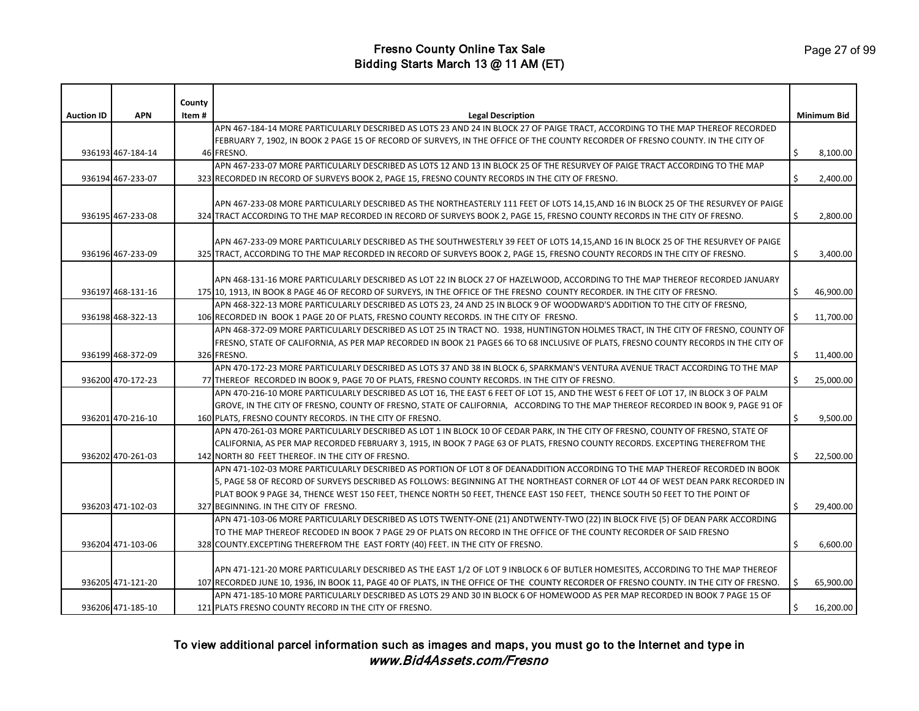|                   |                   | County |                                                                                                                                         |    |             |
|-------------------|-------------------|--------|-----------------------------------------------------------------------------------------------------------------------------------------|----|-------------|
| <b>Auction ID</b> | <b>APN</b>        | Item # | <b>Legal Description</b>                                                                                                                |    | Minimum Bid |
|                   |                   |        | APN 467-184-14 MORE PARTICULARLY DESCRIBED AS LOTS 23 AND 24 IN BLOCK 27 OF PAIGE TRACT, ACCORDING TO THE MAP THEREOF RECORDED          |    |             |
|                   |                   |        | FEBRUARY 7, 1902, IN BOOK 2 PAGE 15 OF RECORD OF SURVEYS, IN THE OFFICE OF THE COUNTY RECORDER OF FRESNO COUNTY. IN THE CITY OF         |    |             |
|                   | 936193 467-184-14 |        | 46 FRESNO.                                                                                                                              | Ŝ. | 8,100.00    |
|                   |                   |        | APN 467-233-07 MORE PARTICULARLY DESCRIBED AS LOTS 12 AND 13 IN BLOCK 25 OF THE RESURVEY OF PAIGE TRACT ACCORDING TO THE MAP            |    |             |
|                   | 936194 467-233-07 |        | 323 RECORDED IN RECORD OF SURVEYS BOOK 2, PAGE 15, FRESNO COUNTY RECORDS IN THE CITY OF FRESNO.                                         | Ŝ. | 2,400.00    |
|                   |                   |        |                                                                                                                                         |    |             |
|                   |                   |        | APN 467-233-08 MORE PARTICULARLY DESCRIBED AS THE NORTHEASTERLY 111 FEET OF LOTS 14,15,AND 16 IN BLOCK 25 OF THE RESURVEY OF PAIGE      |    |             |
|                   | 936195 467-233-08 |        | 324 TRACT ACCORDING TO THE MAP RECORDED IN RECORD OF SURVEYS BOOK 2, PAGE 15, FRESNO COUNTY RECORDS IN THE CITY OF FRESNO.              | \$ | 2,800.00    |
|                   |                   |        |                                                                                                                                         |    |             |
|                   |                   |        | APN 467-233-09 MORE PARTICULARLY DESCRIBED AS THE SOUTHWESTERLY 39 FEET OF LOTS 14,15,AND 16 IN BLOCK 25 OF THE RESURVEY OF PAIGE       |    |             |
|                   | 936196 467-233-09 |        | 325 TRACT, ACCORDING TO THE MAP RECORDED IN RECORD OF SURVEYS BOOK 2, PAGE 15, FRESNO COUNTY RECORDS IN THE CITY OF FRESNO.             | \$ | 3,400.00    |
|                   |                   |        |                                                                                                                                         |    |             |
|                   |                   |        | APN 468-131-16 MORE PARTICULARLY DESCRIBED AS LOT 22 IN BLOCK 27 OF HAZELWOOD, ACCORDING TO THE MAP THEREOF RECORDED JANUARY            |    |             |
|                   | 936197 468-131-16 |        | 175 10, 1913, IN BOOK 8 PAGE 46 OF RECORD OF SURVEYS, IN THE OFFICE OF THE FRESNO COUNTY RECORDER. IN THE CITY OF FRESNO.               | Ŝ. | 46,900.00   |
|                   |                   |        | APN 468-322-13 MORE PARTICULARLY DESCRIBED AS LOTS 23, 24 AND 25 IN BLOCK 9 OF WOODWARD'S ADDITION TO THE CITY OF FRESNO,               |    |             |
|                   | 936198 468-322-13 |        | 106 RECORDED IN BOOK 1 PAGE 20 OF PLATS, FRESNO COUNTY RECORDS. IN THE CITY OF FRESNO.                                                  |    | 11,700.00   |
|                   |                   |        | APN 468-372-09 MORE PARTICULARLY DESCRIBED AS LOT 25 IN TRACT NO. 1938, HUNTINGTON HOLMES TRACT, IN THE CITY OF FRESNO, COUNTY OF       |    |             |
|                   |                   |        | FRESNO, STATE OF CALIFORNIA, AS PER MAP RECORDED IN BOOK 21 PAGES 66 TO 68 INCLUSIVE OF PLATS, FRESNO COUNTY RECORDS IN THE CITY OF     |    |             |
|                   | 936199 468-372-09 |        | 326 FRESNO.                                                                                                                             | \$ | 11,400.00   |
|                   |                   |        | APN 470-172-23 MORE PARTICULARLY DESCRIBED AS LOTS 37 AND 38 IN BLOCK 6, SPARKMAN'S VENTURA AVENUE TRACT ACCORDING TO THE MAP           |    |             |
|                   | 936200 470-172-23 |        | 77 THEREOF RECORDED IN BOOK 9, PAGE 70 OF PLATS, FRESNO COUNTY RECORDS. IN THE CITY OF FRESNO.                                          | Ś. | 25,000.00   |
|                   |                   |        | APN 470-216-10 MORE PARTICULARLY DESCRIBED AS LOT 16, THE EAST 6 FEET OF LOT 15, AND THE WEST 6 FEET OF LOT 17, IN BLOCK 3 OF PALM      |    |             |
|                   |                   |        | GROVE, IN THE CITY OF FRESNO, COUNTY OF FRESNO, STATE OF CALIFORNIA, ACCORDING TO THE MAP THEREOF RECORDED IN BOOK 9, PAGE 91 OF        |    |             |
|                   | 936201 470-216-10 |        | 160 PLATS, FRESNO COUNTY RECORDS. IN THE CITY OF FRESNO.                                                                                | Ŝ. | 9,500.00    |
|                   |                   |        | APN 470-261-03 MORE PARTICULARLY DESCRIBED AS LOT 1 IN BLOCK 10 OF CEDAR PARK, IN THE CITY OF FRESNO, COUNTY OF FRESNO, STATE OF        |    |             |
|                   |                   |        | CALIFORNIA, AS PER MAP RECORDED FEBRUARY 3, 1915, IN BOOK 7 PAGE 63 OF PLATS, FRESNO COUNTY RECORDS. EXCEPTING THEREFROM THE            |    |             |
|                   | 936202 470-261-03 |        | 142 NORTH 80 FEET THEREOF. IN THE CITY OF FRESNO.                                                                                       | \$ | 22,500.00   |
|                   |                   |        | APN 471-102-03 MORE PARTICULARLY DESCRIBED AS PORTION OF LOT 8 OF DEANADDITION ACCORDING TO THE MAP THEREOF RECORDED IN BOOK            |    |             |
|                   |                   |        | 5, PAGE 58 OF RECORD OF SURVEYS DESCRIBED AS FOLLOWS: BEGINNING AT THE NORTHEAST CORNER OF LOT 44 OF WEST DEAN PARK RECORDED IN         |    |             |
|                   |                   |        | PLAT BOOK 9 PAGE 34, THENCE WEST 150 FEET, THENCE NORTH 50 FEET, THENCE EAST 150 FEET, THENCE SOUTH 50 FEET TO THE POINT OF             |    |             |
|                   | 936203 471-102-03 |        | 327 BEGINNING. IN THE CITY OF FRESNO.                                                                                                   | Ś. | 29,400.00   |
|                   |                   |        | APN 471-103-06 MORE PARTICULARLY DESCRIBED AS LOTS TWENTY-ONE (21) ANDTWENTY-TWO (22) IN BLOCK FIVE (5) OF DEAN PARK ACCORDING          |    |             |
|                   |                   |        | TO THE MAP THEREOF RECODED IN BOOK 7 PAGE 29 OF PLATS ON RECORD IN THE OFFICE OF THE COUNTY RECORDER OF SAID FRESNO                     |    |             |
|                   | 936204 471-103-06 |        | 328 COUNTY. EXCEPTING THEREFROM THE EAST FORTY (40) FEET. IN THE CITY OF FRESNO.                                                        | \$ | 6,600.00    |
|                   |                   |        |                                                                                                                                         |    |             |
|                   |                   |        | APN 471-121-20 MORE PARTICULARLY DESCRIBED AS THE EAST 1/2 OF LOT 9 INBLOCK 6 OF BUTLER HOMESITES, ACCORDING TO THE MAP THEREOF         |    |             |
|                   | 936205 471-121-20 |        | 107 RECORDED JUNE 10, 1936, IN BOOK 11, PAGE 40 OF PLATS, IN THE OFFICE OF THE COUNTY RECORDER OF FRESNO COUNTY. IN THE CITY OF FRESNO. |    | 65,900.00   |
|                   |                   |        | APN 471-185-10 MORE PARTICULARLY DESCRIBED AS LOTS 29 AND 30 IN BLOCK 6 OF HOMEWOOD AS PER MAP RECORDED IN BOOK 7 PAGE 15 OF            |    |             |
|                   | 936206 471-185-10 |        | 121 PLATS FRESNO COUNTY RECORD IN THE CITY OF FRESNO.                                                                                   |    | 16,200.00   |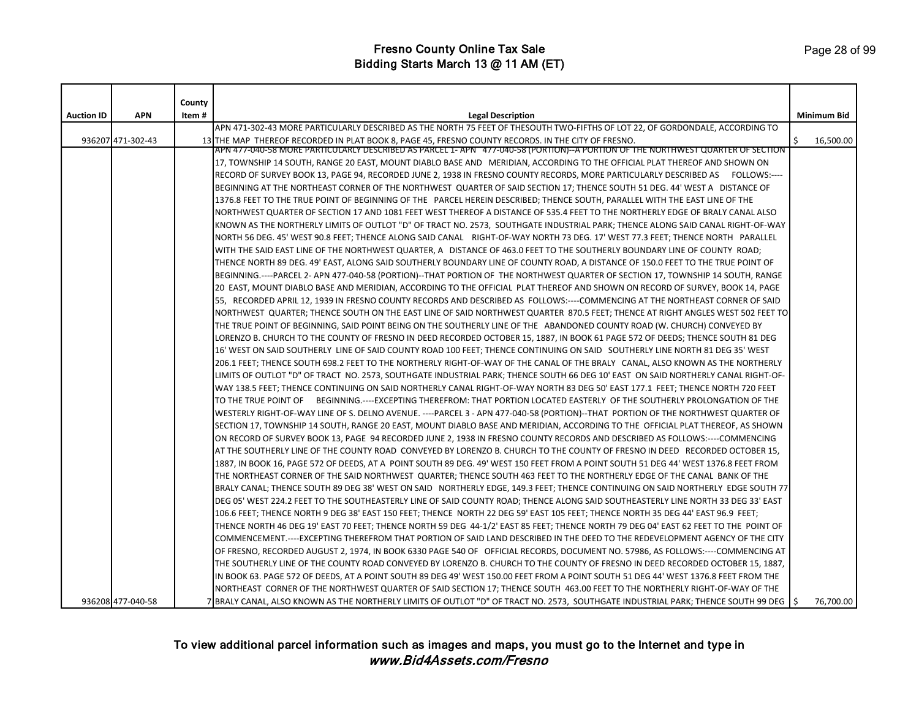|                   |                   | County |                                                                                                                                                                                                                                         |    |                    |
|-------------------|-------------------|--------|-----------------------------------------------------------------------------------------------------------------------------------------------------------------------------------------------------------------------------------------|----|--------------------|
| <b>Auction ID</b> | <b>APN</b>        | Item#  | <b>Legal Description</b><br>APN 471-302-43 MORE PARTICULARLY DESCRIBED AS THE NORTH 75 FEET OF THESOUTH TWO-FIFTHS OF LOT 22, OF GORDONDALE, ACCORDING TO                                                                               |    | <b>Minimum Bid</b> |
|                   |                   |        |                                                                                                                                                                                                                                         |    |                    |
|                   | 936207 471-302-43 |        | 13 THE MAP THEREOF RECORDED IN PLAT BOOK 8, PAGE 45, FRESNO COUNTY RECORDS. IN THE CITY OF FRESNO.<br>APN 477-040-58 MORE PARTICULARLY DESCRIBED AS PARCEL 1- APN - 477-040-58 (PORTION)--A PORTION OF THE NORTHWEST QUARTER OF SECTION | Ŝ. | 16,500.00          |
|                   |                   |        | 17, TOWNSHIP 14 SOUTH, RANGE 20 EAST, MOUNT DIABLO BASE AND MERIDIAN, ACCORDING TO THE OFFICIAL PLAT THEREOF AND SHOWN ON                                                                                                               |    |                    |
|                   |                   |        | RECORD OF SURVEY BOOK 13, PAGE 94, RECORDED JUNE 2, 1938 IN FRESNO COUNTY RECORDS, MORE PARTICULARLY DESCRIBED AS FOLLOWS:----                                                                                                          |    |                    |
|                   |                   |        | BEGINNING AT THE NORTHEAST CORNER OF THE NORTHWEST QUARTER OF SAID SECTION 17; THENCE SOUTH 51 DEG. 44' WEST A DISTANCE OF                                                                                                              |    |                    |
|                   |                   |        | 1376.8 FEET TO THE TRUE POINT OF BEGINNING OF THE PARCEL HEREIN DESCRIBED; THENCE SOUTH, PARALLEL WITH THE EAST LINE OF THE                                                                                                             |    |                    |
|                   |                   |        | NORTHWEST QUARTER OF SECTION 17 AND 1081 FEET WEST THEREOF A DISTANCE OF 535.4 FEET TO THE NORTHERLY EDGE OF BRALY CANAL ALSO                                                                                                           |    |                    |
|                   |                   |        | KNOWN AS THE NORTHERLY LIMITS OF OUTLOT "D" OF TRACT NO. 2573, SOUTHGATE INDUSTRIAL PARK; THENCE ALONG SAID CANAL RIGHT-OF-WAY                                                                                                          |    |                    |
|                   |                   |        | NORTH 56 DEG. 45' WEST 90.8 FEET; THENCE ALONG SAID CANAL RIGHT-OF-WAY NORTH 73 DEG. 17' WEST 77.3 FEET; THENCE NORTH PARALLEL                                                                                                          |    |                    |
|                   |                   |        | WITH THE SAID EAST LINE OF THE NORTHWEST QUARTER, A DISTANCE OF 463.0 FEET TO THE SOUTHERLY BOUNDARY LINE OF COUNTY ROAD;                                                                                                               |    |                    |
|                   |                   |        | THENCE NORTH 89 DEG. 49' EAST, ALONG SAID SOUTHERLY BOUNDARY LINE OF COUNTY ROAD, A DISTANCE OF 150.0 FEET TO THE TRUE POINT OF                                                                                                         |    |                    |
|                   |                   |        | BEGINNING.----PARCEL 2- APN 477-040-58 (PORTION)--THAT PORTION OF THE NORTHWEST QUARTER OF SECTION 17, TOWNSHIP 14 SOUTH, RANGE                                                                                                         |    |                    |
|                   |                   |        | 20 EAST, MOUNT DIABLO BASE AND MERIDIAN, ACCORDING TO THE OFFICIAL PLAT THEREOF AND SHOWN ON RECORD OF SURVEY, BOOK 14, PAGE                                                                                                            |    |                    |
|                   |                   |        | 55. RECORDED APRIL 12, 1939 IN FRESNO COUNTY RECORDS AND DESCRIBED AS FOLLOWS:----COMMENCING AT THE NORTHEAST CORNER OF SAID                                                                                                            |    |                    |
|                   |                   |        | NORTHWEST QUARTER; THENCE SOUTH ON THE EAST LINE OF SAID NORTHWEST QUARTER 870.5 FEET; THENCE AT RIGHT ANGLES WEST 502 FEET TO                                                                                                          |    |                    |
|                   |                   |        | THE TRUE POINT OF BEGINNING, SAID POINT BEING ON THE SOUTHERLY LINE OF THE ABANDONED COUNTY ROAD (W. CHURCH) CONVEYED BY                                                                                                                |    |                    |
|                   |                   |        | LORENZO B. CHURCH TO THE COUNTY OF FRESNO IN DEED RECORDED OCTOBER 15, 1887, IN BOOK 61 PAGE 572 OF DEEDS; THENCE SOUTH 81 DEG                                                                                                          |    |                    |
|                   |                   |        | 16' WEST ON SAID SOUTHERLY LINE OF SAID COUNTY ROAD 100 FEET; THENCE CONTINUING ON SAID SOUTHERLY LINE NORTH 81 DEG 35' WEST                                                                                                            |    |                    |
|                   |                   |        | 206.1 FEET; THENCE SOUTH 698.2 FEET TO THE NORTHERLY RIGHT-OF-WAY OF THE CANAL OF THE BRALY CANAL, ALSO KNOWN AS THE NORTHERLY                                                                                                          |    |                    |
|                   |                   |        | LIMITS OF OUTLOT "D" OF TRACT NO. 2573, SOUTHGATE INDUSTRIAL PARK; THENCE SOUTH 66 DEG 10' EAST ON SAID NORTHERLY CANAL RIGHT-OF-                                                                                                       |    |                    |
|                   |                   |        | WAY 138.5 FEET; THENCE CONTINUING ON SAID NORTHERLY CANAL RIGHT-OF-WAY NORTH 83 DEG 50' EAST 177.1 FEET; THENCE NORTH 720 FEET                                                                                                          |    |                    |
|                   |                   |        | TO THE TRUE POINT OF BEGINNING.----EXCEPTING THEREFROM: THAT PORTION LOCATED EASTERLY OF THE SOUTHERLY PROLONGATION OF THE                                                                                                              |    |                    |
|                   |                   |        | WESTERLY RIGHT-OF-WAY LINE OF S. DELNO AVENUE. ----PARCEL 3 - APN 477-040-58 (PORTION)--THAT PORTION OF THE NORTHWEST QUARTER OF                                                                                                        |    |                    |
|                   |                   |        | SECTION 17, TOWNSHIP 14 SOUTH, RANGE 20 EAST, MOUNT DIABLO BASE AND MERIDIAN, ACCORDING TO THE OFFICIAL PLAT THEREOF, AS SHOWN                                                                                                          |    |                    |
|                   |                   |        | ON RECORD OF SURVEY BOOK 13, PAGE 94 RECORDED JUNE 2, 1938 IN FRESNO COUNTY RECORDS AND DESCRIBED AS FOLLOWS:----COMMENCING                                                                                                             |    |                    |
|                   |                   |        | AT THE SOUTHERLY LINE OF THE COUNTY ROAD CONVEYED BY LORENZO B. CHURCH TO THE COUNTY OF FRESNO IN DEED RECORDED OCTOBER 15,                                                                                                             |    |                    |
|                   |                   |        | 1887, IN BOOK 16, PAGE 572 OF DEEDS, AT A POINT SOUTH 89 DEG. 49' WEST 150 FEET FROM A POINT SOUTH 51 DEG 44' WEST 1376.8 FEET FROM                                                                                                     |    |                    |
|                   |                   |        | THE NORTHEAST CORNER OF THE SAID NORTHWEST QUARTER; THENCE SOUTH 463 FEET TO THE NORTHERLY EDGE OF THE CANAL BANK OF THE                                                                                                                |    |                    |
|                   |                   |        | BRALY CANAL; THENCE SOUTH 89 DEG 38' WEST ON SAID NORTHERLY EDGE, 149.3 FEET; THENCE CONTINUING ON SAID NORTHERLY EDGE SOUTH 77                                                                                                         |    |                    |
|                   |                   |        | DEG 05' WEST 224.2 FEET TO THE SOUTHEASTERLY LINE OF SAID COUNTY ROAD; THENCE ALONG SAID SOUTHEASTERLY LINE NORTH 33 DEG 33' EAST                                                                                                       |    |                    |
|                   |                   |        | 106.6 FEET; THENCE NORTH 9 DEG 38' EAST 150 FEET; THENCE NORTH 22 DEG 59' EAST 105 FEET; THENCE NORTH 35 DEG 44' EAST 96.9 FEET;                                                                                                        |    |                    |
|                   |                   |        | THENCE NORTH 46 DEG 19' EAST 70 FEET; THENCE NORTH 59 DEG 44-1/2' EAST 85 FEET; THENCE NORTH 79 DEG 04' EAST 62 FEET TO THE POINT OF                                                                                                    |    |                    |
|                   |                   |        | COMMENCEMENT.----EXCEPTING THEREFROM THAT PORTION OF SAID LAND DESCRIBED IN THE DEED TO THE REDEVELOPMENT AGENCY OF THE CITY                                                                                                            |    |                    |
|                   |                   |        | OF FRESNO, RECORDED AUGUST 2, 1974, IN BOOK 6330 PAGE 540 OF OFFICIAL RECORDS, DOCUMENT NO. 57986, AS FOLLOWS:----COMMENCING AT                                                                                                         |    |                    |
|                   |                   |        | THE SOUTHERLY LINE OF THE COUNTY ROAD CONVEYED BY LORENZO B. CHURCH TO THE COUNTY OF FRESNO IN DEED RECORDED OCTOBER 15, 1887,                                                                                                          |    |                    |
|                   |                   |        | IN BOOK 63. PAGE 572 OF DEEDS, AT A POINT SOUTH 89 DEG 49' WEST 150.00 FEET FROM A POINT SOUTH 51 DEG 44' WEST 1376.8 FEET FROM THE                                                                                                     |    |                    |
|                   |                   |        | NORTHEAST CORNER OF THE NORTHWEST QUARTER OF SAID SECTION 17; THENCE SOUTH 463.00 FEET TO THE NORTHERLY RIGHT-OF-WAY OF THE                                                                                                             |    |                    |
|                   | 936208 477-040-58 |        | 7 BRALY CANAL, ALSO KNOWN AS THE NORTHERLY LIMITS OF OUTLOT "D" OF TRACT NO. 2573, SOUTHGATE INDUSTRIAL PARK; THENCE SOUTH 99 DEG 1\$                                                                                                   |    | 76,700.00          |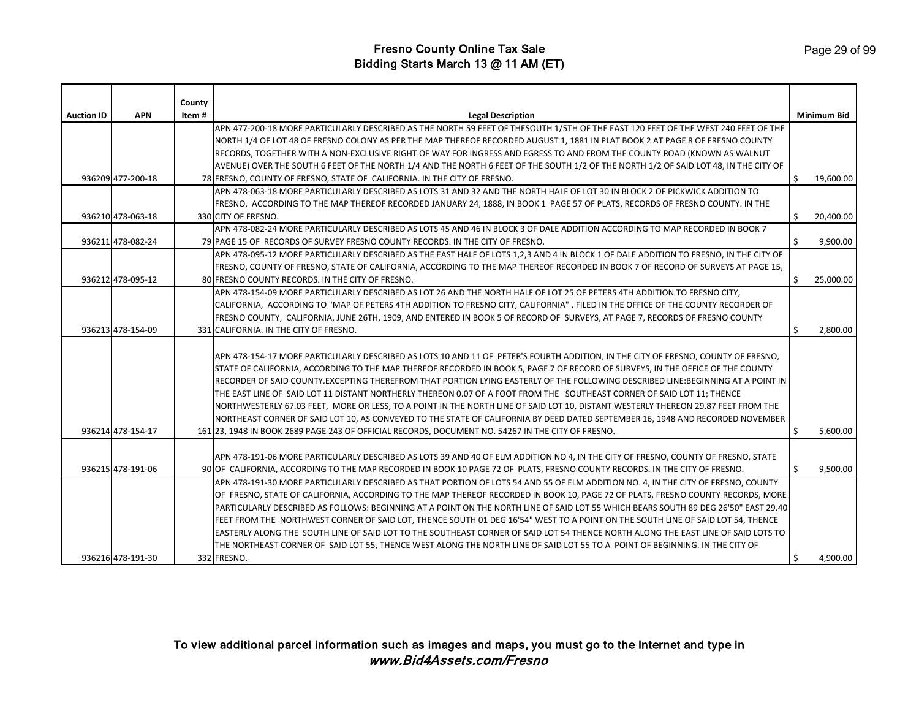| <b>Auction ID</b> | <b>APN</b>        | County<br>Item# | <b>Legal Description</b>                                                                                                              |    | <b>Minimum Bid</b> |
|-------------------|-------------------|-----------------|---------------------------------------------------------------------------------------------------------------------------------------|----|--------------------|
|                   |                   |                 | APN 477-200-18 MORE PARTICULARLY DESCRIBED AS THE NORTH 59 FEET OF THESOUTH 1/5TH OF THE EAST 120 FEET OF THE WEST 240 FEET OF THE    |    |                    |
|                   |                   |                 | NORTH 1/4 OF LOT 48 OF FRESNO COLONY AS PER THE MAP THEREOF RECORDED AUGUST 1, 1881 IN PLAT BOOK 2 AT PAGE 8 OF FRESNO COUNTY         |    |                    |
|                   |                   |                 | RECORDS, TOGETHER WITH A NON-EXCLUSIVE RIGHT OF WAY FOR INGRESS AND EGRESS TO AND FROM THE COUNTY ROAD (KNOWN AS WALNUT               |    |                    |
|                   |                   |                 | AVENUE) OVER THE SOUTH 6 FEET OF THE NORTH 1/4 AND THE NORTH 6 FEET OF THE SOUTH 1/2 OF THE NORTH 1/2 OF SAID LOT 48, IN THE CITY OF  |    |                    |
|                   | 936209 477-200-18 |                 | 78 FRESNO, COUNTY OF FRESNO, STATE OF CALIFORNIA. IN THE CITY OF FRESNO.                                                              | Ŝ. | 19,600.00          |
|                   |                   |                 | APN 478-063-18 MORE PARTICULARLY DESCRIBED AS LOTS 31 AND 32 AND THE NORTH HALF OF LOT 30 IN BLOCK 2 OF PICKWICK ADDITION TO          |    |                    |
|                   |                   |                 | FRESNO, ACCORDING TO THE MAP THEREOF RECORDED JANUARY 24, 1888, IN BOOK 1 PAGE 57 OF PLATS, RECORDS OF FRESNO COUNTY. IN THE          |    |                    |
|                   | 936210 478-063-18 |                 | 330 CITY OF FRESNO.                                                                                                                   | Ŝ. | 20,400.00          |
|                   |                   |                 | APN 478-082-24 MORE PARTICULARLY DESCRIBED AS LOTS 45 AND 46 IN BLOCK 3 OF DALE ADDITION ACCORDING TO MAP RECORDED IN BOOK 7          |    |                    |
|                   | 936211 478-082-24 |                 | 79 PAGE 15 OF RECORDS OF SURVEY FRESNO COUNTY RECORDS. IN THE CITY OF FRESNO.                                                         | Ś. | 9,900.00           |
|                   |                   |                 | APN 478-095-12 MORE PARTICULARLY DESCRIBED AS THE EAST HALF OF LOTS 1,2,3 AND 4 IN BLOCK 1 OF DALE ADDITION TO FRESNO, IN THE CITY OF |    |                    |
|                   |                   |                 | FRESNO, COUNTY OF FRESNO, STATE OF CALIFORNIA, ACCORDING TO THE MAP THEREOF RECORDED IN BOOK 7 OF RECORD OF SURVEYS AT PAGE 15,       |    |                    |
|                   | 936212 478-095-12 |                 | 80 FRESNO COUNTY RECORDS. IN THE CITY OF FRESNO.                                                                                      | \$ | 25,000.00          |
|                   |                   |                 | APN 478-154-09 MORE PARTICULARLY DESCRIBED AS LOT 26 AND THE NORTH HALF OF LOT 25 OF PETERS 4TH ADDITION TO FRESNO CITY,              |    |                    |
|                   |                   |                 | CALIFORNIA, ACCORDING TO "MAP OF PETERS 4TH ADDITION TO FRESNO CITY, CALIFORNIA", FILED IN THE OFFICE OF THE COUNTY RECORDER OF       |    |                    |
|                   |                   |                 | FRESNO COUNTY, CALIFORNIA, JUNE 26TH, 1909, AND ENTERED IN BOOK 5 OF RECORD OF SURVEYS, AT PAGE 7, RECORDS OF FRESNO COUNTY           |    |                    |
|                   | 936213 478-154-09 |                 | 331 CALIFORNIA. IN THE CITY OF FRESNO.                                                                                                | Ŝ  | 2,800.00           |
|                   |                   |                 |                                                                                                                                       |    |                    |
|                   |                   |                 | APN 478-154-17 MORE PARTICULARLY DESCRIBED AS LOTS 10 AND 11 OF PETER'S FOURTH ADDITION, IN THE CITY OF FRESNO, COUNTY OF FRESNO,     |    |                    |
|                   |                   |                 | STATE OF CALIFORNIA, ACCORDING TO THE MAP THEREOF RECORDED IN BOOK 5, PAGE 7 OF RECORD OF SURVEYS, IN THE OFFICE OF THE COUNTY        |    |                    |
|                   |                   |                 | RECORDER OF SAID COUNTY.EXCEPTING THEREFROM THAT PORTION LYING EASTERLY OF THE FOLLOWING DESCRIBED LINE:BEGINNING AT A POINT IN       |    |                    |
|                   |                   |                 | THE EAST LINE OF SAID LOT 11 DISTANT NORTHERLY THEREON 0.07 OF A FOOT FROM THE SOUTHEAST CORNER OF SAID LOT 11; THENCE                |    |                    |
|                   |                   |                 | NORTHWESTERLY 67.03 FEET, MORE OR LESS, TO A POINT IN THE NORTH LINE OF SAID LOT 10, DISTANT WESTERLY THEREON 29.87 FEET FROM THE     |    |                    |
|                   |                   |                 | NORTHEAST CORNER OF SAID LOT 10, AS CONVEYED TO THE STATE OF CALIFORNIA BY DEED DATED SEPTEMBER 16, 1948 AND RECORDED NOVEMBER        |    |                    |
|                   | 936214 478-154-17 |                 | 161 23, 1948 IN BOOK 2689 PAGE 243 OF OFFICIAL RECORDS, DOCUMENT NO. 54267 IN THE CITY OF FRESNO.                                     |    | 5,600.00           |
|                   |                   |                 |                                                                                                                                       |    |                    |
|                   |                   |                 | APN 478-191-06 MORE PARTICULARLY DESCRIBED AS LOTS 39 AND 40 OF ELM ADDITION NO 4, IN THE CITY OF FRESNO, COUNTY OF FRESNO, STATE     |    |                    |
|                   | 936215 478-191-06 |                 | 90 OF CALIFORNIA, ACCORDING TO THE MAP RECORDED IN BOOK 10 PAGE 72 OF PLATS, FRESNO COUNTY RECORDS. IN THE CITY OF FRESNO.            | Ŝ. | 9,500.00           |
|                   |                   |                 | APN 478-191-30 MORE PARTICULARLY DESCRIBED AS THAT PORTION OF LOTS 54 AND 55 OF ELM ADDITION NO. 4, IN THE CITY OF FRESNO, COUNTY     |    |                    |
|                   |                   |                 | OF FRESNO, STATE OF CALIFORNIA, ACCORDING TO THE MAP THEREOF RECORDED IN BOOK 10, PAGE 72 OF PLATS, FRESNO COUNTY RECORDS, MORE       |    |                    |
|                   |                   |                 | PARTICULARLY DESCRIBED AS FOLLOWS: BEGINNING AT A POINT ON THE NORTH LINE OF SAID LOT 55 WHICH BEARS SOUTH 89 DEG 26'50" EAST 29.40   |    |                    |
|                   |                   |                 | FEET FROM THE NORTHWEST CORNER OF SAID LOT, THENCE SOUTH 01 DEG 16'54" WEST TO A POINT ON THE SOUTH LINE OF SAID LOT 54, THENCE       |    |                    |
|                   |                   |                 | EASTERLY ALONG THE SOUTH LINE OF SAID LOT TO THE SOUTHEAST CORNER OF SAID LOT 54 THENCE NORTH ALONG THE EAST LINE OF SAID LOTS TO     |    |                    |
|                   |                   |                 | THE NORTHEAST CORNER OF SAID LOT 55, THENCE WEST ALONG THE NORTH LINE OF SAID LOT 55 TO A POINT OF BEGINNING. IN THE CITY OF          |    |                    |
|                   | 936216 478-191-30 |                 | 332 FRESNO.                                                                                                                           | Ŝ. | 4,900.00           |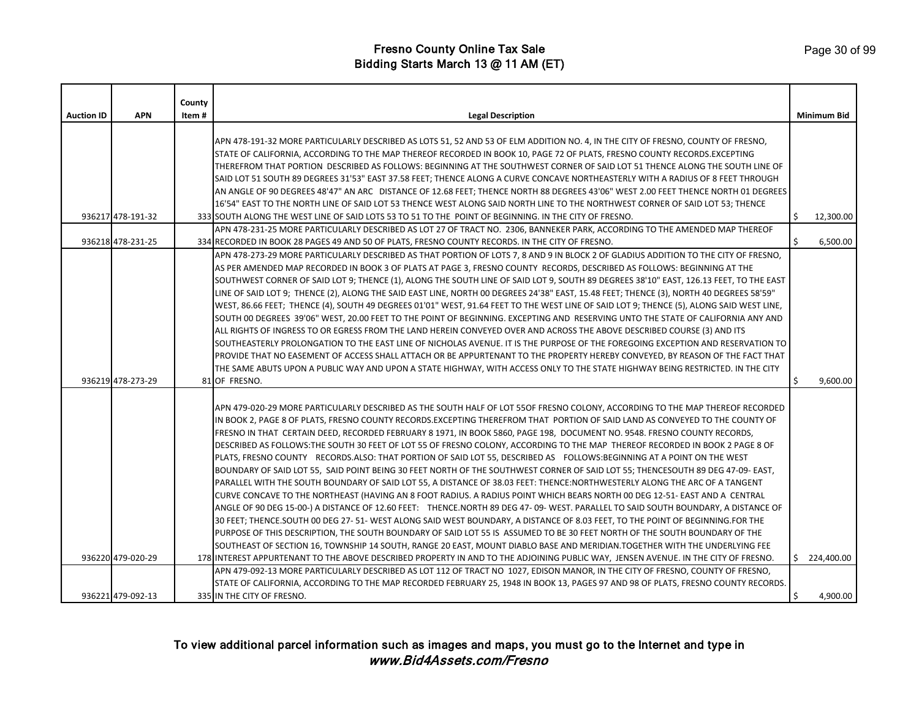| <b>Auction ID</b> | <b>APN</b>        | County<br>Item# | <b>Legal Description</b>                                                                                                                                                                                                                                      |    | <b>Minimum Bid</b> |
|-------------------|-------------------|-----------------|---------------------------------------------------------------------------------------------------------------------------------------------------------------------------------------------------------------------------------------------------------------|----|--------------------|
|                   |                   |                 |                                                                                                                                                                                                                                                               |    |                    |
|                   |                   |                 | APN 478-191-32 MORE PARTICULARLY DESCRIBED AS LOTS 51, 52 AND 53 OF ELM ADDITION NO. 4, IN THE CITY OF FRESNO, COUNTY OF FRESNO,                                                                                                                              |    |                    |
|                   |                   |                 | STATE OF CALIFORNIA, ACCORDING TO THE MAP THEREOF RECORDED IN BOOK 10, PAGE 72 OF PLATS, FRESNO COUNTY RECORDS.EXCEPTING                                                                                                                                      |    |                    |
|                   |                   |                 | THEREFROM THAT PORTION DESCRIBED AS FOLLOWS: BEGINNING AT THE SOUTHWEST CORNER OF SAID LOT 51 THENCE ALONG THE SOUTH LINE OF                                                                                                                                  |    |                    |
|                   |                   |                 | SAID LOT 51 SOUTH 89 DEGREES 31'53" EAST 37.58 FEET; THENCE ALONG A CURVE CONCAVE NORTHEASTERLY WITH A RADIUS OF 8 FEET THROUGH                                                                                                                               |    |                    |
|                   |                   |                 | AN ANGLE OF 90 DEGREES 48'47" AN ARC DISTANCE OF 12.68 FEET; THENCE NORTH 88 DEGREES 43'06" WEST 2.00 FEET THENCE NORTH 01 DEGREES                                                                                                                            |    |                    |
|                   | 936217 478-191-32 |                 | 16'54" EAST TO THE NORTH LINE OF SAID LOT 53 THENCE WEST ALONG SAID NORTH LINE TO THE NORTHWEST CORNER OF SAID LOT 53; THENCE                                                                                                                                 | Ś  | 12,300.00          |
|                   |                   |                 | 333 SOUTH ALONG THE WEST LINE OF SAID LOTS 53 TO 51 TO THE POINT OF BEGINNING. IN THE CITY OF FRESNO.<br>APN 478-231-25 MORE PARTICULARLY DESCRIBED AS LOT 27 OF TRACT NO. 2306, BANNEKER PARK, ACCORDING TO THE AMENDED MAP THEREOF                          |    |                    |
|                   | 936218 478-231-25 |                 | 334 RECORDED IN BOOK 28 PAGES 49 AND 50 OF PLATS, FRESNO COUNTY RECORDS. IN THE CITY OF FRESNO.                                                                                                                                                               | Ŝ. | 6,500.00           |
|                   |                   |                 | APN 478-273-29 MORE PARTICULARLY DESCRIBED AS THAT PORTION OF LOTS 7, 8 AND 9 IN BLOCK 2 OF GLADIUS ADDITION TO THE CITY OF FRESNO,                                                                                                                           |    |                    |
|                   |                   |                 | AS PER AMENDED MAP RECORDED IN BOOK 3 OF PLATS AT PAGE 3, FRESNO COUNTY RECORDS, DESCRIBED AS FOLLOWS: BEGINNING AT THE                                                                                                                                       |    |                    |
|                   |                   |                 | SOUTHWEST CORNER OF SAID LOT 9; THENCE (1), ALONG THE SOUTH LINE OF SAID LOT 9, SOUTH 89 DEGREES 38'10" EAST, 126.13 FEET, TO THE EAST                                                                                                                        |    |                    |
|                   |                   |                 | LINE OF SAID LOT 9; THENCE (2), ALONG THE SAID EAST LINE, NORTH 00 DEGREES 24'38" EAST, 15.48 FEET; THENCE (3), NORTH 40 DEGREES 58'59"                                                                                                                       |    |                    |
|                   |                   |                 | WEST, 86.66 FEET; THENCE (4), SOUTH 49 DEGREES 01'01" WEST, 91.64 FEET TO THE WEST LINE OF SAID LOT 9; THENCE (5), ALONG SAID WEST LINE,                                                                                                                      |    |                    |
|                   |                   |                 | SOUTH 00 DEGREES 39'06" WEST, 20.00 FEET TO THE POINT OF BEGINNING. EXCEPTING AND RESERVING UNTO THE STATE OF CALIFORNIA ANY AND                                                                                                                              |    |                    |
|                   |                   |                 | ALL RIGHTS OF INGRESS TO OR EGRESS FROM THE LAND HEREIN CONVEYED OVER AND ACROSS THE ABOVE DESCRIBED COURSE (3) AND ITS                                                                                                                                       |    |                    |
|                   |                   |                 | SOUTHEASTERLY PROLONGATION TO THE EAST LINE OF NICHOLAS AVENUE. IT IS THE PURPOSE OF THE FOREGOING EXCEPTION AND RESERVATION TO                                                                                                                               |    |                    |
|                   |                   |                 | PROVIDE THAT NO EASEMENT OF ACCESS SHALL ATTACH OR BE APPURTENANT TO THE PROPERTY HEREBY CONVEYED, BY REASON OF THE FACT THAT                                                                                                                                 |    |                    |
|                   |                   |                 | THE SAME ABUTS UPON A PUBLIC WAY AND UPON A STATE HIGHWAY, WITH ACCESS ONLY TO THE STATE HIGHWAY BEING RESTRICTED. IN THE CITY                                                                                                                                |    |                    |
|                   | 936219 478-273-29 |                 | 81 OF FRESNO.                                                                                                                                                                                                                                                 |    | 9,600.00           |
|                   |                   |                 |                                                                                                                                                                                                                                                               |    |                    |
|                   |                   |                 | APN 479-020-29 MORE PARTICULARLY DESCRIBED AS THE SOUTH HALF OF LOT 55OF FRESNO COLONY, ACCORDING TO THE MAP THEREOF RECORDED<br>IN BOOK 2, PAGE 8 OF PLATS, FRESNO COUNTY RECORDS.EXCEPTING THEREFROM THAT PORTION OF SAID LAND AS CONVEYED TO THE COUNTY OF |    |                    |
|                   |                   |                 | FRESNO IN THAT CERTAIN DEED, RECORDED FEBRUARY 8 1971, IN BOOK 5860, PAGE 198, DOCUMENT NO. 9548. FRESNO COUNTY RECORDS,                                                                                                                                      |    |                    |
|                   |                   |                 | DESCRIBED AS FOLLOWS:THE SOUTH 30 FEET OF LOT 55 OF FRESNO COLONY, ACCORDING TO THE MAP THEREOF RECORDED IN BOOK 2 PAGE 8 OF                                                                                                                                  |    |                    |
|                   |                   |                 | PLATS, FRESNO COUNTY RECORDS.ALSO: THAT PORTION OF SAID LOT 55, DESCRIBED AS FOLLOWS:BEGINNING AT A POINT ON THE WEST                                                                                                                                         |    |                    |
|                   |                   |                 | BOUNDARY OF SAID LOT 55, SAID POINT BEING 30 FEET NORTH OF THE SOUTHWEST CORNER OF SAID LOT 55; THENCESOUTH 89 DEG 47-09- EAST,                                                                                                                               |    |                    |
|                   |                   |                 | PARALLEL WITH THE SOUTH BOUNDARY OF SAID LOT 55, A DISTANCE OF 38.03 FEET: THENCE:NORTHWESTERLY ALONG THE ARC OF A TANGENT                                                                                                                                    |    |                    |
|                   |                   |                 | CURVE CONCAVE TO THE NORTHEAST (HAVING AN 8 FOOT RADIUS. A RADIUS POINT WHICH BEARS NORTH 00 DEG 12-51- EAST AND A CENTRAL                                                                                                                                    |    |                    |
|                   |                   |                 | ANGLE OF 90 DEG 15-00-) A DISTANCE OF 12.60 FEET: THENCE.NORTH 89 DEG 47- 09- WEST. PARALLEL TO SAID SOUTH BOUNDARY, A DISTANCE OF                                                                                                                            |    |                    |
|                   |                   |                 | 30 FEET; THENCE.SOUTH 00 DEG 27- 51- WEST ALONG SAID WEST BOUNDARY, A DISTANCE OF 8.03 FEET, TO THE POINT OF BEGINNING.FOR THE                                                                                                                                |    |                    |
|                   |                   |                 | PURPOSE OF THIS DESCRIPTION, THE SOUTH BOUNDARY OF SAID LOT 55 IS ASSUMED TO BE 30 FEET NORTH OF THE SOUTH BOUNDARY OF THE                                                                                                                                    |    |                    |
|                   |                   |                 | SOUTHEAST OF SECTION 16, TOWNSHIP 14 SOUTH, RANGE 20 EAST, MOUNT DIABLO BASE AND MERIDIAN.TOGETHER WITH THE UNDERLYING FEE                                                                                                                                    |    |                    |
|                   | 936220 479-020-29 |                 | 178 INTEREST APPURTENANT TO THE ABOVE DESCRIBED PROPERTY IN AND TO THE ADJOINING PUBLIC WAY, JENSEN AVENUE. IN THE CITY OF FRESNO.                                                                                                                            |    | \$224,400.00       |
|                   |                   |                 | APN 479-092-13 MORE PARTICULARLY DESCRIBED AS LOT 112 OF TRACT NO 1027, EDISON MANOR, IN THE CITY OF FRESNO, COUNTY OF FRESNO,                                                                                                                                |    |                    |
|                   |                   |                 | STATE OF CALIFORNIA, ACCORDING TO THE MAP RECORDED FEBRUARY 25, 1948 IN BOOK 13, PAGES 97 AND 98 OF PLATS, FRESNO COUNTY RECORDS.                                                                                                                             |    |                    |
|                   | 936221 479-092-13 |                 | 335 IN THE CITY OF FRESNO.                                                                                                                                                                                                                                    |    | 4,900.00           |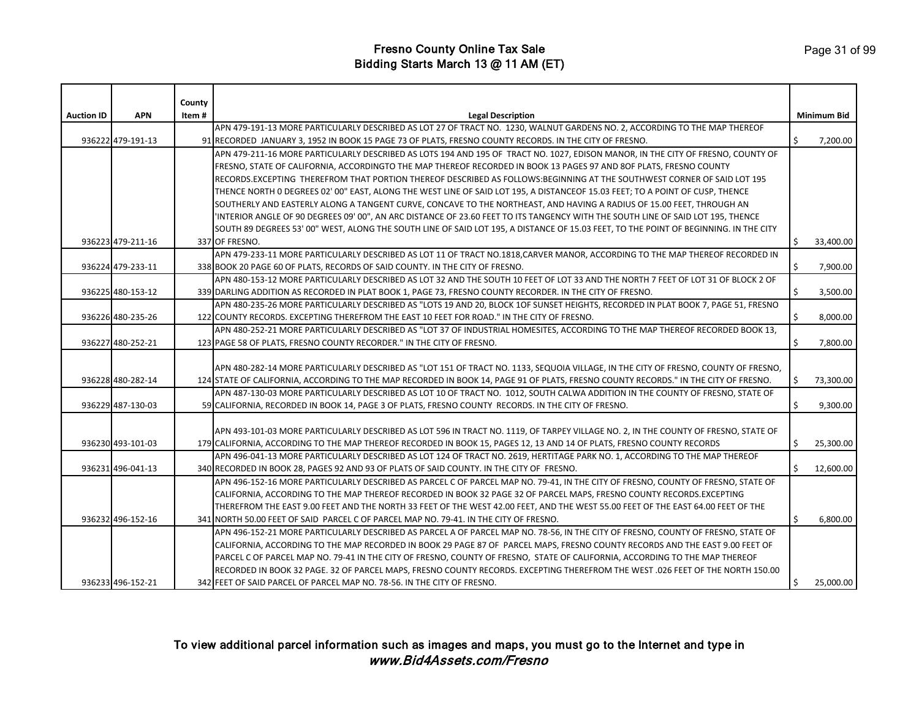|                   |                   | County |                                                                                                                                       |    |                    |
|-------------------|-------------------|--------|---------------------------------------------------------------------------------------------------------------------------------------|----|--------------------|
| <b>Auction ID</b> | <b>APN</b>        | Item#  | <b>Legal Description</b>                                                                                                              |    | <b>Minimum Bid</b> |
|                   |                   |        | APN 479-191-13 MORE PARTICULARLY DESCRIBED AS LOT 27 OF TRACT NO. 1230, WALNUT GARDENS NO. 2, ACCORDING TO THE MAP THEREOF            |    |                    |
|                   | 936222 479-191-13 |        | 91 RECORDED JANUARY 3, 1952 IN BOOK 15 PAGE 73 OF PLATS, FRESNO COUNTY RECORDS. IN THE CITY OF FRESNO.                                |    | 7,200.00           |
|                   |                   |        | APN 479-211-16 MORE PARTICULARLY DESCRIBED AS LOTS 194 AND 195 OF TRACT NO. 1027, EDISON MANOR, IN THE CITY OF FRESNO, COUNTY OF      |    |                    |
|                   |                   |        | FRESNO, STATE OF CALIFORNIA, ACCORDINGTO THE MAP THEREOF RECORDED IN BOOK 13 PAGES 97 AND 8OF PLATS, FRESNO COUNTY                    |    |                    |
|                   |                   |        | RECORDS.EXCEPTING THEREFROM THAT PORTION THEREOF DESCRIBED AS FOLLOWS:BEGINNING AT THE SOUTHWEST CORNER OF SAID LOT 195               |    |                    |
|                   |                   |        | THENCE NORTH 0 DEGREES 02' 00" EAST, ALONG THE WEST LINE OF SAID LOT 195, A DISTANCEOF 15.03 FEET; TO A POINT OF CUSP, THENCE         |    |                    |
|                   |                   |        | SOUTHERLY AND EASTERLY ALONG A TANGENT CURVE, CONCAVE TO THE NORTHEAST, AND HAVING A RADIUS OF 15.00 FEET, THROUGH AN                 |    |                    |
|                   |                   |        | 'INTERIOR ANGLE OF 90 DEGREES 09' 00", AN ARC DISTANCE OF 23.60 FEET TO ITS TANGENCY WITH THE SOUTH LINE OF SAID LOT 195, THENCE      |    |                    |
|                   |                   |        | SOUTH 89 DEGREES 53' 00" WEST, ALONG THE SOUTH LINE OF SAID LOT 195, A DISTANCE OF 15.03 FEET, TO THE POINT OF BEGINNING. IN THE CITY |    |                    |
|                   | 936223 479-211-16 |        | 337 OF FRESNO.                                                                                                                        | \$ | 33,400.00          |
|                   |                   |        | APN 479-233-11 MORE PARTICULARLY DESCRIBED AS LOT 11 OF TRACT NO.1818,CARVER MANOR, ACCORDING TO THE MAP THEREOF RECORDED IN          |    |                    |
|                   | 936224 479-233-11 |        | 338 BOOK 20 PAGE 60 OF PLATS, RECORDS OF SAID COUNTY. IN THE CITY OF FRESNO.                                                          | \$ | 7,900.00           |
|                   |                   |        | APN 480-153-12 MORE PARTICULARLY DESCRIBED AS LOT 32 AND THE SOUTH 10 FEET OF LOT 33 AND THE NORTH 7 FEET OF LOT 31 OF BLOCK 2 OF     |    |                    |
|                   | 936225 480-153-12 |        | 339 DARLING ADDITION AS RECORDED IN PLAT BOOK 1, PAGE 73, FRESNO COUNTY RECORDER. IN THE CITY OF FRESNO.                              | Ŝ. | 3,500.00           |
|                   |                   |        | APN 480-235-26 MORE PARTICULARLY DESCRIBED AS "LOTS 19 AND 20, BLOCK 1OF SUNSET HEIGHTS, RECORDED IN PLAT BOOK 7, PAGE 51, FRESNO     |    |                    |
|                   | 936226 480-235-26 |        | 122 COUNTY RECORDS. EXCEPTING THEREFROM THE EAST 10 FEET FOR ROAD." IN THE CITY OF FRESNO.                                            | Ś. | 8,000.00           |
|                   |                   |        | APN 480-252-21 MORE PARTICULARLY DESCRIBED AS "LOT 37 OF INDUSTRIAL HOMESITES, ACCORDING TO THE MAP THEREOF RECORDED BOOK 13,         |    |                    |
|                   | 936227 480-252-21 |        | 123 PAGE 58 OF PLATS, FRESNO COUNTY RECORDER." IN THE CITY OF FRESNO.                                                                 | Ŝ. | 7,800.00           |
|                   |                   |        |                                                                                                                                       |    |                    |
|                   |                   |        | APN 480-282-14 MORE PARTICULARLY DESCRIBED AS "LOT 151 OF TRACT NO. 1133, SEQUOIA VILLAGE, IN THE CITY OF FRESNO, COUNTY OF FRESNO,   |    |                    |
|                   | 936228 480-282-14 |        | 124 STATE OF CALIFORNIA, ACCORDING TO THE MAP RECORDED IN BOOK 14, PAGE 91 OF PLATS, FRESNO COUNTY RECORDS." IN THE CITY OF FRESNO.   |    | 73,300.00          |
|                   |                   |        | APN 487-130-03 MORE PARTICULARLY DESCRIBED AS LOT 10 OF TRACT NO. 1012, SOUTH CALWA ADDITION IN THE COUNTY OF FRESNO, STATE OF        |    |                    |
|                   | 936229 487-130-03 |        | 59 CALIFORNIA, RECORDED IN BOOK 14, PAGE 3 OF PLATS, FRESNO COUNTY RECORDS. IN THE CITY OF FRESNO.                                    | Ś. | 9,300.00           |
|                   |                   |        |                                                                                                                                       |    |                    |
|                   |                   |        | APN 493-101-03 MORE PARTICULARLY DESCRIBED AS LOT 596 IN TRACT NO. 1119, OF TARPEY VILLAGE NO. 2, IN THE COUNTY OF FRESNO, STATE OF   |    |                    |
|                   | 936230 493-101-03 |        | 179 CALIFORNIA, ACCORDING TO THE MAP THEREOF RECORDED IN BOOK 15, PAGES 12, 13 AND 14 OF PLATS, FRESNO COUNTY RECORDS                 | \$ | 25,300.00          |
|                   |                   |        | APN 496-041-13 MORE PARTICULARLY DESCRIBED AS LOT 124 OF TRACT NO. 2619, HERTITAGE PARK NO. 1, ACCORDING TO THE MAP THEREOF           |    |                    |
|                   | 936231 496-041-13 |        | 340 RECORDED IN BOOK 28, PAGES 92 AND 93 OF PLATS OF SAID COUNTY. IN THE CITY OF FRESNO.                                              | Ś. | 12,600.00          |
|                   |                   |        | APN 496-152-16 MORE PARTICULARLY DESCRIBED AS PARCEL C OF PARCEL MAP NO. 79-41, IN THE CITY OF FRESNO, COUNTY OF FRESNO, STATE OF     |    |                    |
|                   |                   |        | CALIFORNIA, ACCORDING TO THE MAP THEREOF RECORDED IN BOOK 32 PAGE 32 OF PARCEL MAPS, FRESNO COUNTY RECORDS.EXCEPTING                  |    |                    |
|                   |                   |        | THEREFROM THE EAST 9.00 FEET AND THE NORTH 33 FEET OF THE WEST 42.00 FEET, AND THE WEST 55.00 FEET OF THE EAST 64.00 FEET OF THE      |    |                    |
|                   | 936232 496-152-16 |        | 341 NORTH 50.00 FEET OF SAID PARCEL C OF PARCEL MAP NO. 79-41. IN THE CITY OF FRESNO.                                                 | Ś. | 6,800.00           |
|                   |                   |        | APN 496-152-21 MORE PARTICULARLY DESCRIBED AS PARCEL A OF PARCEL MAP NO. 78-56, IN THE CITY OF FRESNO, COUNTY OF FRESNO, STATE OF     |    |                    |
|                   |                   |        | CALIFORNIA, ACCORDING TO THE MAP RECORDED IN BOOK 29 PAGE 87 OF PARCEL MAPS, FRESNO COUNTY RECORDS AND THE EAST 9.00 FEET OF          |    |                    |
|                   |                   |        | PARCEL C OF PARCEL MAP NO. 79-41 IN THE CITY OF FRESNO, COUNTY OF FRESNO, STATE OF CALIFORNIA, ACCORDING TO THE MAP THEREOF           |    |                    |
|                   |                   |        | RECORDED IN BOOK 32 PAGE. 32 OF PARCEL MAPS, FRESNO COUNTY RECORDS. EXCEPTING THEREFROM THE WEST .026 FEET OF THE NORTH 150.00        |    |                    |
|                   | 936233 496-152-21 |        | 342 FEET OF SAID PARCEL OF PARCEL MAP NO. 78-56. IN THE CITY OF FRESNO.                                                               | \$ | 25,000.00          |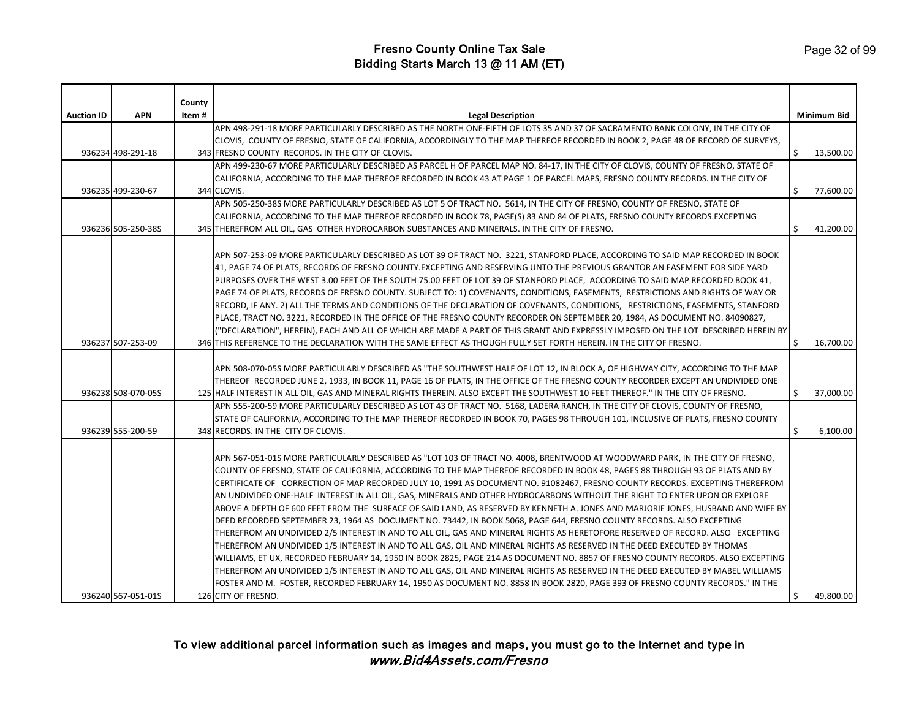| <b>Auction ID</b> | <b>APN</b>         | County<br>Item# | <b>Legal Description</b>                                                                                                                                                                                                                                     |    | <b>Minimum Bid</b> |
|-------------------|--------------------|-----------------|--------------------------------------------------------------------------------------------------------------------------------------------------------------------------------------------------------------------------------------------------------------|----|--------------------|
|                   |                    |                 | APN 498-291-18 MORE PARTICULARLY DESCRIBED AS THE NORTH ONE-FIFTH OF LOTS 35 AND 37 OF SACRAMENTO BANK COLONY, IN THE CITY OF                                                                                                                                |    |                    |
|                   |                    |                 | CLOVIS, COUNTY OF FRESNO, STATE OF CALIFORNIA, ACCORDINGLY TO THE MAP THEREOF RECORDED IN BOOK 2, PAGE 48 OF RECORD OF SURVEYS,                                                                                                                              |    |                    |
|                   | 936234 498-291-18  |                 | 343 FRESNO COUNTY RECORDS. IN THE CITY OF CLOVIS.                                                                                                                                                                                                            | Ś. | 13,500.00          |
|                   |                    |                 | APN 499-230-67 MORE PARTICULARLY DESCRIBED AS PARCEL H OF PARCEL MAP NO. 84-17, IN THE CITY OF CLOVIS, COUNTY OF FRESNO, STATE OF                                                                                                                            |    |                    |
|                   |                    |                 | CALIFORNIA, ACCORDING TO THE MAP THEREOF RECORDED IN BOOK 43 AT PAGE 1 OF PARCEL MAPS, FRESNO COUNTY RECORDS. IN THE CITY OF                                                                                                                                 |    |                    |
|                   | 936235 499-230-67  |                 | 344 CLOVIS.                                                                                                                                                                                                                                                  | \$ | 77,600.00          |
|                   |                    |                 | APN 505-250-38S MORE PARTICULARLY DESCRIBED AS LOT 5 OF TRACT NO. 5614, IN THE CITY OF FRESNO, COUNTY OF FRESNO, STATE OF                                                                                                                                    |    |                    |
|                   |                    |                 | CALIFORNIA, ACCORDING TO THE MAP THEREOF RECORDED IN BOOK 78, PAGE(S) 83 AND 84 OF PLATS, FRESNO COUNTY RECORDS.EXCEPTING                                                                                                                                    |    |                    |
|                   | 936236 505-250-38S |                 | 345 THEREFROM ALL OIL, GAS OTHER HYDROCARBON SUBSTANCES AND MINERALS. IN THE CITY OF FRESNO.                                                                                                                                                                 | Ś  | 41,200.00          |
|                   |                    |                 |                                                                                                                                                                                                                                                              |    |                    |
|                   |                    |                 | APN 507-253-09 MORE PARTICULARLY DESCRIBED AS LOT 39 OF TRACT NO. 3221, STANFORD PLACE, ACCORDING TO SAID MAP RECORDED IN BOOK                                                                                                                               |    |                    |
|                   |                    |                 | 41, PAGE 74 OF PLATS, RECORDS OF FRESNO COUNTY.EXCEPTING AND RESERVING UNTO THE PREVIOUS GRANTOR AN EASEMENT FOR SIDE YARD                                                                                                                                   |    |                    |
|                   |                    |                 | PURPOSES OVER THE WEST 3.00 FEET OF THE SOUTH 75.00 FEET OF LOT 39 OF STANFORD PLACE, ACCORDING TO SAID MAP RECORDED BOOK 41,                                                                                                                                |    |                    |
|                   |                    |                 | PAGE 74 OF PLATS, RECORDS OF FRESNO COUNTY. SUBJECT TO: 1) COVENANTS, CONDITIONS, EASEMENTS, RESTRICTIONS AND RIGHTS OF WAY OR                                                                                                                               |    |                    |
|                   |                    |                 | RECORD, IF ANY. 2) ALL THE TERMS AND CONDITIONS OF THE DECLARATION OF COVENANTS, CONDITIONS, RESTRICTIONS, EASEMENTS, STANFORD                                                                                                                               |    |                    |
|                   |                    |                 | PLACE, TRACT NO. 3221, RECORDED IN THE OFFICE OF THE FRESNO COUNTY RECORDER ON SEPTEMBER 20, 1984, AS DOCUMENT NO. 84090827,                                                                                                                                 |    |                    |
|                   |                    |                 | ("DECLARATION", HEREIN), EACH AND ALL OF WHICH ARE MADE A PART OF THIS GRANT AND EXPRESSLY IMPOSED ON THE LOT DESCRIBED HEREIN BY                                                                                                                            |    |                    |
|                   | 936237 507-253-09  |                 | 346 THIS REFERENCE TO THE DECLARATION WITH THE SAME EFFECT AS THOUGH FULLY SET FORTH HEREIN. IN THE CITY OF FRESNO.                                                                                                                                          | \$ | 16,700.00          |
|                   |                    |                 |                                                                                                                                                                                                                                                              |    |                    |
|                   |                    |                 | APN 508-070-05S MORE PARTICULARLY DESCRIBED AS "THE SOUTHWEST HALF OF LOT 12, IN BLOCK A, OF HIGHWAY CITY, ACCORDING TO THE MAP                                                                                                                              |    |                    |
|                   |                    |                 | THEREOF RECORDED JUNE 2, 1933, IN BOOK 11, PAGE 16 OF PLATS, IN THE OFFICE OF THE FRESNO COUNTY RECORDER EXCEPT AN UNDIVIDED ONE                                                                                                                             |    |                    |
|                   | 936238 508-070-05S |                 | 125 HALF INTEREST IN ALL OIL, GAS AND MINERAL RIGHTS THEREIN. ALSO EXCEPT THE SOUTHWEST 10 FEET THEREOF." IN THE CITY OF FRESNO.                                                                                                                             | Ŝ. | 37,000.00          |
|                   |                    |                 | APN 555-200-59 MORE PARTICULARLY DESCRIBED AS LOT 43 OF TRACT NO. 5168, LADERA RANCH, IN THE CITY OF CLOVIS, COUNTY OF FRESNO,                                                                                                                               |    |                    |
|                   |                    |                 | STATE OF CALIFORNIA, ACCORDING TO THE MAP THEREOF RECORDED IN BOOK 70, PAGES 98 THROUGH 101, INCLUSIVE OF PLATS, FRESNO COUNTY                                                                                                                               |    |                    |
|                   | 936239 555-200-59  |                 | 348 RECORDS. IN THE CITY OF CLOVIS.                                                                                                                                                                                                                          | Ŝ. | 6,100.00           |
|                   |                    |                 |                                                                                                                                                                                                                                                              |    |                    |
|                   |                    |                 | APN 567-051-01S MORE PARTICULARLY DESCRIBED AS "LOT 103 OF TRACT NO. 4008, BRENTWOOD AT WOODWARD PARK, IN THE CITY OF FRESNO,                                                                                                                                |    |                    |
|                   |                    |                 | COUNTY OF FRESNO, STATE OF CALIFORNIA, ACCORDING TO THE MAP THEREOF RECORDED IN BOOK 48, PAGES 88 THROUGH 93 OF PLATS AND BY                                                                                                                                 |    |                    |
|                   |                    |                 | CERTIFICATE OF CORRECTION OF MAP RECORDED JULY 10, 1991 AS DOCUMENT NO. 91082467, FRESNO COUNTY RECORDS. EXCEPTING THEREFROM                                                                                                                                 |    |                    |
|                   |                    |                 | AN UNDIVIDED ONE-HALF INTEREST IN ALL OIL, GAS, MINERALS AND OTHER HYDROCARBONS WITHOUT THE RIGHT TO ENTER UPON OR EXPLORE                                                                                                                                   |    |                    |
|                   |                    |                 | ABOVE A DEPTH OF 600 FEET FROM THE SURFACE OF SAID LAND, AS RESERVED BY KENNETH A. JONES AND MARJORIE JONES, HUSBAND AND WIFE BY                                                                                                                             |    |                    |
|                   |                    |                 | DEED RECORDED SEPTEMBER 23, 1964 AS DOCUMENT NO. 73442, IN BOOK 5068, PAGE 644, FRESNO COUNTY RECORDS. ALSO EXCEPTING                                                                                                                                        |    |                    |
|                   |                    |                 | THEREFROM AN UNDIVIDED 2/5 INTEREST IN AND TO ALL OIL, GAS AND MINERAL RIGHTS AS HERETOFORE RESERVED OF RECORD. ALSO EXCEPTING                                                                                                                               |    |                    |
|                   |                    |                 | THEREFROM AN UNDIVIDED 1/5 INTEREST IN AND TO ALL GAS, OIL AND MINERAL RIGHTS AS RESERVED IN THE DEED EXECUTED BY THOMAS<br>WILLIAMS, ET UX, RECORDED FEBRUARY 14, 1950 IN BOOK 2825, PAGE 214 AS DOCUMENT NO. 8857 OF FRESNO COUNTY RECORDS. ALSO EXCEPTING |    |                    |
|                   |                    |                 | THEREFROM AN UNDIVIDED 1/5 INTEREST IN AND TO ALL GAS, OIL AND MINERAL RIGHTS AS RESERVED IN THE DEED EXECUTED BY MABEL WILLIAMS                                                                                                                             |    |                    |
|                   |                    |                 | FOSTER AND M. FOSTER, RECORDED FEBRUARY 14, 1950 AS DOCUMENT NO. 8858 IN BOOK 2820, PAGE 393 OF FRESNO COUNTY RECORDS." IN THE                                                                                                                               |    |                    |
|                   | 936240 567-051-01S |                 | 126 CITY OF FRESNO.                                                                                                                                                                                                                                          | \$ | 49,800.00          |
|                   |                    |                 |                                                                                                                                                                                                                                                              |    |                    |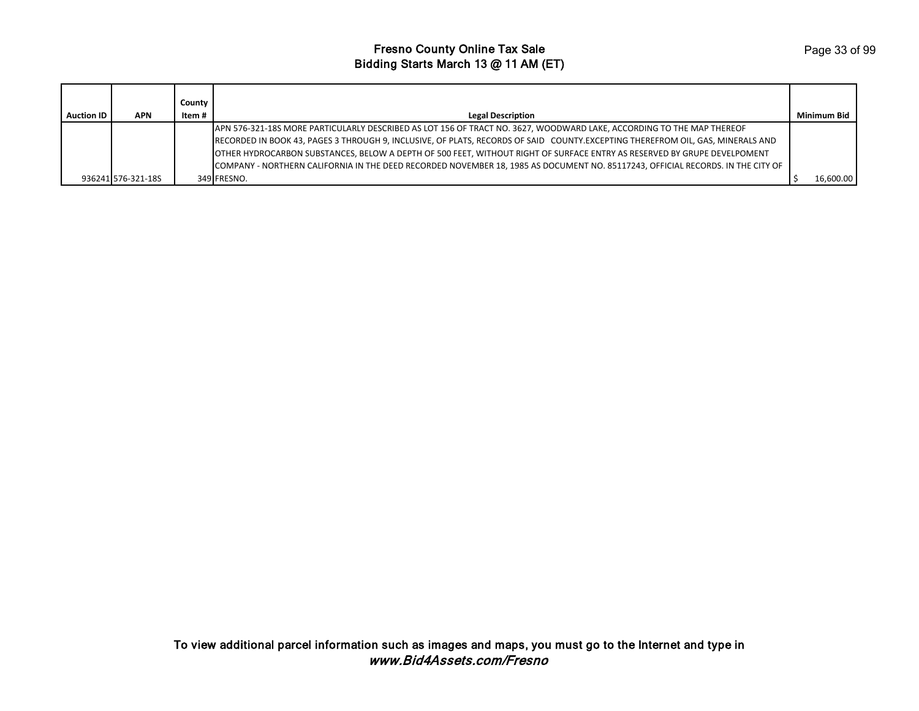|                   |                    | County |                                                                                                                                 |             |
|-------------------|--------------------|--------|---------------------------------------------------------------------------------------------------------------------------------|-------------|
| <b>Auction ID</b> | <b>APN</b>         | Item # | <b>Legal Description</b>                                                                                                        | Minimum Bid |
|                   |                    |        | APN 576-321-18S MORE PARTICULARLY DESCRIBED AS LOT 156 OF TRACT NO. 3627, WOODWARD LAKE, ACCORDING TO THE MAP THEREOF           |             |
|                   |                    |        | RECORDED IN BOOK 43, PAGES 3 THROUGH 9, INCLUSIVE, OF PLATS, RECORDS OF SAID COUNTY.EXCEPTING THEREFROM OIL, GAS, MINERALS AND  |             |
|                   |                    |        | JOTHER HYDROCARBON SUBSTANCES, BELOW A DEPTH OF 500 FEET, WITHOUT RIGHT OF SURFACE ENTRY AS RESERVED BY GRUPE DEVELPOMENT       |             |
|                   |                    |        | COMPANY - NORTHERN CALIFORNIA IN THE DEED RECORDED NOVEMBER 18, 1985 AS DOCUMENT NO. 85117243, OFFICIAL RECORDS. IN THE CITY OF |             |
|                   | 936241 576-321-18S |        | 349 FRESNO.                                                                                                                     | 16,600.00   |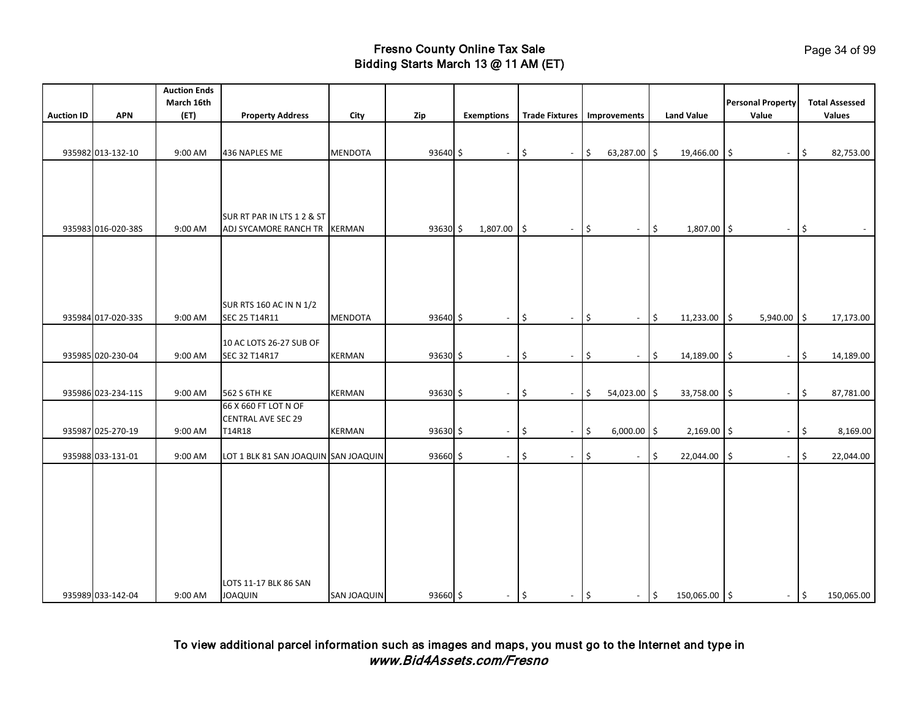|                   |                    | <b>Auction Ends</b> |                                          |                |               |                   |     |                          |                      |                     |                   |            |                                   |                |                                        |
|-------------------|--------------------|---------------------|------------------------------------------|----------------|---------------|-------------------|-----|--------------------------|----------------------|---------------------|-------------------|------------|-----------------------------------|----------------|----------------------------------------|
| <b>Auction ID</b> | <b>APN</b>         | March 16th<br>(ET)  |                                          |                |               |                   |     | <b>Trade Fixtures</b>    |                      |                     | <b>Land Value</b> |            | <b>Personal Property</b><br>Value |                | <b>Total Assessed</b><br><b>Values</b> |
|                   |                    |                     | <b>Property Address</b>                  | City           | Zip           | <b>Exemptions</b> |     |                          | Improvements         |                     |                   |            |                                   |                |                                        |
|                   |                    |                     |                                          |                |               |                   |     |                          |                      |                     |                   |            |                                   |                |                                        |
|                   | 935982 013-132-10  | 9:00 AM             | 436 NAPLES ME                            | <b>MENDOTA</b> | 93640 \$      | $\sim$            | l\$ | $\blacksquare$           | \$<br>63,287.00 \$   |                     | 19,466.00         | 5          | $\overline{\phantom{a}}$          | \$             | 82,753.00                              |
|                   |                    |                     |                                          |                |               |                   |     |                          |                      |                     |                   |            |                                   |                |                                        |
|                   |                    |                     |                                          |                |               |                   |     |                          |                      |                     |                   |            |                                   |                |                                        |
|                   |                    |                     |                                          |                |               |                   |     |                          |                      |                     |                   |            |                                   |                |                                        |
|                   |                    |                     | SUR RT PAR IN LTS 1 2 & ST               |                |               |                   |     |                          |                      |                     |                   |            |                                   |                |                                        |
|                   | 935983 016-020-38S | 9:00 AM             | ADJ SYCAMORE RANCH TR                    | <b>KERMAN</b>  | 93630 \$      | 1,807.00          | l\$ | $\blacksquare$           | \$<br>$\sim$         | $\ddot{\mathsf{s}}$ | 1,807.00 \$       |            | $\blacksquare$                    | $\frac{1}{2}$  | $\sim$                                 |
|                   |                    |                     |                                          |                |               |                   |     |                          |                      |                     |                   |            |                                   |                |                                        |
|                   |                    |                     |                                          |                |               |                   |     |                          |                      |                     |                   |            |                                   |                |                                        |
|                   |                    |                     |                                          |                |               |                   |     |                          |                      |                     |                   |            |                                   |                |                                        |
|                   |                    |                     |                                          |                |               |                   |     |                          |                      |                     |                   |            |                                   |                |                                        |
|                   |                    |                     | SUR RTS 160 AC IN N 1/2                  |                |               |                   |     |                          |                      |                     |                   |            |                                   |                |                                        |
|                   | 935984 017-020-33S | 9:00 AM             | SEC 25 T14R11                            | <b>MENDOTA</b> | 93640 \$      | $\sim$            | \$  | $\overline{\phantom{a}}$ | \$<br>$\sim$         | \$                  | 11,233.00         | l\$        | $5,940.00$ \$                     |                | 17,173.00                              |
|                   |                    |                     |                                          |                |               |                   |     |                          |                      |                     |                   |            |                                   |                |                                        |
|                   | 935985 020-230-04  | 9:00 AM             | 10 AC LOTS 26-27 SUB OF<br>SEC 32 T14R17 | <b>KERMAN</b>  | 93630 \$      | $\sim$            | \$  | $\overline{\phantom{a}}$ | \$<br>$\blacksquare$ | $\ddot{\mathsf{S}}$ | 14,189.00         | $\sqrt{5}$ | $\overline{\phantom{a}}$          | \$             | 14,189.00                              |
|                   |                    |                     |                                          |                |               |                   |     |                          |                      |                     |                   |            |                                   |                |                                        |
|                   |                    |                     |                                          |                |               |                   |     |                          |                      |                     |                   |            |                                   |                |                                        |
|                   | 935986 023-234-11S | 9:00 AM             | 562 S 6TH KE                             | <b>KERMAN</b>  | $93630 \;$ \$ | $\sim$            | \$  | $\overline{\phantom{a}}$ | \$<br>54,023.00 \$   |                     | 33,758.00         | 5          | $\overline{\phantom{a}}$          | \$             | 87,781.00                              |
|                   |                    |                     | 66 X 660 FT LOT N OF                     |                |               |                   |     |                          |                      |                     |                   |            |                                   |                |                                        |
|                   | 935987 025-270-19  | 9:00 AM             | <b>CENTRAL AVE SEC 29</b><br>T14R18      | <b>KERMAN</b>  | 93630 \$      | $\sim$            | ۱\$ | $\overline{\phantom{a}}$ | \$<br>$6,000.00$ \$  |                     | $2,169.00$ \$     |            | $\overline{\phantom{a}}$          | \$             | 8,169.00                               |
|                   |                    |                     |                                          |                |               |                   |     |                          |                      |                     |                   |            |                                   |                |                                        |
|                   | 935988 033-131-01  | 9:00 AM             | LOT 1 BLK 81 SAN JOAQUIN SAN JOAQUIN     |                | 93660 \$      | $\sim$            | \$  | $\overline{\phantom{a}}$ | \$<br>$\blacksquare$ | \$                  | 22,044.00         | \$         | $\overline{\phantom{a}}$          | \$             | 22,044.00                              |
|                   |                    |                     |                                          |                |               |                   |     |                          |                      |                     |                   |            |                                   |                |                                        |
|                   |                    |                     |                                          |                |               |                   |     |                          |                      |                     |                   |            |                                   |                |                                        |
|                   |                    |                     |                                          |                |               |                   |     |                          |                      |                     |                   |            |                                   |                |                                        |
|                   |                    |                     |                                          |                |               |                   |     |                          |                      |                     |                   |            |                                   |                |                                        |
|                   |                    |                     |                                          |                |               |                   |     |                          |                      |                     |                   |            |                                   |                |                                        |
|                   |                    |                     |                                          |                |               |                   |     |                          |                      |                     |                   |            |                                   |                |                                        |
|                   |                    |                     |                                          |                |               |                   |     |                          |                      |                     |                   |            |                                   |                |                                        |
|                   |                    |                     | LOTS 11-17 BLK 86 SAN                    |                |               |                   |     |                          |                      |                     |                   |            |                                   |                |                                        |
|                   | 935989 033-142-04  | 9:00 AM             | <b>JOAQUIN</b>                           | SAN JOAQUIN    | 93660 \$      | $ \sqrt{5}$       |     | $-$ \$                   | $ \frac{1}{2}$       |                     | 150,065.00 \$     |            |                                   | $ \frac{1}{2}$ | 150,065.00                             |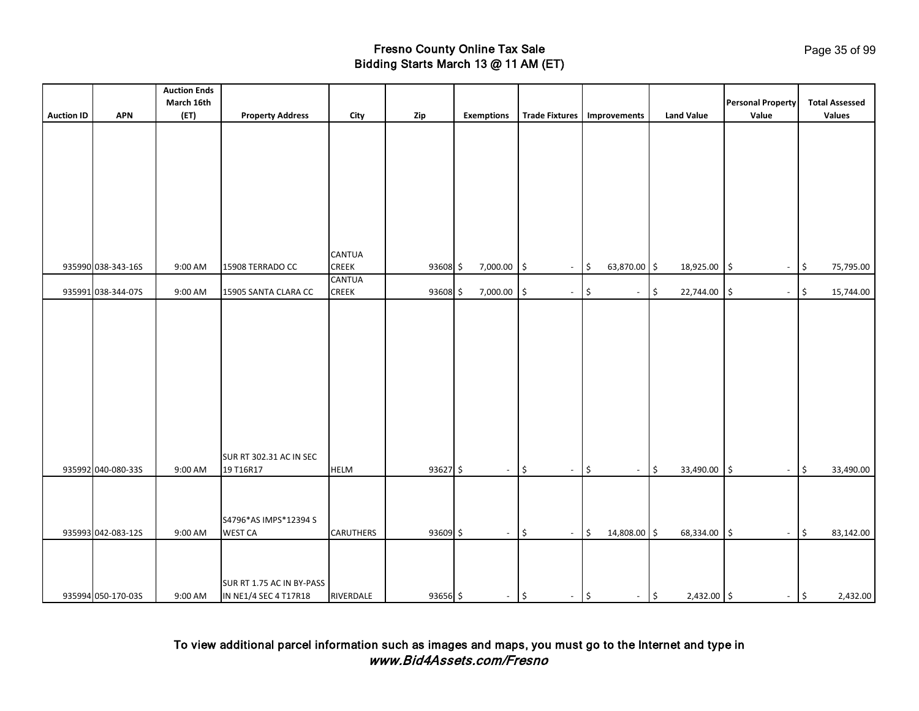|                   |                    | <b>Auction Ends</b><br>March 16th |                                      |                        |            |                          |                                 |                                |                   | <b>Personal Property</b>        | <b>Total Assessed</b>                  |
|-------------------|--------------------|-----------------------------------|--------------------------------------|------------------------|------------|--------------------------|---------------------------------|--------------------------------|-------------------|---------------------------------|----------------------------------------|
| <b>Auction ID</b> | <b>APN</b>         | (ET)                              | <b>Property Address</b>              | City                   | Zip        | <b>Exemptions</b>        |                                 | Trade Fixtures   Improvements  | <b>Land Value</b> | Value                           | <b>Values</b>                          |
|                   |                    |                                   |                                      |                        |            |                          |                                 |                                |                   |                                 |                                        |
|                   |                    |                                   |                                      |                        |            |                          |                                 |                                |                   |                                 |                                        |
|                   |                    |                                   |                                      |                        |            |                          |                                 |                                |                   |                                 |                                        |
|                   |                    |                                   |                                      |                        |            |                          |                                 |                                |                   |                                 |                                        |
|                   |                    |                                   |                                      |                        |            |                          |                                 |                                |                   |                                 |                                        |
|                   |                    |                                   |                                      |                        |            |                          |                                 |                                |                   |                                 |                                        |
|                   |                    |                                   |                                      |                        |            |                          |                                 |                                |                   |                                 |                                        |
|                   |                    |                                   |                                      |                        |            |                          |                                 |                                |                   |                                 |                                        |
|                   |                    |                                   |                                      |                        |            |                          |                                 |                                |                   |                                 |                                        |
|                   | 935990 038-343-16S | 9:00 AM                           | 15908 TERRADO CC                     | CANTUA<br><b>CREEK</b> | 93608 \$   | 7,000.00                 | l\$                             | 63,870.00 \$                   | 18,925.00         | l\$                             | $\boldsymbol{\mathsf{S}}$<br>75,795.00 |
|                   |                    |                                   |                                      | CANTUA                 |            |                          | $\mathbb{L}$                    | $\ddot{\mathsf{S}}$            |                   | $\overline{\phantom{a}}$        |                                        |
|                   | 935991 038-344-07S | 9:00 AM                           | 15905 SANTA CLARA CC                 | CREEK                  | 93608 \$   | 7,000.00                 | \$<br>$\overline{\phantom{a}}$  | \$<br>$\overline{\phantom{a}}$ | \$<br>22,744.00   | \$<br>$\overline{\phantom{a}}$  | \$<br>15,744.00                        |
|                   |                    |                                   |                                      |                        |            |                          |                                 |                                |                   |                                 |                                        |
|                   |                    |                                   |                                      |                        |            |                          |                                 |                                |                   |                                 |                                        |
|                   |                    |                                   |                                      |                        |            |                          |                                 |                                |                   |                                 |                                        |
|                   |                    |                                   |                                      |                        |            |                          |                                 |                                |                   |                                 |                                        |
|                   |                    |                                   |                                      |                        |            |                          |                                 |                                |                   |                                 |                                        |
|                   |                    |                                   |                                      |                        |            |                          |                                 |                                |                   |                                 |                                        |
|                   |                    |                                   |                                      |                        |            |                          |                                 |                                |                   |                                 |                                        |
|                   |                    |                                   |                                      |                        |            |                          |                                 |                                |                   |                                 |                                        |
|                   |                    |                                   |                                      |                        |            |                          |                                 |                                |                   |                                 |                                        |
|                   |                    |                                   |                                      |                        |            |                          |                                 |                                |                   |                                 |                                        |
|                   |                    |                                   |                                      |                        |            |                          |                                 |                                |                   |                                 |                                        |
|                   | 935992 040-080-335 | 9:00 AM                           | SUR RT 302.31 AC IN SEC<br>19 T16R17 | <b>HELM</b>            | $93627$ \$ | $\overline{\phantom{a}}$ | ۱\$<br>$\sim$                   | $\zeta$<br>$\blacksquare$      | \$<br>33,490.00   | l\$<br>$\blacksquare$           | 33,490.00                              |
|                   |                    |                                   |                                      |                        |            |                          |                                 |                                |                   |                                 | \$                                     |
|                   |                    |                                   |                                      |                        |            |                          |                                 |                                |                   |                                 |                                        |
|                   |                    |                                   |                                      |                        |            |                          |                                 |                                |                   |                                 |                                        |
|                   |                    |                                   | S4796*AS IMPS*12394 S                |                        |            |                          |                                 |                                |                   |                                 |                                        |
|                   | 935993 042-083-12S | 9:00 AM                           | <b>WEST CA</b>                       | <b>CARUTHERS</b>       | 93609 \$   | $\sim$                   | l\$<br>$\overline{\phantom{a}}$ | \$<br>14,808.00 \$             | 68,334.00         | l\$<br>$\overline{\phantom{a}}$ | $\ddot{\mathsf{S}}$<br>83,142.00       |
|                   |                    |                                   |                                      |                        |            |                          |                                 |                                |                   |                                 |                                        |
|                   |                    |                                   |                                      |                        |            |                          |                                 |                                |                   |                                 |                                        |
|                   |                    |                                   | SUR RT 1.75 AC IN BY-PASS            |                        |            |                          |                                 |                                |                   |                                 |                                        |
|                   | 935994 050-170-03S | 9:00 AM                           | IN NE1/4 SEC 4 T17R18                | RIVERDALE              | 93656 \$   | $ \frac{1}{2}$           | $-$ \$                          | $ \frac{1}{2}$                 | 2,432.00 \$       | $-$ \$                          | 2,432.00                               |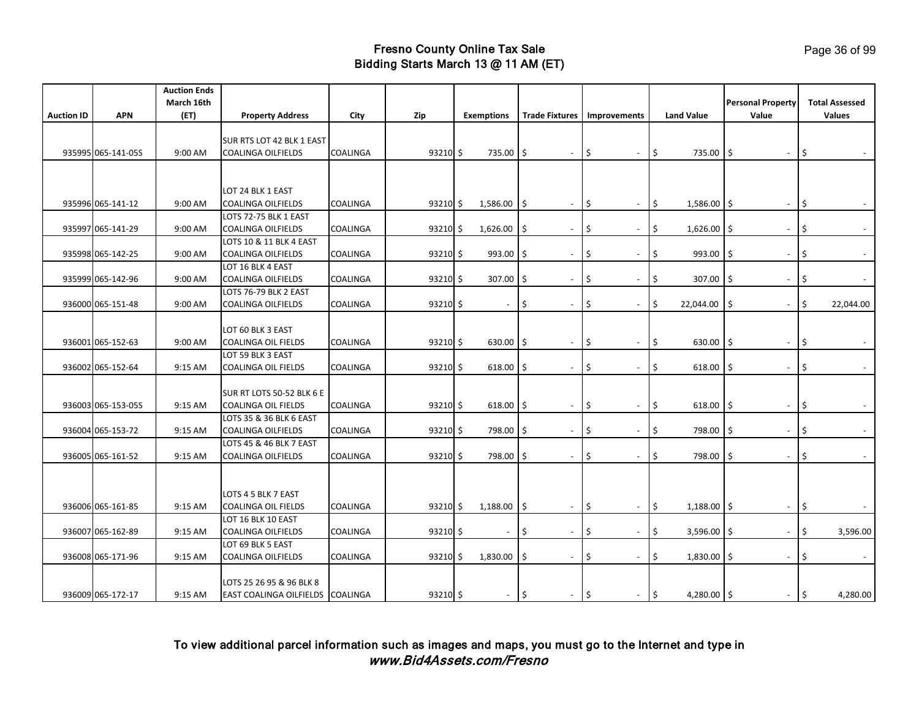| March 16th<br><b>Personal Property</b><br><b>APN</b><br>(FT)<br><b>Land Value</b><br><b>Auction ID</b><br><b>Property Address</b><br>City<br>Zip<br><b>Exemptions</b><br><b>Trade Fixtures</b><br>Improvements<br>Value                                       | <b>Total Assessed</b><br><b>Values</b> |
|---------------------------------------------------------------------------------------------------------------------------------------------------------------------------------------------------------------------------------------------------------------|----------------------------------------|
|                                                                                                                                                                                                                                                               |                                        |
|                                                                                                                                                                                                                                                               |                                        |
|                                                                                                                                                                                                                                                               |                                        |
| SUR RTS LOT 42 BLK 1 EAST                                                                                                                                                                                                                                     |                                        |
| \$<br>\$<br>935995 065-141-05S<br>9:00 AM<br>COALINGA<br>93210 \$<br>735.00<br>1\$<br>۱\$<br>735.00<br><b>COALINGA OILFIELDS</b><br>l\$<br>$\overline{\phantom{a}}$<br>$\overline{\phantom{a}}$<br>$\blacksquare$                                             |                                        |
|                                                                                                                                                                                                                                                               |                                        |
|                                                                                                                                                                                                                                                               |                                        |
| LOT 24 BLK 1 EAST                                                                                                                                                                                                                                             |                                        |
| 9:00 AM<br><b>COALINGA OILFIELDS</b><br>\$<br>\$<br>$1,586.00$ \$<br>\$<br>935996 065-141-12<br>COALINGA<br>93210S<br>1,586.00<br>۱Ś<br>$\blacksquare$<br>$\blacksquare$<br>$\overline{\phantom{a}}$                                                          | $\sim$                                 |
| LOTS 72-75 BLK 1 EAST                                                                                                                                                                                                                                         |                                        |
| \$<br>\$<br>\$<br>935997 065-141-29<br>9:00 AM<br>COALINGA OILFIELDS<br>COALINGA<br>$93210 \;$ \$<br>1,626.00<br>۱\$<br>$1,626.00$ \$<br>$\overline{\phantom{a}}$<br>$\overline{\phantom{a}}$<br>$\overline{\phantom{a}}$                                     |                                        |
| LOTS 10 & 11 BLK 4 EAST                                                                                                                                                                                                                                       |                                        |
| 935998 065-142-25<br>9:00 AM<br><b>COALINGA OILFIELDS</b><br>COALINGA<br>93210 \$<br>993.00<br>Ś<br>\$<br>993.00<br>\$<br>l\$<br>۱\$<br>$\overline{\phantom{a}}$<br>$\overline{\phantom{a}}$                                                                  | $\blacksquare$                         |
| LOT 16 BLK 4 EAST                                                                                                                                                                                                                                             |                                        |
| 307.00<br>935999 065-142-96<br>9:00 AM<br><b>COALINGA OILFIELDS</b><br>COALINGA<br>$93210 \frac{1}{2}$<br>$307.00$ \$<br>Ś<br>\$<br>۱\$<br>Ś<br>$\blacksquare$<br>$\blacksquare$<br>$\blacksquare$                                                            | $\sim$                                 |
| LOTS 76-79 BLK 2 EAST                                                                                                                                                                                                                                         |                                        |
| \$<br>936000 065-151-48<br>9:00 AM<br>COALINGA OILFIELDS<br>COALINGA<br>93210S<br>\$<br>\$<br>\$<br>22,044.00<br>\$<br>$\blacksquare$<br>$\overline{\phantom{a}}$                                                                                             | 22,044.00                              |
|                                                                                                                                                                                                                                                               |                                        |
| LOT 60 BLK 3 EAST                                                                                                                                                                                                                                             |                                        |
| 936001 065-152-63<br>9:00 AM<br><b>COALINGA OIL FIELDS</b><br><b>COALINGA</b><br>93210S<br>$630.00$ \$<br>\$<br>I\$<br>630.00<br>l \$<br>\$<br>$\overline{\phantom{a}}$<br>$\overline{\phantom{a}}$<br>$\blacksquare$                                         | $\sim$                                 |
| LOT 59 BLK 3 EAST                                                                                                                                                                                                                                             |                                        |
| \$<br>936002 065-152-64<br>9:15 AM<br>COALINGA OIL FIELDS<br>COALINGA<br>$93210 \frac{1}{2}$<br>618.00<br>Ś<br>\$<br>618.00<br>l Ś<br>-S<br>$\overline{\phantom{a}}$<br>$\overline{\phantom{a}}$<br>$\overline{\phantom{a}}$                                  |                                        |
|                                                                                                                                                                                                                                                               |                                        |
| SUR RT LOTS 50-52 BLK 6 E                                                                                                                                                                                                                                     |                                        |
| \$<br>Ś.<br>936003 065-153-05S<br>9:15 AM<br>COALINGA<br>93210 \$<br>618.00<br>618.00<br><b>COALINGA OIL FIELDS</b><br>l\$<br>۱Ś<br>$\blacksquare$<br>$\overline{\phantom{a}}$                                                                                | \$                                     |
| LOTS 35 & 36 BLK 6 EAST                                                                                                                                                                                                                                       |                                        |
| 936004 065-153-72<br><b>COALINGA OILFIELDS</b><br>93210 \$<br>798.00 \$<br>\$<br>798.00<br>\$<br>9:15 AM<br>COALINGA<br>\$<br>۱\$<br>$\overline{\phantom{a}}$<br>$\overline{\phantom{a}}$<br>$\overline{\phantom{a}}$                                         | $\sim$                                 |
| LOTS 45 & 46 BLK 7 EAST                                                                                                                                                                                                                                       |                                        |
| Ś<br>936005 065-161-52<br>9:15 AM<br>COALINGA<br>93210 \$<br>798.00<br>Ś<br>798.00<br>COALINGA OILFIELDS<br>l Ś<br>Ś<br>۱Ś<br>$\blacksquare$<br>$\blacksquare$                                                                                                |                                        |
|                                                                                                                                                                                                                                                               |                                        |
|                                                                                                                                                                                                                                                               |                                        |
| LOTS 4 5 BLK 7 EAST                                                                                                                                                                                                                                           |                                        |
| 936006 065-161-85<br>9:15 AM<br><b>COALINGA OIL FIELDS</b><br><b>COALINGA</b><br>93210 \$<br>1,188.00<br>\$<br>l\$<br>$1,188.00$ \$<br>\$<br>l\$<br>$\overline{\phantom{a}}$<br>$\overline{\phantom{a}}$<br>$\blacksquare$                                    | $\sim$                                 |
| LOT 16 BLK 10 EAST                                                                                                                                                                                                                                            |                                        |
| \$<br>936007 065-162-89<br>9:15 AM<br><b>COALINGA OILFIELDS</b><br>COALINGA<br>$93210 \frac{1}{2}$<br>Ś<br>\$<br>3,596.00<br>I\$<br>Ś<br>$\overline{\phantom{a}}$<br>$\overline{\phantom{a}}$                                                                 | 3,596.00                               |
| LOT 69 BLK 5 EAST                                                                                                                                                                                                                                             |                                        |
| \$<br>\$<br>\$<br>936008 065-171-96<br>9:15 AM<br><b>COALINGA OILFIELDS</b><br>COALINGA<br>93210 \$<br>1,830.00<br>۱\$<br>1,830.00<br>l\$<br>$\sim$<br>$\sim$                                                                                                 | $\mathcal{L}_{\mathcal{A}}$            |
|                                                                                                                                                                                                                                                               |                                        |
| LOTS 25 26 95 & 96 BLK 8                                                                                                                                                                                                                                      |                                        |
| $\vert \mathbf{5} \vert$<br>936009 065-172-17<br>$93210 \;$ \$<br>l\$<br>$\vert$ \$<br>4,280.00 \$<br>$\vert$ \$<br>9:15 AM<br>EAST COALINGA OILFIELDS COALINGA<br>$\overline{\phantom{a}}$<br>$\overline{\phantom{a}}$<br>$\sim$<br>$\overline{\phantom{a}}$ | 4,280.00                               |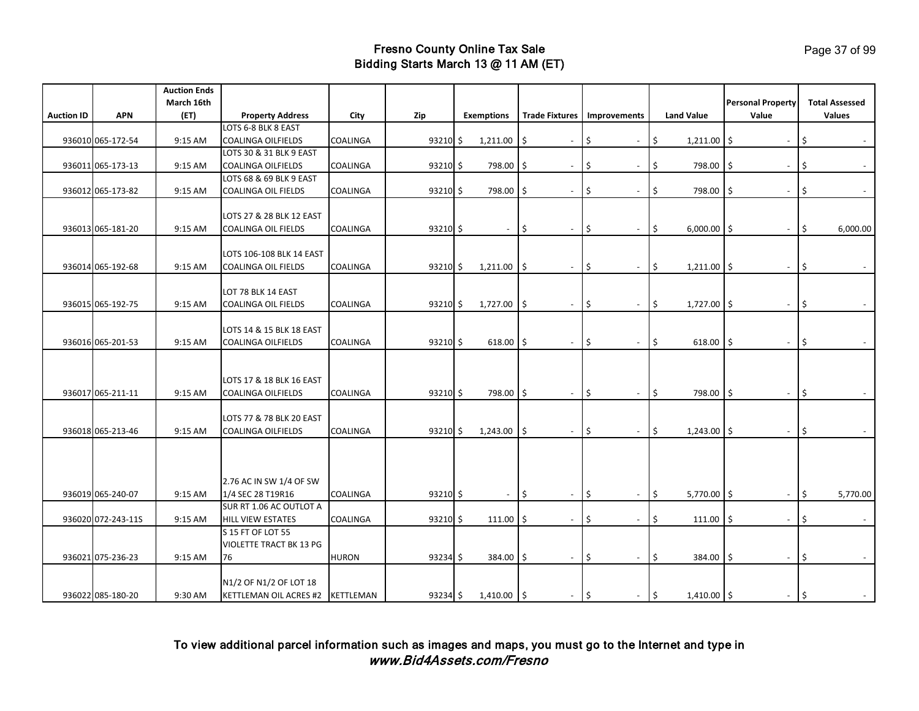| March 16th<br><b>Personal Property</b><br><b>APN</b><br><b>Land Value</b><br>Value<br><b>Auction ID</b><br>(ET)<br><b>Property Address</b><br>City<br>Zip<br><b>Trade Fixtures</b><br>Improvements<br><b>Exemptions</b><br>LOTS 6-8 BLK 8 EAST<br>\$<br>936010 065-172-54<br>9:15 AM<br><b>COALINGA OILFIELDS</b><br>COALINGA<br>93210 \$<br>1,211.00<br>\$<br>\$<br>1,211.00<br>۱\$<br>۱\$<br>$\overline{\phantom{a}}$<br>$\overline{\phantom{a}}$<br>LOTS 30 & 31 BLK 9 EAST | <b>Total Assessed</b><br><b>Values</b> |
|--------------------------------------------------------------------------------------------------------------------------------------------------------------------------------------------------------------------------------------------------------------------------------------------------------------------------------------------------------------------------------------------------------------------------------------------------------------------------------|----------------------------------------|
|                                                                                                                                                                                                                                                                                                                                                                                                                                                                                |                                        |
|                                                                                                                                                                                                                                                                                                                                                                                                                                                                                |                                        |
|                                                                                                                                                                                                                                                                                                                                                                                                                                                                                |                                        |
|                                                                                                                                                                                                                                                                                                                                                                                                                                                                                |                                        |
|                                                                                                                                                                                                                                                                                                                                                                                                                                                                                |                                        |
| 798.00<br>\$<br>798.00<br>\$<br>936011 065-173-13<br>9:15 AM<br><b>COALINGA OILFIELDS</b><br>COALINGA<br>$93210 \frac{1}{2}$<br>\$<br>l\$<br>I\$<br>$\overline{\phantom{a}}$<br>$\blacksquare$                                                                                                                                                                                                                                                                                 | $\sim$                                 |
| LOTS 68 & 69 BLK 9 EAST                                                                                                                                                                                                                                                                                                                                                                                                                                                        |                                        |
| 936012 065-173-82<br>9:15 AM<br><b>COALINGA OIL FIELDS</b><br>COALINGA<br>93210 \$<br>798.00<br>l\$<br>\$<br>\$<br>798.00<br>\$<br>۱\$<br>$\overline{\phantom{a}}$<br>$\overline{\phantom{a}}$                                                                                                                                                                                                                                                                                 | $\sim$                                 |
|                                                                                                                                                                                                                                                                                                                                                                                                                                                                                |                                        |
| LOTS 27 & 28 BLK 12 EAST                                                                                                                                                                                                                                                                                                                                                                                                                                                       |                                        |
| \$<br>936013 065-181-20<br>9:15 AM<br><b>COALINGA OIL FIELDS</b><br><b>COALINGA</b><br>93210 \$<br>l \$<br>\$<br>\$<br>$6,000.00$ \$<br>$\blacksquare$<br>$\overline{\phantom{a}}$<br>$\overline{\phantom{a}}$<br>$\overline{\phantom{a}}$                                                                                                                                                                                                                                     | 6,000.00                               |
|                                                                                                                                                                                                                                                                                                                                                                                                                                                                                |                                        |
| LOTS 106-108 BLK 14 EAST                                                                                                                                                                                                                                                                                                                                                                                                                                                       |                                        |
| 936014 065-192-68<br>9:15 AM<br>1,211.00<br>\$<br>\$<br>\$<br><b>COALINGA OIL FIELDS</b><br>COALINGA<br>$93210 \frac{1}{2}$<br>۱\$<br>$1,211.00$ \$<br>$\blacksquare$<br>$\blacksquare$<br>$\blacksquare$                                                                                                                                                                                                                                                                      | $\sim$                                 |
|                                                                                                                                                                                                                                                                                                                                                                                                                                                                                |                                        |
| LOT 78 BLK 14 EAST                                                                                                                                                                                                                                                                                                                                                                                                                                                             |                                        |
| \$<br>936015 065-192-75<br>COALINGA<br>1,727.00<br>\$<br>\$<br>$1,727.00$ \$<br>9:15 AM<br>COALINGA OIL FIELDS<br>93210S<br>I\$<br>$\overline{\phantom{a}}$<br>$\overline{\phantom{a}}$<br>$\overline{\phantom{a}}$                                                                                                                                                                                                                                                            |                                        |
|                                                                                                                                                                                                                                                                                                                                                                                                                                                                                |                                        |
| LOTS 14 & 15 BLK 18 EAST                                                                                                                                                                                                                                                                                                                                                                                                                                                       |                                        |
| 936016 065-201-53<br>9:15 AM<br><b>COALINGA OILFIELDS</b><br>COALINGA<br>93210 \$<br>$618.00$ \$<br>\$<br>618.00<br>\$<br>\$<br>I\$<br>$\blacksquare$<br>$\overline{\phantom{a}}$<br>$\sim$                                                                                                                                                                                                                                                                                    | $\sim$                                 |
|                                                                                                                                                                                                                                                                                                                                                                                                                                                                                |                                        |
|                                                                                                                                                                                                                                                                                                                                                                                                                                                                                |                                        |
| LOTS 17 & 18 BLK 16 EAST                                                                                                                                                                                                                                                                                                                                                                                                                                                       |                                        |
| \$<br>\$<br>936017 065-211-11<br>9:15 AM<br><b>COALINGA OILFIELDS</b><br>COALINGA<br>93210 \$<br>798.00 \$<br>\$<br>798.00<br>l\$<br>$\blacksquare$<br>$\overline{\phantom{a}}$                                                                                                                                                                                                                                                                                                |                                        |
|                                                                                                                                                                                                                                                                                                                                                                                                                                                                                |                                        |
| LOTS 77 & 78 BLK 20 EAST                                                                                                                                                                                                                                                                                                                                                                                                                                                       |                                        |
| \$<br>\$<br>936018 065-213-46<br>9:15 AM<br><b>COALINGA OILFIELDS</b><br>COALINGA<br>93210 \$<br>1,243.00<br>l\$<br>\$<br>$1,243.00$ \$<br>$\overline{\phantom{a}}$<br>$\overline{\phantom{a}}$<br>$\blacksquare$                                                                                                                                                                                                                                                              |                                        |
|                                                                                                                                                                                                                                                                                                                                                                                                                                                                                |                                        |
|                                                                                                                                                                                                                                                                                                                                                                                                                                                                                |                                        |
|                                                                                                                                                                                                                                                                                                                                                                                                                                                                                |                                        |
| 2.76 AC IN SW 1/4 OF SW                                                                                                                                                                                                                                                                                                                                                                                                                                                        |                                        |
| \$<br>\$<br>936019 065-240-07<br>9:15 AM<br>1/4 SEC 28 T19R16<br>COALINGA<br>93210S<br>\$<br>$5,770.00$ \$<br>-\$<br>$\blacksquare$<br>$\overline{a}$<br>$\overline{\phantom{a}}$<br>$\overline{\phantom{a}}$                                                                                                                                                                                                                                                                  | 5,770.00                               |
| SUR RT 1.06 AC OUTLOT A                                                                                                                                                                                                                                                                                                                                                                                                                                                        |                                        |
| \$<br>\$<br>\$<br>936020 072-243-11S<br><b>HILL VIEW ESTATES</b><br>93210 \$<br>111.00<br>111.00<br>l \$<br>9:15 AM<br>COALINGA<br>l \$<br>$\overline{\phantom{a}}$<br>$\overline{\phantom{a}}$                                                                                                                                                                                                                                                                                |                                        |
| S 15 FT OF LOT 55                                                                                                                                                                                                                                                                                                                                                                                                                                                              |                                        |
| <b>VIOLETTE TRACT BK 13 PG</b>                                                                                                                                                                                                                                                                                                                                                                                                                                                 |                                        |
| \$<br>\$<br>936021 075-236-23<br>9:15 AM<br>76<br><b>HURON</b><br>384.00 \$<br>\$<br>l\$<br>93234 \$<br>384.00<br>$\blacksquare$<br>$\overline{\phantom{a}}$<br>$\overline{\phantom{a}}$                                                                                                                                                                                                                                                                                       | $\mathcal{L}^{\pm}$                    |
|                                                                                                                                                                                                                                                                                                                                                                                                                                                                                |                                        |
| N1/2 OF N1/2 OF LOT 18                                                                                                                                                                                                                                                                                                                                                                                                                                                         |                                        |
| $\vert \mathsf{s}$<br>$\vert \mathsf{s}$<br>936022 085-180-20<br>KETTLEMAN<br>$93234$ \$<br>1,410.00<br>$\vert \mathsf{s}$<br>$\vert \mathsf{s}$<br>$1,410.00$ \$<br>9:30 AM<br>KETTLEMAN OIL ACRES #2<br>$\overline{\phantom{a}}$<br>$\sim$<br>$\blacksquare$                                                                                                                                                                                                                 |                                        |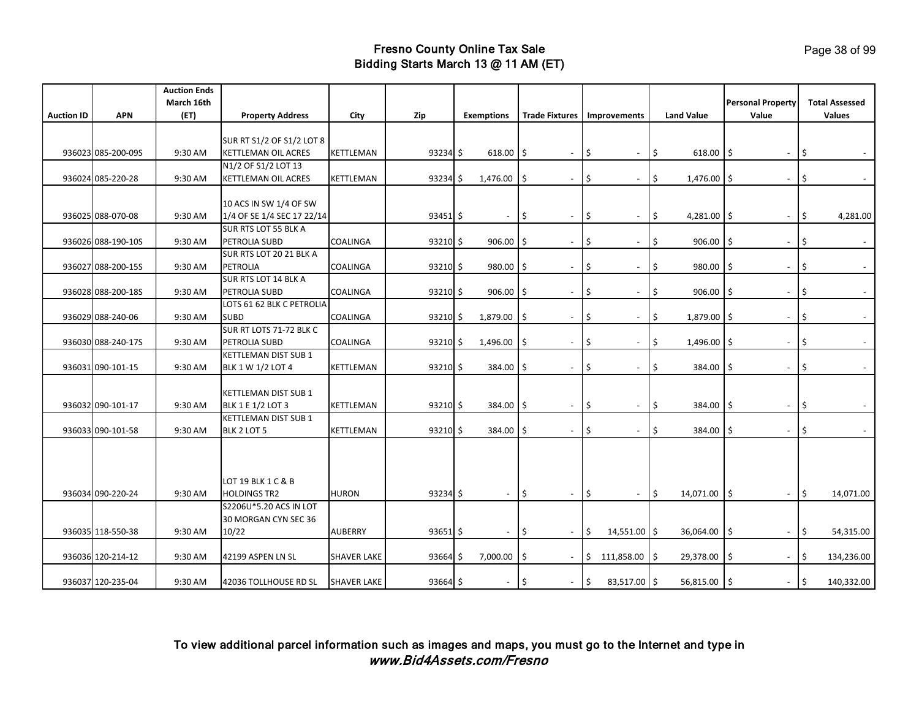|                   |                    | <b>Auction Ends</b> |                                                           |                    |               |                          |                                 |                                    |                     |                                 |                             |
|-------------------|--------------------|---------------------|-----------------------------------------------------------|--------------------|---------------|--------------------------|---------------------------------|------------------------------------|---------------------|---------------------------------|-----------------------------|
|                   |                    | March 16th          |                                                           |                    |               |                          |                                 |                                    |                     | <b>Personal Property</b>        | <b>Total Assessed</b>       |
| <b>Auction ID</b> | <b>APN</b>         | (ET)                | <b>Property Address</b>                                   | City               | Zip           | <b>Exemptions</b>        |                                 | <b>Trade Fixtures</b> Improvements | <b>Land Value</b>   | Value                           | <b>Values</b>               |
|                   |                    |                     |                                                           |                    |               |                          |                                 |                                    |                     |                                 |                             |
|                   |                    |                     | SUR RT S1/2 OF S1/2 LOT 8                                 |                    |               |                          |                                 |                                    |                     |                                 |                             |
|                   | 936023 085-200-09S | 9:30 AM             | KETTLEMAN OIL ACRES                                       | KETTLEMAN          | 93234 \$      | $618.00$ \$              | $\overline{\phantom{a}}$        | \$<br>$\overline{\phantom{a}}$     | \$<br>$618.00$ \$   | $\blacksquare$                  | \$                          |
|                   |                    |                     | N1/2 OF S1/2 LOT 13                                       |                    |               |                          |                                 |                                    |                     |                                 |                             |
|                   | 936024 085-220-28  | 9:30 AM             | <b>KETTLEMAN OIL ACRES</b>                                | KETTLEMAN          | $93234$ \$    | 1,476.00                 | ۱\$<br>$\blacksquare$           | \$<br>$\blacksquare$               | \$<br>$1,476.00$ \$ | $\blacksquare$                  | I\$                         |
|                   |                    |                     |                                                           |                    |               |                          |                                 |                                    |                     |                                 |                             |
|                   | 936025 088-070-08  |                     | 10 ACS IN SW 1/4 OF SW                                    |                    |               |                          |                                 | \$                                 | \$                  |                                 |                             |
|                   |                    | 9:30 AM             | 1/4 OF SE 1/4 SEC 17 22/14<br><b>SUR RTS LOT 55 BLK A</b> |                    | $93451$ \$    |                          | \$.<br>$\overline{\phantom{a}}$ | $\overline{\phantom{a}}$           | $4,281.00$ \$       |                                 | 4,281.00<br>\$.             |
|                   | 936026 088-190-10S | 9:30 AM             | PETROLIA SUBD                                             | <b>COALINGA</b>    | 93210S        | $906.00$ \$              | $\blacksquare$                  | Ś<br>$\overline{\phantom{a}}$      | Ś<br>906.00         | -Ś<br>$\overline{\phantom{a}}$  | $\sim$                      |
|                   |                    |                     | SUR RTS LOT 20 21 BLK A                                   |                    |               |                          |                                 |                                    |                     |                                 |                             |
|                   | 936027 088-200-15S | 9:30 AM             | PETROLIA                                                  | COALINGA           | $93210$ \$    | 980.00                   | I S<br>$\overline{\phantom{a}}$ | Ŝ.<br>$\overline{\phantom{a}}$     | \$<br>980.00        | -S<br>$\overline{\phantom{a}}$  | Ŝ                           |
|                   |                    |                     | <b>SUR RTS LOT 14 BLK A</b>                               |                    |               |                          |                                 |                                    |                     |                                 |                             |
|                   | 936028 088-200-18S | 9:30 AM             | PETROLIA SUBD                                             | COALINGA           | 93210S        | $906.00$ \$              | $\overline{\phantom{a}}$        | Ś<br>$\overline{\phantom{a}}$      | \$<br>906.00        | -\$<br>$\overline{\phantom{a}}$ | Ŝ                           |
|                   |                    |                     | LOTS 61 62 BLK C PETROLIA                                 |                    |               |                          |                                 |                                    |                     |                                 |                             |
|                   | 936029 088-240-06  | 9:30 AM             | <b>SUBD</b>                                               | COALINGA           | $93210 \div$  | 1,879.00                 | ۱\$<br>$\overline{\phantom{a}}$ | \$<br>$\overline{\phantom{a}}$     | \$<br>1,879.00 \$   | $\overline{\phantom{a}}$        | \$                          |
|                   |                    |                     | SUR RT LOTS 71-72 BLK C                                   |                    |               |                          |                                 |                                    |                     |                                 |                             |
|                   | 936030 088-240-17S | 9:30 AM             | PETROLIA SUBD                                             | COALINGA           | $93210 \;$ \$ | 1,496.00                 | ۱\$<br>$\overline{\phantom{a}}$ | \$<br>$\overline{\phantom{a}}$     | \$<br>1,496.00 \$   | $\overline{\phantom{a}}$        | \$                          |
|                   |                    |                     | KETTLEMAN DIST SUB 1                                      |                    |               |                          |                                 |                                    |                     |                                 |                             |
|                   | 936031 090-101-15  | 9:30 AM             | BLK 1 W 1/2 LOT 4                                         | KETTLEMAN          | $93210 \;$ \$ | 384.00                   | ۱\$<br>$\blacksquare$           | \$<br>$\overline{\phantom{a}}$     | \$<br>384.00        | \$<br>$\overline{\phantom{a}}$  | \$                          |
|                   |                    |                     |                                                           |                    |               |                          |                                 |                                    |                     |                                 |                             |
|                   |                    |                     | KETTLEMAN DIST SUB 1                                      |                    |               |                          |                                 |                                    |                     |                                 |                             |
|                   | 936032 090-101-17  | 9:30 AM             | <b>BLK 1 E 1/2 LOT 3</b>                                  | KETTLEMAN          | $93210$ \$    | 384.00                   | 1\$<br>$\blacksquare$           | \$<br>$\blacksquare$               | \$<br>384.00        | Ŝ.                              | \$.                         |
|                   |                    |                     | <b>KETTLEMAN DIST SUB 1</b>                               |                    |               |                          |                                 |                                    |                     |                                 |                             |
|                   | 936033 090-101-58  | 9:30 AM             | BLK 2 LOT 5                                               | KETTLEMAN          | 93210S        | 384.00 \$                | $\sim$                          | Ś.<br>$\overline{\phantom{a}}$     | Ś<br>384.00         | -Ŝ<br>$\overline{\phantom{0}}$  | Ŝ                           |
|                   |                    |                     |                                                           |                    |               |                          |                                 |                                    |                     |                                 |                             |
|                   |                    |                     |                                                           |                    |               |                          |                                 |                                    |                     |                                 |                             |
|                   |                    |                     |                                                           |                    |               |                          |                                 |                                    |                     |                                 |                             |
|                   |                    |                     | LOT 19 BLK 1 C & B                                        |                    |               |                          |                                 |                                    |                     |                                 |                             |
|                   | 936034 090-220-24  | 9:30 AM             | <b>HOLDINGS TR2</b>                                       | <b>HURON</b>       | 93234 \$      | $\overline{\phantom{a}}$ | l\$<br>$\sim$                   | \$<br>$\sim$                       | \$<br>14,071.00     | \$                              | \$.<br>14,071.00            |
|                   |                    |                     | S2206U*5.20 ACS IN LOT                                    |                    |               |                          |                                 |                                    |                     |                                 |                             |
|                   |                    |                     | 30 MORGAN CYN SEC 36                                      |                    |               |                          |                                 |                                    |                     |                                 |                             |
|                   | 936035 118-550-38  | 9:30 AM             | 10/22                                                     | <b>AUBERRY</b>     | $93651$ \$    | $\overline{\phantom{a}}$ | l\$<br>$\overline{\phantom{a}}$ | $\vert$ \$<br>14,551.00 \$         | 36,064.00           | l\$<br>$\sim$                   | $\vert$ \$<br>54,315.00     |
|                   |                    |                     |                                                           |                    |               |                          |                                 |                                    |                     |                                 |                             |
|                   | 936036 120-214-12  | 9:30 AM             | 42199 ASPEN LN SL                                         | <b>SHAVER LAKE</b> | $93664$ \$    | 7,000.00                 | ۱\$<br>$\overline{\phantom{a}}$ | $\frac{15}{2}$<br>111,858.00 \$    | 29,378.00           | Ŝ<br>$\sim$                     | \$<br>134,236.00            |
|                   |                    |                     |                                                           |                    |               |                          |                                 |                                    |                     |                                 |                             |
|                   | 936037 120-235-04  | 9:30 AM             | 42036 TOLLHOUSE RD SL                                     | <b>SHAVER LAKE</b> | 93664 \$      | $\overline{\phantom{a}}$ | ۱\$<br>$\blacksquare$           | l\$<br>83,517.00 \$                | 56,815.00 \$        | $\sim$                          | $\frac{1}{2}$<br>140,332.00 |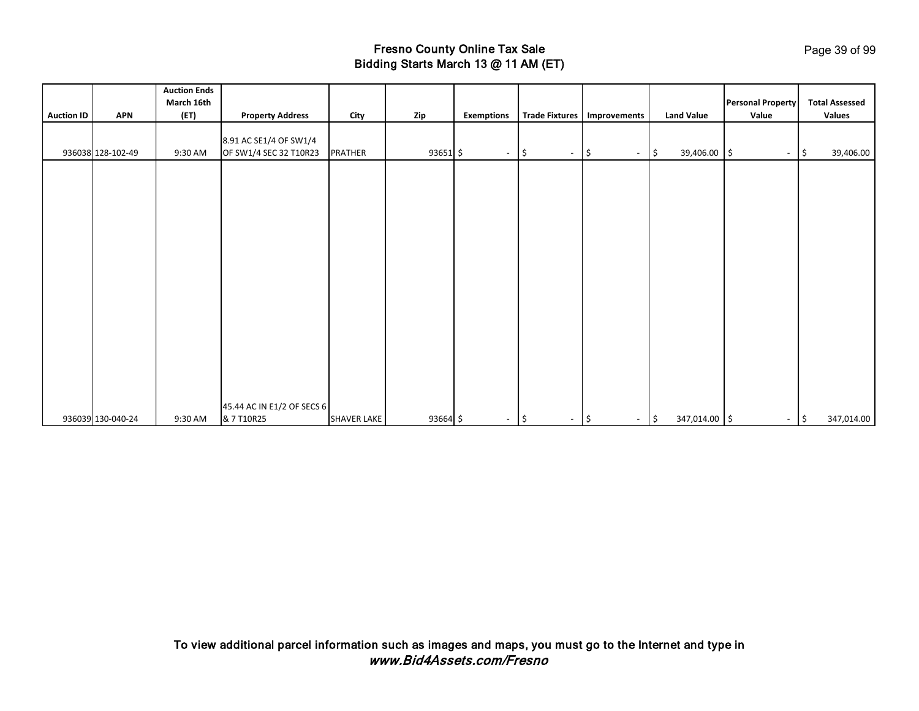|                   |                   | <b>Auction Ends</b><br>March 16th |                            |                    |          |                   |                                 |                                           |                               | <b>Personal Property</b> | <b>Total Assessed</b> |
|-------------------|-------------------|-----------------------------------|----------------------------|--------------------|----------|-------------------|---------------------------------|-------------------------------------------|-------------------------------|--------------------------|-----------------------|
| <b>Auction ID</b> | <b>APN</b>        | (ET)                              | <b>Property Address</b>    | City               | Zip      | <b>Exemptions</b> |                                 | Trade Fixtures   Improvements             | <b>Land Value</b>             | Value                    | Values                |
|                   |                   |                                   |                            |                    |          |                   |                                 |                                           |                               |                          |                       |
|                   |                   |                                   | 8.91 AC SE1/4 OF SW1/4     |                    |          |                   |                                 |                                           |                               |                          |                       |
|                   | 936038 128-102-49 | 9:30 AM                           | OF SW1/4 SEC 32 T10R23     | PRATHER            | 93651 \$ | $\sim$            | l\$                             | $\frac{1}{2}$<br>$\overline{\phantom{a}}$ | 39,406.00 \$<br>$\frac{1}{2}$ | $\overline{\phantom{a}}$ | 39,406.00<br>l\$      |
|                   |                   |                                   |                            |                    |          |                   |                                 |                                           |                               |                          |                       |
|                   |                   |                                   |                            |                    |          |                   |                                 |                                           |                               |                          |                       |
|                   |                   |                                   |                            |                    |          |                   |                                 |                                           |                               |                          |                       |
|                   |                   |                                   |                            |                    |          |                   |                                 |                                           |                               |                          |                       |
|                   |                   |                                   |                            |                    |          |                   |                                 |                                           |                               |                          |                       |
|                   |                   |                                   |                            |                    |          |                   |                                 |                                           |                               |                          |                       |
|                   |                   |                                   |                            |                    |          |                   |                                 |                                           |                               |                          |                       |
|                   |                   |                                   |                            |                    |          |                   |                                 |                                           |                               |                          |                       |
|                   |                   |                                   |                            |                    |          |                   |                                 |                                           |                               |                          |                       |
|                   |                   |                                   |                            |                    |          |                   |                                 |                                           |                               |                          |                       |
|                   |                   |                                   |                            |                    |          |                   |                                 |                                           |                               |                          |                       |
|                   |                   |                                   |                            |                    |          |                   |                                 |                                           |                               |                          |                       |
|                   |                   |                                   |                            |                    |          |                   |                                 |                                           |                               |                          |                       |
|                   |                   |                                   |                            |                    |          |                   |                                 |                                           |                               |                          |                       |
|                   |                   |                                   |                            |                    |          |                   |                                 |                                           |                               |                          |                       |
|                   |                   |                                   |                            |                    |          |                   |                                 |                                           |                               |                          |                       |
|                   |                   |                                   |                            |                    |          |                   |                                 |                                           |                               |                          |                       |
|                   |                   |                                   |                            |                    |          |                   |                                 |                                           |                               |                          |                       |
|                   |                   |                                   | 45.44 AC IN E1/2 OF SECS 6 |                    |          |                   |                                 |                                           |                               |                          |                       |
|                   | 936039 130-040-24 | 9:30 AM                           | & 7 T10R25                 | <b>SHAVER LAKE</b> | 93664 \$ | $\sim$            | 1\$<br>$\overline{\phantom{a}}$ | $\frac{1}{2}$<br>$\sim$                   | 347,014.00 \$<br> \$          | $\sim$                   | 347,014.00<br>۱\$     |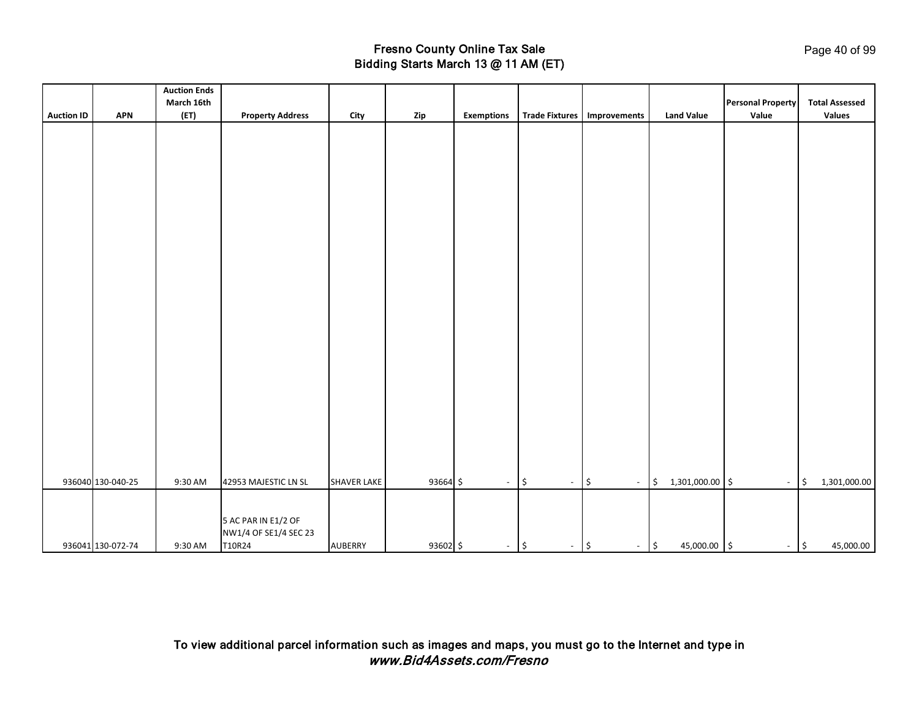|                   |                   | <b>Auction Ends</b> |                         |                    |          |                   |                                                |                                |                               |                          |                                         |
|-------------------|-------------------|---------------------|-------------------------|--------------------|----------|-------------------|------------------------------------------------|--------------------------------|-------------------------------|--------------------------|-----------------------------------------|
|                   |                   | March 16th          |                         |                    |          |                   |                                                |                                |                               | <b>Personal Property</b> | <b>Total Assessed</b>                   |
| <b>Auction ID</b> | <b>APN</b>        | (ET)                | <b>Property Address</b> | City               | Zip      | <b>Exemptions</b> | <b>Trade Fixtures</b>                          | Improvements                   | <b>Land Value</b>             | Value                    | Values                                  |
|                   |                   |                     |                         |                    |          |                   |                                                |                                |                               |                          |                                         |
|                   |                   |                     |                         |                    |          |                   |                                                |                                |                               |                          |                                         |
|                   |                   |                     |                         |                    |          |                   |                                                |                                |                               |                          |                                         |
|                   |                   |                     |                         |                    |          |                   |                                                |                                |                               |                          |                                         |
|                   |                   |                     |                         |                    |          |                   |                                                |                                |                               |                          |                                         |
|                   |                   |                     |                         |                    |          |                   |                                                |                                |                               |                          |                                         |
|                   |                   |                     |                         |                    |          |                   |                                                |                                |                               |                          |                                         |
|                   |                   |                     |                         |                    |          |                   |                                                |                                |                               |                          |                                         |
|                   |                   |                     |                         |                    |          |                   |                                                |                                |                               |                          |                                         |
|                   |                   |                     |                         |                    |          |                   |                                                |                                |                               |                          |                                         |
|                   |                   |                     |                         |                    |          |                   |                                                |                                |                               |                          |                                         |
|                   |                   |                     |                         |                    |          |                   |                                                |                                |                               |                          |                                         |
|                   |                   |                     |                         |                    |          |                   |                                                |                                |                               |                          |                                         |
|                   |                   |                     |                         |                    |          |                   |                                                |                                |                               |                          |                                         |
|                   |                   |                     |                         |                    |          |                   |                                                |                                |                               |                          |                                         |
|                   |                   |                     |                         |                    |          |                   |                                                |                                |                               |                          |                                         |
|                   |                   |                     |                         |                    |          |                   |                                                |                                |                               |                          |                                         |
|                   |                   |                     |                         |                    |          |                   |                                                |                                |                               |                          |                                         |
|                   |                   |                     |                         |                    |          |                   |                                                |                                |                               |                          |                                         |
|                   |                   |                     |                         |                    |          |                   |                                                |                                |                               |                          |                                         |
|                   |                   |                     |                         |                    |          |                   |                                                |                                |                               |                          |                                         |
|                   |                   |                     |                         |                    |          |                   |                                                |                                |                               |                          |                                         |
|                   |                   |                     |                         |                    |          |                   |                                                |                                |                               |                          |                                         |
|                   |                   |                     |                         |                    |          |                   |                                                |                                |                               |                          |                                         |
|                   |                   |                     |                         |                    |          |                   |                                                |                                |                               |                          |                                         |
|                   |                   |                     |                         |                    |          |                   |                                                |                                |                               |                          |                                         |
|                   | 936040 130-040-25 | 9:30 AM             | 42953 MAJESTIC LN SL    | <b>SHAVER LAKE</b> | 93664 \$ | $\sim$            | $\vert \mathsf{s}$<br>$\overline{\phantom{a}}$ | \$<br>$\overline{\phantom{a}}$ | 1,301,000.00 \$<br>\$         | $\overline{\phantom{a}}$ | $\frac{1}{2}$<br>1,301,000.00           |
|                   |                   |                     |                         |                    |          |                   |                                                |                                |                               |                          |                                         |
|                   |                   |                     |                         |                    |          |                   |                                                |                                |                               |                          |                                         |
|                   |                   |                     | 5 AC PAR IN E1/2 OF     |                    |          |                   |                                                |                                |                               |                          |                                         |
|                   |                   |                     | NW1/4 OF SE1/4 SEC 23   |                    |          |                   |                                                |                                |                               |                          |                                         |
|                   | 936041 130-072-74 | 9:30 AM             | T10R24                  | AUBERRY            | 93602 \$ | $-$ \$            | $ \sqrt{5}$                                    | $\overline{\phantom{a}}$       | $\frac{1}{2}$<br>45,000.00 \$ | $\blacksquare$           | $\vert \mathfrak{s} \vert$<br>45,000.00 |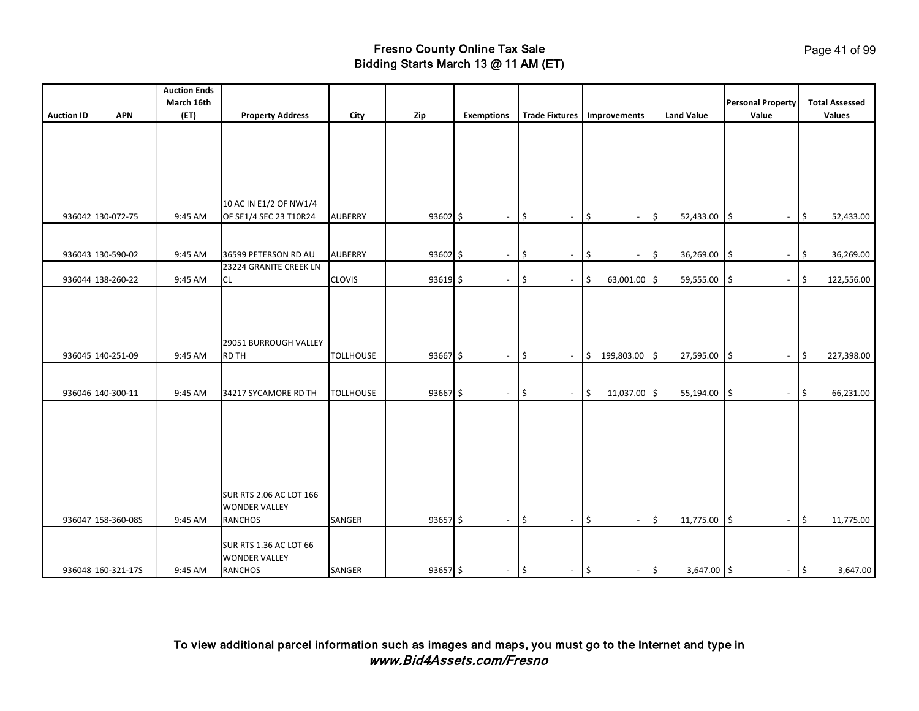|                   |                    | <b>Auction Ends</b> |                                                        |                  |              |                          |                                |                                |                                         |                                |                       |
|-------------------|--------------------|---------------------|--------------------------------------------------------|------------------|--------------|--------------------------|--------------------------------|--------------------------------|-----------------------------------------|--------------------------------|-----------------------|
|                   |                    | March 16th          |                                                        |                  |              |                          |                                |                                |                                         | <b>Personal Property</b>       | <b>Total Assessed</b> |
| <b>Auction ID</b> | <b>APN</b>         | (ET)                | <b>Property Address</b>                                | City             | Zip          | <b>Exemptions</b>        | <b>Trade Fixtures</b>          | Improvements                   | <b>Land Value</b>                       | Value                          | Values                |
|                   |                    |                     |                                                        |                  |              |                          |                                |                                |                                         |                                |                       |
|                   |                    |                     |                                                        |                  |              |                          |                                |                                |                                         |                                |                       |
|                   |                    |                     |                                                        |                  |              |                          |                                |                                |                                         |                                |                       |
|                   |                    |                     |                                                        |                  |              |                          |                                |                                |                                         |                                |                       |
|                   |                    |                     |                                                        |                  |              |                          |                                |                                |                                         |                                |                       |
|                   |                    |                     | 10 AC IN E1/2 OF NW1/4                                 |                  |              |                          |                                |                                |                                         |                                |                       |
|                   | 936042 130-072-75  | 9:45 AM             | OF SE1/4 SEC 23 T10R24                                 | <b>AUBERRY</b>   | $93602 \leq$ | $\overline{\phantom{a}}$ | \$<br>$\overline{\phantom{a}}$ | \$<br>$\overline{\phantom{a}}$ | \$<br>52,433.00                         | \$<br>$\sim$                   | 52,433.00<br>5        |
|                   |                    |                     |                                                        |                  |              |                          |                                |                                |                                         |                                |                       |
|                   |                    |                     |                                                        |                  |              |                          |                                |                                |                                         |                                |                       |
|                   | 936043 130-590-02  | 9:45 AM             | 36599 PETERSON RD AU<br>23224 GRANITE CREEK LN         | <b>AUBERRY</b>   | $93602 \leq$ | $\overline{\phantom{a}}$ | \$<br>$\blacksquare$           | \$<br>$\overline{\phantom{a}}$ | \$<br>36,269.00                         | \$<br>$\overline{\phantom{a}}$ | 36,269.00<br>\$       |
|                   | 936044 138-260-22  | 9:45 AM             | CL                                                     | <b>CLOVIS</b>    | $93619$ \$   | $\overline{\phantom{a}}$ | \$<br>$\overline{\phantom{a}}$ | \$<br>63,001.00                | \$<br>59,555.00                         | \$<br>$\overline{\phantom{a}}$ | 122,556.00<br>\$      |
|                   |                    |                     |                                                        |                  |              |                          |                                |                                |                                         |                                |                       |
|                   |                    |                     |                                                        |                  |              |                          |                                |                                |                                         |                                |                       |
|                   |                    |                     |                                                        |                  |              |                          |                                |                                |                                         |                                |                       |
|                   |                    |                     |                                                        |                  |              |                          |                                |                                |                                         |                                |                       |
|                   |                    |                     | 29051 BURROUGH VALLEY                                  |                  |              |                          |                                |                                |                                         |                                |                       |
|                   | 936045 140-251-09  | 9:45 AM             | <b>RD TH</b>                                           | <b>TOLLHOUSE</b> | 93667 \$     | $\overline{\phantom{a}}$ | \$<br>$\sim$                   | 199,803.00 \$<br>\$            | 27,595.00                               | \$<br>$\overline{\phantom{a}}$ | 227,398.00<br>\$      |
|                   |                    |                     |                                                        |                  |              |                          |                                |                                |                                         |                                |                       |
|                   | 936046 140-300-11  | 9:45 AM             | 34217 SYCAMORE RD TH                                   | <b>TOLLHOUSE</b> | 93667 \$     | $\blacksquare$           | \$<br>$\overline{\phantom{a}}$ | $\frac{1}{2}$<br>11,037.00 \$  | 55,194.00                               | $\zeta$<br>$\blacksquare$      | 66,231.00<br>\$       |
|                   |                    |                     |                                                        |                  |              |                          |                                |                                |                                         |                                |                       |
|                   |                    |                     |                                                        |                  |              |                          |                                |                                |                                         |                                |                       |
|                   |                    |                     |                                                        |                  |              |                          |                                |                                |                                         |                                |                       |
|                   |                    |                     |                                                        |                  |              |                          |                                |                                |                                         |                                |                       |
|                   |                    |                     |                                                        |                  |              |                          |                                |                                |                                         |                                |                       |
|                   |                    |                     |                                                        |                  |              |                          |                                |                                |                                         |                                |                       |
|                   |                    |                     |                                                        |                  |              |                          |                                |                                |                                         |                                |                       |
|                   |                    |                     | <b>SUR RTS 2.06 AC LOT 166</b><br><b>WONDER VALLEY</b> |                  |              |                          |                                |                                |                                         |                                |                       |
|                   | 936047 158-360-08S | 9:45 AM             | <b>RANCHOS</b>                                         | SANGER           | $93657$ \$   | $\sim$                   | \$<br>$\blacksquare$           | \$<br>$\blacksquare$           | \$<br>11,775.00                         | \$<br>$\blacksquare$           | 11,775.00<br>5        |
|                   |                    |                     |                                                        |                  |              |                          |                                |                                |                                         |                                |                       |
|                   |                    |                     | <b>SUR RTS 1.36 AC LOT 66</b>                          |                  |              |                          |                                |                                |                                         |                                |                       |
|                   |                    |                     | <b>WONDER VALLEY</b>                                   |                  |              |                          |                                |                                |                                         |                                |                       |
|                   | 936048 160-321-17S | 9:45 AM             | <b>RANCHOS</b>                                         | SANGER           | 93657 \$     | $\overline{\phantom{a}}$ | 15<br>$\blacksquare$           | $\vert \mathfrak{s}$<br>$\sim$ | $\vert \mathsf{s} \vert$<br>3,647.00 \$ | $-$ 5                          | 3,647.00              |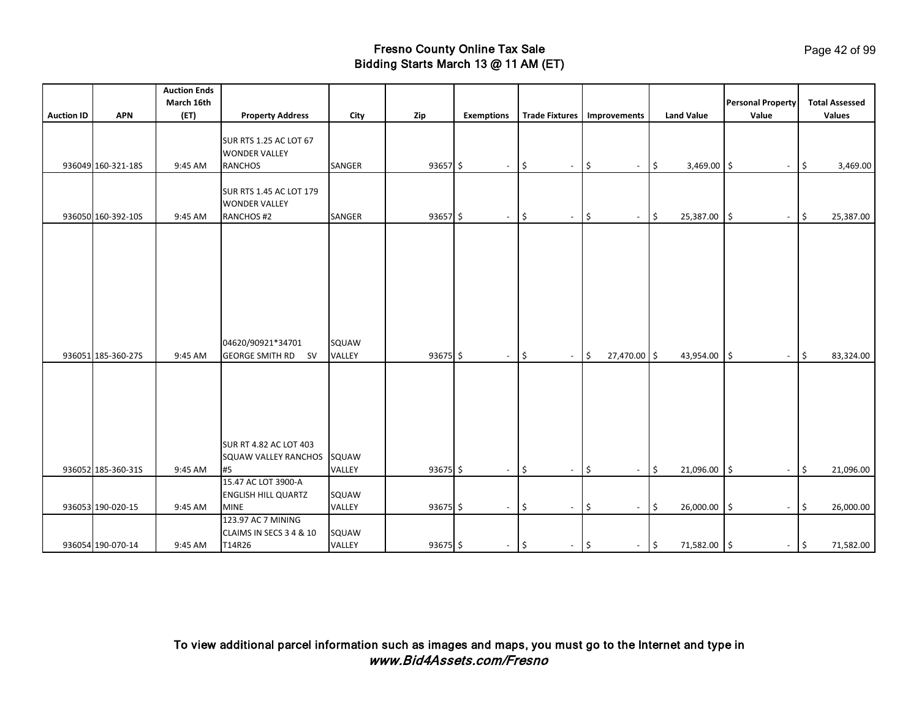|                   |                    | <b>Auction Ends</b> |                                                                         |                 |            |                          |                                 |                                                 |                                    |                                                 |                                 |
|-------------------|--------------------|---------------------|-------------------------------------------------------------------------|-----------------|------------|--------------------------|---------------------------------|-------------------------------------------------|------------------------------------|-------------------------------------------------|---------------------------------|
|                   |                    | March 16th          |                                                                         |                 |            |                          |                                 |                                                 |                                    | <b>Personal Property</b>                        | <b>Total Assessed</b>           |
| <b>Auction ID</b> | <b>APN</b>         | (ET)                | <b>Property Address</b>                                                 | City            | Zip        | <b>Exemptions</b>        | <b>Trade Fixtures</b>           | Improvements                                    | <b>Land Value</b>                  | Value                                           | Values                          |
|                   | 936049 160-321-18S | 9:45 AM             | <b>SUR RTS 1.25 AC LOT 67</b><br><b>WONDER VALLEY</b><br><b>RANCHOS</b> | SANGER          | $93657$ \$ | $\sim$                   | 5<br>$\overline{\phantom{a}}$   | $\ddot{\mathsf{S}}$<br>$\overline{\phantom{a}}$ | $\vert$ \$<br>3,469.00 \$          | $\sim$                                          | $\vert \mathsf{s}$<br>3,469.00  |
|                   |                    |                     |                                                                         |                 |            |                          |                                 |                                                 |                                    |                                                 |                                 |
|                   | 936050 160-392-10S | 9:45 AM             | <b>SUR RTS 1.45 AC LOT 179</b><br><b>WONDER VALLEY</b><br>RANCHOS #2    | SANGER          | $93657$ \$ | $\sim$                   | 5<br>$\overline{\phantom{a}}$   | $\ddot{\mathsf{S}}$<br>$\sim$                   | \$<br>25,387.00                    | ۱\$<br>$\sim$                                   | 25,387.00<br>1\$                |
|                   | 936051 185-360-27S | 9:45 AM             | 04620/90921*34701<br><b>GEORGE SMITH RD SV</b>                          | SQUAW<br>VALLEY | 93675 \$   | $\sim$                   | l\$<br>$\overline{\phantom{a}}$ | 5<br>27,470.00 \$                               | 43,954.00                          | l\$<br>$\sim$                                   | 83,324.00<br>$\vert \mathsf{s}$ |
|                   | 936052 185-360-31S | 9:45 AM             | <b>SUR RT 4.82 AC LOT 403</b><br>SQUAW VALLEY RANCHOS<br>#5             | SQUAW<br>VALLEY | 93675 \$   | $\overline{\phantom{a}}$ | 5<br>$\overline{\phantom{a}}$   | \$<br>$\sim$                                    | \$<br>21,096.00                    | \$<br>$\blacksquare$                            | 21,096.00<br>-\$                |
|                   |                    |                     | 15.47 AC LOT 3900-A                                                     |                 |            |                          |                                 |                                                 |                                    |                                                 |                                 |
|                   | 936053 190-020-15  | 9:45 AM             | <b>ENGLISH HILL QUARTZ</b><br><b>MINE</b>                               | SQUAW<br>VALLEY | 93675 \$   | $\overline{\phantom{a}}$ | 5<br>$\overline{\phantom{a}}$   | \$<br>$\overline{\phantom{a}}$                  | \$<br>26,000.00                    | $\ddot{\mathsf{s}}$<br>$\overline{\phantom{a}}$ | \$<br>26,000.00                 |
|                   |                    |                     | 123.97 AC 7 MINING                                                      |                 |            |                          |                                 |                                                 |                                    |                                                 |                                 |
|                   | 936054 190-070-14  | 9:45 AM             | CLAIMS IN SECS 3 4 & 10<br>T14R26                                       | SQUAW<br>VALLEY | 93675\$    | $\sim$                   | \$<br>$\sim$                    | $\vert \zeta$<br>$\sim$                         | $\vert \mathsf{s}$<br>71,582.00 \$ | $-$ \$                                          | 71,582.00                       |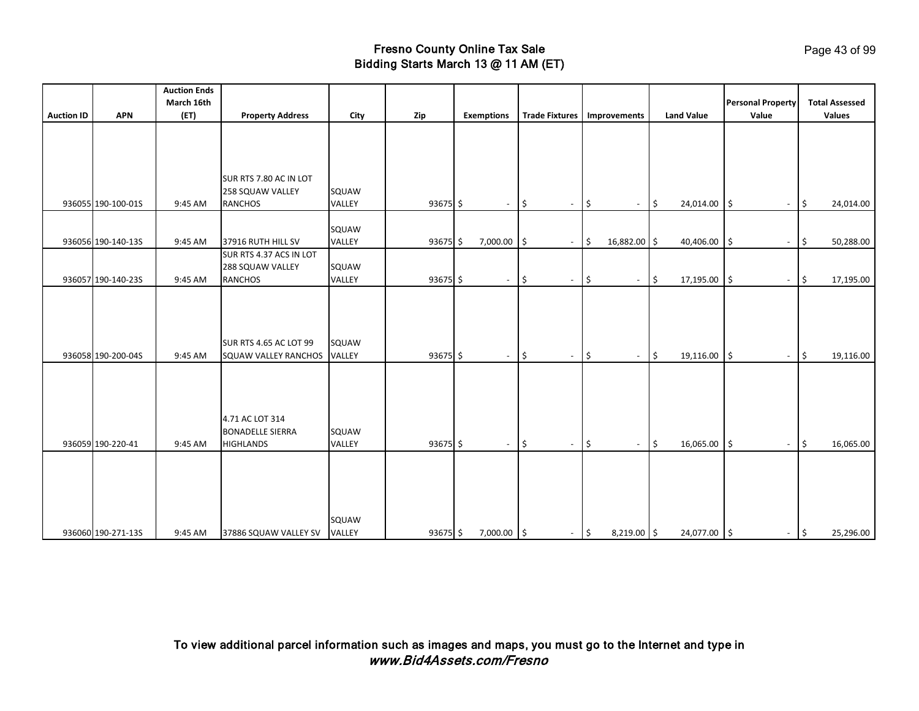|                   |                    | <b>Auction Ends</b><br>March 16th |                                                                |                 |            |                          |                                        |                                                       |                                  | <b>Personal Property</b>       | <b>Total Assessed</b>           |
|-------------------|--------------------|-----------------------------------|----------------------------------------------------------------|-----------------|------------|--------------------------|----------------------------------------|-------------------------------------------------------|----------------------------------|--------------------------------|---------------------------------|
| <b>Auction ID</b> | <b>APN</b>         | (ET)                              | <b>Property Address</b>                                        | City            | Zip        | <b>Exemptions</b>        | <b>Trade Fixtures</b>                  | Improvements                                          | <b>Land Value</b>                | Value                          | <b>Values</b>                   |
|                   |                    |                                   |                                                                |                 |            |                          |                                        |                                                       |                                  |                                |                                 |
|                   | 936055 190-100-01S | 9:45 AM                           | SUR RTS 7.80 AC IN LOT<br>258 SQUAW VALLEY<br><b>RANCHOS</b>   | SQUAW<br>VALLEY | $93675$ \$ | $\overline{\phantom{a}}$ | \$<br>$\overline{\phantom{a}}$         | $\boldsymbol{\mathsf{S}}$<br>$\overline{\phantom{a}}$ | \$<br>24,014.00                  | \$<br>$\overline{\phantom{a}}$ | 24,014.00<br>\$                 |
|                   | 936056 190-140-13S | 9:45 AM                           | 37916 RUTH HILL SV                                             | SQUAW<br>VALLEY | $93675$ \$ | 7,000.00                 | l\$<br>$\blacksquare$                  | 16,882.00 \$<br>$\zeta$                               | 40,406.00                        | \$<br>$\overline{\phantom{a}}$ | 50,288.00<br>I\$                |
|                   | 936057 190-140-23S | 9:45 AM                           | SUR RTS 4.37 ACS IN LOT<br>288 SQUAW VALLEY<br><b>RANCHOS</b>  | SQUAW<br>VALLEY | 93675 \$   | $\sim$                   | \$<br>$\sim$                           | ١\$<br>$\sim$                                         | $\ddot{\mathsf{s}}$<br>17,195.00 | \$<br>$\sim$                   | 17,195.00<br>\$                 |
|                   | 936058 190-200-04S | 9:45 AM                           | <b>SUR RTS 4.65 AC LOT 99</b><br><b>SQUAW VALLEY RANCHOS</b>   | SQUAW<br>VALLEY | $93675$ \$ | $\overline{\phantom{a}}$ | \$<br>$\overline{\phantom{a}}$         | $\frac{1}{2}$<br>$\overline{\phantom{a}}$             | $\frac{1}{2}$<br>19,116.00       | \$<br>$\overline{\phantom{a}}$ | \$<br>19,116.00                 |
|                   | 936059 190-220-41  | 9:45 AM                           | 4.71 AC LOT 314<br><b>BONADELLE SIERRA</b><br><b>HIGHLANDS</b> | SQUAW<br>VALLEY | $93675$ \$ | $\overline{\phantom{a}}$ | $\sqrt{5}$<br>$\overline{\phantom{a}}$ | $\frac{1}{2}$<br>$\sim$                               | $\frac{1}{2}$<br>16,065.00       | $\zeta$<br>$\sim$              | l \$<br>16,065.00               |
|                   | 936060 190-271-13S | 9:45 AM                           | 37886 SQUAW VALLEY SV                                          | SQUAW<br>VALLEY | $93675$ \$ | 7,000.00 \$              | $\overline{\phantom{a}}$               | $\vert \mathsf{s}$<br>$8,219.00$ \$                   | 24,077.00 \$                     | $\sim$                         | $\vert \mathsf{s}$<br>25,296.00 |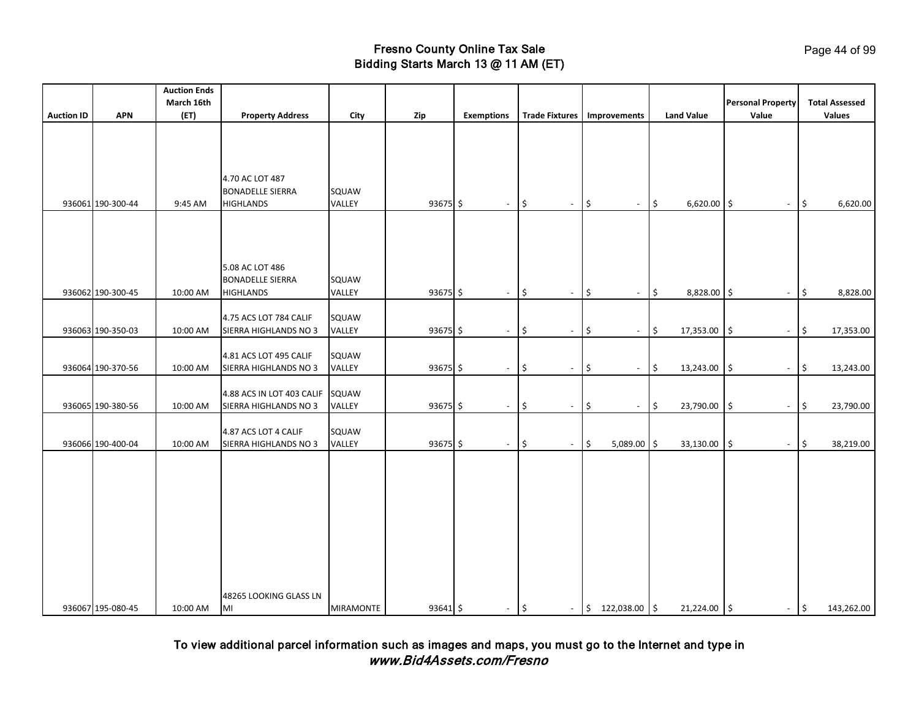|                   |                   | <b>Auction Ends</b> |                                                                |                  |            |                          |                                |                                   |                   |                                     |                       |
|-------------------|-------------------|---------------------|----------------------------------------------------------------|------------------|------------|--------------------------|--------------------------------|-----------------------------------|-------------------|-------------------------------------|-----------------------|
|                   |                   | March 16th          |                                                                |                  |            |                          |                                |                                   |                   | <b>Personal Property</b>            | <b>Total Assessed</b> |
| <b>Auction ID</b> | <b>APN</b>        | (ET)                | <b>Property Address</b>                                        | City             | Zip        | <b>Exemptions</b>        | <b>Trade Fixtures</b>          | Improvements                      | <b>Land Value</b> | Value                               | <b>Values</b>         |
|                   | 936061 190-300-44 | 9:45 AM             | 4.70 AC LOT 487<br><b>BONADELLE SIERRA</b><br><b>HIGHLANDS</b> | SQUAW<br>VALLEY  | 93675 \$   | $\overline{\phantom{a}}$ | \$<br>$\sim$                   | \$<br>$\blacksquare$              | \$<br>6,620.00    | l\$<br>$\blacksquare$               | \$<br>6,620.00        |
|                   | 936062 190-300-45 | 10:00 AM            | 5.08 AC LOT 486<br><b>BONADELLE SIERRA</b><br><b>HIGHLANDS</b> | SQUAW<br>VALLEY  | $93675$ \$ | $\sim$                   | \$<br>$\blacksquare$           | \$<br>$\overline{\phantom{a}}$    | \$<br>8,828.00    | -\$<br>$\overline{\phantom{a}}$     | \$<br>8,828.00        |
|                   | 936063 190-350-03 | 10:00 AM            | 4.75 ACS LOT 784 CALIF<br>SIERRA HIGHLANDS NO 3                | SQUAW<br>VALLEY  | 93675 \$   | $\blacksquare$           | \$<br>$\blacksquare$           | \$<br>$\overline{\phantom{a}}$    | \$<br>17,353.00   | \$<br>$\blacksquare$                | 17,353.00<br>\$       |
|                   | 936064 190-370-56 | 10:00 AM            | 4.81 ACS LOT 495 CALIF<br>SIERRA HIGHLANDS NO 3                | SQUAW<br>VALLEY  | $93675$ \$ | $\overline{\phantom{a}}$ | \$<br>$\overline{\phantom{a}}$ | \$<br>$\blacksquare$              | \$<br>13,243.00   | \$<br>$\sim$                        | \$<br>13,243.00       |
|                   | 936065 190-380-56 | 10:00 AM            | 4.88 ACS IN LOT 403 CALIF<br>SIERRA HIGHLANDS NO 3             | SQUAW<br>VALLEY  | $93675$ \$ | $\sim$                   | \$<br>$\blacksquare$           | \$<br>$\mathcal{L}_{\mathcal{A}}$ | \$<br>23,790.00   | \$<br>$\sim$                        | \$<br>23,790.00       |
|                   | 936066 190-400-04 | 10:00 AM            | 4.87 ACS LOT 4 CALIF<br>SIERRA HIGHLANDS NO 3                  | SQUAW<br>VALLEY  | 93675 \$   | $\overline{\phantom{a}}$ | \$<br>$\blacksquare$           | \$<br>$5,089.00$ \$               | 33,130.00         | $\zeta$<br>$\overline{\phantom{a}}$ | 38,219.00<br>\$       |
|                   | 936067 195-080-45 | 10:00 AM            | 48265 LOOKING GLASS LN<br>MI                                   | <b>MIRAMONTE</b> | 93641 \$   | $\sim$                   | $\frac{1}{2}$<br>$\sim$        | $$122,038.00$ \$                  | 21,224.00 \$      | $ \frac{1}{2}$                      | 143,262.00            |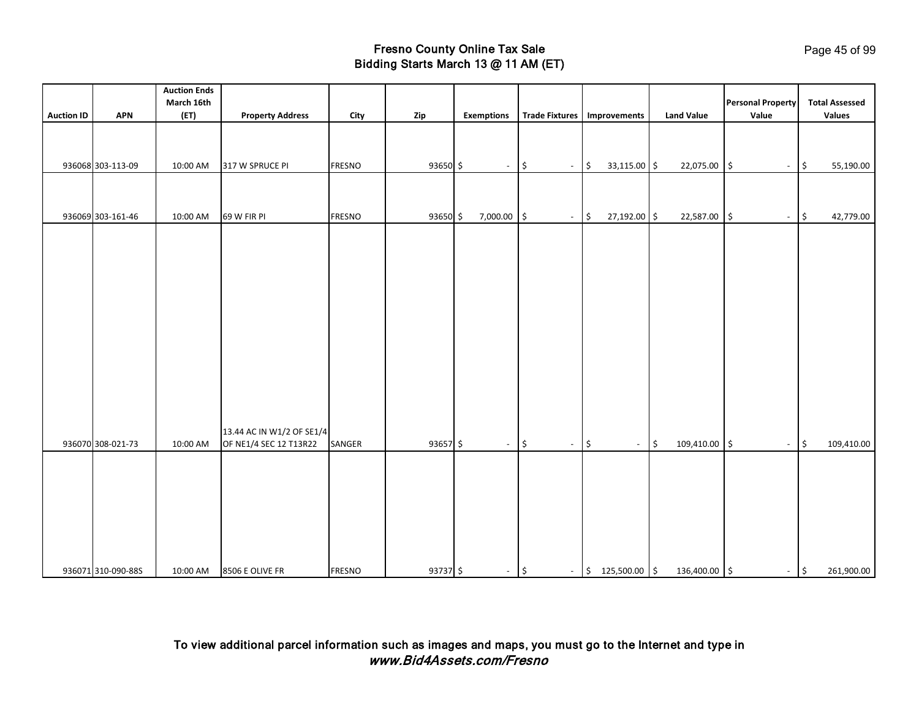|                   |                    | <b>Auction Ends</b> |                           |               |          |                          |                         |                               |                                |                                   |                                        |
|-------------------|--------------------|---------------------|---------------------------|---------------|----------|--------------------------|-------------------------|-------------------------------|--------------------------------|-----------------------------------|----------------------------------------|
| <b>Auction ID</b> | <b>APN</b>         | March 16th<br>(ET)  | <b>Property Address</b>   | City          | Zip      | <b>Exemptions</b>        | <b>Trade Fixtures</b>   | Improvements                  | <b>Land Value</b>              | <b>Personal Property</b><br>Value | <b>Total Assessed</b><br><b>Values</b> |
|                   |                    |                     |                           |               |          |                          |                         |                               |                                |                                   |                                        |
|                   |                    |                     |                           |               |          |                          |                         |                               |                                |                                   |                                        |
|                   |                    |                     |                           |               |          |                          |                         |                               |                                |                                   |                                        |
|                   | 936068 303-113-09  | 10:00 AM            | 317 W SPRUCE PI           | <b>FRESNO</b> | 93650 \$ | $\overline{\phantom{a}}$ | \$<br>$\sim$            | 33,115.00 \$<br>\$            | 22,075.00 \$                   | $\blacksquare$                    | $\vert \xi$<br>55,190.00               |
|                   |                    |                     |                           |               |          |                          |                         |                               |                                |                                   |                                        |
|                   |                    |                     |                           |               |          |                          |                         |                               |                                |                                   |                                        |
|                   | 936069 303-161-46  | 10:00 AM            | 69 W FIR PI               | <b>FRESNO</b> | 93650 \$ | 7,000.00                 | I\$<br>$\sim$           | 27,192.00 \$<br>$\frac{1}{2}$ | 22,587.00 \$                   | $-$ \$                            | 42,779.00                              |
|                   |                    |                     |                           |               |          |                          |                         |                               |                                |                                   |                                        |
|                   |                    |                     |                           |               |          |                          |                         |                               |                                |                                   |                                        |
|                   |                    |                     |                           |               |          |                          |                         |                               |                                |                                   |                                        |
|                   |                    |                     |                           |               |          |                          |                         |                               |                                |                                   |                                        |
|                   |                    |                     |                           |               |          |                          |                         |                               |                                |                                   |                                        |
|                   |                    |                     |                           |               |          |                          |                         |                               |                                |                                   |                                        |
|                   |                    |                     |                           |               |          |                          |                         |                               |                                |                                   |                                        |
|                   |                    |                     |                           |               |          |                          |                         |                               |                                |                                   |                                        |
|                   |                    |                     |                           |               |          |                          |                         |                               |                                |                                   |                                        |
|                   |                    |                     |                           |               |          |                          |                         |                               |                                |                                   |                                        |
|                   |                    |                     |                           |               |          |                          |                         |                               |                                |                                   |                                        |
|                   |                    |                     |                           |               |          |                          |                         |                               |                                |                                   |                                        |
|                   |                    |                     |                           |               |          |                          |                         |                               |                                |                                   |                                        |
|                   |                    |                     | 13.44 AC IN W1/2 OF SE1/4 |               |          |                          |                         |                               |                                |                                   |                                        |
|                   | 936070 308-021-73  | 10:00 AM            | OF NE1/4 SEC 12 T13R22    | SANGER        | 93657\$  | $\sim$                   | $\frac{1}{2}$<br>$\sim$ | $\updownarrow$<br>$\sim$      | 109,410.00 \$<br>$\frac{1}{2}$ | $\sim$                            | \$<br>109,410.00                       |
|                   |                    |                     |                           |               |          |                          |                         |                               |                                |                                   |                                        |
|                   |                    |                     |                           |               |          |                          |                         |                               |                                |                                   |                                        |
|                   |                    |                     |                           |               |          |                          |                         |                               |                                |                                   |                                        |
|                   |                    |                     |                           |               |          |                          |                         |                               |                                |                                   |                                        |
|                   |                    |                     |                           |               |          |                          |                         |                               |                                |                                   |                                        |
|                   |                    |                     |                           |               |          |                          |                         |                               |                                |                                   |                                        |
|                   |                    |                     |                           |               |          |                          |                         |                               |                                |                                   |                                        |
|                   | 936071 310-090-88S | 10:00 AM            | 8506 E OLIVE FR           | <b>FRESNO</b> | 93737 \$ | $-$ \$                   |                         | $-$ \$ 125,500.00 \$          | 136,400.00 \$                  | $-$ \$                            | 261,900.00                             |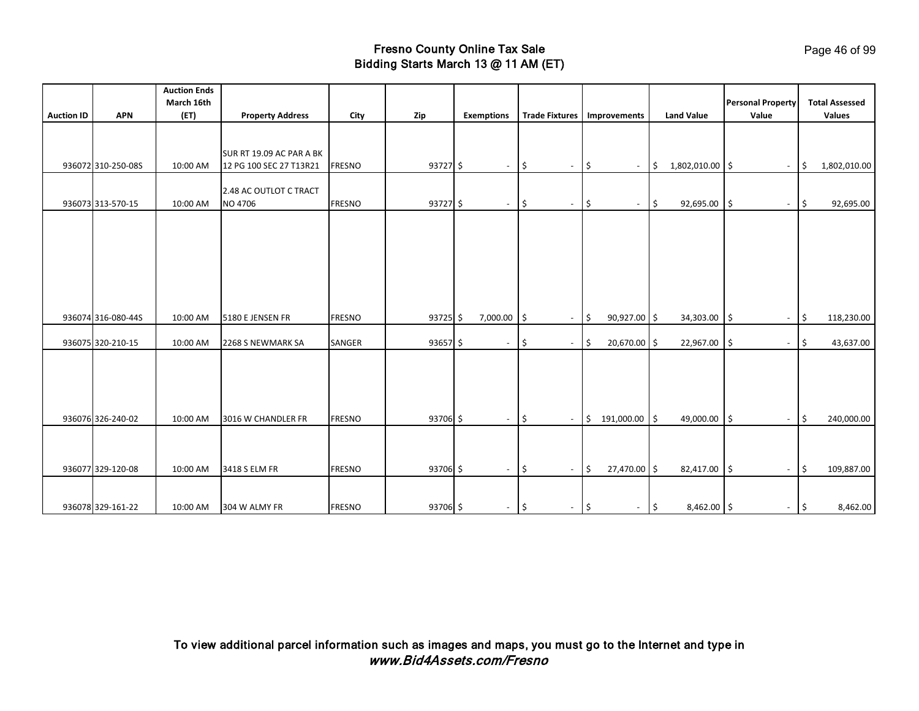| <b>Auction ID</b> | <b>APN</b>         | <b>Auction Ends</b><br>March 16th<br>(ET) | <b>Property Address</b>                             | City          | Zip        | <b>Exemptions</b>        | <b>Trade Fixtures</b>        | Improvements                                   | <b>Land Value</b>                 | <b>Personal Property</b><br>Value              | <b>Total Assessed</b><br><b>Values</b> |
|-------------------|--------------------|-------------------------------------------|-----------------------------------------------------|---------------|------------|--------------------------|------------------------------|------------------------------------------------|-----------------------------------|------------------------------------------------|----------------------------------------|
|                   |                    |                                           |                                                     |               |            |                          |                              |                                                |                                   |                                                |                                        |
|                   | 936072 310-250-08S | 10:00 AM                                  | SUR RT 19.09 AC PAR A BK<br>12 PG 100 SEC 27 T13R21 | <b>FRESNO</b> | $93727$ \$ | $\overline{\phantom{a}}$ | I\$<br>$\sim$                | \$<br>$\sim$                                   | 1,802,010.00 \$<br>\$             | $\overline{\phantom{a}}$                       | $\sqrt{2}$<br>1,802,010.00             |
|                   | 936073 313-570-15  | 10:00 AM                                  | 2.48 AC OUTLOT C TRACT                              | <b>FRESNO</b> |            |                          |                              |                                                |                                   |                                                |                                        |
|                   |                    |                                           | NO 4706                                             |               | 93727 \$   | $\overline{\phantom{a}}$ | $\vert \mathsf{s}$<br>$\sim$ | \$<br>$\overline{\phantom{a}}$                 | 92,695.00<br>\$                   | $\vert \mathsf{s}$<br>$\overline{\phantom{a}}$ | $\ddot{\mathsf{S}}$<br>92,695.00       |
|                   | 936074 316-080-44S | 10:00 AM                                  | 5180 E JENSEN FR                                    | <b>FRESNO</b> | $93725$ \$ | $7,000.00$ \$            | $\sim$                       | 90,927.00 \$<br>\$                             | 34,303.00                         | $\vert \mathsf{s}$<br>$\overline{\phantom{a}}$ | \$<br>118,230.00                       |
|                   | 936075 320-210-15  | 10:00 AM                                  | 2268 S NEWMARK SA                                   | SANGER        | $93657$ \$ | $\overline{\phantom{a}}$ | ۱\$<br>$\sim$                | 20,670.00 \$<br>\$                             | 22,967.00                         | 1\$<br>$\blacksquare$                          | \$<br>43,637.00                        |
|                   | 936076 326-240-02  | 10:00 AM                                  | 3016 W CHANDLER FR                                  | <b>FRESNO</b> | 93706 \$   | $\overline{\phantom{a}}$ | $\vert \mathsf{s}$           | 191,000.00 \$<br>$-$ \$                        | 49,000.00 \$                      | $\blacksquare$                                 | $\sqrt{5}$<br>240,000.00               |
|                   | 936077 329-120-08  | 10:00 AM                                  | 3418 S ELM FR                                       | <b>FRESNO</b> | 93706 \$   | $\sim$                   | $\vert \mathsf{s}$<br>$\sim$ | 27,470.00 \$<br>\$                             | 82,417.00 \$                      | $\overline{\phantom{a}}$                       | l \$<br>109,887.00                     |
|                   | 936078 329-161-22  | 10:00 AM                                  | 304 W ALMY FR                                       | <b>FRESNO</b> | 93706 \$   | $\sim$                   | $\vert \mathsf{s}$<br>$\sim$ | $\vert \mathsf{s}$<br>$\overline{\phantom{a}}$ | 8,462.00 \$<br>$\vert \mathsf{s}$ | $\overline{\phantom{a}}$                       | $\vert \mathfrak{s} \vert$<br>8,462.00 |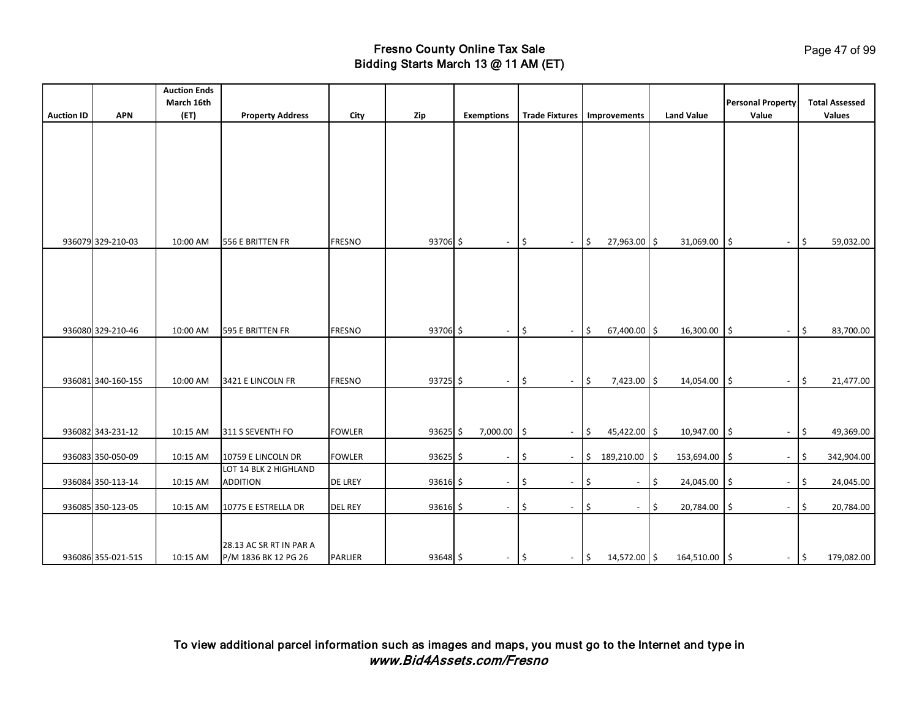|                   |                    | <b>Auction Ends</b> |                         |                |            |                          |                       |                          |                          |                          |                   |                                  |       |                       |
|-------------------|--------------------|---------------------|-------------------------|----------------|------------|--------------------------|-----------------------|--------------------------|--------------------------|--------------------------|-------------------|----------------------------------|-------|-----------------------|
|                   |                    | March 16th          |                         |                |            |                          |                       |                          |                          |                          |                   | <b>Personal Property</b>         |       | <b>Total Assessed</b> |
| <b>Auction ID</b> | <b>APN</b>         | (ET)                | <b>Property Address</b> | City           | Zip        | <b>Exemptions</b>        | <b>Trade Fixtures</b> |                          |                          | Improvements             | <b>Land Value</b> | Value                            |       | Values                |
|                   |                    |                     |                         |                |            |                          |                       |                          |                          |                          |                   |                                  |       |                       |
|                   |                    |                     |                         |                |            |                          |                       |                          |                          |                          |                   |                                  |       |                       |
|                   |                    |                     |                         |                |            |                          |                       |                          |                          |                          |                   |                                  |       |                       |
|                   |                    |                     |                         |                |            |                          |                       |                          |                          |                          |                   |                                  |       |                       |
|                   |                    |                     |                         |                |            |                          |                       |                          |                          |                          |                   |                                  |       |                       |
|                   |                    |                     |                         |                |            |                          |                       |                          |                          |                          |                   |                                  |       |                       |
|                   |                    |                     |                         |                |            |                          |                       |                          |                          |                          |                   |                                  |       |                       |
|                   |                    |                     |                         |                |            |                          |                       |                          |                          |                          |                   |                                  |       |                       |
|                   | 936079 329-210-03  | 10:00 AM            | 556 E BRITTEN FR        | <b>FRESNO</b>  | 93706 \$   | $\overline{\phantom{a}}$ | $\sqrt{5}$            | $\overline{\phantom{a}}$ | $\vert \mathfrak{s}$     | 27,963.00 \$             | 31,069.00         | \$<br>$\overline{\phantom{a}}$   | \$    | 59,032.00             |
|                   |                    |                     |                         |                |            |                          |                       |                          |                          |                          |                   |                                  |       |                       |
|                   |                    |                     |                         |                |            |                          |                       |                          |                          |                          |                   |                                  |       |                       |
|                   |                    |                     |                         |                |            |                          |                       |                          |                          |                          |                   |                                  |       |                       |
|                   |                    |                     |                         |                |            |                          |                       |                          |                          |                          |                   |                                  |       |                       |
|                   |                    |                     |                         |                |            |                          |                       |                          |                          |                          |                   |                                  |       |                       |
|                   | 936080 329-210-46  | 10:00 AM            | 595 E BRITTEN FR        | <b>FRESNO</b>  | 93706 \$   | $\sim$                   | l\$                   | $\blacksquare$           | $\vert \mathsf{s}$       | 67,400.00 \$             | 16,300.00         | l\$<br>$\sim$                    | \$ ا  | 83,700.00             |
|                   |                    |                     |                         |                |            |                          |                       |                          |                          |                          |                   |                                  |       |                       |
|                   |                    |                     |                         |                |            |                          |                       |                          |                          |                          |                   |                                  |       |                       |
|                   | 936081 340-160-15S | 10:00 AM            | 3421 E LINCOLN FR       | <b>FRESNO</b>  | 93725 \$   | $\sim$                   | ۱\$                   | $\blacksquare$           | l\$                      | 7,423.00 \$              | 14,054.00         | l\$<br>$\overline{\phantom{a}}$  | \$    | 21,477.00             |
|                   |                    |                     |                         |                |            |                          |                       |                          |                          |                          |                   |                                  |       |                       |
|                   |                    |                     |                         |                |            |                          |                       |                          |                          |                          |                   |                                  |       |                       |
|                   |                    |                     |                         |                |            |                          |                       |                          |                          |                          |                   |                                  |       |                       |
|                   | 936082 343-231-12  | 10:15 AM            | 311 S SEVENTH FO        | <b>FOWLER</b>  | $93625$ \$ | 7,000.00                 | I\$                   | $\sim$                   | I\$                      | 45,422.00 \$             | 10,947.00         | \$ ا<br>$\overline{\phantom{a}}$ | \$    | 49,369.00             |
|                   |                    |                     |                         |                |            |                          |                       |                          |                          |                          |                   |                                  |       |                       |
|                   | 936083 350-050-09  | 10:15 AM            | 10759 E LINCOLN DR      | <b>FOWLER</b>  | $93625$ \$ | $\sim$                   | ۱\$                   | $\blacksquare$           | $\vert \mathsf{s} \vert$ | 189,210.00               | \$<br>153,694.00  | \$<br>$\overline{\phantom{a}}$   | \$    | 342,904.00            |
|                   |                    |                     | LOT 14 BLK 2 HIGHLAND   |                |            |                          |                       |                          |                          |                          |                   |                                  |       |                       |
|                   | 936084 350-113-14  | 10:15 AM            | <b>ADDITION</b>         | <b>DE LREY</b> | $93616$ \$ | $\overline{\phantom{a}}$ | S.                    | $\blacksquare$           | \$                       | $\overline{\phantom{a}}$ | \$<br>24,045.00   | S.<br>$\overline{\phantom{a}}$   | \$    | 24,045.00             |
|                   | 936085 350-123-05  | 10:15 AM            | 10775 E ESTRELLA DR     | <b>DEL REY</b> | 93616 \$   | $\sim$                   | ۱\$                   | $\blacksquare$           | \$                       | $\blacksquare$           | \$<br>20,784.00   | \$<br>$\overline{\phantom{a}}$   | \$    | 20,784.00             |
|                   |                    |                     |                         |                |            |                          |                       |                          |                          |                          |                   |                                  |       |                       |
|                   |                    |                     |                         |                |            |                          |                       |                          |                          |                          |                   |                                  |       |                       |
|                   |                    |                     | 28.13 AC SR RT IN PAR A |                |            |                          |                       |                          |                          |                          |                   |                                  |       |                       |
|                   | 936086 355-021-51S | 10:15 AM            | P/M 1836 BK 12 PG 26    | <b>PARLIER</b> | 93648 \$   | $-$ \$                   |                       | $ \frac{1}{2}$           |                          | 14,572.00 \$             | 164,510.00 \$     |                                  | $-$ 5 | 179,082.00            |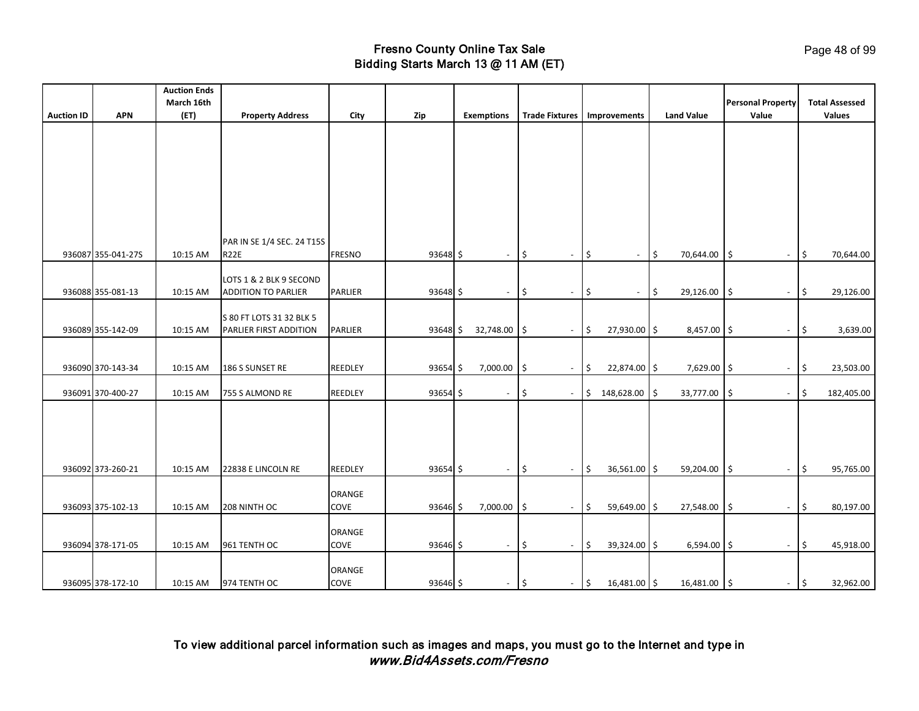|                   |                    | <b>Auction Ends</b> |                                                       |                |            |                          |                       |                          |                                    |                   |                                 |                                 |
|-------------------|--------------------|---------------------|-------------------------------------------------------|----------------|------------|--------------------------|-----------------------|--------------------------|------------------------------------|-------------------|---------------------------------|---------------------------------|
|                   |                    | March 16th          |                                                       |                |            |                          |                       |                          |                                    |                   | <b>Personal Property</b>        | <b>Total Assessed</b>           |
| <b>Auction ID</b> | <b>APN</b>         | (ET)                | <b>Property Address</b>                               | City           | Zip        | <b>Exemptions</b>        | <b>Trade Fixtures</b> |                          | Improvements                       | <b>Land Value</b> | Value                           | <b>Values</b>                   |
|                   |                    |                     |                                                       |                |            |                          |                       |                          |                                    |                   |                                 |                                 |
|                   |                    |                     |                                                       |                |            |                          |                       |                          |                                    |                   |                                 |                                 |
|                   |                    |                     |                                                       |                |            |                          |                       |                          |                                    |                   |                                 |                                 |
|                   |                    |                     |                                                       |                |            |                          |                       |                          |                                    |                   |                                 |                                 |
|                   |                    |                     |                                                       |                |            |                          |                       |                          |                                    |                   |                                 |                                 |
|                   |                    |                     |                                                       |                |            |                          |                       |                          |                                    |                   |                                 |                                 |
|                   |                    |                     |                                                       |                |            |                          |                       |                          |                                    |                   |                                 |                                 |
|                   |                    |                     | PAR IN SE 1/4 SEC. 24 T15S                            |                |            |                          |                       |                          |                                    |                   |                                 |                                 |
|                   | 936087 355-041-27S | 10:15 AM            | R <sub>22E</sub>                                      | <b>FRESNO</b>  | 93648 \$   | $\overline{\phantom{a}}$ | 5                     | $\overline{\phantom{a}}$ | \$<br>$\blacksquare$               | \$<br>70,644.00   | l\$<br>$\blacksquare$           | 70,644.00<br>\$                 |
|                   |                    |                     |                                                       |                |            |                          |                       |                          |                                    |                   |                                 |                                 |
|                   | 936088 355-081-13  | 10:15 AM            | LOTS 1 & 2 BLK 9 SECOND<br><b>ADDITION TO PARLIER</b> | <b>PARLIER</b> | 93648 \$   | $\sim$                   | l\$                   | $\overline{\phantom{a}}$ | \$<br>$\sim$                       | \$<br>29,126.00   | I\$<br>$\sim$                   | \$<br>29,126.00                 |
|                   |                    |                     |                                                       |                |            |                          |                       |                          |                                    |                   |                                 |                                 |
|                   |                    |                     | S 80 FT LOTS 31 32 BLK 5                              |                |            |                          |                       |                          |                                    |                   |                                 |                                 |
|                   | 936089 355-142-09  | 10:15 AM            | PARLIER FIRST ADDITION                                | PARLIER        | $93648$ \$ | 32,748.00                | l\$                   | $\overline{\phantom{a}}$ | \$<br>27,930.00 \$                 | 8,457.00 \$       | $\overline{\phantom{a}}$        | \$<br>3,639.00                  |
|                   |                    |                     |                                                       |                |            |                          |                       |                          |                                    |                   |                                 |                                 |
|                   | 936090 370-143-34  | 10:15 AM            | 186 S SUNSET RE                                       | REEDLEY        | $93654$ \$ | 7,000.00                 | l\$                   | $\blacksquare$           | \$<br>22,874.00 \$                 | 7,629.00 \$       | $\sim$                          | $\vert \mathsf{s}$<br>23,503.00 |
|                   |                    |                     |                                                       |                |            |                          |                       |                          |                                    |                   |                                 |                                 |
|                   | 936091 370-400-27  | 10:15 AM            | 755 S ALMOND RE                                       | REEDLEY        | 93654 \$   | $\overline{\phantom{a}}$ | \$                    | $\blacksquare$           | \$<br>148,628.00                   | l\$<br>33,777.00  | l\$<br>$\overline{\phantom{a}}$ | \$<br>182,405.00                |
|                   |                    |                     |                                                       |                |            |                          |                       |                          |                                    |                   |                                 |                                 |
|                   |                    |                     |                                                       |                |            |                          |                       |                          |                                    |                   |                                 |                                 |
|                   |                    |                     |                                                       |                |            |                          |                       |                          |                                    |                   |                                 |                                 |
|                   |                    |                     |                                                       |                |            |                          |                       |                          |                                    |                   |                                 |                                 |
|                   | 936092 373-260-21  | 10:15 AM            | 22838 E LINCOLN RE                                    | <b>REEDLEY</b> | 93654 \$   | $\sim$                   | 5                     | $\blacksquare$           | \$<br>$36,561.00$ \$               | 59,204.00         | I\$<br>$\sim$                   | $\vert \xi$<br>95,765.00        |
|                   |                    |                     |                                                       | ORANGE         |            |                          |                       |                          |                                    |                   |                                 |                                 |
|                   | 936093 375-102-13  | 10:15 AM            | 208 NINTH OC                                          | COVE           | $93646$ \$ | 7,000.00                 | l\$                   | $\overline{\phantom{a}}$ | \$<br>59,649.00 \$                 | 27,548.00         | l\$<br>$\overline{\phantom{a}}$ | \$<br>80,197.00                 |
|                   |                    |                     |                                                       |                |            |                          |                       |                          |                                    |                   |                                 |                                 |
|                   |                    |                     |                                                       | ORANGE         |            |                          |                       |                          |                                    |                   |                                 |                                 |
|                   | 936094 378-171-05  | 10:15 AM            | 961 TENTH OC                                          | COVE           | 93646 \$   | $\sim$                   | l\$                   | $\overline{\phantom{a}}$ | \$<br>39,324.00 \$                 | $6,594.00$ \$     | $\overline{\phantom{a}}$        | \$<br>45,918.00                 |
|                   |                    |                     |                                                       | ORANGE         |            |                          |                       |                          |                                    |                   |                                 |                                 |
|                   | 936095 378-172-10  | 10:15 AM            | 974 TENTH OC                                          | COVE           | 93646 \$   | $\sim$                   | \$                    | $\sim$                   | $\vert \mathsf{s}$<br>16,481.00 \$ | 16,481.00 \$      |                                 | 32,962.00<br>$-15$              |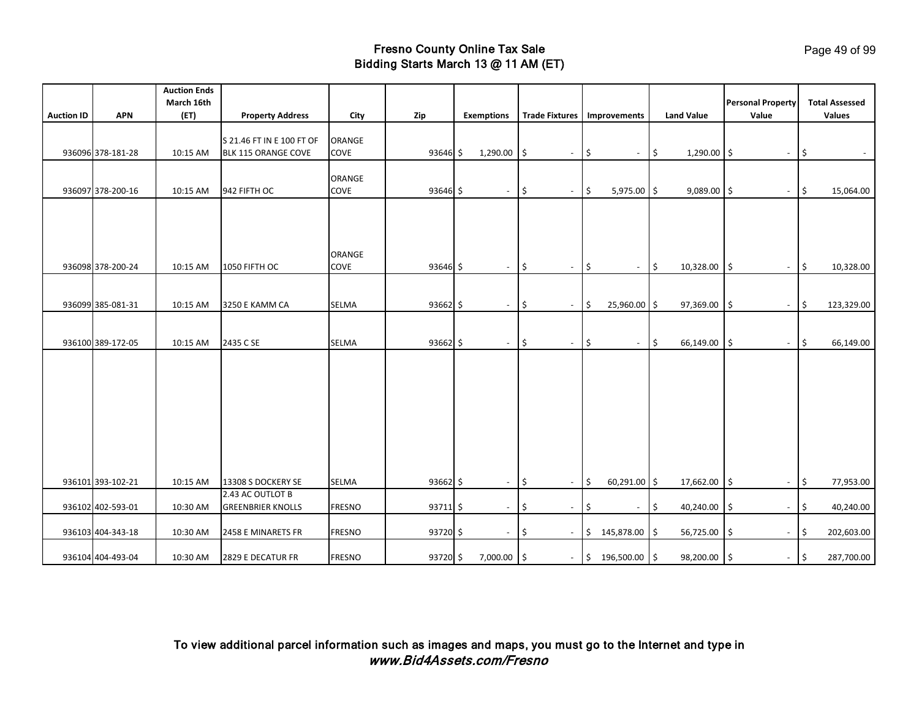|                   |                   | <b>Auction Ends</b> |                           |               |            |                          |               |                          |                            |                          |               |                   |                                           |      |                                        |
|-------------------|-------------------|---------------------|---------------------------|---------------|------------|--------------------------|---------------|--------------------------|----------------------------|--------------------------|---------------|-------------------|-------------------------------------------|------|----------------------------------------|
|                   | <b>APN</b>        | March 16th          |                           |               |            |                          |               |                          |                            |                          |               | <b>Land Value</b> | <b>Personal Property</b><br>Value         |      | <b>Total Assessed</b><br><b>Values</b> |
| <b>Auction ID</b> |                   | (ET)                | <b>Property Address</b>   | City          | Zip        | <b>Exemptions</b>        |               | <b>Trade Fixtures</b>    |                            | Improvements             |               |                   |                                           |      |                                        |
|                   |                   |                     | S 21.46 FT IN E 100 FT OF | ORANGE        |            |                          |               |                          |                            |                          |               |                   |                                           |      |                                        |
|                   | 936096 378-181-28 | 10:15 AM            | BLK 115 ORANGE COVE       | COVE          | 93646 \$   | 1,290.00                 | ١\$           | $\overline{\phantom{a}}$ | $\ddot{\mathsf{S}}$        | $\overline{\phantom{a}}$ | $\frac{1}{2}$ | 1,290.00          | ۱\$<br>$\overline{\phantom{a}}$           | \$   |                                        |
|                   |                   |                     |                           |               |            |                          |               |                          |                            |                          |               |                   |                                           |      |                                        |
|                   |                   |                     |                           | ORANGE        |            |                          |               |                          |                            |                          |               |                   |                                           |      |                                        |
|                   | 936097 378-200-16 | 10:15 AM            | 942 FIFTH OC              | COVE          | 93646 \$   | $\overline{\phantom{a}}$ | $\frac{1}{2}$ | $\sim$                   | \$                         | 5,975.00 \$              |               | 9,089.00          | $\frac{1}{2}$<br>$\overline{\phantom{a}}$ | \$   | 15,064.00                              |
|                   |                   |                     |                           |               |            |                          |               |                          |                            |                          |               |                   |                                           |      |                                        |
|                   |                   |                     |                           |               |            |                          |               |                          |                            |                          |               |                   |                                           |      |                                        |
|                   |                   |                     |                           |               |            |                          |               |                          |                            |                          |               |                   |                                           |      |                                        |
|                   |                   |                     |                           | ORANGE        |            |                          |               |                          |                            |                          |               |                   |                                           |      |                                        |
|                   | 936098 378-200-24 | 10:15 AM            | 1050 FIFTH OC             | COVE          | $93646$ \$ | $\overline{\phantom{a}}$ | l\$           | $\overline{\phantom{a}}$ | $\sqrt{5}$                 | $\overline{\phantom{a}}$ | $\frac{1}{2}$ | 10,328.00         | $\zeta$<br>$\overline{\phantom{a}}$       | l \$ | 10,328.00                              |
|                   |                   |                     |                           |               |            |                          |               |                          |                            |                          |               |                   |                                           |      |                                        |
|                   |                   |                     |                           |               |            |                          |               |                          |                            |                          |               |                   |                                           |      |                                        |
|                   | 936099 385-081-31 | 10:15 AM            | 3250 E KAMM CA            | <b>SELMA</b>  | $93662$ \$ | $\sim$                   | \$            | $\overline{\phantom{a}}$ | $\zeta$                    | 25,960.00 \$             |               | 97,369.00         | \$<br>$\overline{\phantom{a}}$            | \$   | 123,329.00                             |
|                   |                   |                     |                           |               |            |                          |               |                          |                            |                          |               |                   |                                           |      |                                        |
|                   | 936100 389-172-05 | 10:15 AM            | 2435 C SE                 | <b>SELMA</b>  | $93662$ \$ | $\sim$                   | \$            | $\sim$                   | $\vert \mathfrak{s} \vert$ | $\sim$                   | $\frac{1}{2}$ | 66,149.00         | \$<br>$\sim$                              | \$   | 66,149.00                              |
|                   |                   |                     |                           |               |            |                          |               |                          |                            |                          |               |                   |                                           |      |                                        |
|                   |                   |                     |                           |               |            |                          |               |                          |                            |                          |               |                   |                                           |      |                                        |
|                   |                   |                     |                           |               |            |                          |               |                          |                            |                          |               |                   |                                           |      |                                        |
|                   |                   |                     |                           |               |            |                          |               |                          |                            |                          |               |                   |                                           |      |                                        |
|                   |                   |                     |                           |               |            |                          |               |                          |                            |                          |               |                   |                                           |      |                                        |
|                   |                   |                     |                           |               |            |                          |               |                          |                            |                          |               |                   |                                           |      |                                        |
|                   |                   |                     |                           |               |            |                          |               |                          |                            |                          |               |                   |                                           |      |                                        |
|                   |                   |                     |                           |               |            |                          |               |                          |                            |                          |               |                   |                                           |      |                                        |
|                   |                   |                     |                           |               |            |                          |               |                          |                            |                          |               |                   |                                           |      |                                        |
|                   | 936101 393-102-21 | 10:15 AM            | 13308 S DOCKERY SE        | <b>SELMA</b>  | 93662 \$   | $\sim$                   | \$            | $\overline{\phantom{a}}$ | \$                         | $60,291.00$ \$           |               | 17,662.00         | \$<br>$\overline{\phantom{a}}$            | \$   | 77,953.00                              |
|                   |                   |                     | 2.43 AC OUTLOT B          |               |            |                          |               |                          |                            |                          |               |                   |                                           |      |                                        |
|                   | 936102 402-593-01 | 10:30 AM            | <b>GREENBRIER KNOLLS</b>  | <b>FRESNO</b> | $93711$ \$ | $\overline{\phantom{a}}$ | \$            | $\overline{\phantom{a}}$ | \$                         | $\overline{\phantom{a}}$ | \$            | 40,240.00         | \$                                        | \$   | 40,240.00                              |
|                   | 936103 404-343-18 | 10:30 AM            | 2458 E MINARETS FR        | <b>FRESNO</b> | 93720 \$   | $\overline{\phantom{a}}$ | -\$           | $\overline{\phantom{a}}$ | $\ddot{\mathsf{S}}$        | 145,878.00               | \$            | 56,725.00         | \$                                        | \$   | 202,603.00                             |
|                   |                   |                     |                           |               |            |                          |               |                          |                            |                          |               |                   |                                           |      |                                        |
|                   | 936104 404-493-04 | 10:30 AM            | 2829 E DECATUR FR         | <b>FRESNO</b> | 93720 \$   | 7,000.00                 | l\$           | $\overline{\phantom{a}}$ |                            | $$196,500.00$ \$         |               | 98,200.00         | \$<br>$\overline{\phantom{a}}$            | \$   | 287,700.00                             |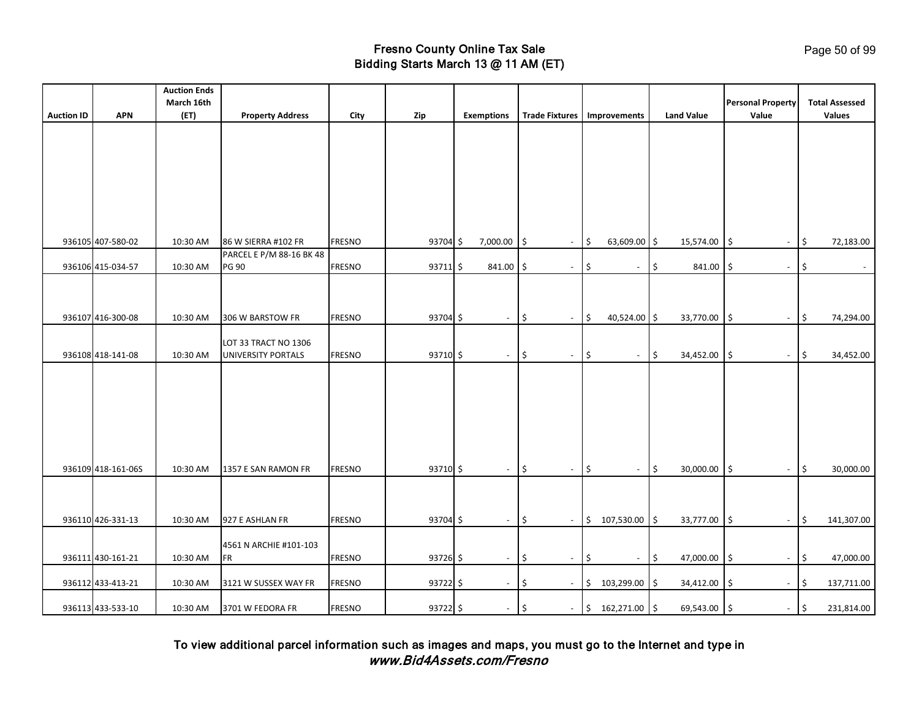| <b>Auction ID</b> | <b>APN</b>         | <b>Auction Ends</b><br>March 16th<br>(ET) | <b>Property Address</b>             | City          | Zip        | <b>Exemptions</b>        | <b>Trade Fixtures</b>           | Improvements                           | <b>Land Value</b>          | <b>Personal Property</b><br>Value | <b>Total Assessed</b><br>Values  |
|-------------------|--------------------|-------------------------------------------|-------------------------------------|---------------|------------|--------------------------|---------------------------------|----------------------------------------|----------------------------|-----------------------------------|----------------------------------|
|                   |                    |                                           |                                     |               |            |                          |                                 |                                        |                            |                                   |                                  |
|                   |                    |                                           |                                     |               |            |                          |                                 |                                        |                            |                                   |                                  |
|                   |                    |                                           |                                     |               |            |                          |                                 |                                        |                            |                                   |                                  |
|                   |                    |                                           |                                     |               |            |                          |                                 |                                        |                            |                                   |                                  |
|                   |                    |                                           |                                     |               |            |                          |                                 |                                        |                            |                                   |                                  |
|                   |                    |                                           |                                     |               |            |                          |                                 |                                        |                            |                                   |                                  |
|                   | 936105 407-580-02  | 10:30 AM                                  | 86 W SIERRA #102 FR                 | <b>FRESNO</b> | 93704 \$   | 7,000.00                 | I\$<br>$\overline{\phantom{a}}$ | $\frac{1}{2}$<br>63,609.00 \$          | 15,574.00                  | I\$<br>$\overline{\phantom{a}}$   | \$<br>72,183.00                  |
|                   |                    |                                           | PARCEL E P/M 88-16 BK 48            |               |            |                          |                                 |                                        |                            |                                   |                                  |
|                   | 936106 415-034-57  | 10:30 AM                                  | <b>PG 90</b>                        | <b>FRESNO</b> | $93711$ \$ | $841.00$ \$              | $\blacksquare$                  | \$<br>$\overline{\phantom{a}}$         | \$<br>$841.00$ \$          | $\overline{\phantom{a}}$          | \$<br>$\sim$                     |
|                   |                    |                                           |                                     |               |            |                          |                                 |                                        |                            |                                   |                                  |
|                   |                    |                                           |                                     |               |            |                          |                                 |                                        |                            |                                   |                                  |
|                   | 936107 416-300-08  | 10:30 AM                                  | 306 W BARSTOW FR                    | <b>FRESNO</b> | 93704 \$   | $\sim$                   | Ŝ.<br>$\overline{\phantom{a}}$  | I\$<br>$40,524.00$ \$                  | 33,770.00 \$               | $\overline{\phantom{a}}$          | S.<br>74,294.00                  |
|                   |                    |                                           | LOT 33 TRACT NO 1306                |               |            |                          |                                 |                                        |                            |                                   |                                  |
|                   | 936108 418-141-08  | 10:30 AM                                  | UNIVERSITY PORTALS                  | <b>FRESNO</b> | 93710 \$   | $\blacksquare$           | \$<br>$\overline{\phantom{a}}$  | l\$<br>$\overline{\phantom{a}}$        | $\frac{1}{2}$<br>34,452.00 | l\$<br>$\overline{\phantom{a}}$   | \$<br>34,452.00                  |
|                   |                    |                                           |                                     |               |            |                          |                                 |                                        |                            |                                   |                                  |
|                   |                    |                                           |                                     |               |            |                          |                                 |                                        |                            |                                   |                                  |
|                   |                    |                                           |                                     |               |            |                          |                                 |                                        |                            |                                   |                                  |
|                   |                    |                                           |                                     |               |            |                          |                                 |                                        |                            |                                   |                                  |
|                   |                    |                                           |                                     |               |            |                          |                                 |                                        |                            |                                   |                                  |
|                   | 936109 418-161-06S | 10:30 AM                                  | 1357 E SAN RAMON FR                 | <b>FRESNO</b> | 93710 \$   | $\overline{\phantom{a}}$ | \$<br>$\blacksquare$            | l\$<br>$\overline{\phantom{a}}$        | $\frac{1}{2}$<br>30,000.00 | \$<br>$\overline{\phantom{a}}$    | \$<br>30,000.00                  |
|                   |                    |                                           |                                     |               |            |                          |                                 |                                        |                            |                                   |                                  |
|                   |                    |                                           |                                     |               |            |                          |                                 |                                        |                            |                                   |                                  |
|                   | 936110 426-331-13  | 10:30 AM                                  | 927 E ASHLAN FR                     | <b>FRESNO</b> | 93704 \$   | $\overline{\phantom{a}}$ | \$<br>$\blacksquare$            | $$107,530.00$ \$                       | 33,777.00                  | I\$                               | \$<br>141,307.00                 |
|                   |                    |                                           |                                     |               |            |                          |                                 |                                        |                            |                                   |                                  |
|                   | 936111 430-161-21  | 10:30 AM                                  | 4561 N ARCHIE #101-103<br><b>FR</b> | <b>FRESNO</b> | $93726$ \$ | $\blacksquare$           | \$<br>$\blacksquare$            | $\vert$ \$<br>$\overline{\phantom{a}}$ | $\vert$ \$<br>47,000.00    | l \$<br>$\overline{\phantom{a}}$  | \$<br>47,000.00                  |
|                   |                    |                                           |                                     |               |            |                          |                                 |                                        |                            |                                   |                                  |
|                   | 936112 433-413-21  | 10:30 AM                                  | 3121 W SUSSEX WAY FR                | <b>FRESNO</b> | 93722 \$   | $\overline{\phantom{a}}$ | -\$<br>$\overline{\phantom{a}}$ | \$<br>103,299.00                       | l\$<br>34,412.00           | \$<br>$\overline{\phantom{a}}$    | 5<br>137,711.00                  |
|                   | 936113 433-533-10  | 10:30 AM                                  | 3701 W FEDORA FR                    | <b>FRESNO</b> | 93722 \$   | $\sim$                   | l\$<br>$\blacksquare$           | \$162,271.00                           | 69,543.00 \$               | $\sim$                            | $\vert \mathsf{s}$<br>231,814.00 |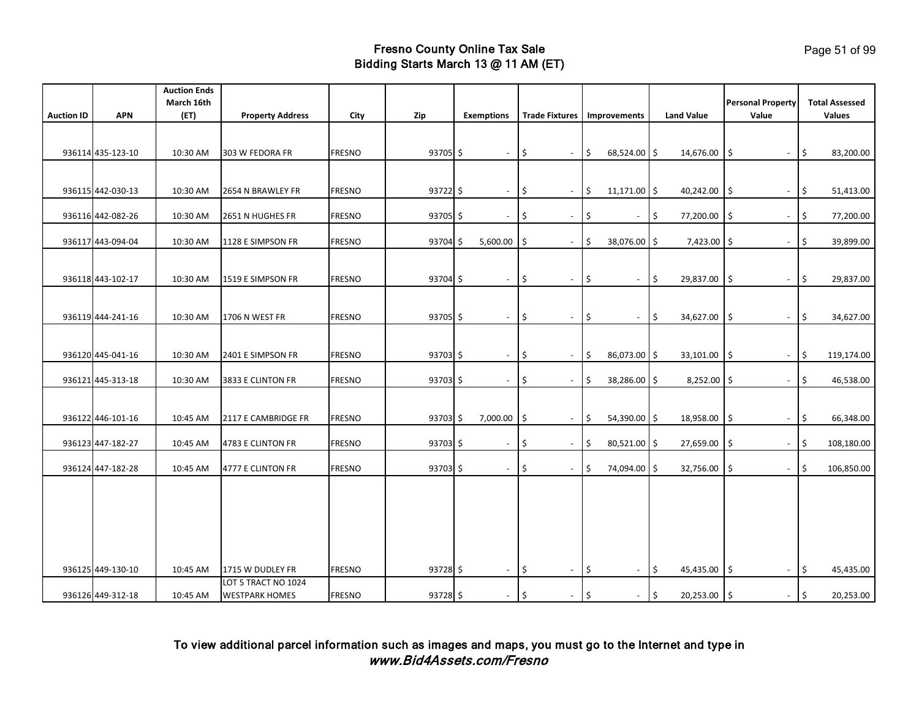|                   |                   | <b>Auction Ends</b><br>March 16th |                                              |               |            |                   |                          |                                    |                    |                          |    |                   | <b>Personal Property</b>        |            | <b>Total Assessed</b> |
|-------------------|-------------------|-----------------------------------|----------------------------------------------|---------------|------------|-------------------|--------------------------|------------------------------------|--------------------|--------------------------|----|-------------------|---------------------------------|------------|-----------------------|
| <b>Auction ID</b> | <b>APN</b>        | (ET)                              | <b>Property Address</b>                      | City          | Zip        | <b>Exemptions</b> |                          | <b>Trade Fixtures</b> Improvements |                    |                          |    | <b>Land Value</b> | Value                           |            | Values                |
|                   |                   |                                   |                                              |               |            |                   |                          |                                    |                    |                          |    |                   |                                 |            |                       |
|                   | 936114 435-123-10 | 10:30 AM                          | 303 W FEDORA FR                              | <b>FRESNO</b> | 93705 \$   |                   | $\sim$                   | ۱\$<br>$\overline{\phantom{a}}$    | I\$                | 68,524.00 \$             |    | 14,676.00         | \$<br>$\overline{\phantom{a}}$  | \$         | 83,200.00             |
|                   |                   |                                   |                                              |               |            |                   |                          |                                    |                    |                          |    |                   |                                 |            |                       |
|                   | 936115 442-030-13 | 10:30 AM                          | 2654 N BRAWLEY FR                            | <b>FRESNO</b> | $93722$ \$ |                   | $\sim$                   | l\$<br>$\blacksquare$              | $\vert \mathsf{s}$ | $11,171.00$ \$           |    | 40,242.00         | l\$<br>$\blacksquare$           | l\$        | 51,413.00             |
|                   | 936116 442-082-26 | 10:30 AM                          | 2651 N HUGHES FR                             | <b>FRESNO</b> | 93705 \$   |                   | $\overline{\phantom{a}}$ | \$.<br>$\overline{\phantom{a}}$    | \$                 | $\overline{\phantom{a}}$ | \$ | 77,200.00         | Ś<br>$\overline{\phantom{a}}$   | \$         | 77,200.00             |
|                   | 936117 443-094-04 | 10:30 AM                          | 1128 E SIMPSON FR                            | <b>FRESNO</b> | 93704 \$   | 5,600.00          |                          | l\$<br>$\overline{\phantom{a}}$    | \$                 | 38,076.00 \$             |    | 7,423.00          | ۱\$<br>$\overline{\phantom{a}}$ | \$         | 39,899.00             |
|                   |                   |                                   |                                              |               |            |                   |                          |                                    |                    |                          |    |                   |                                 |            |                       |
|                   | 936118 443-102-17 | 10:30 AM                          | 1519 E SIMPSON FR                            | <b>FRESNO</b> | 93704 \$   |                   | $\overline{\phantom{a}}$ | \$<br>$\overline{\phantom{a}}$     | \$                 | $\blacksquare$           | \$ | 29,837.00         | \$<br>$\overline{\phantom{a}}$  | \$         | 29,837.00             |
|                   |                   |                                   |                                              |               |            |                   |                          |                                    |                    |                          |    |                   |                                 |            |                       |
|                   | 936119 444-241-16 | 10:30 AM                          | 1706 N WEST FR                               | <b>FRESNO</b> | $93705$ \$ |                   | $\sim$                   | \$<br>$\overline{\phantom{a}}$     | \$                 | $\blacksquare$           | \$ | 34,627.00         | \$                              | \$         | 34,627.00             |
|                   |                   |                                   |                                              |               |            |                   |                          |                                    |                    |                          |    |                   |                                 |            |                       |
|                   | 936120 445-041-16 | 10:30 AM                          | 2401 E SIMPSON FR                            | <b>FRESNO</b> | $93703$ \$ |                   | $\overline{\phantom{a}}$ | \$<br>$\overline{\phantom{a}}$     | I\$                | 86,073.00 \$             |    | 33,101.00         | ۱\$<br>$\overline{\phantom{a}}$ | \$         | 119,174.00            |
|                   | 936121 445-313-18 | 10:30 AM                          | 3833 E CLINTON FR                            | <b>FRESNO</b> | 93703 \$   |                   | $\overline{\phantom{a}}$ | \$ ا<br>$\overline{\phantom{a}}$   | \$                 | 38,286.00 \$             |    | 8,252.00          | ۱\$<br>$\overline{\phantom{a}}$ | \$         | 46,538.00             |
|                   |                   |                                   |                                              |               |            |                   |                          |                                    |                    |                          |    |                   |                                 |            |                       |
|                   | 936122 446-101-16 | 10:45 AM                          | 2117 E CAMBRIDGE FR                          | <b>FRESNO</b> | $93703$ \$ | 7,000.00          |                          | l\$<br>$\overline{\phantom{a}}$    | l\$                | 54,390.00 \$             |    | 18,958.00         | \$<br>$\overline{\phantom{a}}$  | \$         | 66,348.00             |
|                   | 936123 447-182-27 | 10:45 AM                          | 4783 E CLINTON FR                            | <b>FRESNO</b> | 93703 \$   |                   | $\blacksquare$           | \$.<br>$\overline{\phantom{a}}$    | \$                 | 80,521.00 \$             |    | 27,659.00         | \$<br>$\overline{\phantom{a}}$  | \$         | 108,180.00            |
|                   | 936124 447-182-28 | 10:45 AM                          | 4777 E CLINTON FR                            | <b>FRESNO</b> | 93703 \$   |                   | $\blacksquare$           | ۱\$<br>$\overline{\phantom{a}}$    | \$                 | 74,094.00                | S. | 32,756.00         | \$<br>$\overline{\phantom{a}}$  | \$         | 106,850.00            |
|                   |                   |                                   |                                              |               |            |                   |                          |                                    |                    |                          |    |                   |                                 |            |                       |
|                   |                   |                                   |                                              |               |            |                   |                          |                                    |                    |                          |    |                   |                                 |            |                       |
|                   |                   |                                   |                                              |               |            |                   |                          |                                    |                    |                          |    |                   |                                 |            |                       |
|                   |                   |                                   |                                              |               |            |                   |                          |                                    |                    |                          |    |                   |                                 |            |                       |
|                   |                   |                                   |                                              |               |            |                   |                          |                                    |                    |                          |    |                   |                                 |            |                       |
|                   | 936125 449-130-10 | 10:45 AM                          | 1715 W DUDLEY FR                             | <b>FRESNO</b> | 93728 \$   |                   | $\sim$                   | l\$<br>$\blacksquare$              | l\$                | $\blacksquare$           | \$ | 45,435.00         | \$<br>$\blacksquare$            | Ŝ.         | 45,435.00             |
|                   | 936126 449-312-18 | 10:45 AM                          | LOT 5 TRACT NO 1024<br><b>WESTPARK HOMES</b> | <b>FRESNO</b> | 93728 \$   |                   | $\overline{\phantom{a}}$ | l\$<br>$\overline{\phantom{a}}$    | $\vert \mathsf{s}$ | $\overline{\phantom{a}}$ | \$ | 20,253.00 \$      | $\sim$                          | $\vert$ \$ | 20,253.00             |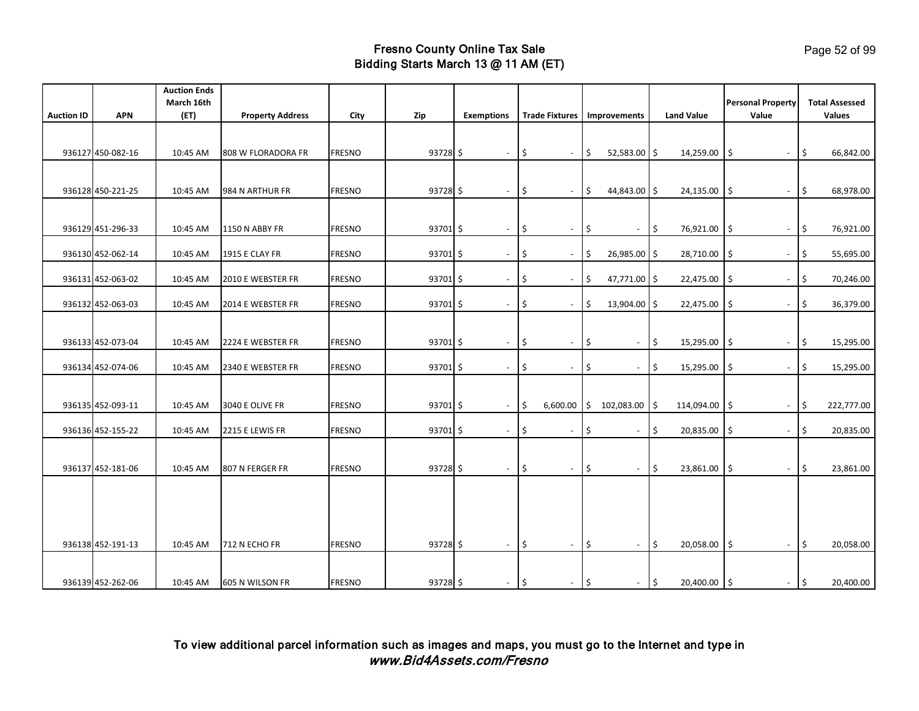|                   |                   | <b>Auction Ends</b> |                         |               |            |                          |                    |                          |                               |                             |                                            |                                   |                                        |
|-------------------|-------------------|---------------------|-------------------------|---------------|------------|--------------------------|--------------------|--------------------------|-------------------------------|-----------------------------|--------------------------------------------|-----------------------------------|----------------------------------------|
| <b>Auction ID</b> | <b>APN</b>        | March 16th<br>(ET)  | <b>Property Address</b> | City          | Zip        | <b>Exemptions</b>        |                    |                          | Trade Fixtures   Improvements |                             | <b>Land Value</b>                          | <b>Personal Property</b><br>Value | <b>Total Assessed</b><br><b>Values</b> |
|                   |                   |                     |                         |               |            |                          |                    |                          |                               |                             |                                            |                                   |                                        |
|                   |                   |                     |                         |               |            |                          |                    |                          |                               |                             |                                            |                                   |                                        |
|                   | 936127 450-082-16 | 10:45 AM            | 808 W FLORADORA FR      | <b>FRESNO</b> | $93728$ \$ | $\overline{\phantom{a}}$ | ۱\$                | $\overline{\phantom{a}}$ | l\$                           | $52,583.00$ \$              | 14,259.00                                  | ۱\$<br>$\sim$                     | 5<br>66,842.00                         |
|                   |                   |                     |                         |               |            |                          |                    |                          |                               |                             |                                            |                                   |                                        |
|                   | 936128 450-221-25 | 10:45 AM            | 984 N ARTHUR FR         | <b>FRESNO</b> | $93728$ \$ | $\sim$                   | ۱\$                | $\overline{\phantom{a}}$ | \$                            | 44,843.00 \$                | 24,135.00                                  | l\$<br>$\overline{\phantom{a}}$   | 68,978.00<br>\$                        |
|                   |                   |                     |                         |               |            |                          |                    |                          |                               |                             |                                            |                                   |                                        |
|                   | 936129 451-296-33 | 10:45 AM            | 1150 N ABBY FR          | <b>FRESNO</b> | 93701 \$   | $\sim$                   | I\$                | $\blacksquare$           | l\$                           | $\overline{\phantom{a}}$    | ا \$ا<br>76,921.00                         | 5<br>$\blacksquare$               | 76,921.00<br>I\$                       |
|                   |                   |                     |                         |               |            |                          |                    |                          |                               |                             |                                            |                                   |                                        |
|                   | 936130 452-062-14 | 10:45 AM            | <b>1915 E CLAY FR</b>   | <b>FRESNO</b> | $93701$ \$ | $\overline{\phantom{a}}$ | \$ ا               | $\overline{\phantom{a}}$ | 5                             | 26,985.00 \$                | 28,710.00                                  | \$<br>$\overline{\phantom{a}}$    | \$<br>55,695.00                        |
|                   |                   |                     |                         |               |            |                          |                    |                          |                               |                             |                                            |                                   |                                        |
|                   | 936131 452-063-02 | 10:45 AM            | 2010 E WEBSTER FR       | <b>FRESNO</b> | $93701$ \$ | $\overline{\phantom{a}}$ | ۱\$                | $\overline{\phantom{a}}$ | \$                            | 47,771.00 \$                | 22,475.00                                  | S.<br>$\overline{\phantom{a}}$    | \$<br>70,246.00                        |
|                   | 936132 452-063-03 | 10:45 AM            | 2014 E WEBSTER FR       | <b>FRESNO</b> | 93701 \$   |                          | \$                 | $\overline{\phantom{a}}$ | \$                            | 13,904.00                   | 22,475.00<br>l\$                           | Ś<br>$\overline{\phantom{a}}$     | \$<br>36,379.00                        |
|                   |                   |                     |                         |               |            |                          |                    |                          |                               |                             |                                            |                                   |                                        |
|                   | 936133 452-073-04 | 10:45 AM            | 2224 E WEBSTER FR       | <b>FRESNO</b> | 93701 \$   | $\overline{\phantom{a}}$ | ۱\$                | $\overline{\phantom{a}}$ | \$                            | $\overline{\phantom{a}}$    | \$<br>15,295.00                            | 5<br>$\overline{\phantom{a}}$     | 15,295.00<br>\$                        |
|                   |                   |                     |                         |               |            |                          |                    |                          |                               |                             |                                            |                                   |                                        |
|                   | 936134 452-074-06 | 10:45 AM            | 2340 E WEBSTER FR       | <b>FRESNO</b> | 93701 \$   | $\overline{\phantom{a}}$ | l\$                | $\overline{\phantom{a}}$ | \$                            | $\blacksquare$              | \$<br>15,295.00                            | \$<br>$\overline{\phantom{a}}$    | \$<br>15,295.00                        |
|                   |                   |                     |                         |               |            |                          |                    |                          |                               |                             |                                            |                                   |                                        |
|                   | 936135 452-093-11 | 10:45 AM            | 3040 E OLIVE FR         | <b>FRESNO</b> | 93701 \$   | $\overline{\phantom{a}}$ | ۱\$                |                          | $6,600.00$ \$ 102,083.00 \$   |                             | 114,094.00                                 | \$<br>$\overline{\phantom{a}}$    | 222,777.00<br>\$                       |
|                   |                   |                     |                         |               |            |                          |                    |                          |                               |                             |                                            |                                   |                                        |
|                   | 936136 452-155-22 | 10:45 AM            | 2215 E LEWIS FR         | <b>FRESNO</b> | 93701 \$   | $\sim$                   | l\$                | $\sim$                   | \$                            | $\overline{\phantom{a}}$    | \$<br>20,835.00                            | \$<br>$\sim$                      | 20,835.00<br>Ŝ.                        |
|                   |                   |                     |                         |               |            |                          |                    |                          |                               |                             |                                            |                                   |                                        |
|                   | 936137 452-181-06 | 10:45 AM            | 807 N FERGER FR         | <b>FRESNO</b> | $93728$ \$ | $\sim$                   | l\$                | $\overline{\phantom{a}}$ | l \$                          | $\mathcal{L}_{\mathcal{A}}$ | $\sqrt{5}$<br>23,861.00                    | l\$<br>$\sim$                     | S.<br>23,861.00                        |
|                   |                   |                     |                         |               |            |                          |                    |                          |                               |                             |                                            |                                   |                                        |
|                   |                   |                     |                         |               |            |                          |                    |                          |                               |                             |                                            |                                   |                                        |
|                   |                   |                     |                         |               |            |                          |                    |                          |                               |                             |                                            |                                   |                                        |
|                   |                   |                     |                         |               |            |                          |                    |                          |                               |                             |                                            |                                   |                                        |
|                   | 936138 452-191-13 | 10:45 AM            | 712 N ECHO FR           | <b>FRESNO</b> | 93728 \$   | $\sim$                   | $\ddot{\varsigma}$ | $\blacksquare$           | $\frac{1}{2}$                 | $\overline{\phantom{a}}$    | \$<br>20,058.00                            | $\ddot{\mathsf{s}}$<br>$\sim$     | \$<br>20,058.00                        |
|                   |                   |                     |                         |               |            |                          |                    |                          |                               |                             |                                            |                                   |                                        |
|                   | 936139 452-262-06 | 10:45 AM            | 605 N WILSON FR         | <b>FRESNO</b> | 93728 \$   | $\sim$                   | \$                 | $\sim$                   | $\vert \mathsf{s}$            | $\overline{\phantom{a}}$    | $\vert \mathfrak{s} \vert$<br>20,400.00 \$ | $\sim$                            | $\vert \mathbf{5} \vert$<br>20,400.00  |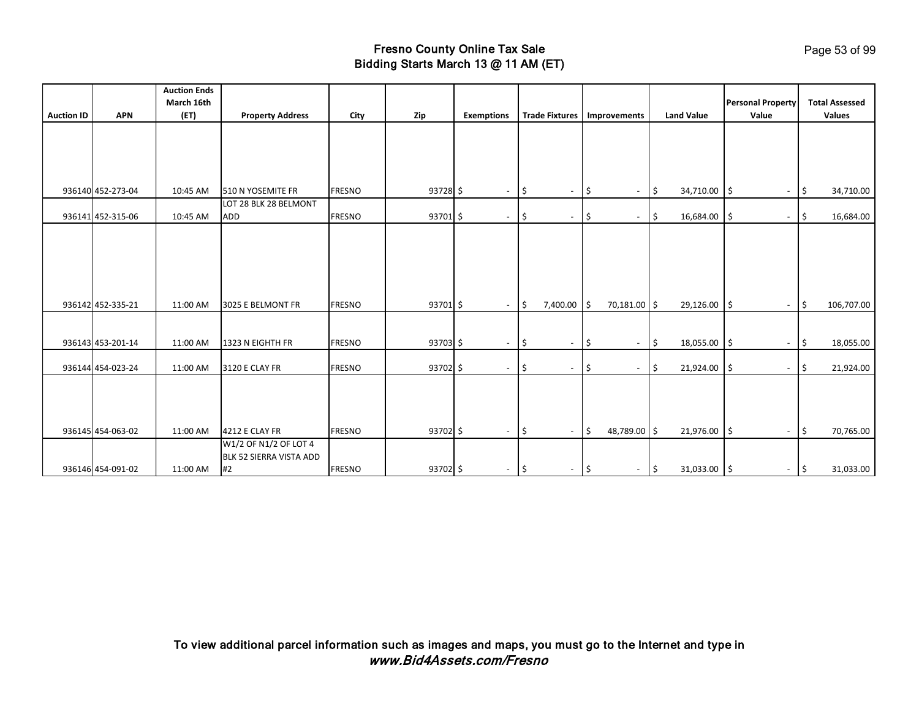|                   |                   | <b>Auction Ends</b><br>March 16th |                                                        |               |            |                          |      |                          |               |                          |               |                   | <b>Personal Property</b>         |     | <b>Total Assessed</b> |
|-------------------|-------------------|-----------------------------------|--------------------------------------------------------|---------------|------------|--------------------------|------|--------------------------|---------------|--------------------------|---------------|-------------------|----------------------------------|-----|-----------------------|
| <b>Auction ID</b> | <b>APN</b>        | (ET)                              | <b>Property Address</b>                                | City          | Zip        | <b>Exemptions</b>        |      | <b>Trade Fixtures</b>    |               | Improvements             |               | <b>Land Value</b> | Value                            |     | Values                |
|                   |                   |                                   |                                                        |               |            |                          |      |                          |               |                          |               |                   |                                  |     |                       |
|                   | 936140 452-273-04 | 10:45 AM                          | 510 N YOSEMITE FR                                      | <b>FRESNO</b> | $93728$ \$ | $\overline{\phantom{a}}$ | ۱\$  | $\overline{\phantom{a}}$ | 5             | $\overline{\phantom{a}}$ | \$            | 34,710.00         | 5<br>$\overline{\phantom{a}}$    | \$  | 34,710.00             |
|                   | 936141 452-315-06 | 10:45 AM                          | LOT 28 BLK 28 BELMONT<br>ADD                           | <b>FRESNO</b> | 93701 \$   | $\overline{\phantom{a}}$ | \$ ا | $\overline{\phantom{a}}$ | \$            | $\overline{\phantom{a}}$ | \$            | 16,684.00         | ۱\$<br>$\overline{\phantom{a}}$  | -\$ | 16,684.00             |
|                   | 936142 452-335-21 | 11:00 AM                          | 3025 E BELMONT FR                                      | <b>FRESNO</b> | 93701 \$   | $\sim$                   | l\$  | 7,400.00                 | l \$          | 70,181.00 \$             |               | 29,126.00 \$      | $\sim$                           | \$  | 106,707.00            |
|                   |                   |                                   |                                                        |               |            |                          |      |                          |               |                          |               |                   |                                  |     |                       |
|                   | 936143 453-201-14 | 11:00 AM                          | 1323 N EIGHTH FR                                       | <b>FRESNO</b> | 93703 \$   | $\overline{\phantom{a}}$ | \$   | $\overline{\phantom{a}}$ | \$            | $\overline{\phantom{a}}$ | \$            | 18,055.00         | l\$<br>$\overline{\phantom{a}}$  | \$  | 18,055.00             |
|                   | 936144 454-023-24 | 11:00 AM                          | 3120 E CLAY FR                                         | <b>FRESNO</b> | 93702 \$   | $\overline{\phantom{a}}$ | l\$  | $\overline{\phantom{a}}$ | \$            | $\overline{\phantom{a}}$ | \$            | 21,924.00         | l \$<br>$\overline{\phantom{a}}$ | \$  | 21,924.00             |
|                   | 936145 454-063-02 | 11:00 AM                          | 4212 E CLAY FR                                         | <b>FRESNO</b> | 93702 \$   | $\sim$                   | l\$  | $\overline{\phantom{a}}$ | l\$           | 48,789.00 \$             |               | 21,976.00 \$      | $\blacksquare$                   | I\$ | 70,765.00             |
|                   | 936146 454-091-02 | 11:00 AM                          | W1/2 OF N1/2 OF LOT 4<br>BLK 52 SIERRA VISTA ADD<br>#2 | <b>FRESNO</b> | 93702 \$   | $\sim$                   | \$   | $\overline{\phantom{a}}$ | $\frac{1}{2}$ | $\overline{\phantom{a}}$ | $\frac{1}{2}$ | 31,033.00 \$      | $\sim$                           | ١\$ | 31,033.00             |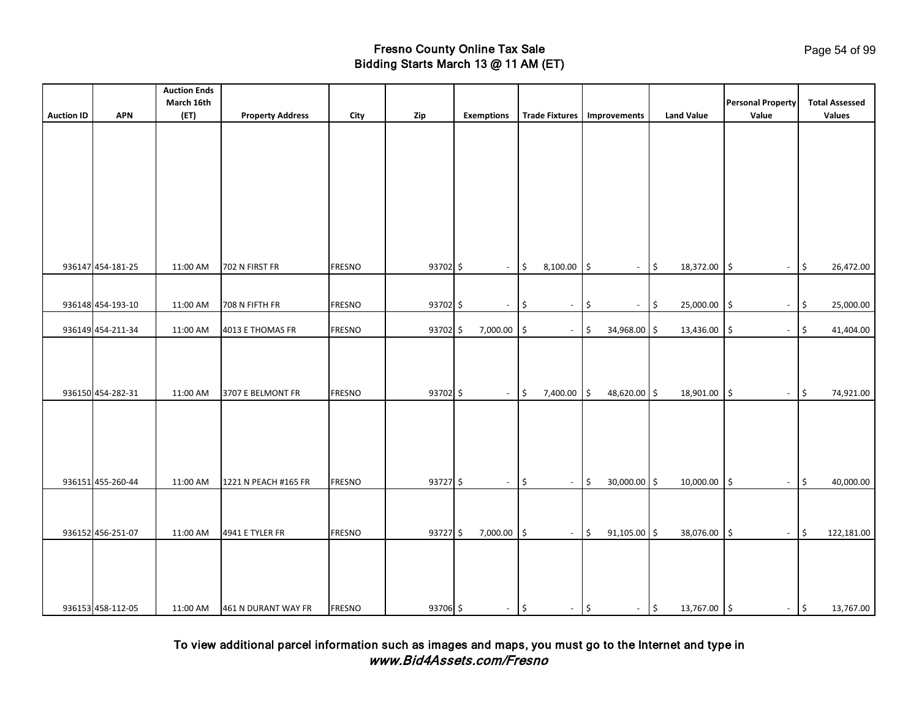| <b>Auction ID</b> | <b>APN</b>        | <b>Auction Ends</b><br>March 16th<br>(ET) | <b>Property Address</b> | City          | Zip      | <b>Exemptions</b>        |      | <b>Trade Fixtures</b>    |     | Improvements             | <b>Land Value</b> |                     | <b>Personal Property</b><br>Value |                     | <b>Total Assessed</b><br>Values |
|-------------------|-------------------|-------------------------------------------|-------------------------|---------------|----------|--------------------------|------|--------------------------|-----|--------------------------|-------------------|---------------------|-----------------------------------|---------------------|---------------------------------|
|                   |                   |                                           |                         |               |          |                          |      |                          |     |                          |                   |                     |                                   |                     |                                 |
|                   |                   |                                           |                         |               |          |                          |      |                          |     |                          |                   |                     |                                   |                     |                                 |
|                   |                   |                                           |                         |               |          |                          |      |                          |     |                          |                   |                     |                                   |                     |                                 |
|                   |                   |                                           |                         |               |          |                          |      |                          |     |                          |                   |                     |                                   |                     |                                 |
|                   |                   |                                           |                         |               |          |                          |      |                          |     |                          |                   |                     |                                   |                     |                                 |
|                   |                   |                                           |                         |               |          |                          |      |                          |     |                          |                   |                     |                                   |                     |                                 |
|                   | 936147 454-181-25 | 11:00 AM                                  | 702 N FIRST FR          | <b>FRESNO</b> | 93702 \$ | $\overline{\phantom{a}}$ | \$   | 8,100.00                 | \$  | $\sim$                   | \$<br>18,372.00   | 5                   | $\blacksquare$                    | \$                  | 26,472.00                       |
|                   |                   |                                           |                         |               |          |                          |      |                          |     |                          |                   |                     |                                   |                     |                                 |
|                   | 936148 454-193-10 | 11:00 AM                                  | 708 N FIFTH FR          | <b>FRESNO</b> | 93702 \$ | $\overline{\phantom{a}}$ | \$   | $\overline{\phantom{a}}$ | \$  | $\overline{\phantom{a}}$ | \$<br>25,000.00   | \$ ا                | $\overline{\phantom{a}}$          | \$                  | 25,000.00                       |
|                   | 936149 454-211-34 | 11:00 AM                                  | 4013 E THOMAS FR        | <b>FRESNO</b> | 93702 \$ | 7,000.00                 | ۱\$  | $\overline{\phantom{a}}$ | \$  | 34,968.00 \$             | 13,436.00         | \$                  | $\overline{\phantom{a}}$          | \$                  | 41,404.00                       |
|                   |                   |                                           |                         |               |          |                          |      |                          |     |                          |                   |                     |                                   |                     |                                 |
|                   |                   |                                           |                         |               |          |                          |      |                          |     |                          |                   |                     |                                   |                     |                                 |
|                   | 936150 454-282-31 | 11:00 AM                                  | 3707 E BELMONT FR       | <b>FRESNO</b> | 93702 \$ | $\overline{\phantom{a}}$ | ۱\$  | 7,400.00                 | \$  | 48,620.00 \$             | 18,901.00         | $\ddot{\mathsf{s}}$ | $\overline{\phantom{a}}$          | \$                  | 74,921.00                       |
|                   |                   |                                           |                         |               |          |                          |      |                          |     |                          |                   |                     |                                   |                     |                                 |
|                   |                   |                                           |                         |               |          |                          |      |                          |     |                          |                   |                     |                                   |                     |                                 |
|                   |                   |                                           |                         |               |          |                          |      |                          |     |                          |                   |                     |                                   |                     |                                 |
|                   | 936151 455-260-44 | 11:00 AM                                  | 1221 N PEACH #165 FR    | <b>FRESNO</b> | 93727 \$ | $\sim$                   | \$   | $\sim$                   | \$  | 30,000.00 \$             | 10,000.00         | l\$                 | $\blacksquare$                    | \$                  | 40,000.00                       |
|                   |                   |                                           |                         |               |          |                          |      |                          |     |                          |                   |                     |                                   |                     |                                 |
|                   |                   |                                           |                         |               |          |                          |      |                          |     |                          |                   |                     |                                   |                     |                                 |
|                   | 936152 456-251-07 | 11:00 AM                                  | 4941 E TYLER FR         | <b>FRESNO</b> | 93727\$  | 7,000.00                 | I \$ | $\sim$                   | l\$ | 91,105.00 \$             | 38,076.00         | l\$                 | $\blacksquare$                    | $\ddot{\mathsf{S}}$ | 122,181.00                      |
|                   |                   |                                           |                         |               |          |                          |      |                          |     |                          |                   |                     |                                   |                     |                                 |
|                   |                   |                                           |                         |               |          |                          |      |                          |     |                          |                   |                     |                                   |                     |                                 |
|                   | 936153 458-112-05 | 11:00 AM                                  | 461 N DURANT WAY FR     | <b>FRESNO</b> | 93706 \$ | $-$ \$                   |      | $-$ \$                   |     | $-$ \$                   | 13,767.00 \$      |                     |                                   | $ \frac{1}{2}$      | 13,767.00                       |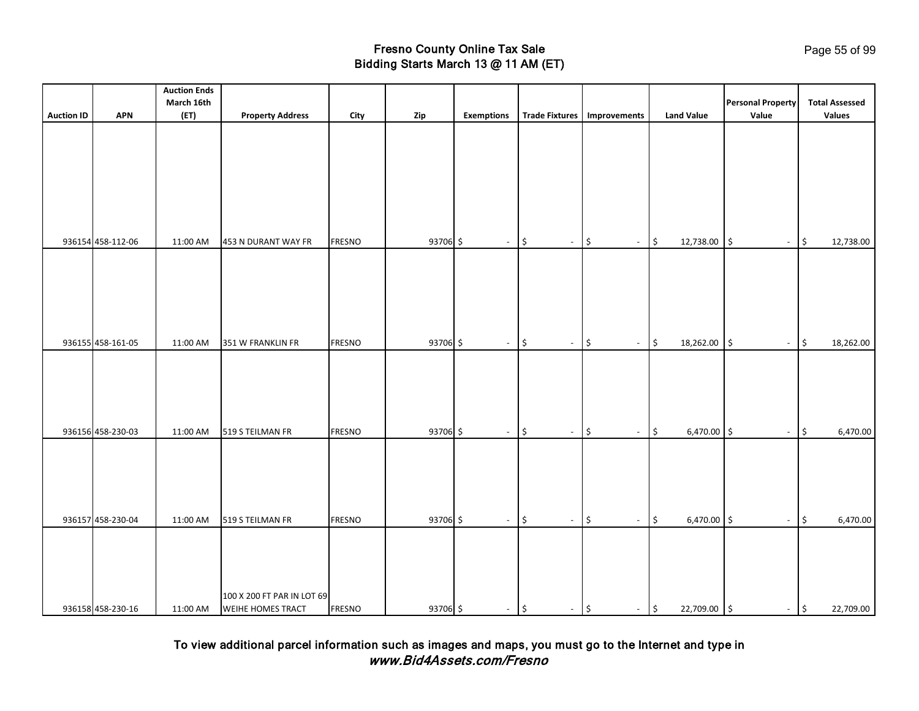|                   |                   | <b>Auction Ends</b> |                            |               |          |                          |                                           |                                     |                                        |                          |                                  |
|-------------------|-------------------|---------------------|----------------------------|---------------|----------|--------------------------|-------------------------------------------|-------------------------------------|----------------------------------------|--------------------------|----------------------------------|
|                   |                   | March 16th          |                            |               |          |                          |                                           |                                     |                                        | <b>Personal Property</b> | <b>Total Assessed</b>            |
| <b>Auction ID</b> | <b>APN</b>        | (ET)                | <b>Property Address</b>    | City          | Zip      | <b>Exemptions</b>        | <b>Trade Fixtures</b>                     | Improvements                        | <b>Land Value</b>                      | Value                    | Values                           |
|                   |                   |                     |                            |               |          |                          |                                           |                                     |                                        |                          |                                  |
|                   |                   |                     |                            |               |          |                          |                                           |                                     |                                        |                          |                                  |
|                   |                   |                     |                            |               |          |                          |                                           |                                     |                                        |                          |                                  |
|                   |                   |                     |                            |               |          |                          |                                           |                                     |                                        |                          |                                  |
|                   |                   |                     |                            |               |          |                          |                                           |                                     |                                        |                          |                                  |
|                   |                   |                     |                            |               |          |                          |                                           |                                     |                                        |                          |                                  |
|                   |                   |                     |                            |               |          |                          |                                           |                                     |                                        |                          |                                  |
|                   |                   |                     |                            |               |          |                          |                                           |                                     |                                        |                          |                                  |
|                   | 936154 458-112-06 | 11:00 AM            | 453 N DURANT WAY FR        | <b>FRESNO</b> | 93706 \$ | $\overline{\phantom{a}}$ | $\frac{1}{2}$<br>$\overline{\phantom{a}}$ | $\boldsymbol{\mathsf{S}}$<br>$\sim$ | $\boldsymbol{\mathsf{S}}$<br>12,738.00 | 5<br>$\blacksquare$      | \$<br>12,738.00                  |
|                   |                   |                     |                            |               |          |                          |                                           |                                     |                                        |                          |                                  |
|                   |                   |                     |                            |               |          |                          |                                           |                                     |                                        |                          |                                  |
|                   |                   |                     |                            |               |          |                          |                                           |                                     |                                        |                          |                                  |
|                   |                   |                     |                            |               |          |                          |                                           |                                     |                                        |                          |                                  |
|                   |                   |                     |                            |               |          |                          |                                           |                                     |                                        |                          |                                  |
|                   |                   |                     |                            |               |          |                          |                                           |                                     |                                        |                          |                                  |
|                   | 936155 458-161-05 | 11:00 AM            | 351 W FRANKLIN FR          | <b>FRESNO</b> | 93706 \$ | $\blacksquare$           | $\frac{1}{2}$<br>$\blacksquare$           | $\frac{1}{2}$<br>$\omega$           | $\frac{1}{2}$<br>18,262.00             | l\$<br>$\blacksquare$    | $\frac{1}{2}$<br>18,262.00       |
|                   |                   |                     |                            |               |          |                          |                                           |                                     |                                        |                          |                                  |
|                   |                   |                     |                            |               |          |                          |                                           |                                     |                                        |                          |                                  |
|                   |                   |                     |                            |               |          |                          |                                           |                                     |                                        |                          |                                  |
|                   |                   |                     |                            |               |          |                          |                                           |                                     |                                        |                          |                                  |
|                   |                   |                     |                            |               |          |                          |                                           |                                     |                                        |                          |                                  |
|                   |                   |                     |                            |               |          |                          |                                           |                                     |                                        |                          |                                  |
|                   | 936156 458-230-03 | 11:00 AM            | 519 S TEILMAN FR           | <b>FRESNO</b> | 93706 \$ | $\sim$                   | $\frac{1}{2}$<br>$\blacksquare$           | \$<br>$\blacksquare$                | $\frac{1}{2}$<br>$6,470.00$ \$         | $\sim$                   | $\frac{1}{2}$<br>6,470.00        |
|                   |                   |                     |                            |               |          |                          |                                           |                                     |                                        |                          |                                  |
|                   |                   |                     |                            |               |          |                          |                                           |                                     |                                        |                          |                                  |
|                   |                   |                     |                            |               |          |                          |                                           |                                     |                                        |                          |                                  |
|                   |                   |                     |                            |               |          |                          |                                           |                                     |                                        |                          |                                  |
|                   |                   |                     |                            |               |          |                          |                                           |                                     |                                        |                          |                                  |
|                   | 936157 458-230-04 | 11:00 AM            | 519 S TEILMAN FR           | <b>FRESNO</b> | 93706 \$ | $\sim$                   | $\frac{1}{2}$<br>$\blacksquare$           | $\frac{1}{2}$<br>$\omega$           | \$<br>$6,470.00$ \$                    | $\blacksquare$           | $\vert \mathfrak{s}$<br>6,470.00 |
|                   |                   |                     |                            |               |          |                          |                                           |                                     |                                        |                          |                                  |
|                   |                   |                     |                            |               |          |                          |                                           |                                     |                                        |                          |                                  |
|                   |                   |                     |                            |               |          |                          |                                           |                                     |                                        |                          |                                  |
|                   |                   |                     |                            |               |          |                          |                                           |                                     |                                        |                          |                                  |
|                   |                   |                     |                            |               |          |                          |                                           |                                     |                                        |                          |                                  |
|                   |                   |                     | 100 X 200 FT PAR IN LOT 69 |               |          |                          |                                           |                                     |                                        |                          |                                  |
|                   | 936158 458-230-16 | 11:00 AM            | WEIHE HOMES TRACT          | <b>FRESNO</b> | 93706 \$ | $\sim$                   | $-$ \$<br>l\$                             | $\sim$                              | $\vert \mathsf{s}$<br>22,709.00 \$     | $ \frac{1}{2}$           | 22,709.00                        |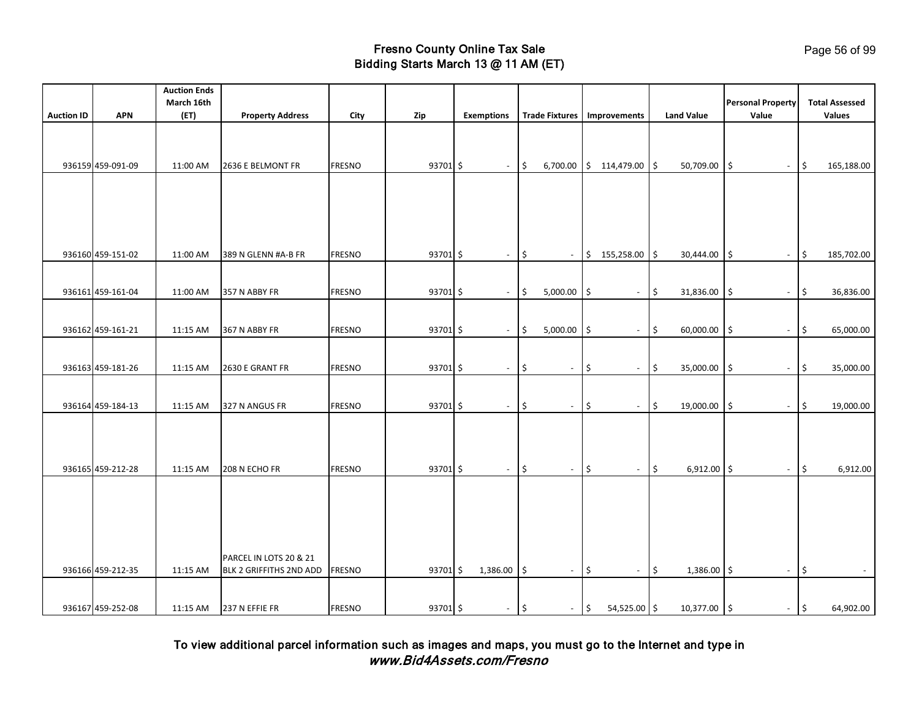|                   |                   | <b>Auction Ends</b> |                         |               |          |                          |                   |                          |        |                          |                          |                   |     |                                   |                    |                                        |
|-------------------|-------------------|---------------------|-------------------------|---------------|----------|--------------------------|-------------------|--------------------------|--------|--------------------------|--------------------------|-------------------|-----|-----------------------------------|--------------------|----------------------------------------|
| <b>Auction ID</b> | <b>APN</b>        | March 16th<br>(ET)  | <b>Property Address</b> | City          | Zip      | <b>Exemptions</b>        |                   | <b>Trade Fixtures</b>    |        | Improvements             |                          | <b>Land Value</b> |     | <b>Personal Property</b><br>Value |                    | <b>Total Assessed</b><br><b>Values</b> |
|                   |                   |                     |                         |               |          |                          |                   |                          |        |                          |                          |                   |     |                                   |                    |                                        |
|                   |                   |                     |                         |               |          |                          |                   |                          |        |                          |                          |                   |     |                                   |                    |                                        |
|                   | 936159 459-091-09 | 11:00 AM            | 2636 E BELMONT FR       | <b>FRESNO</b> | 93701 \$ | $\sim$                   | $\frac{1}{2}$     | 6,700.00                 |        | $$114,479.00$ \$         |                          | 50,709.00         | \$  | $\overline{\phantom{a}}$          | $\vert \mathsf{s}$ | 165,188.00                             |
|                   |                   |                     |                         |               |          |                          |                   |                          |        |                          |                          |                   |     |                                   |                    |                                        |
|                   |                   |                     |                         |               |          |                          |                   |                          |        |                          |                          |                   |     |                                   |                    |                                        |
|                   |                   |                     |                         |               |          |                          |                   |                          |        |                          |                          |                   |     |                                   |                    |                                        |
|                   |                   |                     |                         |               |          |                          |                   |                          |        |                          |                          |                   |     |                                   |                    |                                        |
|                   | 936160 459-151-02 |                     |                         | <b>FRESNO</b> | 93701 \$ |                          | l\$               |                          |        |                          |                          |                   |     |                                   | $\vert$ \$         |                                        |
|                   |                   | 11:00 AM            | 389 N GLENN #A-B FR     |               |          | $\sim$                   |                   | $\blacksquare$           |        | $$155,258.00$ \$         |                          | 30,444.00         | I\$ | $\blacksquare$                    |                    | 185,702.00                             |
|                   |                   |                     |                         |               |          |                          |                   |                          |        |                          |                          |                   |     |                                   |                    |                                        |
|                   | 936161 459-161-04 | 11:00 AM            | 357 N ABBY FR           | <b>FRESNO</b> | 93701 \$ | $\sim$                   | l\$               | 5,000.00                 | \$     | $\overline{\phantom{a}}$ | l\$                      | 31,836.00         | l\$ | $\sim$                            | $\vert$ \$         | 36,836.00                              |
|                   |                   |                     |                         |               |          |                          |                   |                          |        |                          |                          |                   |     |                                   |                    |                                        |
|                   | 936162 459-161-21 | 11:15 AM            | 367 N ABBY FR           | <b>FRESNO</b> | 93701 \$ | $\overline{\phantom{a}}$ | l\$               | 5,000.00                 | I\$    | $\overline{\phantom{a}}$ | $\frac{1}{2}$            | 60,000.00         | l\$ | $\blacksquare$                    | \$                 | 65,000.00                              |
|                   |                   |                     |                         |               |          |                          |                   |                          |        |                          |                          |                   |     |                                   |                    |                                        |
|                   | 936163 459-181-26 | 11:15 AM            | 2630 E GRANT FR         | <b>FRESNO</b> | 93701 \$ | $\overline{\phantom{a}}$ | \$                | $\overline{\phantom{a}}$ | \$     | $\blacksquare$           | $\frac{1}{2}$            | 35,000.00         | I\$ | $\blacksquare$                    | \$                 | 35,000.00                              |
|                   |                   |                     |                         |               |          |                          |                   |                          |        |                          |                          |                   |     |                                   |                    |                                        |
|                   | 936164 459-184-13 | 11:15 AM            | 327 N ANGUS FR          | <b>FRESNO</b> | 93701 \$ | $\sim$                   | \$                | $\sim$                   | \$     | $\overline{\phantom{a}}$ | $\vert \mathsf{s} \vert$ | 19,000.00         | l\$ |                                   | $-15$              | 19,000.00                              |
|                   |                   |                     |                         |               |          |                          |                   |                          |        |                          |                          |                   |     |                                   |                    |                                        |
|                   |                   |                     |                         |               |          |                          |                   |                          |        |                          |                          |                   |     |                                   |                    |                                        |
|                   |                   |                     |                         |               |          |                          |                   |                          |        |                          |                          |                   |     |                                   |                    |                                        |
|                   | 936165 459-212-28 | 11:15 AM            | 208 N ECHO FR           | <b>FRESNO</b> | 93701 \$ | $\sim$                   | l\$               | $\sim$                   | l\$    | $\overline{\phantom{a}}$ | $\vert \xi$              | $6,912.00$ \$     |     | $\blacksquare$                    | \$                 | 6,912.00                               |
|                   |                   |                     |                         |               |          |                          |                   |                          |        |                          |                          |                   |     |                                   |                    |                                        |
|                   |                   |                     |                         |               |          |                          |                   |                          |        |                          |                          |                   |     |                                   |                    |                                        |
|                   |                   |                     |                         |               |          |                          |                   |                          |        |                          |                          |                   |     |                                   |                    |                                        |
|                   |                   |                     |                         |               |          |                          |                   |                          |        |                          |                          |                   |     |                                   |                    |                                        |
|                   |                   |                     | PARCEL IN LOTS 20 & 21  |               |          |                          |                   |                          |        |                          |                          |                   |     |                                   |                    |                                        |
|                   | 936166 459-212-35 | 11:15 AM            | BLK 2 GRIFFITHS 2ND ADD | <b>FRESNO</b> | 93701 \$ | 1,386.00                 | I\$               | $\overline{\phantom{a}}$ | \$     | $\sim$                   | $\mathsf{S}$             | $1,386.00$ \$     |     | $\overline{\phantom{a}}$          | \$                 |                                        |
|                   |                   |                     |                         |               |          |                          |                   |                          |        |                          |                          |                   |     |                                   |                    |                                        |
|                   | 936167 459-252-08 | 11:15 AM            | 237 N EFFIE FR          | <b>FRESNO</b> | 93701 \$ | $\sim$                   | $\vert \xi \vert$ |                          | $-$ \$ | $54,525.00$ \$           |                          | 10,377.00 \$      |     |                                   | $ \sqrt{5}$        | 64,902.00                              |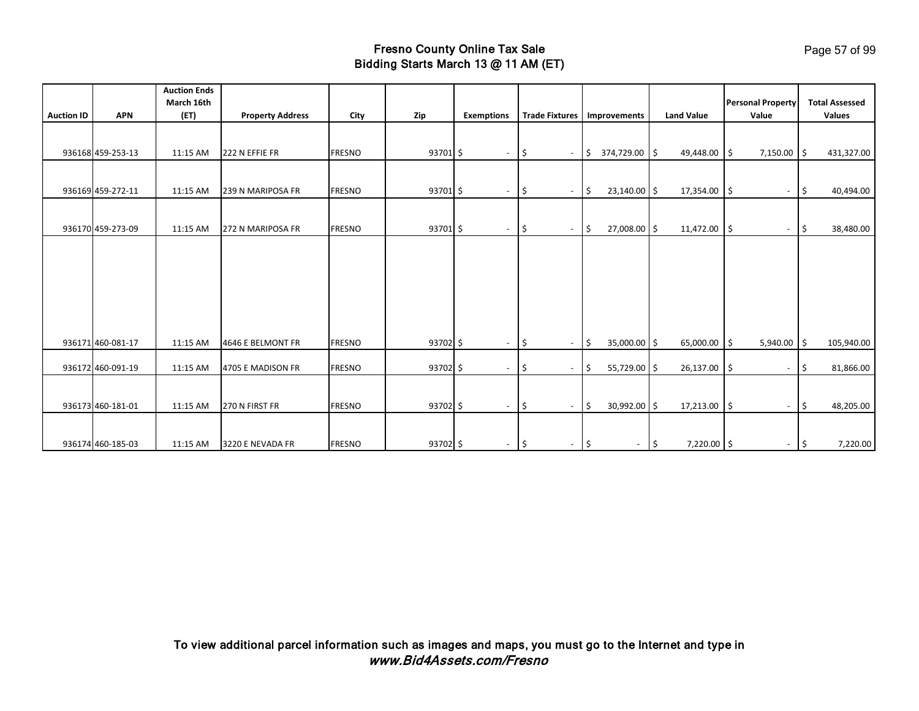| <b>Auction ID</b> | <b>APN</b>        | <b>Auction Ends</b><br>March 16th<br>(ET) | <b>Property Address</b> | City          | Zip      | <b>Exemptions</b>        | <b>Trade Fixtures</b>           | Improvements                   | <b>Land Value</b>                    | <b>Personal Property</b><br>Value | <b>Total Assessed</b><br>Values |
|-------------------|-------------------|-------------------------------------------|-------------------------|---------------|----------|--------------------------|---------------------------------|--------------------------------|--------------------------------------|-----------------------------------|---------------------------------|
|                   |                   |                                           |                         |               |          |                          |                                 |                                |                                      |                                   |                                 |
|                   | 936168 459-253-13 | 11:15 AM                                  | 222 N EFFIE FR          | <b>FRESNO</b> | 93701 \$ | $\sim$                   | I\$<br>$\blacksquare$           | 374,729.00 \$<br>1\$           | 49,448.00                            | $7,150.00$ \$<br>۱Ś               | 431,327.00                      |
|                   | 936169 459-272-11 |                                           |                         | <b>FRESNO</b> |          |                          |                                 |                                |                                      |                                   |                                 |
|                   |                   | 11:15 AM                                  | 239 N MARIPOSA FR       |               | 93701 \$ | $\sim$                   | \$<br>$\overline{\phantom{a}}$  | $23,140.00$ \$<br>l\$          | 17,354.00                            | ۱\$<br>$\sim$                     | 40,494.00<br>I\$                |
|                   | 936170 459-273-09 | 11:15 AM                                  | 272 N MARIPOSA FR       | <b>FRESNO</b> | 93701 \$ | $\sim$                   | ۱\$<br>$\sim$                   | 27,008.00 \$<br>l\$            | 11,472.00                            | l\$<br>$\overline{\phantom{a}}$   | 38,480.00<br>I\$                |
|                   |                   |                                           |                         |               |          |                          |                                 |                                |                                      |                                   |                                 |
|                   |                   |                                           |                         |               |          |                          |                                 |                                |                                      |                                   |                                 |
|                   |                   |                                           |                         |               |          |                          |                                 |                                |                                      |                                   |                                 |
|                   |                   |                                           |                         |               |          |                          |                                 |                                |                                      |                                   |                                 |
|                   |                   |                                           |                         |               |          |                          |                                 |                                |                                      |                                   |                                 |
|                   |                   |                                           |                         |               |          |                          |                                 |                                |                                      |                                   |                                 |
|                   | 936171 460-081-17 | 11:15 AM                                  | 4646 E BELMONT FR       | <b>FRESNO</b> | 93702 \$ | $\overline{\phantom{a}}$ | l\$<br>$\overline{\phantom{a}}$ | 35,000.00 \$<br>Ŝ.             | 65,000.00                            | 5,940.00<br>l \$                  | $\vert$ \$<br>105,940.00        |
|                   | 936172 460-091-19 | 11:15 AM                                  | 4705 E MADISON FR       | <b>FRESNO</b> | 93702 \$ | $\overline{\phantom{a}}$ | I\$<br>$\overline{\phantom{a}}$ | S.<br>55,729.00 \$             | 26,137.00                            | \$ ا<br>$\overline{\phantom{a}}$  | 81,866.00<br>I\$                |
|                   |                   |                                           |                         |               |          |                          |                                 |                                |                                      |                                   |                                 |
|                   |                   |                                           |                         |               |          |                          |                                 |                                |                                      |                                   |                                 |
|                   | 936173 460-181-01 | 11:15 AM                                  | 270 N FIRST FR          | <b>FRESNO</b> | 93702 \$ | $\overline{\phantom{a}}$ | ۱\$<br>$\overline{\phantom{a}}$ | 30,992.00 \$<br>5              | 17,213.00                            | ۱\$<br>$\overline{\phantom{a}}$   | 48,205.00<br>I\$                |
|                   |                   |                                           |                         |               |          |                          |                                 |                                |                                      |                                   |                                 |
|                   | 936174 460-185-03 | 11:15 AM                                  | 3220 E NEVADA FR        | <b>FRESNO</b> | 93702 \$ | $\sim$                   | \$<br>$\sim$                    | \$<br>$\overline{\phantom{a}}$ | $\ddot{\mathsf{S}}$<br>$7,220.00$ \$ | $\sim$                            | 7,220.00<br>I\$                 |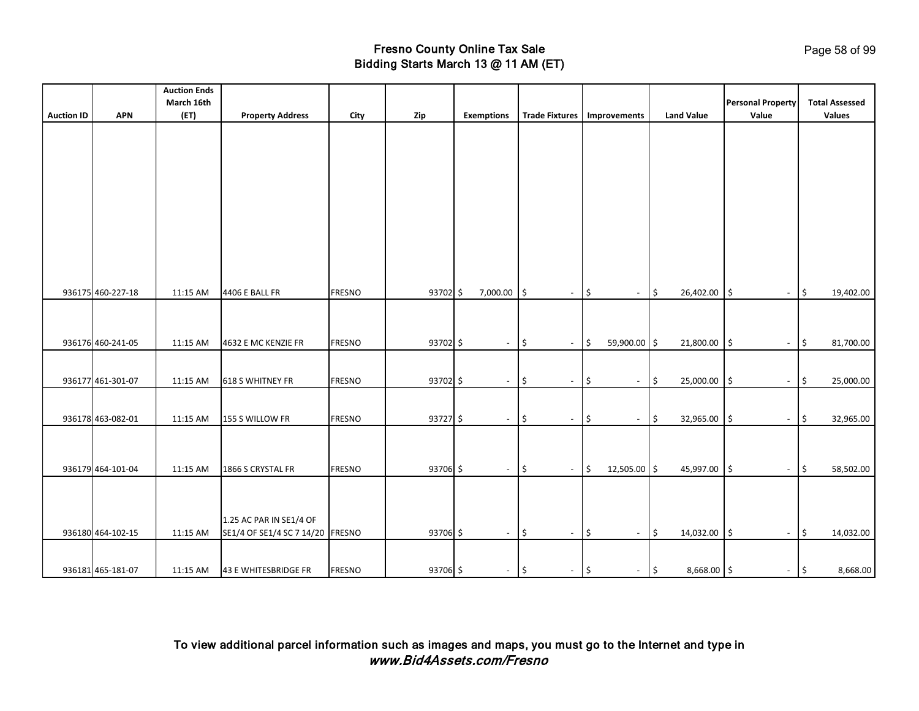| <b>Auction ID</b> | <b>APN</b>        | <b>Auction Ends</b><br>March 16th<br>(ET) | <b>Property Address</b>          | City          | Zip        | <b>Exemptions</b> |                          | Trade Fixtures   Improvements          |                    |                |               | <b>Land Value</b> | <b>Personal Property</b><br>Value |             | <b>Total Assessed</b><br><b>Values</b> |
|-------------------|-------------------|-------------------------------------------|----------------------------------|---------------|------------|-------------------|--------------------------|----------------------------------------|--------------------|----------------|---------------|-------------------|-----------------------------------|-------------|----------------------------------------|
|                   |                   |                                           |                                  |               |            |                   |                          |                                        |                    |                |               |                   |                                   |             |                                        |
|                   |                   |                                           |                                  |               |            |                   |                          |                                        |                    |                |               |                   |                                   |             |                                        |
|                   |                   |                                           |                                  |               |            |                   |                          |                                        |                    |                |               |                   |                                   |             |                                        |
|                   |                   |                                           |                                  |               |            |                   |                          |                                        |                    |                |               |                   |                                   |             |                                        |
|                   |                   |                                           |                                  |               |            |                   |                          |                                        |                    |                |               |                   |                                   |             |                                        |
|                   |                   |                                           |                                  |               |            |                   |                          |                                        |                    |                |               |                   |                                   |             |                                        |
|                   |                   |                                           |                                  |               |            |                   |                          |                                        |                    |                |               |                   |                                   |             |                                        |
|                   |                   |                                           |                                  |               |            |                   |                          |                                        |                    |                |               |                   |                                   |             |                                        |
|                   |                   |                                           |                                  |               |            |                   |                          |                                        |                    |                |               |                   |                                   |             |                                        |
|                   |                   |                                           |                                  |               |            |                   |                          |                                        |                    |                |               |                   |                                   |             |                                        |
|                   |                   |                                           |                                  |               |            |                   |                          |                                        |                    |                |               |                   |                                   |             |                                        |
|                   |                   |                                           |                                  |               |            |                   |                          |                                        |                    |                |               |                   |                                   |             |                                        |
|                   | 936175 460-227-18 | 11:15 AM                                  | 4406 E BALL FR                   | <b>FRESNO</b> | 93702 \$   |                   | 7,000.00                 | I\$<br>$\overline{\phantom{a}}$        | \$                 | $\sim$         | $\ddot{\phi}$ | 26,402.00         | $\sqrt{5}$<br>$\sim$              | \$          | 19,402.00                              |
|                   |                   |                                           |                                  |               |            |                   |                          |                                        |                    |                |               |                   |                                   |             |                                        |
|                   |                   |                                           |                                  |               |            |                   |                          |                                        |                    |                |               |                   |                                   |             |                                        |
|                   |                   |                                           |                                  |               |            |                   |                          |                                        |                    |                |               |                   |                                   |             |                                        |
|                   | 936176 460-241-05 | 11:15 AM                                  | 4632 E MC KENZIE FR              | <b>FRESNO</b> | 93702 \$   |                   | $\overline{\phantom{a}}$ | \$<br>$\overline{\phantom{a}}$         | \$                 | 59,900.00 \$   |               | 21,800.00         | 5<br>$\overline{\phantom{a}}$     | \$          | 81,700.00                              |
|                   |                   |                                           |                                  |               |            |                   |                          |                                        |                    |                |               |                   |                                   |             |                                        |
|                   | 936177 461-301-07 | 11:15 AM                                  | 618 S WHITNEY FR                 | <b>FRESNO</b> | 93702 \$   |                   | $\blacksquare$           | l\$<br>$\blacksquare$                  | $\frac{1}{2}$      | $\blacksquare$ | $\ddot{\phi}$ | 25,000.00         | 5<br>$\blacksquare$               | l\$         | 25,000.00                              |
|                   |                   |                                           |                                  |               |            |                   |                          |                                        |                    |                |               |                   |                                   |             |                                        |
|                   |                   |                                           |                                  |               |            |                   |                          |                                        |                    |                |               |                   |                                   |             |                                        |
|                   | 936178 463-082-01 | 11:15 AM                                  | 155 S WILLOW FR                  | <b>FRESNO</b> | $93727$ \$ |                   | $\sim$                   | \$<br>$\overline{\phantom{a}}$         | $\vert \mathsf{s}$ | $\sim$         | $\ddot{\phi}$ | 32,965.00         | ۱\$<br>$\sim$                     | \$ ا        | 32,965.00                              |
|                   |                   |                                           |                                  |               |            |                   |                          |                                        |                    |                |               |                   |                                   |             |                                        |
|                   |                   |                                           |                                  |               |            |                   |                          |                                        |                    |                |               |                   |                                   |             |                                        |
|                   | 936179 464-101-04 | 11:15 AM                                  | 1866 S CRYSTAL FR                | <b>FRESNO</b> | 93706 \$   |                   | $\sim$                   | $\sqrt{5}$<br>$\overline{\phantom{a}}$ | $\vert \sin$       | 12,505.00 \$   |               | 45,997.00         | l\$<br>$\overline{\phantom{a}}$   | \$          | 58,502.00                              |
|                   |                   |                                           |                                  |               |            |                   |                          |                                        |                    |                |               |                   |                                   |             |                                        |
|                   |                   |                                           |                                  |               |            |                   |                          |                                        |                    |                |               |                   |                                   |             |                                        |
|                   |                   |                                           |                                  |               |            |                   |                          |                                        |                    |                |               |                   |                                   |             |                                        |
|                   |                   |                                           | 1.25 AC PAR IN SE1/4 OF          |               |            |                   |                          |                                        |                    |                |               |                   |                                   |             |                                        |
|                   | 936180 464-102-15 | 11:15 AM                                  | SE1/4 OF SE1/4 SC 7 14/20 FRESNO |               | 93706 \$   |                   | $\sim$                   | $\sqrt{5}$<br>$\overline{\phantom{a}}$ | l\$                | $\sim$         | $\ddot{\phi}$ | 14,032.00         | $\sqrt{5}$<br>$\sim$              | \$          | 14,032.00                              |
|                   |                   |                                           |                                  |               |            |                   |                          |                                        |                    |                |               |                   |                                   |             |                                        |
|                   |                   |                                           |                                  |               |            |                   |                          |                                        |                    |                |               |                   |                                   |             |                                        |
|                   | 936181 465-181-07 | 11:15 AM                                  | 43 E WHITESBRIDGE FR             | <b>FRESNO</b> | 93706 \$   |                   | $ \sqrt{5}$              | $-$ \$                                 |                    | $-$ \$         |               | 8,668.00 \$       |                                   | $ \sqrt{5}$ | 8,668.00                               |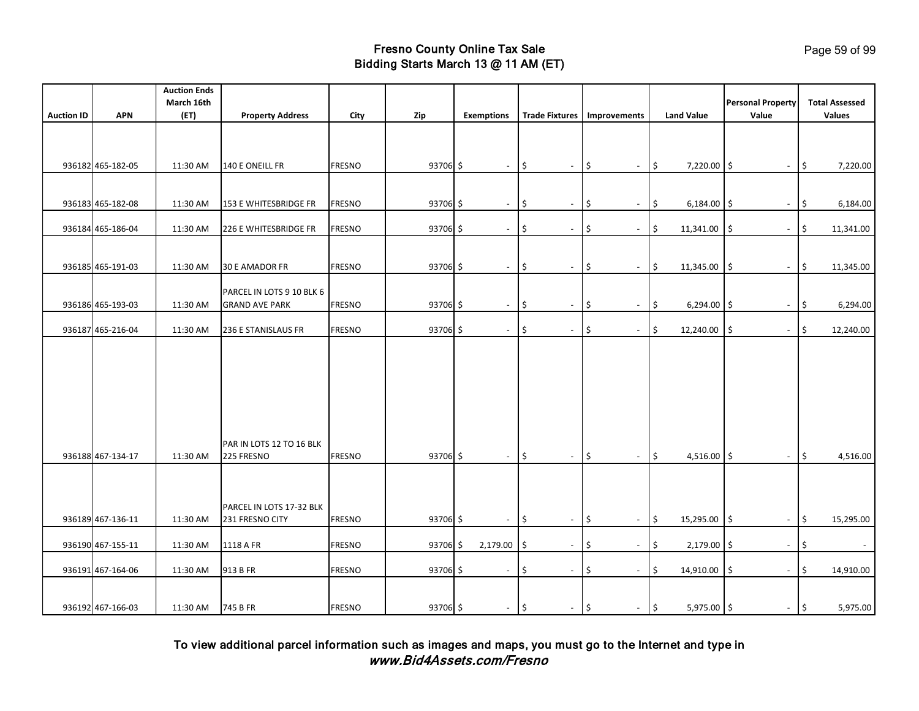| <b>Auction ID</b> | <b>APN</b>        | <b>Auction Ends</b><br>March 16th<br>(ET) | <b>Property Address</b>                            | City          | Zip      | <b>Exemptions</b>        | <b>Trade Fixtures</b>                                   | Improvements                                                     | <b>Land Value</b>                 | <b>Personal Property</b><br>Value                                 | <b>Total Assessed</b><br><b>Values</b> |
|-------------------|-------------------|-------------------------------------------|----------------------------------------------------|---------------|----------|--------------------------|---------------------------------------------------------|------------------------------------------------------------------|-----------------------------------|-------------------------------------------------------------------|----------------------------------------|
|                   |                   |                                           |                                                    |               |          |                          |                                                         |                                                                  |                                   |                                                                   |                                        |
|                   | 936182 465-182-05 | 11:30 AM                                  | 140 E ONEILL FR                                    | <b>FRESNO</b> | 93706 \$ | $\overline{\phantom{a}}$ | \$<br>$\sim$                                            | \$<br>$\overline{\phantom{a}}$                                   | \$<br>$7,220.00$ \$               | $\overline{\phantom{a}}$                                          | \$<br>7,220.00                         |
|                   | 936183 465-182-08 | 11:30 AM                                  | 153 E WHITESBRIDGE FR                              | <b>FRESNO</b> | 93706 \$ | $\blacksquare$           | \$                                                      | \$<br>$\blacksquare$                                             | \$<br>6,184.00                    | I\$                                                               | \$<br>6,184.00                         |
|                   | 936184 465-186-04 | 11:30 AM                                  | 226 E WHITESBRIDGE FR                              | <b>FRESNO</b> | 93706 \$ | $\overline{\phantom{a}}$ | \$<br>$\sim$                                            | \$<br>$\blacksquare$                                             | \$<br>11,341.00                   | \$<br>$\overline{\phantom{a}}$                                    | \$<br>11,341.00                        |
|                   |                   |                                           |                                                    |               |          |                          |                                                         |                                                                  |                                   |                                                                   |                                        |
|                   | 936185 465-191-03 | 11:30 AM                                  | <b>30 E AMADOR FR</b>                              | <b>FRESNO</b> | 93706 \$ | $\overline{\phantom{a}}$ | \$<br>$\blacksquare$                                    | \$<br>$\overline{\phantom{a}}$                                   | \$<br>11,345.00                   | 5<br>$\overline{\phantom{a}}$                                     | $\frac{1}{2}$<br>11,345.00             |
|                   | 936186 465-193-03 | 11:30 AM                                  | PARCEL IN LOTS 9 10 BLK 6<br><b>GRAND AVE PARK</b> | <b>FRESNO</b> | 93706 \$ | $\overline{\phantom{a}}$ | \$                                                      | \$<br>$\blacksquare$                                             | \$<br>6,294.00                    | l\$                                                               | \$<br>6,294.00                         |
|                   | 936187 465-216-04 | 11:30 AM                                  | 236 E STANISLAUS FR                                | <b>FRESNO</b> | 93706 \$ | $\sim$                   | \$<br>$\overline{\phantom{a}}$                          | \$<br>$\overline{\phantom{a}}$                                   | \$<br>12,240.00                   | \$<br>$\overline{\phantom{a}}$                                    | \$<br>12,240.00                        |
|                   | 936188 467-134-17 | 11:30 AM                                  | PAR IN LOTS 12 TO 16 BLK<br>225 FRESNO             | <b>FRESNO</b> | 93706 \$ | $\sim$                   | \$<br>$\sim$                                            | \$<br>$\sim$                                                     | \$<br>4,516.00 \$                 | $\blacksquare$                                                    | \$<br>4,516.00                         |
|                   | 936189 467-136-11 | 11:30 AM                                  | PARCEL IN LOTS 17-32 BLK<br>231 FRESNO CITY        | <b>FRESNO</b> | 93706 \$ |                          | \$                                                      | \$<br>$\overline{\phantom{a}}$                                   | \$<br>15,295.00                   | \$                                                                | \$<br>15,295.00                        |
|                   | 936190 467-155-11 |                                           | 1118 A FR                                          | <b>FRESNO</b> | 93706 \$ | 2,179.00                 |                                                         |                                                                  | 2,179.00                          |                                                                   |                                        |
|                   | 936191 467-164-06 | 11:30 AM<br>11:30 AM                      | 913 B FR                                           | <b>FRESNO</b> | 93706 \$ | $\overline{\phantom{a}}$ | I\$<br>$\overline{\phantom{a}}$<br>\$<br>$\blacksquare$ | \$<br>$\overline{\phantom{a}}$<br>\$<br>$\overline{\phantom{a}}$ | \$<br>\$<br>14,910.00             | l\$<br>$\overline{\phantom{a}}$<br>\$<br>$\overline{\phantom{a}}$ | \$<br>$\sim$<br>\$<br>14,910.00        |
|                   | 936192 467-166-03 | 11:30 AM                                  | 745 B FR                                           | <b>FRESNO</b> | 93706 \$ | $\sim$                   | $ \frac{1}{2}$<br>l\$                                   | $\blacksquare$                                                   | $\vert \mathsf{s}$<br>5,975.00 \$ | $\sim$                                                            | $\vert \mathsf{s}$<br>5,975.00         |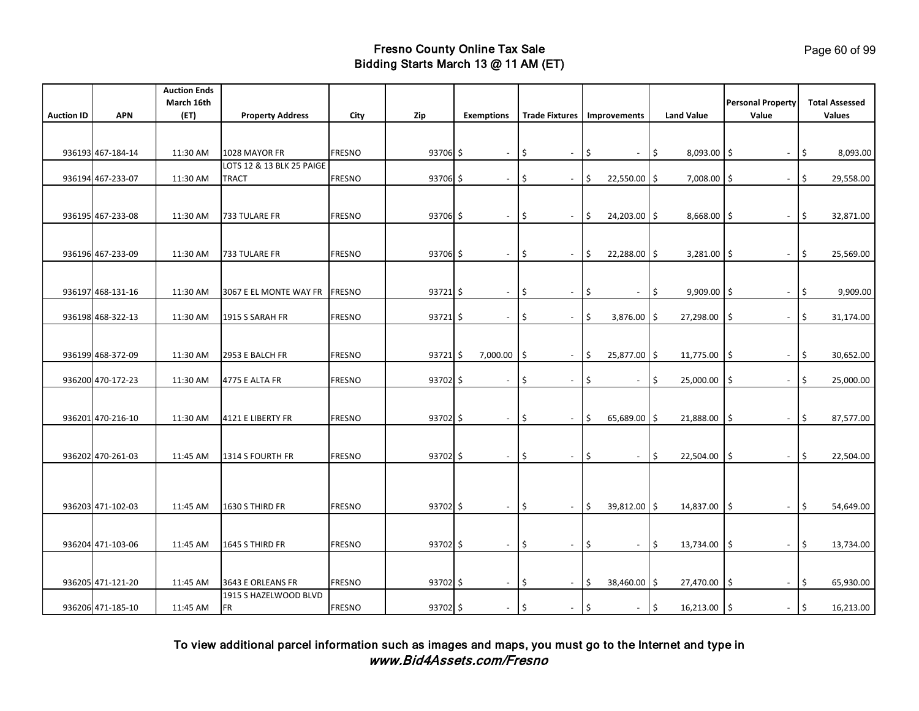|                   |                   | <b>Auction Ends</b> |                           |               |            |                   |                          |                                           |     |                          |                     |                   |                                   |                                        |
|-------------------|-------------------|---------------------|---------------------------|---------------|------------|-------------------|--------------------------|-------------------------------------------|-----|--------------------------|---------------------|-------------------|-----------------------------------|----------------------------------------|
| <b>Auction ID</b> | <b>APN</b>        | March 16th<br>(ET)  | <b>Property Address</b>   | City          | Zip        | <b>Exemptions</b> |                          | Trade Fixtures   Improvements             |     |                          |                     | <b>Land Value</b> | <b>Personal Property</b><br>Value | <b>Total Assessed</b><br><b>Values</b> |
|                   |                   |                     |                           |               |            |                   |                          |                                           |     |                          |                     |                   |                                   |                                        |
|                   |                   |                     |                           |               |            |                   |                          |                                           |     |                          |                     |                   |                                   |                                        |
|                   | 936193 467-184-14 | 11:30 AM            | 1028 MAYOR FR             | <b>FRESNO</b> | 93706 \$   |                   | $\blacksquare$           | \$<br>$\overline{\phantom{a}}$            | \$  | $\overline{\phantom{a}}$ | $\ddot{\mathsf{S}}$ | $8,093.00$ \$     |                                   | \$<br>8,093.00                         |
|                   |                   |                     | LOTS 12 & 13 BLK 25 PAIGE |               |            |                   |                          |                                           |     |                          |                     |                   |                                   |                                        |
|                   | 936194 467-233-07 | 11:30 AM            | TRACT                     | <b>FRESNO</b> | 93706 \$   |                   | $\blacksquare$           | \$<br>$\overline{\phantom{a}}$            | \$  | 22,550.00 \$             |                     | 7,008.00          | l\$<br>$\overline{\phantom{a}}$   | 29,558.00<br>\$                        |
|                   |                   |                     |                           |               |            |                   |                          |                                           |     |                          |                     |                   |                                   |                                        |
|                   |                   |                     |                           |               |            |                   |                          |                                           |     |                          |                     |                   |                                   |                                        |
|                   | 936195 467-233-08 | 11:30 AM            | 733 TULARE FR             | <b>FRESNO</b> | $93706$ \$ |                   |                          | Ś<br>$\overline{\phantom{a}}$             | \$  | 24,203.00 \$             |                     | 8,668.00          | -\$<br>$\overline{\phantom{a}}$   | \$<br>32,871.00                        |
|                   |                   |                     |                           |               |            |                   |                          |                                           |     |                          |                     |                   |                                   |                                        |
|                   | 936196 467-233-09 | 11:30 AM            | 733 TULARE FR             | <b>FRESNO</b> | 93706 \$   |                   | $\overline{\phantom{a}}$ | ۱\$<br>$\blacksquare$                     | \$  | 22,288.00 \$             |                     | $3,281.00$ \$     | $\blacksquare$                    | 25,569.00<br>\$                        |
|                   |                   |                     |                           |               |            |                   |                          |                                           |     |                          |                     |                   |                                   |                                        |
|                   |                   |                     |                           |               |            |                   |                          |                                           |     |                          |                     |                   |                                   |                                        |
|                   | 936197 468-131-16 | 11:30 AM            | 3067 E EL MONTE WAY FR    | <b>FRESNO</b> | $93721$ \$ |                   | $\overline{\phantom{a}}$ | ۱\$<br>$\blacksquare$                     | \$  | $\blacksquare$           | S.                  | 9,909.00          | 1\$<br>$\overline{\phantom{a}}$   | Ŝ.<br>9,909.00                         |
|                   |                   |                     |                           |               |            |                   |                          |                                           |     |                          |                     |                   |                                   |                                        |
|                   | 936198 468-322-13 | 11:30 AM            | 1915 S SARAH FR           | <b>FRESNO</b> | $93721$ \$ |                   | $\overline{\phantom{a}}$ | Ŝ.<br>$\overline{\phantom{a}}$            | \$  | 3,876.00                 | I\$                 | 27,298.00         | \$<br>$\blacksquare$              | \$<br>31,174.00                        |
|                   |                   |                     |                           |               |            |                   |                          |                                           |     |                          |                     |                   |                                   |                                        |
|                   |                   |                     |                           |               |            |                   |                          |                                           |     |                          |                     |                   |                                   |                                        |
|                   | 936199 468-372-09 | 11:30 AM            | 2953 E BALCH FR           | <b>FRESNO</b> | $93721$ \$ |                   | 7,000.00                 | l\$<br>$\overline{\phantom{a}}$           | \$  | 25,877.00 \$             |                     | 11,775.00         | \$ ا<br>$\blacksquare$            | \$<br>30,652.00                        |
|                   | 936200 470-172-23 | 11:30 AM            | 4775 E ALTA FR            | <b>FRESNO</b> | 93702 \$   |                   |                          | -\$<br>$\overline{\phantom{a}}$           | \$  | $\overline{\phantom{a}}$ | \$                  | 25,000.00         | Ś.<br>$\overline{\phantom{a}}$    | Ś.<br>25,000.00                        |
|                   |                   |                     |                           |               |            |                   |                          |                                           |     |                          |                     |                   |                                   |                                        |
|                   |                   |                     |                           |               |            |                   |                          |                                           |     |                          |                     |                   |                                   |                                        |
|                   | 936201 470-216-10 | 11:30 AM            | 4121 E LIBERTY FR         | <b>FRESNO</b> | 93702 \$   |                   | $\sim$                   | \$<br>$\overline{\phantom{a}}$            | \$  | 65,689.00 \$             |                     | 21,888.00         | \$<br>$\sim$                      | \$<br>87,577.00                        |
|                   |                   |                     |                           |               |            |                   |                          |                                           |     |                          |                     |                   |                                   |                                        |
|                   |                   |                     |                           |               |            |                   |                          |                                           |     |                          |                     |                   |                                   |                                        |
|                   | 936202 470-261-03 | 11:45 AM            | 1314 S FOURTH FR          | <b>FRESNO</b> | 93702 \$   |                   | $\overline{\phantom{a}}$ | \$<br>$\blacksquare$                      | \$  | $\blacksquare$           | \$                  | 22,504.00         | \$<br>$\overline{\phantom{a}}$    | \$<br>22,504.00                        |
|                   |                   |                     |                           |               |            |                   |                          |                                           |     |                          |                     |                   |                                   |                                        |
|                   |                   |                     |                           |               |            |                   |                          |                                           |     |                          |                     |                   |                                   |                                        |
|                   | 936203 471-102-03 |                     |                           |               | 93702 \$   |                   |                          |                                           |     |                          |                     |                   |                                   |                                        |
|                   |                   | 11:45 AM            | 1630 S THIRD FR           | <b>FRESNO</b> |            |                   | $\blacksquare$           | \$<br>$\blacksquare$                      | \$  | 39,812.00 \$             |                     | 14,837.00         | \$<br>$\overline{\phantom{a}}$    | 54,649.00<br>\$                        |
|                   |                   |                     |                           |               |            |                   |                          |                                           |     |                          |                     |                   |                                   |                                        |
|                   | 936204 471-103-06 | 11:45 AM            | 1645 S THIRD FR           | <b>FRESNO</b> | 93702 \$   |                   | $\sim$                   | -\$<br>$\blacksquare$                     | \$  | $\sim$                   | \$                  | 13,734.00         | -\$<br>$\sim$                     | \$<br>13,734.00                        |
|                   |                   |                     |                           |               |            |                   |                          |                                           |     |                          |                     |                   |                                   |                                        |
|                   |                   |                     |                           |               |            |                   |                          |                                           |     |                          |                     |                   |                                   |                                        |
|                   | 936205 471-121-20 | 11:45 AM            | 3643 E ORLEANS FR         | <b>FRESNO</b> | 93702 \$   |                   | $\sim$                   | $\overline{\mathsf{S}}$<br>$\blacksquare$ | \$  | 38,460.00 \$             |                     | 27,470.00         | \$<br>$\blacksquare$              | \$<br>65,930.00                        |
|                   |                   |                     | 1915 S HAZELWOOD BLVD     |               |            |                   |                          |                                           |     |                          |                     |                   |                                   |                                        |
|                   | 936206 471-185-10 | 11:45 AM            | <b>FR</b>                 | <b>FRESNO</b> | 93702 \$   |                   | $\sim$                   | l\$<br>$\blacksquare$                     | ١\$ | $\blacksquare$           | $\ddot{\mathsf{S}}$ | 16,213.00         | ۱\$                               | - 1\$<br>16,213.00                     |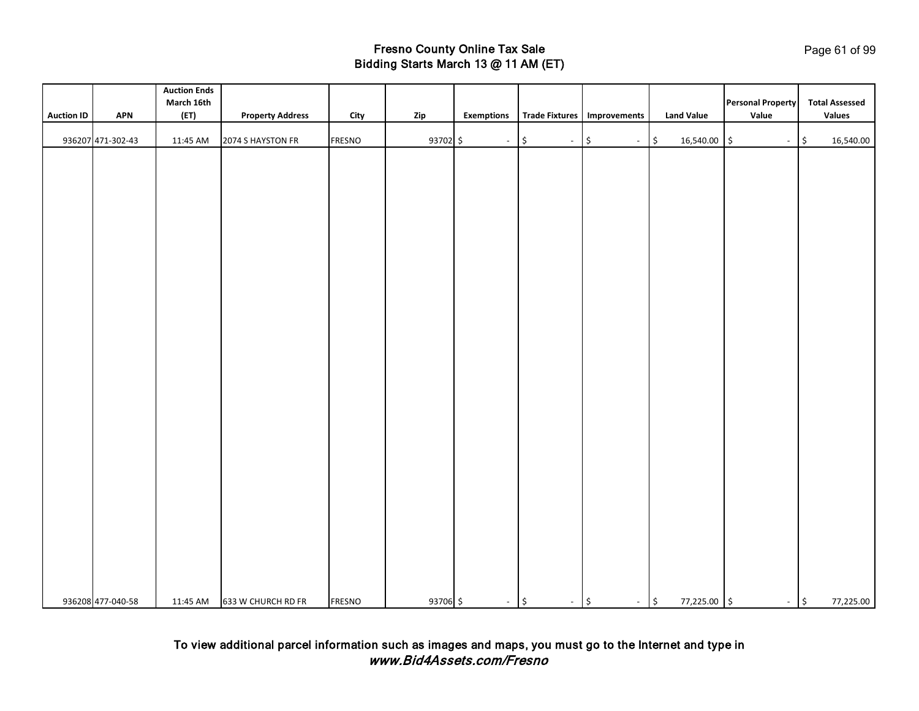|                   |                   | <b>Auction Ends</b> |                             |               |          |                   |                                |                               |                   |                                   |                                 |
|-------------------|-------------------|---------------------|-----------------------------|---------------|----------|-------------------|--------------------------------|-------------------------------|-------------------|-----------------------------------|---------------------------------|
| <b>Auction ID</b> | <b>APN</b>        | March 16th<br>(ET)  | <b>Property Address</b>     | City          | Zip      | <b>Exemptions</b> |                                | Trade Fixtures   Improvements | <b>Land Value</b> | <b>Personal Property</b><br>Value | <b>Total Assessed</b><br>Values |
|                   |                   |                     |                             |               |          |                   |                                |                               |                   |                                   |                                 |
|                   | 936207 471-302-43 | 11:45 AM            | 2074 S HAYSTON FR           | FRESNO        | 93702 \$ | $\sim$            | $-$ \$<br>$\vert \mathfrak{s}$ | $ \sqrt{5}$                   | 16,540.00 \$      | $ \frac{1}{2}$                    | 16,540.00                       |
|                   |                   |                     |                             |               |          |                   |                                |                               |                   |                                   |                                 |
|                   |                   |                     |                             |               |          |                   |                                |                               |                   |                                   |                                 |
|                   |                   |                     |                             |               |          |                   |                                |                               |                   |                                   |                                 |
|                   |                   |                     |                             |               |          |                   |                                |                               |                   |                                   |                                 |
|                   |                   |                     |                             |               |          |                   |                                |                               |                   |                                   |                                 |
|                   |                   |                     |                             |               |          |                   |                                |                               |                   |                                   |                                 |
|                   |                   |                     |                             |               |          |                   |                                |                               |                   |                                   |                                 |
|                   |                   |                     |                             |               |          |                   |                                |                               |                   |                                   |                                 |
|                   |                   |                     |                             |               |          |                   |                                |                               |                   |                                   |                                 |
|                   |                   |                     |                             |               |          |                   |                                |                               |                   |                                   |                                 |
|                   |                   |                     |                             |               |          |                   |                                |                               |                   |                                   |                                 |
|                   |                   |                     |                             |               |          |                   |                                |                               |                   |                                   |                                 |
|                   |                   |                     |                             |               |          |                   |                                |                               |                   |                                   |                                 |
|                   |                   |                     |                             |               |          |                   |                                |                               |                   |                                   |                                 |
|                   |                   |                     |                             |               |          |                   |                                |                               |                   |                                   |                                 |
|                   |                   |                     |                             |               |          |                   |                                |                               |                   |                                   |                                 |
|                   |                   |                     |                             |               |          |                   |                                |                               |                   |                                   |                                 |
|                   |                   |                     |                             |               |          |                   |                                |                               |                   |                                   |                                 |
|                   |                   |                     |                             |               |          |                   |                                |                               |                   |                                   |                                 |
|                   |                   |                     |                             |               |          |                   |                                |                               |                   |                                   |                                 |
|                   |                   |                     |                             |               |          |                   |                                |                               |                   |                                   |                                 |
|                   |                   |                     |                             |               |          |                   |                                |                               |                   |                                   |                                 |
|                   |                   |                     |                             |               |          |                   |                                |                               |                   |                                   |                                 |
|                   |                   |                     |                             |               |          |                   |                                |                               |                   |                                   |                                 |
|                   |                   |                     |                             |               |          |                   |                                |                               |                   |                                   |                                 |
|                   |                   |                     |                             |               |          |                   |                                |                               |                   |                                   |                                 |
|                   |                   |                     |                             |               |          |                   |                                |                               |                   |                                   |                                 |
|                   |                   |                     |                             |               |          |                   |                                |                               |                   |                                   |                                 |
|                   | 936208 477-040-58 |                     | 11:45 AM 633 W CHURCH RD FR | <b>FRESNO</b> | 93706 \$ | $-$ \$            | $-$ \$                         | $-$ \$                        | 77,225.00 \$      | $-$ \$                            | 77,225.00                       |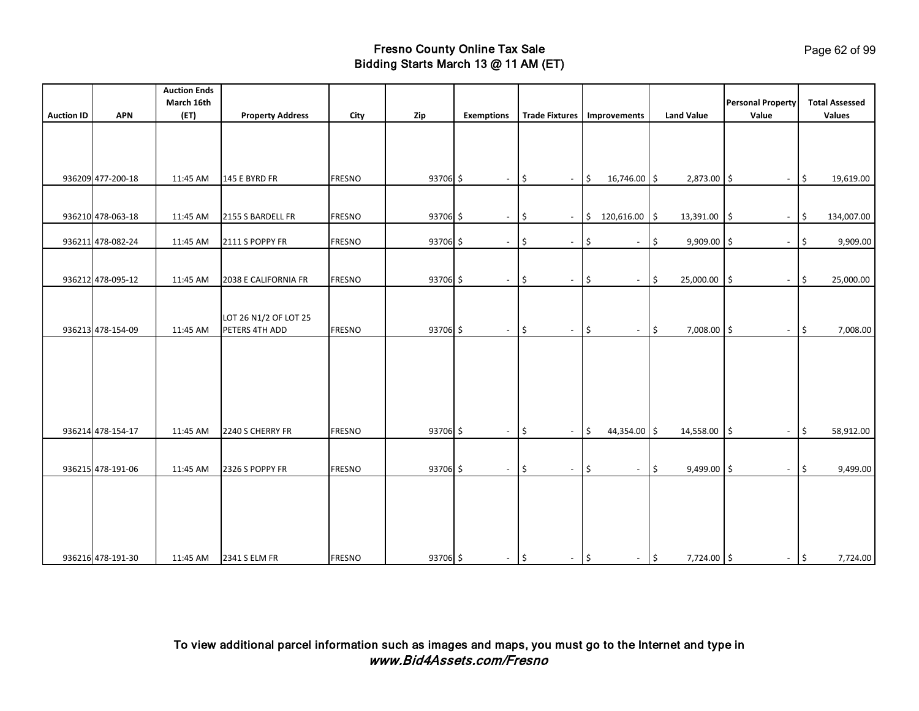|                   |                   | <b>Auction Ends</b> |                         |               |          |                          |                                 |                                 |                                   |                                  |                                |
|-------------------|-------------------|---------------------|-------------------------|---------------|----------|--------------------------|---------------------------------|---------------------------------|-----------------------------------|----------------------------------|--------------------------------|
|                   |                   | March 16th          |                         |               |          |                          |                                 |                                 |                                   | <b>Personal Property</b>         | <b>Total Assessed</b>          |
| <b>Auction ID</b> | <b>APN</b>        | (ET)                | <b>Property Address</b> | City          | Zip      | <b>Exemptions</b>        | <b>Trade Fixtures</b>           | Improvements                    | <b>Land Value</b>                 | Value                            | Values                         |
|                   |                   |                     |                         |               |          |                          |                                 |                                 |                                   |                                  |                                |
|                   |                   |                     |                         |               |          |                          |                                 |                                 |                                   |                                  |                                |
|                   |                   |                     |                         |               |          |                          |                                 |                                 |                                   |                                  |                                |
|                   | 936209 477-200-18 | 11:45 AM            | 145 E BYRD FR           | <b>FRESNO</b> | 93706 \$ | $\overline{\phantom{a}}$ | \$<br>$\overline{\phantom{a}}$  | \$<br>16,746.00 \$              | $2,873.00$ \$                     | $\overline{\phantom{a}}$         | \$<br>19,619.00                |
|                   |                   |                     |                         |               |          |                          |                                 |                                 |                                   |                                  |                                |
|                   |                   |                     |                         |               |          |                          |                                 |                                 |                                   |                                  |                                |
|                   | 936210 478-063-18 | 11:45 AM            | 2155 S BARDELL FR       | <b>FRESNO</b> | 93706 \$ | $\sim$                   | l\$<br>$\overline{\phantom{a}}$ | \$<br>120,616.00 \$             | 13,391.00                         | I\$<br>$\overline{\phantom{a}}$  | \$<br>134,007.00               |
|                   |                   |                     |                         |               |          |                          |                                 |                                 |                                   |                                  |                                |
|                   | 936211 478-082-24 | 11:45 AM            | 2111 S POPPY FR         | <b>FRESNO</b> | 93706 \$ | $\overline{\phantom{a}}$ | \$<br>$\overline{\phantom{a}}$  | \$<br>$\blacksquare$            | \$<br>$9,909.00$ \$               | $\overline{\phantom{a}}$         | 9,909.00<br>\$                 |
|                   |                   |                     |                         |               |          |                          |                                 |                                 |                                   |                                  |                                |
|                   | 936212 478-095-12 | 11:45 AM            | 2038 E CALIFORNIA FR    | <b>FRESNO</b> | 93706 \$ | $\sim$                   | \$<br>$\overline{\phantom{a}}$  | \$<br>$\sim$                    | l \$<br>25,000.00                 | $\vert$ \$<br>$\blacksquare$     | 25,000.00<br>\$                |
|                   |                   |                     |                         |               |          |                          |                                 |                                 |                                   |                                  |                                |
|                   |                   |                     |                         |               |          |                          |                                 |                                 |                                   |                                  |                                |
|                   |                   |                     | LOT 26 N1/2 OF LOT 25   |               |          |                          |                                 |                                 |                                   |                                  |                                |
|                   | 936213 478-154-09 | 11:45 AM            | PETERS 4TH ADD          | <b>FRESNO</b> | 93706 \$ | $\sim$                   | $\updownarrow$<br>$\sim$        | $\frac{1}{2}$<br>$\sim$         | $\vert \mathsf{s}$<br>7,008.00 \$ | $\sim$                           | 7,008.00<br>$\vert \mathsf{s}$ |
|                   |                   |                     |                         |               |          |                          |                                 |                                 |                                   |                                  |                                |
|                   |                   |                     |                         |               |          |                          |                                 |                                 |                                   |                                  |                                |
|                   |                   |                     |                         |               |          |                          |                                 |                                 |                                   |                                  |                                |
|                   |                   |                     |                         |               |          |                          |                                 |                                 |                                   |                                  |                                |
|                   |                   |                     |                         |               |          |                          |                                 |                                 |                                   |                                  |                                |
|                   |                   |                     |                         |               |          |                          |                                 |                                 |                                   |                                  |                                |
|                   | 936214 478-154-17 | 11:45 AM            | 2240 S CHERRY FR        | <b>FRESNO</b> | 93706 \$ | $\overline{\phantom{a}}$ | \$<br>$\overline{\phantom{a}}$  | \$<br>44,354.00 \$              | 14,558.00                         | l \$<br>$\overline{\phantom{a}}$ | 58,912.00<br>\$                |
|                   |                   |                     |                         |               |          |                          |                                 |                                 |                                   |                                  |                                |
|                   | 936215 478-191-06 | 11:45 AM            | 2326 S POPPY FR         | <b>FRESNO</b> | 93706 \$ | $\overline{\phantom{a}}$ | l\$                             | $\frac{1}{2}$<br>$\blacksquare$ | ١\$<br>$9,499.00$ \$              | $\overline{\phantom{a}}$         | \$<br>9,499.00                 |
|                   |                   |                     |                         |               |          |                          | $\overline{\phantom{a}}$        |                                 |                                   |                                  |                                |
|                   |                   |                     |                         |               |          |                          |                                 |                                 |                                   |                                  |                                |
|                   |                   |                     |                         |               |          |                          |                                 |                                 |                                   |                                  |                                |
|                   |                   |                     |                         |               |          |                          |                                 |                                 |                                   |                                  |                                |
|                   |                   |                     |                         |               |          |                          |                                 |                                 |                                   |                                  |                                |
|                   |                   |                     |                         |               |          |                          |                                 |                                 |                                   |                                  |                                |
|                   | 936216 478-191-30 | 11:45 AM            | 2341 S ELM FR           | <b>FRESNO</b> | 93706 \$ | $\sim$                   | l\$<br>$\sim$                   | \$<br>$\sim$                    | $\sqrt{5}$<br>$7,724.00$ \$       | $-$ 5                            | 7,724.00                       |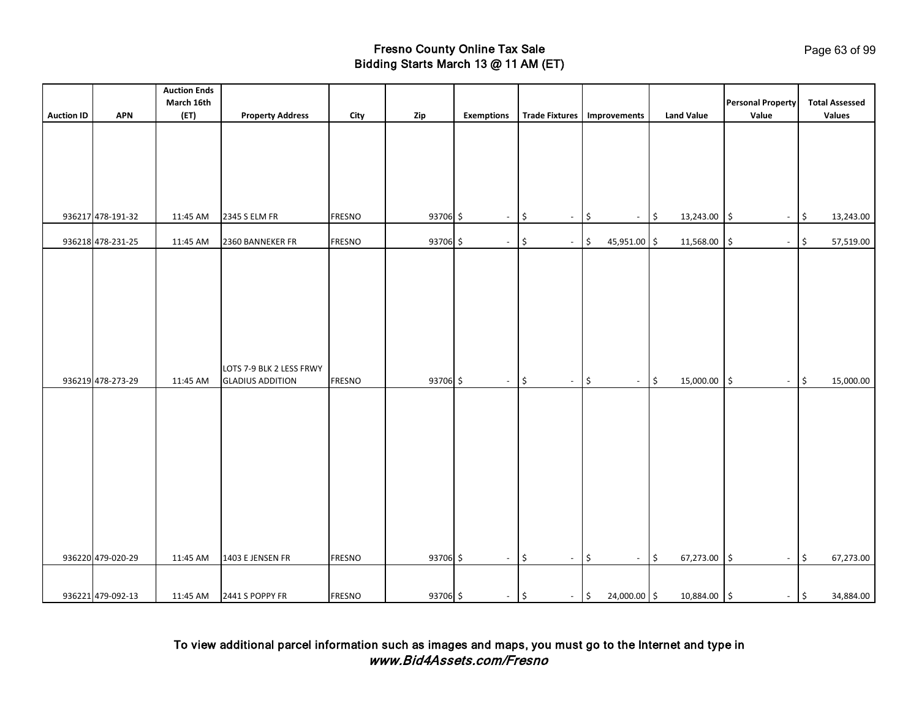|                   |                   | <b>Auction Ends</b> |                                                     |               |          |                   |                                 |                                                    |                            |                                   |                                        |
|-------------------|-------------------|---------------------|-----------------------------------------------------|---------------|----------|-------------------|---------------------------------|----------------------------------------------------|----------------------------|-----------------------------------|----------------------------------------|
| <b>Auction ID</b> | <b>APN</b>        | March 16th<br>(ET)  | <b>Property Address</b>                             | City          | Zip      | <b>Exemptions</b> |                                 | Trade Fixtures   Improvements                      | <b>Land Value</b>          | <b>Personal Property</b><br>Value | <b>Total Assessed</b><br><b>Values</b> |
|                   |                   |                     |                                                     |               |          |                   |                                 |                                                    |                            |                                   |                                        |
|                   |                   |                     |                                                     |               |          |                   |                                 |                                                    |                            |                                   |                                        |
|                   |                   |                     |                                                     |               |          |                   |                                 |                                                    |                            |                                   |                                        |
|                   |                   |                     |                                                     |               |          |                   |                                 |                                                    |                            |                                   |                                        |
|                   |                   |                     |                                                     |               |          |                   |                                 |                                                    |                            |                                   |                                        |
|                   | 936217 478-191-32 | 11:45 AM            | 2345 S ELM FR                                       | <b>FRESNO</b> | 93706 \$ | $\sim$            | \$<br>$\blacksquare$            | l\$<br>$\sim$                                      | $\frac{1}{2}$<br>13,243.00 | ۱\$<br>$\sim$                     | l\$<br>13,243.00                       |
|                   |                   |                     |                                                     |               |          |                   |                                 |                                                    |                            |                                   |                                        |
|                   | 936218 478-231-25 | 11:45 AM            | 2360 BANNEKER FR                                    | <b>FRESNO</b> | 93706 \$ | $\sim$            | ۱\$<br>$\overline{\phantom{a}}$ | $\ddot{\mathsf{S}}$<br>45,951.00 \$                | 11,568.00                  | \$<br>$\blacksquare$              | 57,519.00<br>\$                        |
|                   |                   |                     |                                                     |               |          |                   |                                 |                                                    |                            |                                   |                                        |
|                   |                   |                     |                                                     |               |          |                   |                                 |                                                    |                            |                                   |                                        |
|                   |                   |                     |                                                     |               |          |                   |                                 |                                                    |                            |                                   |                                        |
|                   |                   |                     |                                                     |               |          |                   |                                 |                                                    |                            |                                   |                                        |
|                   |                   |                     |                                                     |               |          |                   |                                 |                                                    |                            |                                   |                                        |
|                   |                   |                     |                                                     |               |          |                   |                                 |                                                    |                            |                                   |                                        |
|                   |                   |                     |                                                     |               |          |                   |                                 |                                                    |                            |                                   |                                        |
|                   | 936219 478-273-29 | 11:45 AM            | LOTS 7-9 BLK 2 LESS FRWY<br><b>GLADIUS ADDITION</b> | <b>FRESNO</b> | 93706 \$ | $\sim$            | l\$<br>$\overline{\phantom{a}}$ | $\ddot{\mathsf{S}}$<br>$\mathcal{L}_{\mathcal{A}}$ | $\frac{1}{2}$<br>15,000.00 | \$<br>$\sim$                      | 15,000.00                              |
|                   |                   |                     |                                                     |               |          |                   |                                 |                                                    |                            |                                   | \$                                     |
|                   |                   |                     |                                                     |               |          |                   |                                 |                                                    |                            |                                   |                                        |
|                   |                   |                     |                                                     |               |          |                   |                                 |                                                    |                            |                                   |                                        |
|                   |                   |                     |                                                     |               |          |                   |                                 |                                                    |                            |                                   |                                        |
|                   |                   |                     |                                                     |               |          |                   |                                 |                                                    |                            |                                   |                                        |
|                   |                   |                     |                                                     |               |          |                   |                                 |                                                    |                            |                                   |                                        |
|                   |                   |                     |                                                     |               |          |                   |                                 |                                                    |                            |                                   |                                        |
|                   |                   |                     |                                                     |               |          |                   |                                 |                                                    |                            |                                   |                                        |
|                   |                   |                     |                                                     |               |          |                   |                                 |                                                    |                            |                                   |                                        |
|                   |                   |                     |                                                     |               |          |                   |                                 |                                                    |                            |                                   |                                        |
|                   | 936220 479-020-29 |                     | 1403 E JENSEN FR                                    | <b>FRESNO</b> | 93706 \$ |                   |                                 |                                                    | 67,273.00                  |                                   | 67,273.00                              |
|                   |                   | 11:45 AM            |                                                     |               |          | $\sim$            | \$<br>$\blacksquare$            | $\frac{1}{2}$<br>$\overline{\phantom{a}}$          | $\frac{1}{2}$              | $\frac{1}{2}$<br>$\sim$           | \$                                     |
|                   |                   |                     |                                                     |               |          |                   |                                 |                                                    |                            |                                   |                                        |
|                   | 936221 479-092-13 | 11:45 AM            | 2441 S POPPY FR                                     | <b>FRESNO</b> | 93706 \$ | $-$ \$            | $-$ \$                          | 24,000.00 \$                                       | 10,884.00 \$               | $ \frac{1}{2}$                    | 34,884.00                              |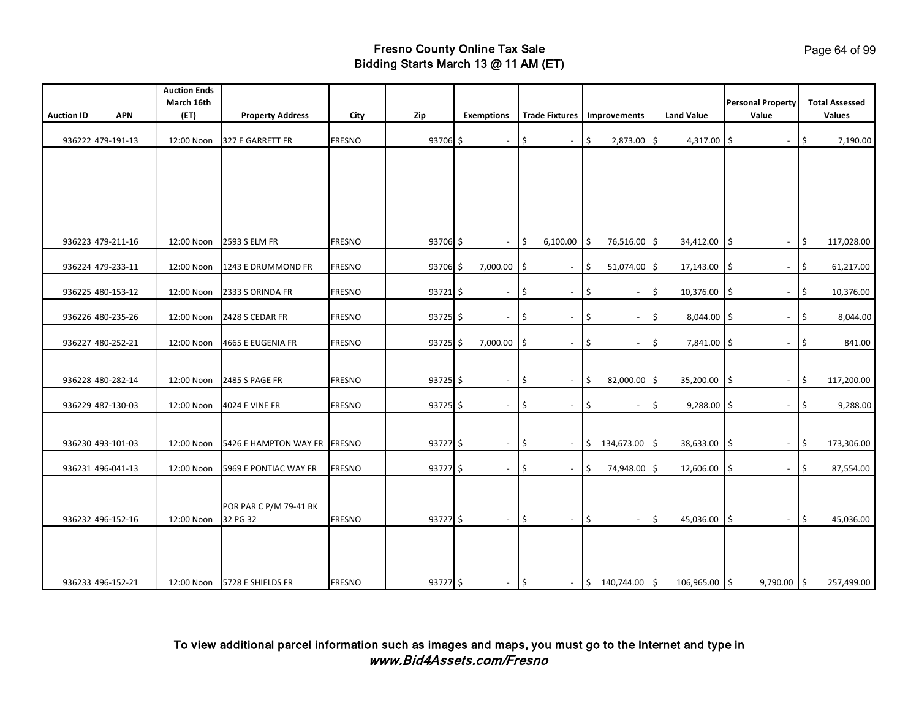|                   |                   | <b>Auction Ends</b> |                              |               |            |                          |               |                               |            |                                        |                     |                   |                                   |                                        |          |
|-------------------|-------------------|---------------------|------------------------------|---------------|------------|--------------------------|---------------|-------------------------------|------------|----------------------------------------|---------------------|-------------------|-----------------------------------|----------------------------------------|----------|
| <b>Auction ID</b> | <b>APN</b>        | March 16th<br>(ET)  | <b>Property Address</b>      | City          | Zip        | <b>Exemptions</b>        |               | Trade Fixtures   Improvements |            |                                        |                     | <b>Land Value</b> | <b>Personal Property</b><br>Value | <b>Total Assessed</b><br><b>Values</b> |          |
|                   |                   |                     |                              |               |            |                          |               |                               |            |                                        |                     |                   |                                   |                                        |          |
|                   | 936222 479-191-13 | 12:00 Noon          | 327 E GARRETT FR             | <b>FRESNO</b> | 93706 \$   | $\sim$                   | $\frac{1}{2}$ | $\blacksquare$                | l\$        | 2,873.00 \$                            |                     | $4,317.00$ \$     | $\blacksquare$                    | \$                                     | 7,190.00 |
|                   |                   |                     |                              |               |            |                          |               |                               |            |                                        |                     |                   |                                   |                                        |          |
|                   |                   |                     |                              |               |            |                          |               |                               |            |                                        |                     |                   |                                   |                                        |          |
|                   |                   |                     |                              |               |            |                          |               |                               |            |                                        |                     |                   |                                   |                                        |          |
|                   |                   |                     |                              |               |            |                          |               |                               |            |                                        |                     |                   |                                   |                                        |          |
|                   |                   |                     |                              |               |            |                          |               |                               |            |                                        |                     |                   |                                   |                                        |          |
|                   |                   |                     |                              |               |            |                          |               |                               |            |                                        |                     |                   |                                   |                                        |          |
|                   | 936223 479-211-16 |                     | 12:00 Noon 2593 S ELM FR     | <b>FRESNO</b> | 93706 \$   | $\sim$                   | l\$           | $6,100.00$ \$                 |            | 76,516.00 \$                           |                     | 34,412.00 \$      | $\sim$                            | 117,028.00<br>I\$                      |          |
|                   | 936224 479-233-11 | 12:00 Noon          | 1243 E DRUMMOND FR           | <b>FRESNO</b> | 93706 \$   | 7,000.00                 | l\$           | $\blacksquare$                | \$         | 51,074.00 \$                           |                     | 17,143.00         | ۱\$<br>$\blacksquare$             | $\vert \mathsf{s}$<br>61,217.00        |          |
|                   |                   |                     |                              |               |            |                          |               |                               |            |                                        |                     |                   |                                   |                                        |          |
|                   | 936225 480-153-12 | 12:00 Noon          | 2333 S ORINDA FR             | <b>FRESNO</b> | $93721$ \$ | $\blacksquare$           | \$            | $\overline{\phantom{a}}$      | \$         | $\overline{\phantom{a}}$               | \$                  | 10,376.00         | Ś.<br>$\overline{\phantom{a}}$    | \$<br>10,376.00                        |          |
|                   |                   |                     |                              |               |            |                          |               |                               |            |                                        |                     |                   |                                   |                                        |          |
|                   | 936226 480-235-26 | 12:00 Noon          | 2428 S CEDAR FR              | <b>FRESNO</b> | $93725$ \$ | $\sim$                   | -\$           | $\overline{\phantom{a}}$      | \$         | $\overline{\phantom{a}}$               | \$                  | 8,044.00 \$       | $\blacksquare$                    | \$                                     | 8,044.00 |
|                   | 936227 480-252-21 | 12:00 Noon          | 4665 E EUGENIA FR            | <b>FRESNO</b> | $93725$ \$ | 7,000.00                 | l\$           | $\overline{\phantom{a}}$      | \$         | $\overline{\phantom{a}}$               | \$                  | 7,841.00 \$       | $\blacksquare$                    | \$                                     | 841.00   |
|                   |                   |                     |                              |               |            |                          |               |                               |            |                                        |                     |                   |                                   |                                        |          |
|                   |                   |                     |                              |               |            |                          |               |                               |            |                                        |                     |                   |                                   |                                        |          |
|                   | 936228 480-282-14 | 12:00 Noon          | <b>2485 S PAGE FR</b>        | <b>FRESNO</b> | $93725$ \$ | $\sim$                   | \$            | $\sim$                        | l\$        | 82,000.00 \$                           |                     | 35,200.00         | ۱\$<br>$\overline{\phantom{a}}$   | 117,200.00<br>\$                       |          |
|                   | 936229 487-130-03 | 12:00 Noon          | <b>4024 E VINE FR</b>        | <b>FRESNO</b> | $93725$ \$ | $\overline{\phantom{a}}$ | \$            | $\blacksquare$                | \$         | $\blacksquare$                         | \$                  | 9,288.00          | l\$                               | \$                                     | 9,288.00 |
|                   |                   |                     |                              |               |            |                          |               |                               |            |                                        |                     |                   |                                   |                                        |          |
|                   |                   |                     |                              |               |            |                          |               |                               |            |                                        |                     |                   |                                   |                                        |          |
|                   | 936230 493-101-03 | 12:00 Noon          | 5426 E HAMPTON WAY FR        | <b>FRESNO</b> | $93727$ \$ | $\sim$                   | l\$           | $\blacksquare$                |            | $\frac{1}{2}$ 134,673.00 $\frac{1}{2}$ |                     | 38,633.00         | I\$<br>$\blacksquare$             | $\vert \mathsf{s}$<br>173,306.00       |          |
|                   | 936231 496-041-13 | 12:00 Noon          | 5969 E PONTIAC WAY FR        | <b>FRESNO</b> | $93727$ \$ | $\sim$                   | \$            | $\sim$                        | $\vert$ \$ | 74,948.00 \$                           |                     | 12,606.00         | \$<br>$\sim$                      | 87,554.00<br>1\$                       |          |
|                   |                   |                     |                              |               |            |                          |               |                               |            |                                        |                     |                   |                                   |                                        |          |
|                   |                   |                     |                              |               |            |                          |               |                               |            |                                        |                     |                   |                                   |                                        |          |
|                   |                   |                     | POR PAR C P/M 79-41 BK       |               |            |                          |               |                               |            |                                        |                     |                   |                                   |                                        |          |
|                   | 936232 496-152-16 | 12:00 Noon          | 32 PG 32                     | <b>FRESNO</b> | 93727 \$   | $\sim$                   | l\$           | $ \frac{1}{2}$                |            | $\omega$                               | $\ddot{\mathsf{s}}$ | 45,036.00         | l \$<br>$\sim$                    | $\vert$ \$<br>45,036.00                |          |
|                   |                   |                     |                              |               |            |                          |               |                               |            |                                        |                     |                   |                                   |                                        |          |
|                   |                   |                     |                              |               |            |                          |               |                               |            |                                        |                     |                   |                                   |                                        |          |
|                   |                   |                     |                              |               |            |                          |               |                               |            |                                        |                     |                   |                                   |                                        |          |
|                   | 936233 496-152-21 |                     | 12:00 Noon 5728 E SHIELDS FR | <b>FRESNO</b> | $93727$ \$ | $-$ \$                   |               |                               |            | $-$ \$ 140,744.00 \$                   |                     | 106,965.00 \$     | $9,790.00$ \$                     | 257,499.00                             |          |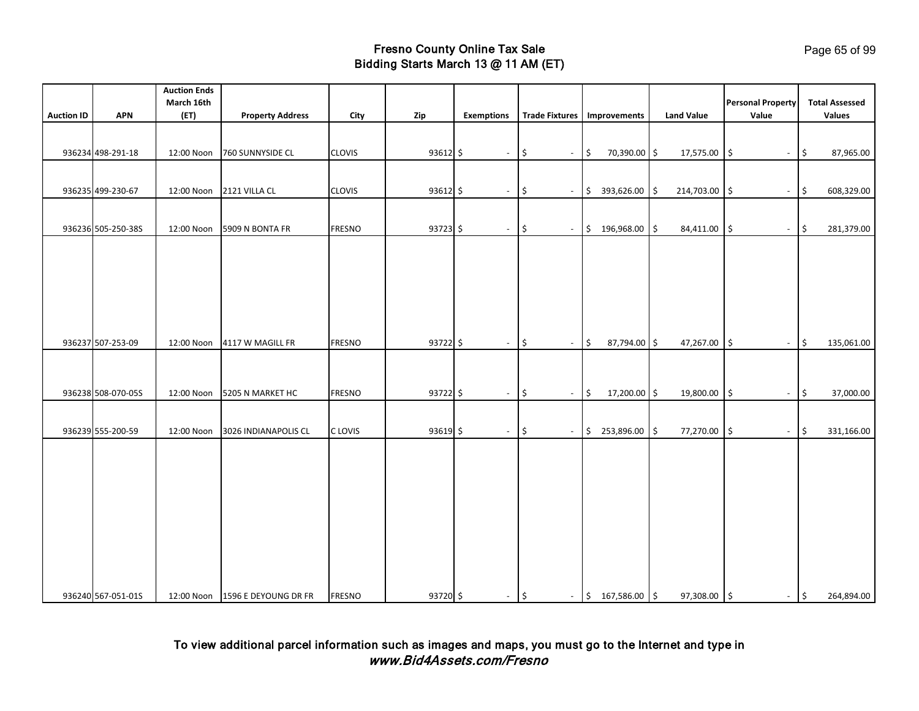|                   |                    | <b>Auction Ends</b><br>March 16th |                                 |               |              |                   |                                        |                                    |                   | <b>Personal Property</b>               | <b>Total Assessed</b> |
|-------------------|--------------------|-----------------------------------|---------------------------------|---------------|--------------|-------------------|----------------------------------------|------------------------------------|-------------------|----------------------------------------|-----------------------|
| <b>Auction ID</b> | <b>APN</b>         | (ET)                              | <b>Property Address</b>         | City          | Zip          | <b>Exemptions</b> |                                        | Trade Fixtures   Improvements      | <b>Land Value</b> | Value                                  | <b>Values</b>         |
|                   |                    |                                   |                                 |               |              |                   |                                        |                                    |                   |                                        |                       |
|                   |                    |                                   |                                 |               |              |                   |                                        |                                    |                   |                                        |                       |
|                   | 936234 498-291-18  | 12:00 Noon                        | 760 SUNNYSIDE CL                | <b>CLOVIS</b> | $93612 \div$ | $\sim$            | l\$<br>$\blacksquare$                  | $\vert \mathsf{s}$<br>70,390.00 \$ | 17,575.00         | \$<br>$\sim$                           | 87,965.00<br>I\$      |
|                   |                    |                                   |                                 |               |              |                   |                                        |                                    |                   |                                        |                       |
|                   | 936235 499-230-67  |                                   | 12:00 Noon 2121 VILLA CL        | <b>CLOVIS</b> | 93612 \$     | $\blacksquare$    | $\sqrt{5}$<br>$\overline{\phantom{a}}$ | $$393,626.00$ \$                   | 214,703.00        | 5<br>$\blacksquare$                    | 608,329.00<br>\$ ا    |
|                   |                    |                                   |                                 |               |              |                   |                                        |                                    |                   |                                        |                       |
|                   | 936236 505-250-38S | 12:00 Noon                        | 5909 N BONTA FR                 | <b>FRESNO</b> | $93723$ \$   | $\sim$            | l\$<br>$\mathbb{L}^+$                  | $$196,968.00$ \$                   | 84,411.00         | l\$<br>$\sim$                          | l\$<br>281,379.00     |
|                   |                    |                                   |                                 |               |              |                   |                                        |                                    |                   |                                        |                       |
|                   |                    |                                   |                                 |               |              |                   |                                        |                                    |                   |                                        |                       |
|                   |                    |                                   |                                 |               |              |                   |                                        |                                    |                   |                                        |                       |
|                   |                    |                                   |                                 |               |              |                   |                                        |                                    |                   |                                        |                       |
|                   |                    |                                   |                                 |               |              |                   |                                        |                                    |                   |                                        |                       |
|                   |                    |                                   |                                 |               |              |                   |                                        |                                    |                   |                                        |                       |
|                   | 936237 507-253-09  |                                   | 12:00 Noon 4117 W MAGILL FR     | <b>FRESNO</b> | $93722$ \$   |                   | $\frac{1}{2}$<br>$\omega$              | $\vert \sin$<br>87,794.00 \$       |                   | $\sqrt{5}$                             | 135,061.00            |
|                   |                    |                                   |                                 |               |              | $\blacksquare$    |                                        |                                    | 47,267.00         | $\sim$                                 | l\$                   |
|                   |                    |                                   |                                 |               |              |                   |                                        |                                    |                   |                                        |                       |
|                   |                    |                                   |                                 |               |              |                   |                                        |                                    |                   |                                        |                       |
|                   | 936238 508-070-055 |                                   | 12:00 Noon 5205 N MARKET HC     | <b>FRESNO</b> | 93722 \$     | $\sim$            | $\sqrt{5}$<br>$\overline{\phantom{a}}$ | 17,200.00 \$<br>$\frac{1}{2}$      | 19,800.00         | $\sqrt{5}$<br>$\overline{\phantom{a}}$ | 37,000.00<br>\$       |
|                   |                    |                                   |                                 |               |              |                   |                                        |                                    |                   |                                        |                       |
|                   | 936239 555-200-59  | 12:00 Noon                        | 3026 INDIANAPOLIS CL            | C LOVIS       | 93619 \$     | $\sim$            | $\frac{1}{2}$<br>$\sim$                | $$253,896.00$ \$                   | 77,270.00         | $\ddot{\mathsf{S}}$<br>$\sim$          | 331,166.00<br>\$      |
|                   |                    |                                   |                                 |               |              |                   |                                        |                                    |                   |                                        |                       |
|                   |                    |                                   |                                 |               |              |                   |                                        |                                    |                   |                                        |                       |
|                   |                    |                                   |                                 |               |              |                   |                                        |                                    |                   |                                        |                       |
|                   |                    |                                   |                                 |               |              |                   |                                        |                                    |                   |                                        |                       |
|                   |                    |                                   |                                 |               |              |                   |                                        |                                    |                   |                                        |                       |
|                   |                    |                                   |                                 |               |              |                   |                                        |                                    |                   |                                        |                       |
|                   |                    |                                   |                                 |               |              |                   |                                        |                                    |                   |                                        |                       |
|                   |                    |                                   |                                 |               |              |                   |                                        |                                    |                   |                                        |                       |
|                   |                    |                                   |                                 |               |              |                   |                                        |                                    |                   |                                        |                       |
|                   |                    |                                   |                                 |               |              |                   |                                        |                                    |                   |                                        |                       |
|                   | 936240 567-051-01S |                                   | 12:00 Noon 1596 E DEYOUNG DR FR | <b>FRESNO</b> | 93720 \$     | $ \frac{1}{2}$    |                                        | $-$ \$ 167,586.00 \$               | 97,308.00 \$      | $ \sqrt{5}$                            | 264,894.00            |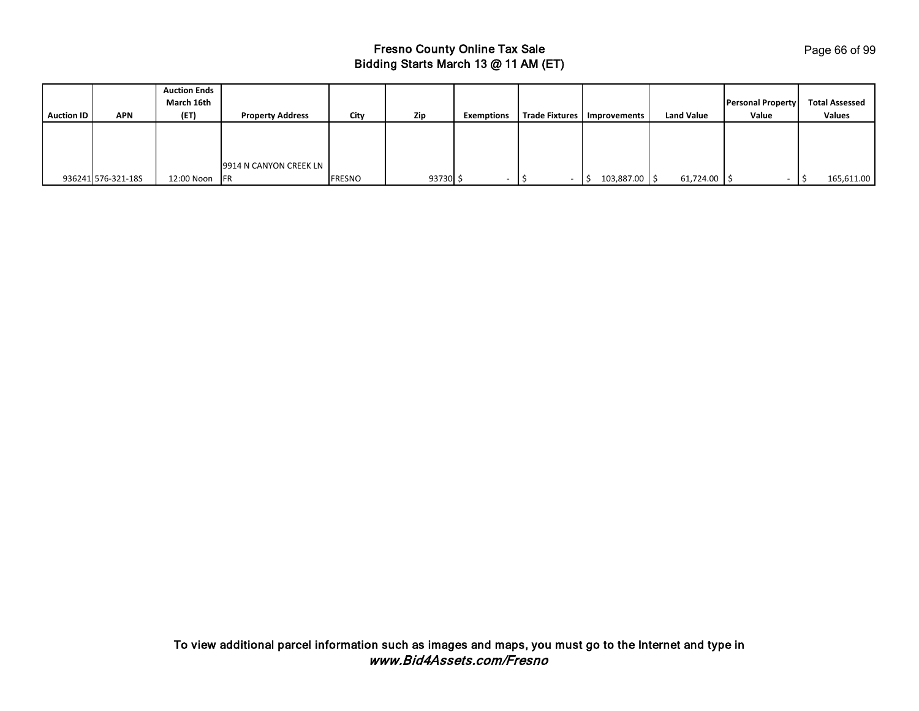| <b>Auction ID</b> | <b>APN</b>         | <b>Auction Ends</b><br>March 16th<br>(ET) | <b>Property Address</b> | City   | Zip      | <b>Exemptions</b> | Trade Fixtures   Improvements | <b>Land Value</b> | <b>Personal Property</b><br>Value | <b>Total Assessed</b><br>Values |
|-------------------|--------------------|-------------------------------------------|-------------------------|--------|----------|-------------------|-------------------------------|-------------------|-----------------------------------|---------------------------------|
|                   |                    |                                           |                         |        |          |                   |                               |                   |                                   |                                 |
|                   |                    |                                           |                         |        |          |                   |                               |                   |                                   |                                 |
|                   |                    |                                           | 9914 N CANYON CREEK LN  |        |          |                   |                               |                   |                                   |                                 |
|                   | 936241 576-321-18S | 12:00 Noon FR                             |                         | FRESNO | 93730 \$ |                   | 103,887.00 \$                 | 61,724.00         |                                   | 165,611.00                      |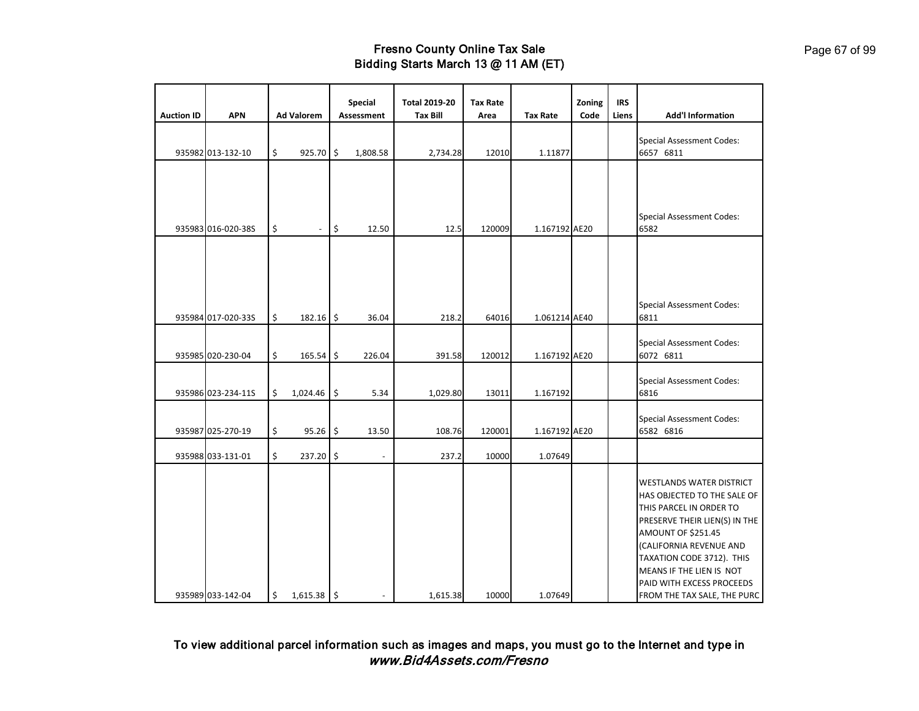|                   |                    |                                |               | <b>Special</b>    | <b>Total 2019-20</b> | <b>Tax Rate</b> |                 | Zoning | <b>IRS</b> |                                                                                                                                                                                                                                                                                                         |
|-------------------|--------------------|--------------------------------|---------------|-------------------|----------------------|-----------------|-----------------|--------|------------|---------------------------------------------------------------------------------------------------------------------------------------------------------------------------------------------------------------------------------------------------------------------------------------------------------|
| <b>Auction ID</b> | <b>APN</b>         | <b>Ad Valorem</b>              |               | <b>Assessment</b> | <b>Tax Bill</b>      | Area            | <b>Tax Rate</b> | Code   | Liens      | <b>Add'l Information</b>                                                                                                                                                                                                                                                                                |
|                   | 935982 013-132-10  | \$<br>925.70 \$                |               | 1,808.58          | 2,734.28             | 12010           | 1.11877         |        |            | <b>Special Assessment Codes:</b><br>6657 6811                                                                                                                                                                                                                                                           |
|                   |                    |                                |               |                   |                      |                 |                 |        |            |                                                                                                                                                                                                                                                                                                         |
|                   | 935983 016-020-38S | \$<br>$\overline{\phantom{a}}$ | \$            | 12.50             | 12.5                 | 120009          | 1.167192 AE20   |        |            | <b>Special Assessment Codes:</b><br>6582                                                                                                                                                                                                                                                                |
|                   |                    |                                |               |                   |                      |                 |                 |        |            |                                                                                                                                                                                                                                                                                                         |
|                   | 935984 017-020-33S | \$<br>$182.16$ \$              |               | 36.04             | 218.2                | 64016           | 1.061214 AE40   |        |            | <b>Special Assessment Codes:</b><br>6811                                                                                                                                                                                                                                                                |
|                   | 935985 020-230-04  | \$<br>$165.54$ \$              |               | 226.04            | 391.58               | 120012          | 1.167192 AE20   |        |            | <b>Special Assessment Codes:</b><br>6072 6811                                                                                                                                                                                                                                                           |
|                   | 935986 023-234-11S | \$<br>$1,024.46$ \$            |               | 5.34              | 1,029.80             | 13011           | 1.167192        |        |            | <b>Special Assessment Codes:</b><br>6816                                                                                                                                                                                                                                                                |
|                   | 935987 025-270-19  | \$<br>95.26 \$                 |               | 13.50             | 108.76               | 120001          | 1.167192 AE20   |        |            | <b>Special Assessment Codes:</b><br>6582 6816                                                                                                                                                                                                                                                           |
|                   | 935988 033-131-01  | \$<br>237.20                   | $\frac{1}{2}$ |                   | 237.2                | 10000           | 1.07649         |        |            |                                                                                                                                                                                                                                                                                                         |
|                   | 935989 033-142-04  | \$<br>$1,615.38$ \$            |               |                   | 1,615.38             | 10000           | 1.07649         |        |            | <b>WESTLANDS WATER DISTRICT</b><br>HAS OBJECTED TO THE SALE OF<br>THIS PARCEL IN ORDER TO<br>PRESERVE THEIR LIEN(S) IN THE<br><b>AMOUNT OF \$251.45</b><br>(CALIFORNIA REVENUE AND<br>TAXATION CODE 3712). THIS<br>MEANS IF THE LIEN IS NOT<br>PAID WITH EXCESS PROCEEDS<br>FROM THE TAX SALE, THE PURC |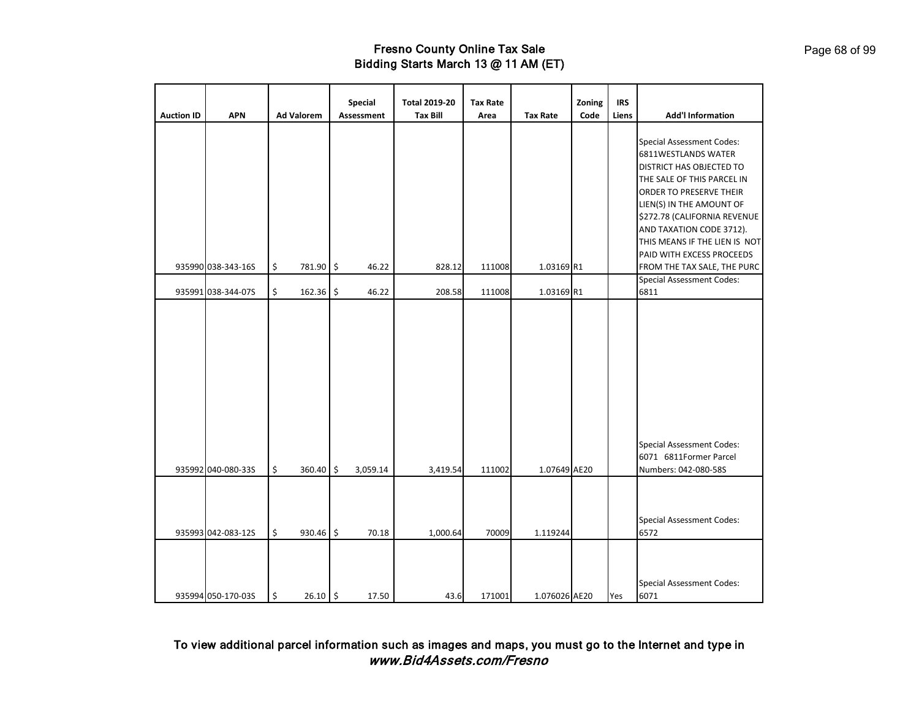|                   |                    |                   | <b>Special</b>    | <b>Total 2019-20</b> | <b>Tax Rate</b> |                 | Zoning | <b>IRS</b> |                                                                                                                                                                                                                                                                       |
|-------------------|--------------------|-------------------|-------------------|----------------------|-----------------|-----------------|--------|------------|-----------------------------------------------------------------------------------------------------------------------------------------------------------------------------------------------------------------------------------------------------------------------|
| <b>Auction ID</b> | <b>APN</b>         | <b>Ad Valorem</b> | <b>Assessment</b> | <b>Tax Bill</b>      | Area            | <b>Tax Rate</b> | Code   | Liens      | <b>Add'l Information</b>                                                                                                                                                                                                                                              |
|                   |                    |                   |                   |                      |                 |                 |        |            | <b>Special Assessment Codes:</b><br>6811WESTLANDS WATER<br>DISTRICT HAS OBJECTED TO<br>THE SALE OF THIS PARCEL IN<br>ORDER TO PRESERVE THEIR<br>LIEN(S) IN THE AMOUNT OF<br>\$272.78 (CALIFORNIA REVENUE<br>AND TAXATION CODE 3712).<br>THIS MEANS IF THE LIEN IS NOT |
|                   |                    |                   |                   |                      |                 |                 |        |            | PAID WITH EXCESS PROCEEDS                                                                                                                                                                                                                                             |
|                   | 935990 038-343-16S | \$<br>781.90      | \$<br>46.22       | 828.12               | 111008          | 1.03169 R1      |        |            | FROM THE TAX SALE, THE PURC                                                                                                                                                                                                                                           |
|                   | 935991 038-344-07S | \$<br>162.36      | \$<br>46.22       | 208.58               | 111008          | 1.03169 R1      |        |            | <b>Special Assessment Codes:</b><br>6811                                                                                                                                                                                                                              |
|                   | 935992 040-080-33S | \$<br>360.40      | \$<br>3,059.14    | 3,419.54             | 111002          | 1.07649 AE20    |        |            | <b>Special Assessment Codes:</b><br>6071 6811Former Parcel<br>Numbers: 042-080-58S                                                                                                                                                                                    |
|                   |                    |                   |                   |                      |                 |                 |        |            |                                                                                                                                                                                                                                                                       |
|                   | 935993 042-083-12S | \$<br>930.46      | \$<br>70.18       | 1,000.64             | 70009           | 1.119244        |        |            | <b>Special Assessment Codes:</b><br>6572                                                                                                                                                                                                                              |
|                   | 935994 050-170-03S | \$<br>$26.10$ \$  | 17.50             | 43.6                 | 171001          | 1.076026 AE20   |        | Yes        | <b>Special Assessment Codes:</b><br>6071                                                                                                                                                                                                                              |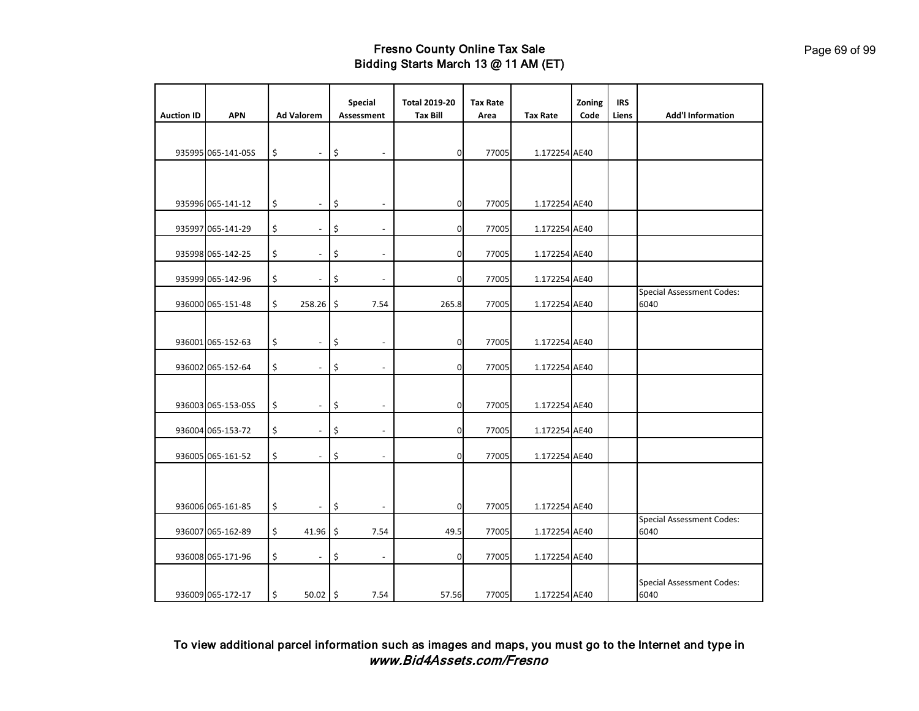|                   |                    |                           |                          | Special                        | <b>Total 2019-20</b> | <b>Tax Rate</b> |                 | Zoning | <b>IRS</b> | <b>Add'l Information</b>                 |
|-------------------|--------------------|---------------------------|--------------------------|--------------------------------|----------------------|-----------------|-----------------|--------|------------|------------------------------------------|
| <b>Auction ID</b> | <b>APN</b>         | <b>Ad Valorem</b>         |                          | Assessment                     | <b>Tax Bill</b>      | Area            | <b>Tax Rate</b> | Code   | Liens      |                                          |
|                   | 935995 065-141-05S | \$                        | $\overline{\phantom{a}}$ | \$                             | $\overline{0}$       | 77005           | 1.172254 AE40   |        |            |                                          |
|                   |                    |                           |                          |                                |                      |                 |                 |        |            |                                          |
|                   | 935996 065-141-12  | \$                        | $\overline{\phantom{a}}$ | \$<br>$\overline{\phantom{a}}$ | $\mathbf 0$          | 77005           | 1.172254 AE40   |        |            |                                          |
|                   | 935997 065-141-29  | \$                        | $\overline{\phantom{0}}$ | \$                             | οl                   | 77005           | 1.172254 AE40   |        |            |                                          |
|                   | 935998 065-142-25  | \$                        |                          | \$                             | $\Omega$             | 77005           | 1.172254 AE40   |        |            |                                          |
|                   | 935999 065-142-96  | \$                        | $\overline{\phantom{a}}$ | \$                             | 0                    | 77005           | 1.172254 AE40   |        |            |                                          |
|                   | 936000 065-151-48  | \$                        | 258.26                   | \$<br>7.54                     | 265.8                | 77005           | 1.172254 AE40   |        |            | <b>Special Assessment Codes:</b><br>6040 |
|                   | 936001 065-152-63  | \$                        | $\blacksquare$           | \$<br>$\overline{\phantom{a}}$ | 0                    | 77005           | 1.172254 AE40   |        |            |                                          |
|                   | 936002 065-152-64  | \$                        |                          | \$                             | οl                   | 77005           | 1.172254 AE40   |        |            |                                          |
|                   | 936003 065-153-05S | $\boldsymbol{\mathsf{S}}$ | $\overline{\phantom{a}}$ | \$<br>$\overline{\phantom{a}}$ | $\mathbf{0}$         | 77005           | 1.172254 AE40   |        |            |                                          |
|                   | 936004 065-153-72  | \$                        |                          | \$                             | 0                    | 77005           | 1.172254 AE40   |        |            |                                          |
|                   | 936005 065-161-52  | \$                        |                          | \$                             | 0                    | 77005           | 1.172254 AE40   |        |            |                                          |
|                   |                    |                           |                          |                                |                      |                 |                 |        |            |                                          |
|                   | 936006 065-161-85  | $\boldsymbol{\mathsf{S}}$ | $\overline{\phantom{a}}$ | \$                             | $\overline{0}$       | 77005           | 1.172254 AE40   |        |            |                                          |
|                   | 936007 065-162-89  | \$                        | 41.96                    | \$<br>7.54                     | 49.5                 | 77005           | 1.172254 AE40   |        |            | <b>Special Assessment Codes:</b><br>6040 |
|                   | 936008 065-171-96  | \$                        | $\overline{\phantom{a}}$ | \$<br>$\overline{\phantom{a}}$ | 0                    | 77005           | 1.172254 AE40   |        |            |                                          |
|                   | 936009 065-172-17  | $\boldsymbol{\mathsf{S}}$ | $50.02$ \$               | 7.54                           | 57.56                | 77005           | 1.172254 AE40   |        |            | <b>Special Assessment Codes:</b><br>6040 |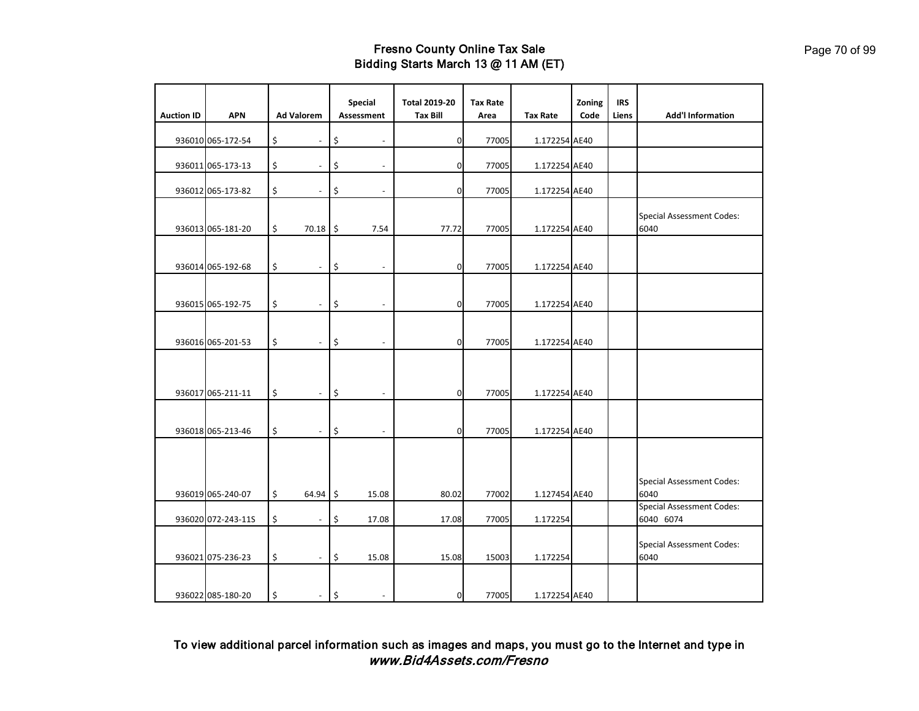|                   |                    |                   |                          | Special                        | <b>Total 2019-20</b> | <b>Tax Rate</b> |                 | Zoning | <b>IRS</b> |                                          |
|-------------------|--------------------|-------------------|--------------------------|--------------------------------|----------------------|-----------------|-----------------|--------|------------|------------------------------------------|
| <b>Auction ID</b> | <b>APN</b>         | <b>Ad Valorem</b> |                          | Assessment                     | <b>Tax Bill</b>      | Area            | <b>Tax Rate</b> | Code   | Liens      | <b>Add'l Information</b>                 |
|                   | 936010 065-172-54  | \$                | $\overline{\phantom{a}}$ | \$<br>$\overline{\phantom{a}}$ | $\mathbf 0$          | 77005           | 1.172254 AE40   |        |            |                                          |
|                   | 936011 065-173-13  | \$                | $\overline{\phantom{a}}$ | \$<br>$\overline{\phantom{a}}$ | $\overline{0}$       | 77005           | 1.172254 AE40   |        |            |                                          |
|                   | 936012 065-173-82  | \$                | $\overline{a}$           | \$                             | οl                   | 77005           | 1.172254 AE40   |        |            |                                          |
|                   | 936013 065-181-20  | \$                | 70.18 \$                 | 7.54                           | 77.72                | 77005           | 1.172254 AE40   |        |            | <b>Special Assessment Codes:</b><br>6040 |
|                   | 936014 065-192-68  | \$                | $\overline{\phantom{a}}$ | \$<br>$\overline{\phantom{a}}$ | 0                    | 77005           | 1.172254 AE40   |        |            |                                          |
|                   | 936015 065-192-75  | \$                | $\overline{a}$           | \$                             | $\mathbf{0}$         | 77005           | 1.172254 AE40   |        |            |                                          |
|                   | 936016 065-201-53  | \$                | $\blacksquare$           | \$<br>$\overline{\phantom{a}}$ | $\mathbf{0}$         | 77005           | 1.172254 AE40   |        |            |                                          |
|                   |                    |                   |                          |                                |                      |                 |                 |        |            |                                          |
|                   | 936017 065-211-11  | \$                | $\blacksquare$           | \$                             | $\Omega$             | 77005           | 1.172254 AE40   |        |            |                                          |
|                   | 936018 065-213-46  | \$                | $\blacksquare$           | \$<br>$\overline{a}$           | $\mathbf 0$          | 77005           | 1.172254 AE40   |        |            |                                          |
|                   | 936019 065-240-07  | \$                | $64.94$ \$               | 15.08                          | 80.02                | 77002           | 1.127454 AE40   |        |            | <b>Special Assessment Codes:</b><br>6040 |
|                   |                    |                   |                          |                                |                      |                 |                 |        |            | <b>Special Assessment Codes:</b>         |
|                   | 936020 072-243-11S | \$                | $\blacksquare$           | \$<br>17.08                    | 17.08                | 77005           | 1.172254        |        |            | 6040 6074                                |
|                   | 936021 075-236-23  | \$                | $\overline{\phantom{a}}$ | \$<br>15.08                    | 15.08                | 15003           | 1.172254        |        |            | <b>Special Assessment Codes:</b><br>6040 |
|                   | 936022 085-180-20  | \$                | $\overline{\phantom{a}}$ | \$                             | $\mathbf{0}$         | 77005           | 1.172254 AE40   |        |            |                                          |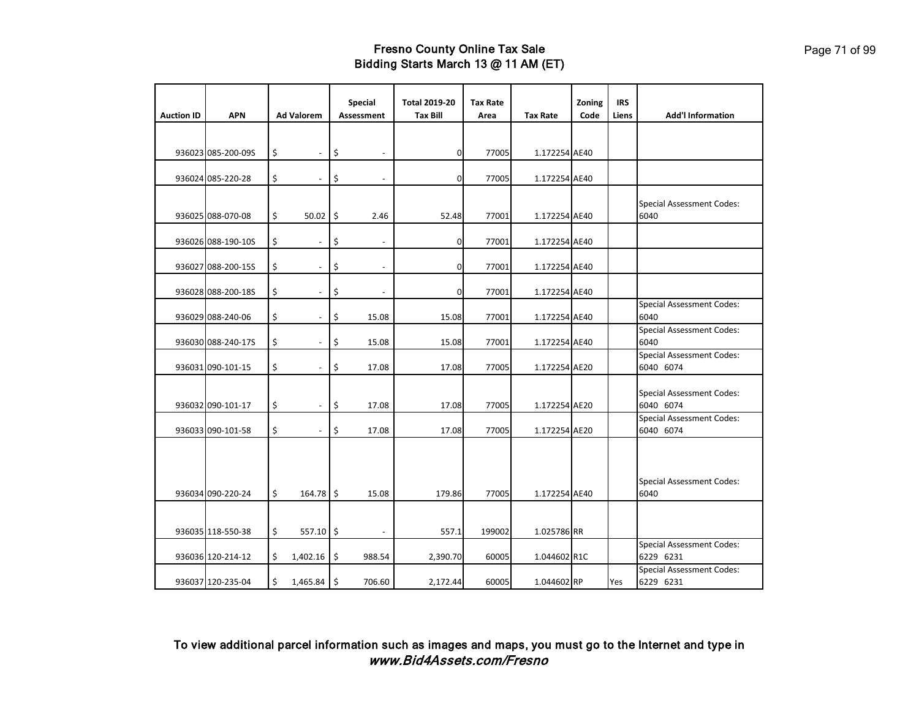|                   |                    |                                | Special                        | <b>Total 2019-20</b> | <b>Tax Rate</b> |                 | Zoning | <b>IRS</b> |                                               |
|-------------------|--------------------|--------------------------------|--------------------------------|----------------------|-----------------|-----------------|--------|------------|-----------------------------------------------|
| <b>Auction ID</b> | <b>APN</b>         | <b>Ad Valorem</b>              | <b>Assessment</b>              | <b>Tax Bill</b>      | Area            | <b>Tax Rate</b> | Code   | Liens      | <b>Add'l Information</b>                      |
|                   | 936023 085-200-09S | \$<br>$\overline{\phantom{a}}$ | \$                             | $\Omega$             | 77005           | 1.172254 AE40   |        |            |                                               |
|                   | 936024 085-220-28  | \$                             | \$                             | $\mathbf 0$          | 77005           | 1.172254 AE40   |        |            |                                               |
|                   | 936025 088-070-08  | \$<br>$50.02$ \$               | 2.46                           | 52.48                | 77001           | 1.172254 AE40   |        |            | <b>Special Assessment Codes:</b><br>6040      |
|                   | 936026 088-190-10S | \$<br>$\overline{\phantom{a}}$ | \$<br>$\overline{\phantom{a}}$ | $\mathbf 0$          | 77001           | 1.172254 AE40   |        |            |                                               |
|                   | 936027 088-200-15S | \$<br>$\overline{\phantom{a}}$ | \$                             | $\mathbf 0$          | 77001           | 1.172254 AE40   |        |            |                                               |
|                   | 936028 088-200-18S | \$                             | \$                             | 0                    | 77001           | 1.172254 AE40   |        |            |                                               |
|                   | 936029 088-240-06  | \$<br>$\overline{a}$           | \$<br>15.08                    | 15.08                | 77001           | 1.172254 AE40   |        |            | <b>Special Assessment Codes:</b><br>6040      |
|                   | 936030 088-240-17S | \$<br>$\overline{\phantom{a}}$ | \$<br>15.08                    | 15.08                | 77001           | 1.172254 AE40   |        |            | <b>Special Assessment Codes:</b><br>6040      |
|                   | 936031 090-101-15  | \$<br>$\blacksquare$           | \$<br>17.08                    | 17.08                | 77005           | 1.172254 AE20   |        |            | <b>Special Assessment Codes:</b><br>6040 6074 |
|                   | 936032 090-101-17  | \$<br>$\blacksquare$           | \$<br>17.08                    | 17.08                | 77005           | 1.172254 AE20   |        |            | <b>Special Assessment Codes:</b><br>6040 6074 |
|                   | 936033 090-101-58  | \$<br>$\overline{\phantom{a}}$ | \$<br>17.08                    | 17.08                | 77005           | 1.172254 AE20   |        |            | <b>Special Assessment Codes:</b><br>6040 6074 |
|                   | 936034 090-220-24  | \$<br>164.78 \$                | 15.08                          | 179.86               | 77005           | 1.172254 AE40   |        |            | <b>Special Assessment Codes:</b><br>6040      |
|                   | 936035 118-550-38  | \$<br>$557.10$ \$              | $\overline{\phantom{a}}$       | 557.1                | 199002          | 1.025786 RR     |        |            |                                               |
|                   | 936036 120-214-12  | \$<br>$1,402.16$ \$            | 988.54                         | 2,390.70             | 60005           | 1.044602 R1C    |        |            | <b>Special Assessment Codes:</b><br>6229 6231 |
|                   | 936037 120-235-04  | \$<br>$1,465.84$ \$            | 706.60                         | 2,172.44             | 60005           | 1.044602 RP     |        | Yes        | <b>Special Assessment Codes:</b><br>6229 6231 |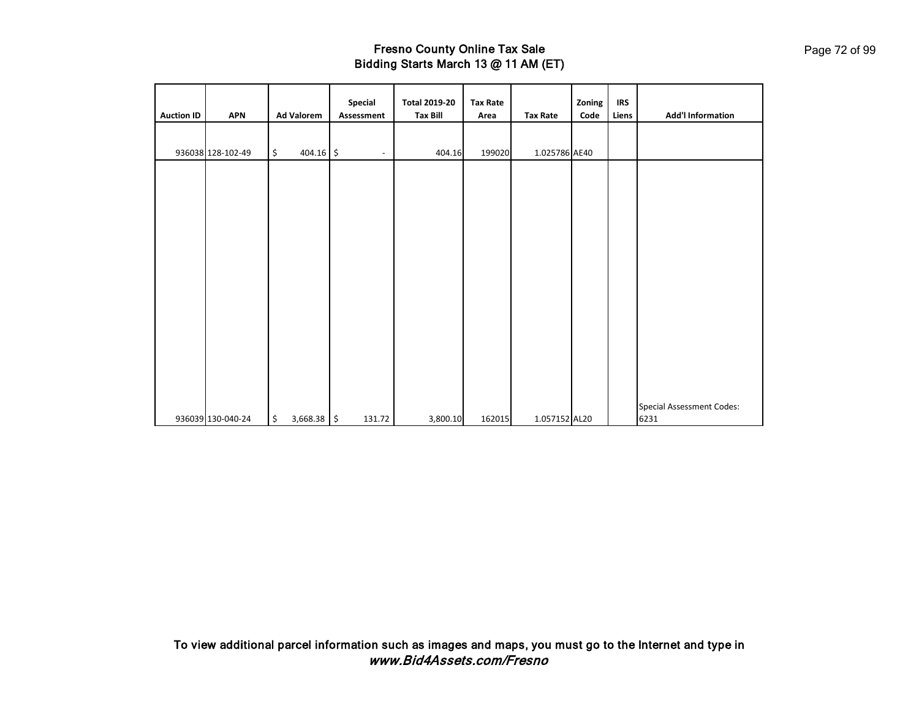| <b>Auction ID</b> | <b>APN</b>        | <b>Ad Valorem</b>                  | Special<br>Assessment    | <b>Total 2019-20</b><br><b>Tax Bill</b> | <b>Tax Rate</b><br>Area | <b>Tax Rate</b> | Zoning<br>Code | <b>IRS</b><br>Liens | <b>Add'l Information</b>                 |
|-------------------|-------------------|------------------------------------|--------------------------|-----------------------------------------|-------------------------|-----------------|----------------|---------------------|------------------------------------------|
|                   | 936038 128-102-49 | $\ddot{\mathsf{S}}$<br>$404.16$ \$ | $\overline{\phantom{a}}$ | 404.16                                  | 199020                  | 1.025786 AE40   |                |                     |                                          |
|                   |                   |                                    |                          |                                         |                         |                 |                |                     |                                          |
|                   |                   |                                    |                          |                                         |                         |                 |                |                     |                                          |
|                   |                   |                                    |                          |                                         |                         |                 |                |                     |                                          |
|                   |                   |                                    |                          |                                         |                         |                 |                |                     |                                          |
|                   |                   |                                    |                          |                                         |                         |                 |                |                     |                                          |
|                   |                   |                                    |                          |                                         |                         |                 |                |                     |                                          |
|                   |                   |                                    |                          |                                         |                         |                 |                |                     |                                          |
|                   | 936039 130-040-24 | \$<br>3,668.38 \$                  | 131.72                   | 3,800.10                                | 162015                  | 1.057152 AL20   |                |                     | <b>Special Assessment Codes:</b><br>6231 |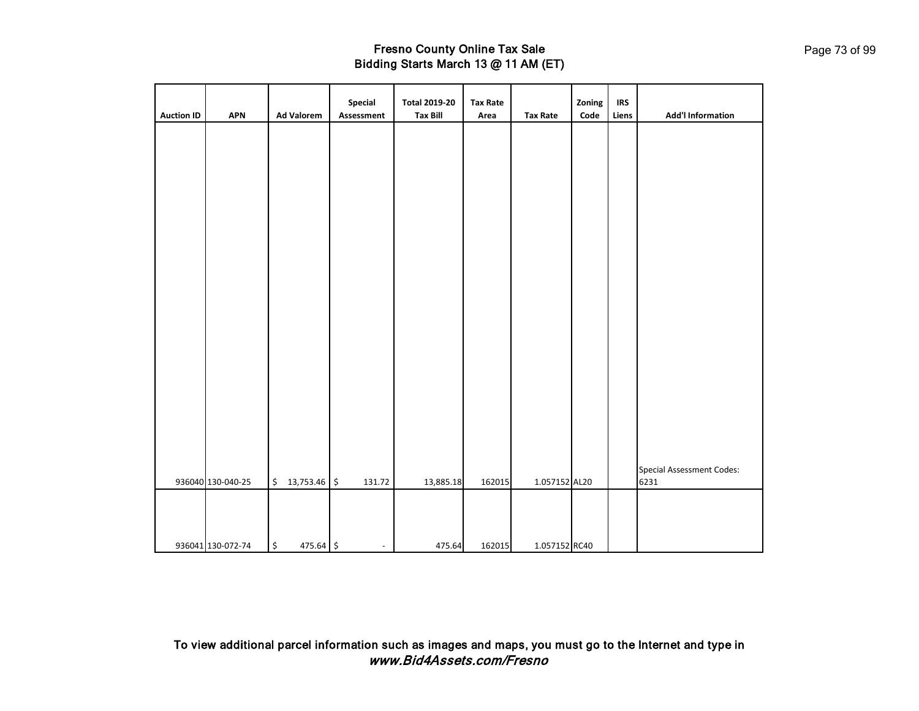| <b>Auction ID</b> | <b>APN</b>        | <b>Ad Valorem</b>                | Special<br>Assessment          | <b>Total 2019-20</b><br><b>Tax Bill</b> | <b>Tax Rate</b><br>Area | <b>Tax Rate</b> | Zoning<br>Code | <b>IRS</b><br>Liens | <b>Add'l Information</b>                 |
|-------------------|-------------------|----------------------------------|--------------------------------|-----------------------------------------|-------------------------|-----------------|----------------|---------------------|------------------------------------------|
|                   |                   |                                  |                                |                                         |                         |                 |                |                     |                                          |
|                   |                   |                                  |                                |                                         |                         |                 |                |                     |                                          |
|                   |                   |                                  |                                |                                         |                         |                 |                |                     |                                          |
|                   |                   |                                  |                                |                                         |                         |                 |                |                     |                                          |
|                   |                   |                                  |                                |                                         |                         |                 |                |                     |                                          |
|                   |                   |                                  |                                |                                         |                         |                 |                |                     |                                          |
|                   |                   |                                  |                                |                                         |                         |                 |                |                     |                                          |
|                   |                   |                                  |                                |                                         |                         |                 |                |                     |                                          |
|                   |                   |                                  |                                |                                         |                         |                 |                |                     |                                          |
|                   |                   |                                  |                                |                                         |                         |                 |                |                     |                                          |
|                   |                   |                                  |                                |                                         |                         |                 |                |                     |                                          |
|                   |                   |                                  |                                |                                         |                         |                 |                |                     |                                          |
|                   |                   |                                  |                                |                                         |                         |                 |                |                     |                                          |
|                   |                   |                                  |                                |                                         |                         |                 |                |                     |                                          |
|                   |                   |                                  |                                |                                         |                         |                 |                |                     |                                          |
|                   |                   |                                  |                                |                                         |                         |                 |                |                     |                                          |
|                   |                   |                                  |                                |                                         |                         |                 |                |                     |                                          |
|                   |                   |                                  |                                |                                         |                         |                 |                |                     |                                          |
|                   |                   |                                  |                                |                                         |                         |                 |                |                     |                                          |
|                   |                   |                                  |                                |                                         |                         |                 |                |                     |                                          |
|                   | 936040 130-040-25 | 13,753.46<br>$\ddot{\mathsf{S}}$ | $\boldsymbol{\zeta}$<br>131.72 | 13,885.18                               | 162015                  | 1.057152 AL20   |                |                     | <b>Special Assessment Codes:</b><br>6231 |
|                   |                   |                                  |                                |                                         |                         |                 |                |                     |                                          |
|                   |                   |                                  |                                |                                         |                         |                 |                |                     |                                          |
|                   |                   |                                  |                                |                                         |                         |                 |                |                     |                                          |
|                   | 936041 130-072-74 | \$<br>475.64 \$                  | $\overline{\phantom{a}}$       | 475.64                                  | 162015                  | 1.057152 RC40   |                |                     |                                          |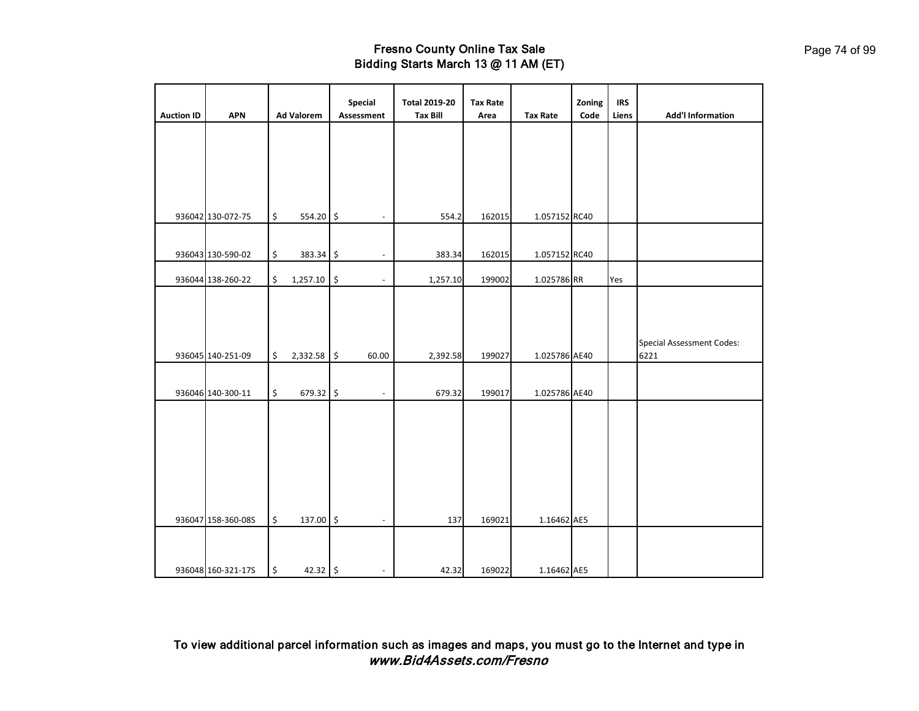| <b>Auction ID</b> | <b>APN</b>         | <b>Ad Valorem</b> | <b>Special</b><br>Assessment   | <b>Total 2019-20</b><br><b>Tax Bill</b> | <b>Tax Rate</b><br>Area | <b>Tax Rate</b> | Zoning<br>Code | <b>IRS</b><br>Liens | <b>Add'l Information</b>         |
|-------------------|--------------------|-------------------|--------------------------------|-----------------------------------------|-------------------------|-----------------|----------------|---------------------|----------------------------------|
|                   |                    |                   |                                |                                         |                         |                 |                |                     |                                  |
|                   |                    |                   |                                |                                         |                         |                 |                |                     |                                  |
|                   |                    |                   |                                |                                         |                         |                 |                |                     |                                  |
|                   | 936042 130-072-75  | \$<br>554.20 \$   |                                | 554.2                                   | 162015                  | 1.057152 RC40   |                |                     |                                  |
|                   |                    |                   |                                |                                         |                         |                 |                |                     |                                  |
|                   | 936043 130-590-02  | \$<br>383.34      | \$                             | 383.34                                  | 162015                  | 1.057152 RC40   |                |                     |                                  |
|                   | 936044 138-260-22  | \$<br>1,257.10    | \$<br>$\overline{\phantom{a}}$ | 1,257.10                                | 199002                  | 1.025786 RR     |                | Yes                 |                                  |
|                   |                    |                   |                                |                                         |                         |                 |                |                     |                                  |
|                   |                    |                   |                                |                                         |                         |                 |                |                     |                                  |
|                   |                    |                   |                                |                                         |                         |                 |                |                     | <b>Special Assessment Codes:</b> |
|                   | 936045 140-251-09  | \$<br>2,332.58    | $\frac{1}{2}$<br>60.00         | 2,392.58                                | 199027                  | 1.025786 AE40   |                |                     | 6221                             |
|                   |                    |                   |                                |                                         |                         |                 |                |                     |                                  |
|                   | 936046 140-300-11  | \$<br>679.32 \$   |                                | 679.32                                  | 199017                  | 1.025786 AE40   |                |                     |                                  |
|                   |                    |                   |                                |                                         |                         |                 |                |                     |                                  |
|                   |                    |                   |                                |                                         |                         |                 |                |                     |                                  |
|                   |                    |                   |                                |                                         |                         |                 |                |                     |                                  |
|                   |                    |                   |                                |                                         |                         |                 |                |                     |                                  |
|                   |                    |                   |                                |                                         |                         |                 |                |                     |                                  |
|                   | 936047 158-360-08S | \$<br>137.00      | $\boldsymbol{\mathsf{S}}$      | 137                                     | 169021                  | 1.16462 AE5     |                |                     |                                  |
|                   |                    |                   |                                |                                         |                         |                 |                |                     |                                  |
|                   |                    |                   |                                |                                         |                         |                 |                |                     |                                  |
|                   | 936048 160-321-17S | \$<br>42.32 \$    | $\overline{\phantom{a}}$       | 42.32                                   | 169022                  | 1.16462 AE5     |                |                     |                                  |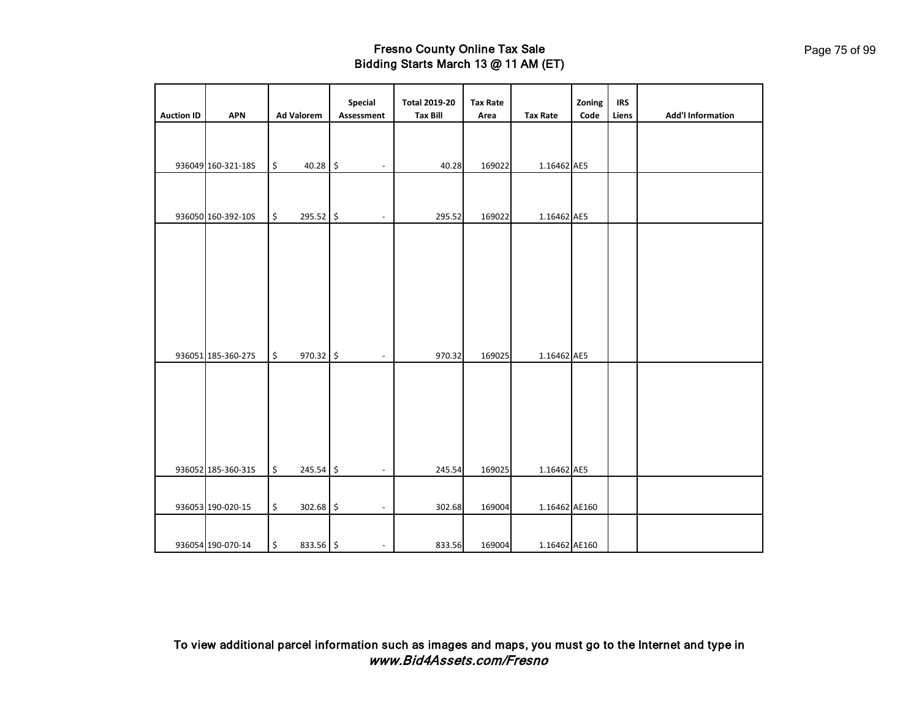| <b>Auction ID</b> | <b>APN</b>         |                      | <b>Ad Valorem</b> | <b>Special</b><br>Assessment | <b>Total 2019-20</b><br><b>Tax Bill</b> | <b>Tax Rate</b><br>Area | <b>Tax Rate</b> | Zoning<br>Code | <b>IRS</b><br>Liens | <b>Add'l Information</b> |
|-------------------|--------------------|----------------------|-------------------|------------------------------|-----------------------------------------|-------------------------|-----------------|----------------|---------------------|--------------------------|
|                   |                    |                      |                   |                              |                                         |                         |                 |                |                     |                          |
|                   |                    |                      |                   |                              |                                         |                         |                 |                |                     |                          |
|                   |                    |                      |                   |                              |                                         |                         |                 |                |                     |                          |
|                   | 936049 160-321-18S | \$                   | $40.28$ \$        | ٠                            | 40.28                                   | 169022                  | 1.16462 AE5     |                |                     |                          |
|                   |                    |                      |                   |                              |                                         |                         |                 |                |                     |                          |
|                   |                    |                      |                   |                              |                                         |                         |                 |                |                     |                          |
|                   | 936050 160-392-10S | \$                   | 295.52 \$         |                              | 295.52                                  | 169022                  | 1.16462 AE5     |                |                     |                          |
|                   |                    |                      |                   |                              |                                         |                         |                 |                |                     |                          |
|                   |                    |                      |                   |                              |                                         |                         |                 |                |                     |                          |
|                   |                    |                      |                   |                              |                                         |                         |                 |                |                     |                          |
|                   |                    |                      |                   |                              |                                         |                         |                 |                |                     |                          |
|                   |                    |                      |                   |                              |                                         |                         |                 |                |                     |                          |
|                   |                    |                      |                   |                              |                                         |                         |                 |                |                     |                          |
|                   |                    |                      |                   |                              |                                         |                         |                 |                |                     |                          |
|                   |                    |                      |                   |                              |                                         |                         |                 |                |                     |                          |
|                   | 936051 185-360-27S | \$                   | 970.32 \$         |                              | 970.32                                  | 169025                  | 1.16462 AE5     |                |                     |                          |
|                   |                    |                      |                   |                              |                                         |                         |                 |                |                     |                          |
|                   |                    |                      |                   |                              |                                         |                         |                 |                |                     |                          |
|                   |                    |                      |                   |                              |                                         |                         |                 |                |                     |                          |
|                   |                    |                      |                   |                              |                                         |                         |                 |                |                     |                          |
|                   |                    |                      |                   |                              |                                         |                         |                 |                |                     |                          |
|                   |                    |                      |                   |                              |                                         |                         |                 |                |                     |                          |
|                   |                    |                      |                   |                              |                                         |                         |                 |                |                     |                          |
|                   | 936052 185-360-315 | \$                   | $245.54$ \$       |                              | 245.54                                  | 169025                  | 1.16462 AE5     |                |                     |                          |
|                   |                    |                      |                   |                              |                                         |                         |                 |                |                     |                          |
|                   | 936053 190-020-15  | $\boldsymbol{\zeta}$ | 302.68 \$         | ٠                            | 302.68                                  | 169004                  | 1.16462 AE160   |                |                     |                          |
|                   |                    |                      |                   |                              |                                         |                         |                 |                |                     |                          |
|                   | 936054 190-070-14  | \$                   | 833.56 \$         | $\overline{\phantom{a}}$     | 833.56                                  | 169004                  | 1.16462 AE160   |                |                     |                          |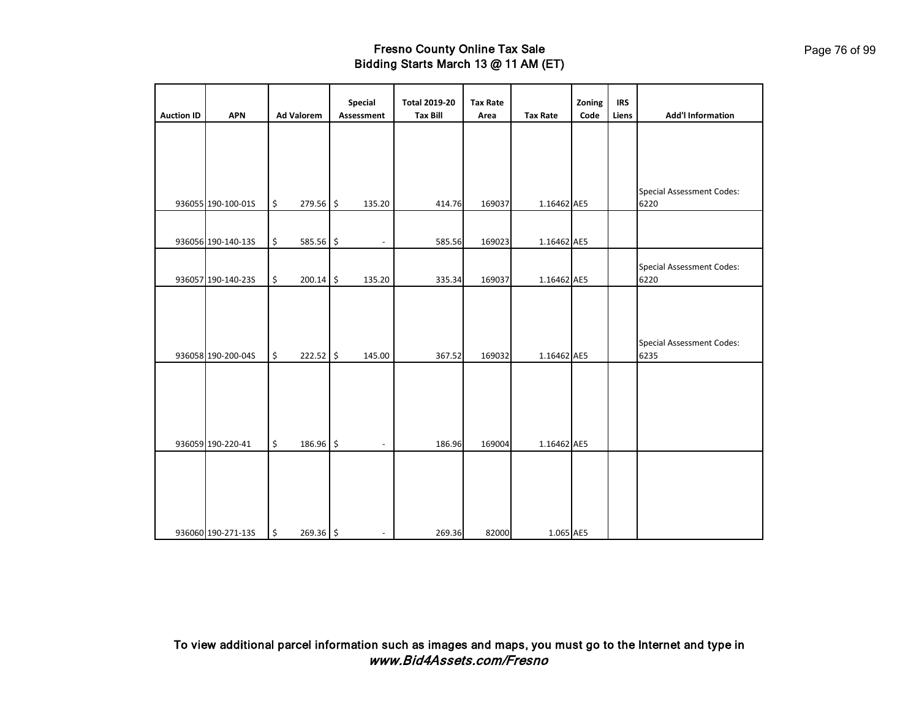| <b>Auction ID</b> | <b>APN</b>         |                           | <b>Ad Valorem</b> | Special<br>Assessment    | <b>Total 2019-20</b><br><b>Tax Bill</b> | <b>Tax Rate</b><br>Area | <b>Tax Rate</b> | Zoning<br>Code | <b>IRS</b><br>Liens | <b>Add'l Information</b>         |
|-------------------|--------------------|---------------------------|-------------------|--------------------------|-----------------------------------------|-------------------------|-----------------|----------------|---------------------|----------------------------------|
|                   |                    |                           |                   |                          |                                         |                         |                 |                |                     |                                  |
|                   |                    |                           |                   |                          |                                         |                         |                 |                |                     |                                  |
|                   |                    |                           |                   |                          |                                         |                         |                 |                |                     |                                  |
|                   |                    |                           |                   |                          |                                         |                         |                 |                |                     |                                  |
|                   |                    |                           |                   |                          |                                         |                         |                 |                |                     | <b>Special Assessment Codes:</b> |
|                   | 936055 190-100-01S | $\boldsymbol{\mathsf{S}}$ | 279.56 \$         | 135.20                   | 414.76                                  | 169037                  | 1.16462 AE5     |                |                     | 6220                             |
|                   |                    |                           |                   |                          |                                         |                         |                 |                |                     |                                  |
|                   |                    |                           |                   |                          |                                         |                         |                 |                |                     |                                  |
|                   | 936056 190-140-13S | \$                        | 585.56 \$         |                          | 585.56                                  | 169023                  | 1.16462 AE5     |                |                     |                                  |
|                   |                    |                           |                   |                          |                                         |                         |                 |                |                     | <b>Special Assessment Codes:</b> |
|                   | 936057 190-140-23S | \$                        | 200.14 \$         | 135.20                   | 335.34                                  | 169037                  | 1.16462 AE5     |                |                     | 6220                             |
|                   |                    |                           |                   |                          |                                         |                         |                 |                |                     |                                  |
|                   |                    |                           |                   |                          |                                         |                         |                 |                |                     |                                  |
|                   |                    |                           |                   |                          |                                         |                         |                 |                |                     |                                  |
|                   |                    |                           |                   |                          |                                         |                         |                 |                |                     | <b>Special Assessment Codes:</b> |
|                   | 936058 190-200-04S | \$                        | 222.52 \$         | 145.00                   | 367.52                                  | 169032                  | 1.16462 AE5     |                |                     | 6235                             |
|                   |                    |                           |                   |                          |                                         |                         |                 |                |                     |                                  |
|                   |                    |                           |                   |                          |                                         |                         |                 |                |                     |                                  |
|                   |                    |                           |                   |                          |                                         |                         |                 |                |                     |                                  |
|                   |                    |                           |                   |                          |                                         |                         |                 |                |                     |                                  |
|                   | 936059 190-220-41  | \$                        | 186.96 \$         | $\overline{\phantom{a}}$ | 186.96                                  | 169004                  | 1.16462 AE5     |                |                     |                                  |
|                   |                    |                           |                   |                          |                                         |                         |                 |                |                     |                                  |
|                   |                    |                           |                   |                          |                                         |                         |                 |                |                     |                                  |
|                   |                    |                           |                   |                          |                                         |                         |                 |                |                     |                                  |
|                   |                    |                           |                   |                          |                                         |                         |                 |                |                     |                                  |
|                   |                    |                           |                   |                          |                                         |                         |                 |                |                     |                                  |
|                   | 936060 190-271-13S | \$                        | $269.36$ \$       |                          | 269.36                                  | 82000                   | 1.065 AE5       |                |                     |                                  |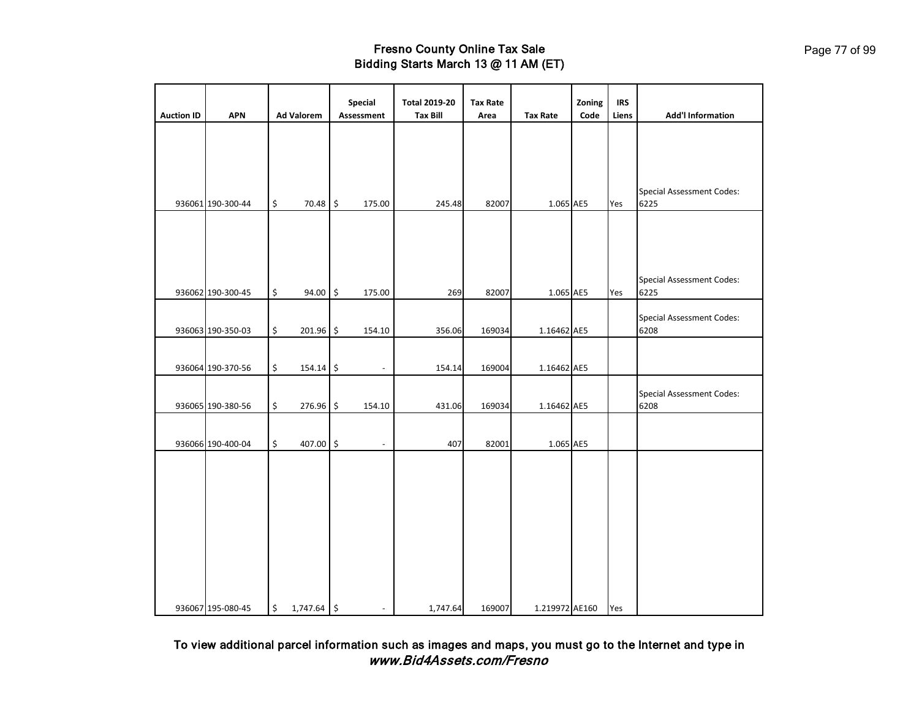| <b>Auction ID</b> | <b>APN</b>        | <b>Ad Valorem</b>   | Special<br>Assessment    | <b>Total 2019-20</b><br><b>Tax Bill</b> | <b>Tax Rate</b><br>Area | <b>Tax Rate</b> | Zoning<br>Code | <b>IRS</b><br>Liens | <b>Add'l Information</b>                 |
|-------------------|-------------------|---------------------|--------------------------|-----------------------------------------|-------------------------|-----------------|----------------|---------------------|------------------------------------------|
|                   |                   |                     |                          |                                         |                         |                 |                |                     |                                          |
|                   |                   |                     |                          |                                         |                         |                 |                |                     |                                          |
|                   |                   |                     |                          |                                         |                         |                 |                |                     |                                          |
|                   | 936061 190-300-44 | \$<br>70.48 \$      | 175.00                   | 245.48                                  | 82007                   | 1.065 AE5       |                | Yes                 | <b>Special Assessment Codes:</b><br>6225 |
|                   |                   |                     |                          |                                         |                         |                 |                |                     |                                          |
|                   |                   |                     |                          |                                         |                         |                 |                |                     |                                          |
|                   |                   |                     |                          |                                         |                         |                 |                |                     |                                          |
|                   | 936062 190-300-45 | \$<br>$94.00$ \$    | 175.00                   | 269                                     | 82007                   | 1.065 AE5       |                | Yes                 | <b>Special Assessment Codes:</b><br>6225 |
|                   |                   |                     |                          |                                         |                         |                 |                |                     | <b>Special Assessment Codes:</b>         |
|                   | 936063 190-350-03 | \$<br>201.96 \$     | 154.10                   | 356.06                                  | 169034                  | 1.16462 AE5     |                |                     | 6208                                     |
|                   |                   |                     |                          |                                         |                         |                 |                |                     |                                          |
|                   | 936064 190-370-56 | \$<br>154.14 \$     | $\overline{\phantom{a}}$ | 154.14                                  | 169004                  | 1.16462 AE5     |                |                     |                                          |
|                   | 936065 190-380-56 | \$<br>276.96 \$     | 154.10                   | 431.06                                  | 169034                  | 1.16462 AE5     |                |                     | <b>Special Assessment Codes:</b><br>6208 |
|                   |                   |                     |                          |                                         |                         |                 |                |                     |                                          |
|                   | 936066 190-400-04 | \$<br>407.00 \$     | $\overline{\phantom{a}}$ | 407                                     | 82001                   | 1.065 AE5       |                |                     |                                          |
|                   |                   |                     |                          |                                         |                         |                 |                |                     |                                          |
|                   |                   |                     |                          |                                         |                         |                 |                |                     |                                          |
|                   |                   |                     |                          |                                         |                         |                 |                |                     |                                          |
|                   |                   |                     |                          |                                         |                         |                 |                |                     |                                          |
|                   |                   |                     |                          |                                         |                         |                 |                |                     |                                          |
|                   |                   |                     |                          |                                         |                         |                 |                |                     |                                          |
|                   |                   |                     |                          |                                         |                         |                 |                |                     |                                          |
|                   | 936067 195-080-45 | \$<br>$1,747.64$ \$ |                          | 1,747.64                                | 169007                  | 1.219972 AE160  |                | Yes                 |                                          |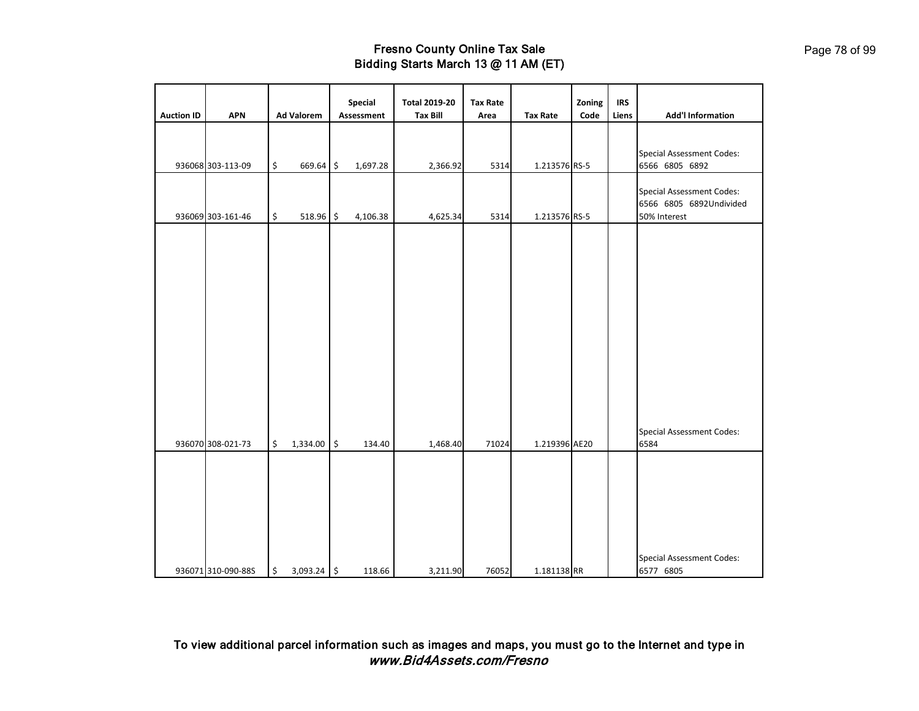| <b>Auction ID</b> | <b>APN</b>         |                      | <b>Ad Valorem</b> | Special<br>Assessment | <b>Total 2019-20</b><br><b>Tax Bill</b> | <b>Tax Rate</b><br>Area | <b>Tax Rate</b> | Zoning<br>Code | <b>IRS</b><br>Liens | <b>Add'l Information</b>                                                    |
|-------------------|--------------------|----------------------|-------------------|-----------------------|-----------------------------------------|-------------------------|-----------------|----------------|---------------------|-----------------------------------------------------------------------------|
|                   | 936068 303-113-09  | \$                   | 669.64 \$         | 1,697.28              | 2,366.92                                | 5314                    | 1.213576 RS-5   |                |                     | <b>Special Assessment Codes:</b><br>6566 6805 6892                          |
|                   | 936069 303-161-46  | \$                   | 518.96 \$         | 4,106.38              | 4,625.34                                | 5314                    | 1.213576 RS-5   |                |                     | <b>Special Assessment Codes:</b><br>6566 6805 6892Undivided<br>50% Interest |
|                   |                    |                      |                   |                       |                                         |                         |                 |                |                     |                                                                             |
|                   |                    |                      |                   |                       |                                         |                         |                 |                |                     |                                                                             |
|                   |                    |                      |                   |                       |                                         |                         |                 |                |                     |                                                                             |
|                   |                    |                      |                   |                       |                                         |                         |                 |                |                     |                                                                             |
|                   | 936070 308-021-73  | \$                   | 1,334.00          | \$<br>134.40          | 1,468.40                                | 71024                   | 1.219396 AE20   |                |                     | <b>Special Assessment Codes:</b><br>6584                                    |
|                   |                    |                      |                   |                       |                                         |                         |                 |                |                     |                                                                             |
|                   |                    |                      |                   |                       |                                         |                         |                 |                |                     |                                                                             |
|                   | 936071 310-090-88S | $\boldsymbol{\zeta}$ | 3,093.24 \$       | 118.66                | 3,211.90                                | 76052                   | 1.181138 RR     |                |                     | <b>Special Assessment Codes:</b><br>6577 6805                               |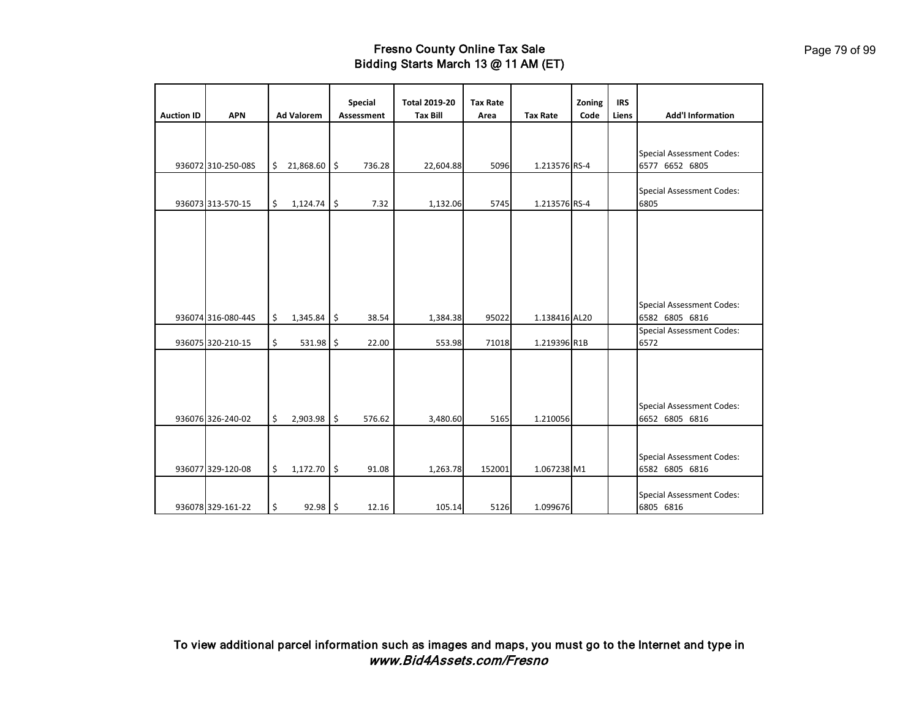| <b>Auction ID</b> | <b>APN</b>         | <b>Ad Valorem</b>   |                     | <b>Special</b><br>Assessment | <b>Total 2019-20</b><br><b>Tax Bill</b> | <b>Tax Rate</b><br>Area | <b>Tax Rate</b> | Zoning<br>Code | <b>IRS</b><br>Liens | <b>Add'l Information</b>                           |
|-------------------|--------------------|---------------------|---------------------|------------------------------|-----------------------------------------|-------------------------|-----------------|----------------|---------------------|----------------------------------------------------|
|                   |                    |                     |                     |                              |                                         |                         |                 |                |                     |                                                    |
|                   | 936072 310-250-08S | \$<br>21,868.60 \$  |                     | 736.28                       | 22,604.88                               | 5096                    | 1.213576 RS-4   |                |                     | <b>Special Assessment Codes:</b><br>6577 6652 6805 |
|                   | 936073 313-570-15  | \$<br>1,124.74      | \$                  | 7.32                         | 1,132.06                                | 5745                    | 1.213576 RS-4   |                |                     | <b>Special Assessment Codes:</b><br>6805           |
|                   |                    |                     |                     |                              |                                         |                         |                 |                |                     |                                                    |
|                   |                    |                     |                     |                              |                                         |                         |                 |                |                     |                                                    |
|                   |                    |                     |                     |                              |                                         |                         |                 |                |                     |                                                    |
|                   |                    |                     |                     |                              |                                         |                         |                 |                |                     |                                                    |
|                   | 936074 316-080-44S | \$<br>1,345.84      | \$                  | 38.54                        | 1,384.38                                | 95022                   | 1.138416 AL20   |                |                     | <b>Special Assessment Codes:</b><br>6582 6805 6816 |
|                   | 936075 320-210-15  | \$<br>$531.98$ \$   |                     | 22.00                        | 553.98                                  | 71018                   | 1.219396 R1B    |                |                     | <b>Special Assessment Codes:</b><br>6572           |
|                   |                    |                     |                     |                              |                                         |                         |                 |                |                     |                                                    |
|                   |                    |                     |                     |                              |                                         |                         |                 |                |                     |                                                    |
|                   |                    |                     |                     |                              |                                         |                         |                 |                |                     | <b>Special Assessment Codes:</b>                   |
|                   | 936076 326-240-02  | \$<br>2,903.98      | $\ddot{\mathsf{s}}$ | 576.62                       | 3,480.60                                | 5165                    | 1.210056        |                |                     | 6652 6805 6816                                     |
|                   |                    |                     |                     |                              |                                         |                         |                 |                |                     |                                                    |
|                   | 936077 329-120-08  | \$<br>$1,172.70$ \$ |                     | 91.08                        | 1,263.78                                | 152001                  | 1.067238 M1     |                |                     | <b>Special Assessment Codes:</b><br>6582 6805 6816 |
|                   |                    |                     |                     |                              |                                         |                         |                 |                |                     | <b>Special Assessment Codes:</b>                   |
|                   | 936078 329-161-22  | \$<br>92.98 \$      |                     | 12.16                        | 105.14                                  | 5126                    | 1.099676        |                |                     | 6805 6816                                          |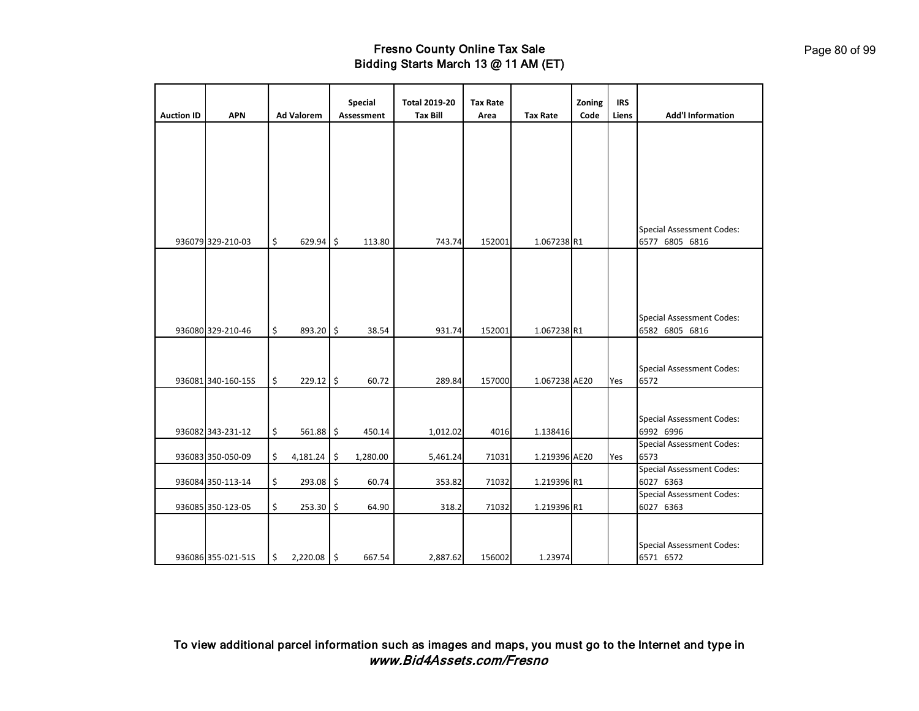| <b>Auction ID</b> | <b>APN</b>         |                      | <b>Ad Valorem</b> |               | <b>Special</b><br>Assessment | <b>Total 2019-20</b><br><b>Tax Bill</b> | <b>Tax Rate</b><br>Area | <b>Tax Rate</b> | Zoning<br>Code | <b>IRS</b><br>Liens | <b>Add'l Information</b>                      |
|-------------------|--------------------|----------------------|-------------------|---------------|------------------------------|-----------------------------------------|-------------------------|-----------------|----------------|---------------------|-----------------------------------------------|
|                   |                    |                      |                   |               |                              |                                         |                         |                 |                |                     |                                               |
|                   |                    |                      |                   |               |                              |                                         |                         |                 |                |                     |                                               |
|                   |                    |                      |                   |               |                              |                                         |                         |                 |                |                     |                                               |
|                   |                    |                      |                   |               |                              |                                         |                         |                 |                |                     |                                               |
|                   |                    |                      |                   |               |                              |                                         |                         |                 |                |                     |                                               |
|                   |                    |                      |                   |               |                              |                                         |                         |                 |                |                     |                                               |
|                   |                    |                      |                   |               |                              |                                         |                         |                 |                |                     |                                               |
|                   |                    |                      |                   |               |                              |                                         |                         |                 |                |                     |                                               |
|                   |                    |                      |                   |               |                              |                                         |                         |                 |                |                     | <b>Special Assessment Codes:</b>              |
|                   | 936079 329-210-03  | $\boldsymbol{\zeta}$ | 629.94            | $\frac{1}{2}$ | 113.80                       | 743.74                                  | 152001                  | 1.067238 R1     |                |                     | 6577 6805 6816                                |
|                   |                    |                      |                   |               |                              |                                         |                         |                 |                |                     |                                               |
|                   |                    |                      |                   |               |                              |                                         |                         |                 |                |                     |                                               |
|                   |                    |                      |                   |               |                              |                                         |                         |                 |                |                     |                                               |
|                   |                    |                      |                   |               |                              |                                         |                         |                 |                |                     |                                               |
|                   |                    |                      |                   |               |                              |                                         |                         |                 |                |                     | <b>Special Assessment Codes:</b>              |
|                   | 936080 329-210-46  | \$                   | 893.20 \$         |               | 38.54                        | 931.74                                  | 152001                  | 1.067238 R1     |                |                     | 6582 6805 6816                                |
|                   |                    |                      |                   |               |                              |                                         |                         |                 |                |                     |                                               |
|                   |                    |                      |                   |               |                              |                                         |                         |                 |                |                     |                                               |
|                   |                    |                      |                   |               |                              |                                         |                         |                 |                |                     | <b>Special Assessment Codes:</b>              |
|                   | 936081 340-160-15S | \$                   | $229.12$ \$       |               | 60.72                        | 289.84                                  | 157000                  | 1.067238 AE20   |                | Yes                 | 6572                                          |
|                   |                    |                      |                   |               |                              |                                         |                         |                 |                |                     |                                               |
|                   |                    |                      |                   |               |                              |                                         |                         |                 |                |                     |                                               |
|                   |                    |                      |                   |               |                              |                                         |                         |                 |                |                     | <b>Special Assessment Codes:</b>              |
|                   | 936082 343-231-12  | \$                   | 561.88            | \$            | 450.14                       | 1,012.02                                | 4016                    | 1.138416        |                |                     | 6992 6996                                     |
|                   |                    |                      |                   |               |                              |                                         |                         |                 |                |                     | <b>Special Assessment Codes:</b>              |
|                   | 936083 350-050-09  | \$                   | 4,181.24          | \$            | 1,280.00                     | 5,461.24                                | 71031                   | 1.219396 AE20   |                | Yes                 | 6573                                          |
|                   | 936084 350-113-14  | \$                   | 293.08            | \$            | 60.74                        | 353.82                                  | 71032                   | 1.219396 R1     |                |                     | <b>Special Assessment Codes:</b><br>6027 6363 |
|                   |                    |                      |                   |               |                              |                                         |                         |                 |                |                     | <b>Special Assessment Codes:</b>              |
|                   | 936085 350-123-05  | \$                   | 253.30            | \$            | 64.90                        | 318.2                                   | 71032                   | 1.219396 R1     |                |                     | 6027 6363                                     |
|                   |                    |                      |                   |               |                              |                                         |                         |                 |                |                     |                                               |
|                   |                    |                      |                   |               |                              |                                         |                         |                 |                |                     |                                               |
|                   |                    |                      |                   |               |                              |                                         |                         |                 |                |                     | <b>Special Assessment Codes:</b>              |
|                   | 936086 355-021-51S | \$                   | 2,220.08 \$       |               | 667.54                       | 2,887.62                                | 156002                  | 1.23974         |                |                     | 6571 6572                                     |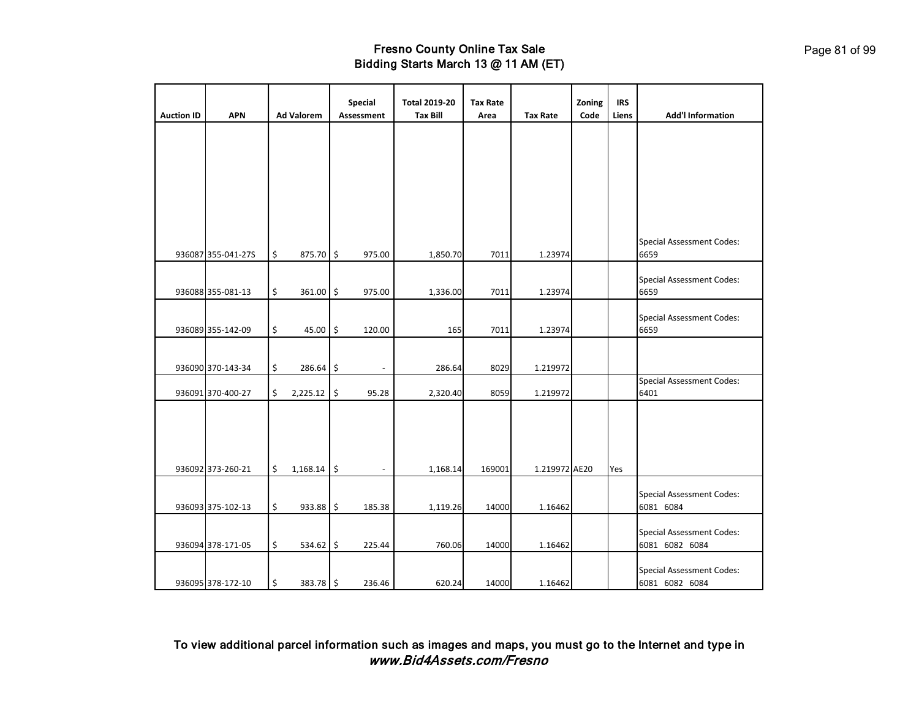|                   |                    |                   | <b>Special</b> | <b>Total 2019-20</b> | <b>Tax Rate</b> |                 | Zoning | <b>IRS</b> |                                                    |
|-------------------|--------------------|-------------------|----------------|----------------------|-----------------|-----------------|--------|------------|----------------------------------------------------|
| <b>Auction ID</b> | <b>APN</b>         | <b>Ad Valorem</b> | Assessment     | <b>Tax Bill</b>      | Area            | <b>Tax Rate</b> | Code   | Liens      | <b>Add'l Information</b>                           |
|                   |                    |                   |                |                      |                 |                 |        |            |                                                    |
|                   | 936087 355-041-27S | \$<br>875.70 \$   | 975.00         | 1,850.70             | 7011            | 1.23974         |        |            | <b>Special Assessment Codes:</b><br>6659           |
|                   | 936088 355-081-13  | \$<br>361.00 \$   | 975.00         | 1,336.00             | 7011            | 1.23974         |        |            | <b>Special Assessment Codes:</b><br>6659           |
|                   | 936089 355-142-09  | \$<br>45.00       | \$<br>120.00   | 165                  | 7011            | 1.23974         |        |            | <b>Special Assessment Codes:</b><br>6659           |
|                   | 936090 370-143-34  | \$<br>286.64      | \$             | 286.64               | 8029            | 1.219972        |        |            |                                                    |
|                   | 936091 370-400-27  | \$<br>2,225.12    | \$<br>95.28    | 2,320.40             | 8059            | 1.219972        |        |            | <b>Special Assessment Codes:</b><br>6401           |
|                   | 936092 373-260-21  | \$<br>1,168.14    | \$             | 1,168.14             | 169001          | 1.219972 AE20   |        | Yes        |                                                    |
|                   | 936093 375-102-13  | \$<br>933.88      | \$<br>185.38   | 1,119.26             | 14000           | 1.16462         |        |            | <b>Special Assessment Codes:</b><br>6081 6084      |
|                   | 936094 378-171-05  | \$<br>$534.62$ \$ | 225.44         | 760.06               | 14000           | 1.16462         |        |            | <b>Special Assessment Codes:</b><br>6081 6082 6084 |
|                   | 936095 378-172-10  | \$<br>383.78 \$   | 236.46         | 620.24               | 14000           | 1.16462         |        |            | <b>Special Assessment Codes:</b><br>6081 6082 6084 |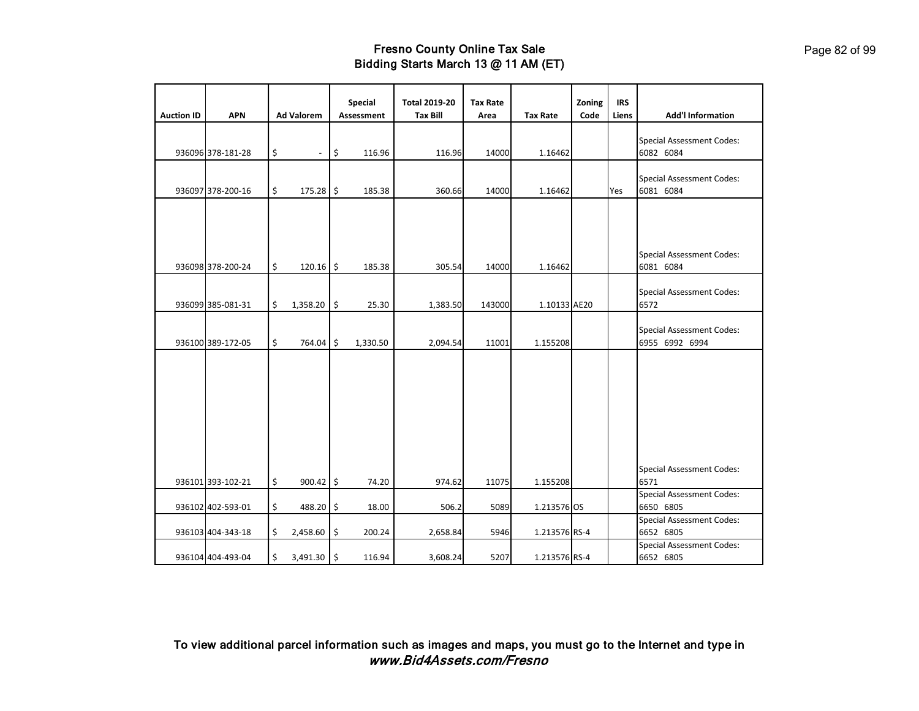|                   |                   |                                |               | <b>Special</b> | <b>Total 2019-20</b> | <b>Tax Rate</b> |                 | Zoning | <b>IRS</b> |                                                    |
|-------------------|-------------------|--------------------------------|---------------|----------------|----------------------|-----------------|-----------------|--------|------------|----------------------------------------------------|
| <b>Auction ID</b> | <b>APN</b>        | <b>Ad Valorem</b>              |               | Assessment     | <b>Tax Bill</b>      | Area            | <b>Tax Rate</b> | Code   | Liens      | <b>Add'l Information</b>                           |
|                   | 936096 378-181-28 | \$<br>$\overline{\phantom{a}}$ | \$            | 116.96         | 116.96               | 14000           | 1.16462         |        |            | <b>Special Assessment Codes:</b><br>6082 6084      |
|                   | 936097 378-200-16 | \$<br>$175.28$ \$              |               | 185.38         | 360.66               | 14000           | 1.16462         |        | Yes        | <b>Special Assessment Codes:</b><br>6081 6084      |
|                   | 936098 378-200-24 | \$<br>$120.16$ \$              |               | 185.38         | 305.54               | 14000           | 1.16462         |        |            | <b>Special Assessment Codes:</b><br>6081 6084      |
|                   | 936099 385-081-31 | \$<br>1,358.20                 | $\frac{1}{2}$ | 25.30          | 1,383.50             | 143000          | 1.10133 AE20    |        |            | <b>Special Assessment Codes:</b><br>6572           |
|                   | 936100 389-172-05 | \$<br>764.04 \$                |               | 1,330.50       | 2,094.54             | 11001           | 1.155208        |        |            | <b>Special Assessment Codes:</b><br>6955 6992 6994 |
|                   | 936101 393-102-21 | \$<br>$900.42$ \$              |               | 74.20          | 974.62               | 11075           | 1.155208        |        |            | <b>Special Assessment Codes:</b><br>6571           |
|                   | 936102 402-593-01 | \$<br>488.20                   | $\frac{1}{2}$ | 18.00          | 506.2                | 5089            | 1.213576 OS     |        |            | <b>Special Assessment Codes:</b><br>6650 6805      |
|                   | 936103 404-343-18 | \$<br>2,458.60                 | \$            | 200.24         | 2,658.84             | 5946            | 1.213576 RS-4   |        |            | <b>Special Assessment Codes:</b><br>6652 6805      |
|                   | 936104 404-493-04 | \$<br>3,491.30                 | \$            | 116.94         | 3,608.24             | 5207            | 1.213576 RS-4   |        |            | <b>Special Assessment Codes:</b><br>6652 6805      |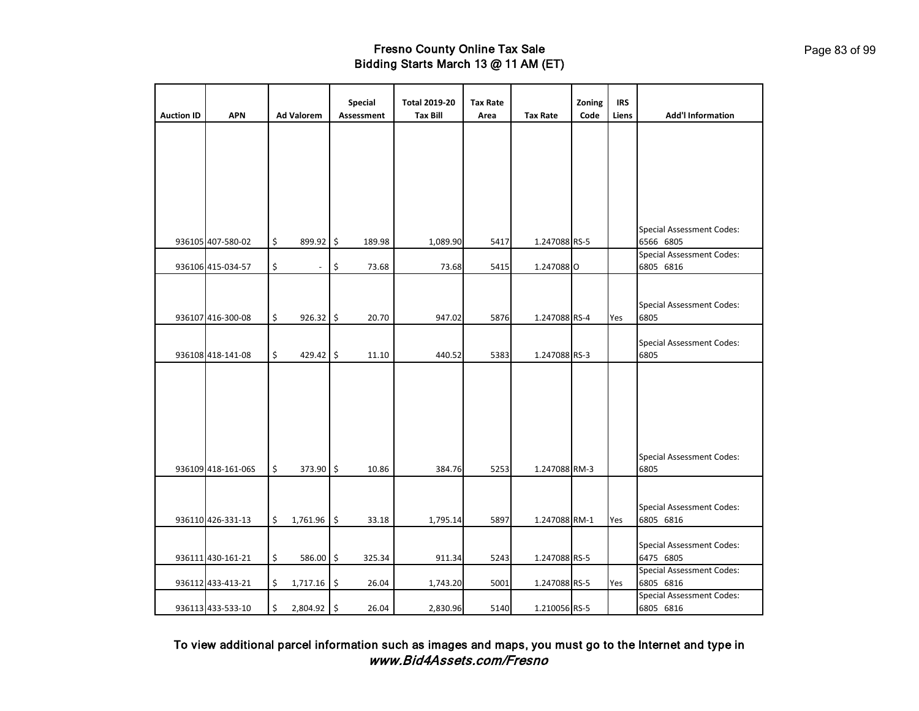|                   |                    |                     | Special           | <b>Total 2019-20</b> | <b>Tax Rate</b> |                 | Zoning | <b>IRS</b> |                                               |
|-------------------|--------------------|---------------------|-------------------|----------------------|-----------------|-----------------|--------|------------|-----------------------------------------------|
| <b>Auction ID</b> | <b>APN</b>         | <b>Ad Valorem</b>   | <b>Assessment</b> | <b>Tax Bill</b>      | Area            | <b>Tax Rate</b> | Code   | Liens      | <b>Add'l Information</b>                      |
|                   |                    |                     |                   |                      |                 |                 |        |            |                                               |
|                   | 936105 407-580-02  | \$<br>899.92 \$     | 189.98            | 1,089.90             | 5417            | 1.247088 RS-5   |        |            | <b>Special Assessment Codes:</b><br>6566 6805 |
|                   | 936106 415-034-57  | \$                  | \$<br>73.68       | 73.68                | 5415            | 1.2470880       |        |            | <b>Special Assessment Codes:</b><br>6805 6816 |
|                   | 936107 416-300-08  | \$<br>926.32 \$     | 20.70             | 947.02               | 5876            | 1.247088 RS-4   |        | Yes        | <b>Special Assessment Codes:</b><br>6805      |
|                   | 936108 418-141-08  | \$<br>429.42 \$     | 11.10             | 440.52               | 5383            | 1.247088 RS-3   |        |            | <b>Special Assessment Codes:</b><br>6805      |
|                   | 936109 418-161-06S | \$<br>373.90 \$     | 10.86             | 384.76               | 5253            | 1.247088 RM-3   |        |            | <b>Special Assessment Codes:</b><br>6805      |
|                   | 936110 426-331-13  | \$<br>$1,761.96$ \$ | 33.18             | 1,795.14             | 5897            | 1.247088 RM-1   |        | Yes        | <b>Special Assessment Codes:</b><br>6805 6816 |
|                   | 936111 430-161-21  | \$<br>586.00 \$     | 325.34            | 911.34               | 5243            | 1.247088 RS-5   |        |            | <b>Special Assessment Codes:</b><br>6475 6805 |
|                   | 936112 433-413-21  | \$<br>$1,717.16$ \$ | 26.04             | 1,743.20             | 5001            | 1.247088 RS-5   |        | Yes        | <b>Special Assessment Codes:</b><br>6805 6816 |
|                   | 936113 433-533-10  | \$<br>2,804.92 \$   | 26.04             | 2,830.96             | 5140            | 1.210056 RS-5   |        |            | <b>Special Assessment Codes:</b><br>6805 6816 |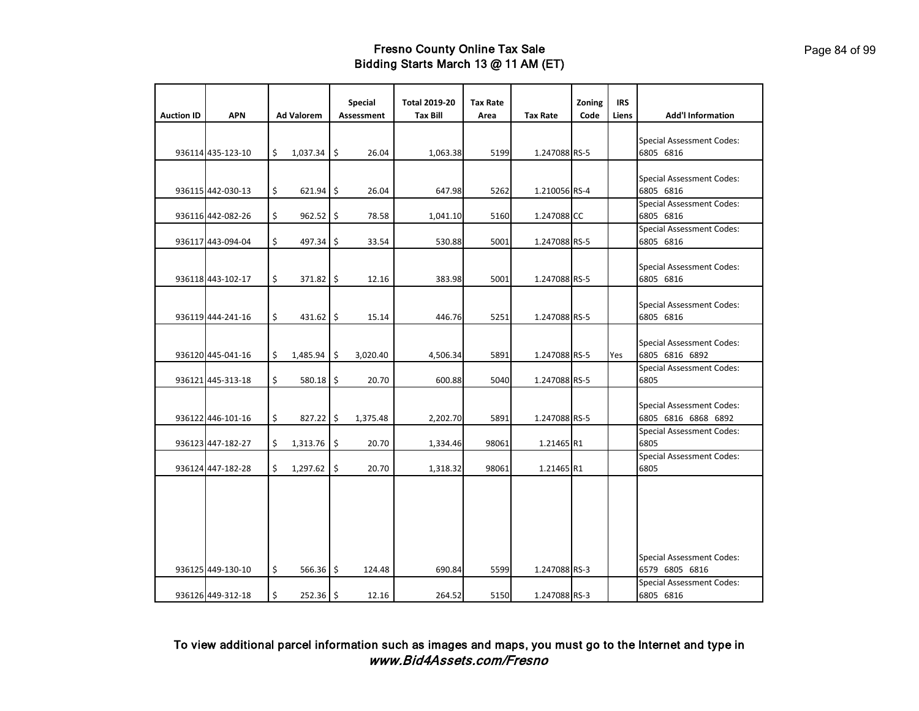| <b>Auction ID</b> | <b>APN</b>        | <b>Ad Valorem</b> |               | Special<br>Assessment | <b>Total 2019-20</b><br><b>Tax Bill</b> | <b>Tax Rate</b><br>Area | <b>Tax Rate</b> | Zoning<br>Code | <b>IRS</b><br>Liens | <b>Add'l Information</b>                                                               |
|-------------------|-------------------|-------------------|---------------|-----------------------|-----------------------------------------|-------------------------|-----------------|----------------|---------------------|----------------------------------------------------------------------------------------|
|                   |                   |                   |               |                       |                                         |                         |                 |                |                     |                                                                                        |
|                   | 936114 435-123-10 | \$                | $1,037.34$ \$ | 26.04                 | 1,063.38                                | 5199                    | 1.247088 RS-5   |                |                     | <b>Special Assessment Codes:</b><br>6805 6816                                          |
|                   | 936115 442-030-13 | \$                | $621.94$ \$   | 26.04                 | 647.98                                  | 5262                    | 1.210056 RS-4   |                |                     | <b>Special Assessment Codes:</b><br>6805 6816                                          |
|                   | 936116 442-082-26 | \$                | $962.52$ \$   | 78.58                 | 1,041.10                                | 5160                    | 1.247088 CC     |                |                     | <b>Special Assessment Codes:</b><br>6805 6816                                          |
|                   | 936117 443-094-04 | \$                | 497.34        | \$<br>33.54           | 530.88                                  | 5001                    | 1.247088 RS-5   |                |                     | <b>Special Assessment Codes:</b><br>6805 6816                                          |
|                   | 936118 443-102-17 | \$                | 371.82 \$     | 12.16                 | 383.98                                  | 5001                    | 1.247088 RS-5   |                |                     | <b>Special Assessment Codes:</b><br>6805 6816                                          |
|                   | 936119 444-241-16 | \$                | $431.62$ \$   | 15.14                 | 446.76                                  | 5251                    | 1.247088 RS-5   |                |                     | <b>Special Assessment Codes:</b><br>6805 6816                                          |
|                   | 936120 445-041-16 | \$                | $1,485.94$ \$ | 3,020.40              | 4,506.34                                | 5891                    | 1.247088 RS-5   |                | Yes                 | <b>Special Assessment Codes:</b><br>6805 6816 6892                                     |
|                   | 936121 445-313-18 | \$                | $580.18$ \$   | 20.70                 | 600.88                                  | 5040                    | 1.247088 RS-5   |                |                     | <b>Special Assessment Codes:</b><br>6805                                               |
|                   | 936122 446-101-16 | \$                | 827.22 \$     | 1,375.48              | 2,202.70                                | 5891                    | 1.247088 RS-5   |                |                     | <b>Special Assessment Codes:</b><br>6805 6816 6868 6892                                |
|                   | 936123 447-182-27 | \$                | 1,313.76      | \$<br>20.70           | 1,334.46                                | 98061                   | 1.21465 R1      |                |                     | <b>Special Assessment Codes:</b><br>6805                                               |
|                   | 936124 447-182-28 | \$                | 1,297.62      | \$<br>20.70           | 1,318.32                                | 98061                   | 1.21465 R1      |                |                     | <b>Special Assessment Codes:</b><br>6805                                               |
|                   | 936125 449-130-10 | \$                | 566.36 \$     | 124.48                | 690.84                                  | 5599                    | 1.247088 RS-3   |                |                     | <b>Special Assessment Codes:</b><br>6579 6805 6816<br><b>Special Assessment Codes:</b> |
|                   | 936126 449-312-18 | \$                | 252.36 \$     | 12.16                 | 264.52                                  | 5150                    | 1.247088 RS-3   |                |                     | 6805 6816                                                                              |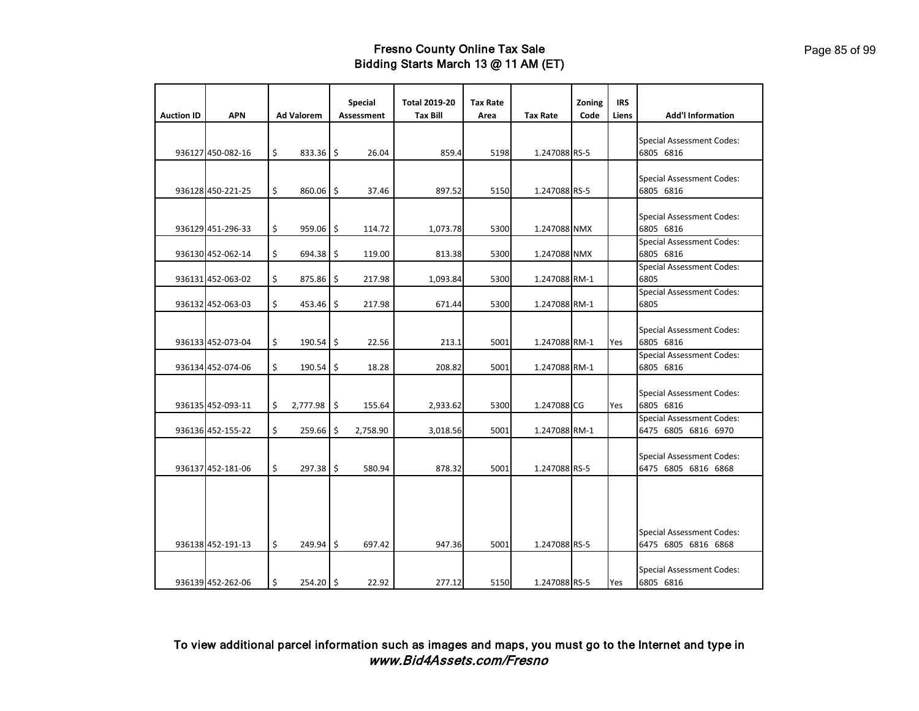| <b>Auction ID</b> | <b>APN</b>        | <b>Ad Valorem</b>            | Special<br>Assessment | <b>Total 2019-20</b><br><b>Tax Bill</b> | <b>Tax Rate</b><br>Area | <b>Tax Rate</b> | Zoning<br>Code | <b>IRS</b><br>Liens | <b>Add'l Information</b>                      |
|-------------------|-------------------|------------------------------|-----------------------|-----------------------------------------|-------------------------|-----------------|----------------|---------------------|-----------------------------------------------|
|                   |                   |                              |                       |                                         |                         |                 |                |                     |                                               |
|                   |                   |                              |                       |                                         |                         |                 |                |                     | <b>Special Assessment Codes:</b>              |
|                   | 936127 450-082-16 | \$<br>$833.36$ \$            | 26.04                 | 859.4                                   | 5198                    | 1.247088 RS-5   |                |                     | 6805 6816                                     |
|                   |                   |                              |                       |                                         |                         |                 |                |                     |                                               |
|                   | 936128 450-221-25 | \$<br>860.06 \$              | 37.46                 | 897.52                                  | 5150                    | 1.247088 RS-5   |                |                     | <b>Special Assessment Codes:</b><br>6805 6816 |
|                   |                   |                              |                       |                                         |                         |                 |                |                     |                                               |
|                   |                   |                              |                       |                                         |                         |                 |                |                     | <b>Special Assessment Codes:</b>              |
|                   | 936129 451-296-33 | \$<br>$959.06$ \$            | 114.72                | 1,073.78                                | 5300                    | 1.247088 NMX    |                |                     | 6805 6816                                     |
|                   |                   |                              |                       |                                         |                         |                 |                |                     | <b>Special Assessment Codes:</b>              |
|                   | 936130 452-062-14 | \$<br>$694.38$ $\frac{1}{5}$ | 119.00                | 813.38                                  | 5300                    | 1.247088 NMX    |                |                     | 6805 6816                                     |
|                   | 936131 452-063-02 | \$<br>875.86 \$              | 217.98                | 1,093.84                                | 5300                    | 1.247088 RM-1   |                |                     | <b>Special Assessment Codes:</b><br>6805      |
|                   |                   |                              |                       |                                         |                         |                 |                |                     | <b>Special Assessment Codes:</b>              |
|                   | 936132 452-063-03 | \$<br>453.46 \$              | 217.98                | 671.44                                  | 5300                    | 1.247088 RM-1   |                |                     | 6805                                          |
|                   |                   |                              |                       |                                         |                         |                 |                |                     |                                               |
|                   |                   |                              |                       |                                         |                         |                 |                |                     | <b>Special Assessment Codes:</b>              |
|                   | 936133 452-073-04 | \$<br>$190.54$ \$            | 22.56                 | 213.1                                   | 5001                    | 1.247088 RM-1   |                | Yes                 | 6805 6816<br><b>Special Assessment Codes:</b> |
|                   | 936134 452-074-06 | \$<br>190.54                 | \$<br>18.28           | 208.82                                  | 5001                    | 1.247088 RM-1   |                |                     | 6805 6816                                     |
|                   |                   |                              |                       |                                         |                         |                 |                |                     |                                               |
|                   |                   |                              |                       |                                         |                         |                 |                |                     | <b>Special Assessment Codes:</b>              |
|                   | 936135 452-093-11 | \$<br>$2,777.98$ \$          | 155.64                | 2,933.62                                | 5300                    | 1.247088 CG     |                | Yes                 | 6805 6816                                     |
|                   |                   |                              |                       |                                         |                         |                 |                |                     | <b>Special Assessment Codes:</b>              |
|                   | 936136 452-155-22 | \$<br>$259.66$   \$          | 2,758.90              | 3,018.56                                | 5001                    | 1.247088 RM-1   |                |                     | 6475 6805 6816 6970                           |
|                   |                   |                              |                       |                                         |                         |                 |                |                     | <b>Special Assessment Codes:</b>              |
|                   | 936137 452-181-06 | \$<br>$297.38$ \$            | 580.94                | 878.32                                  | 5001                    | 1.247088 RS-5   |                |                     | 6475 6805 6816 6868                           |
|                   |                   |                              |                       |                                         |                         |                 |                |                     |                                               |
|                   |                   |                              |                       |                                         |                         |                 |                |                     |                                               |
|                   |                   |                              |                       |                                         |                         |                 |                |                     |                                               |
|                   |                   |                              |                       |                                         |                         |                 |                |                     | <b>Special Assessment Codes:</b>              |
|                   | 936138 452-191-13 | \$<br>249.94 \$              | 697.42                | 947.36                                  | 5001                    | 1.247088 RS-5   |                |                     | 6475 6805 6816 6868                           |
|                   |                   |                              |                       |                                         |                         |                 |                |                     |                                               |
|                   |                   |                              |                       |                                         |                         |                 |                |                     | <b>Special Assessment Codes:</b>              |
|                   | 936139 452-262-06 | \$<br>254.20 \$              | 22.92                 | 277.12                                  | 5150                    | 1.247088 RS-5   |                | Yes                 | 6805 6816                                     |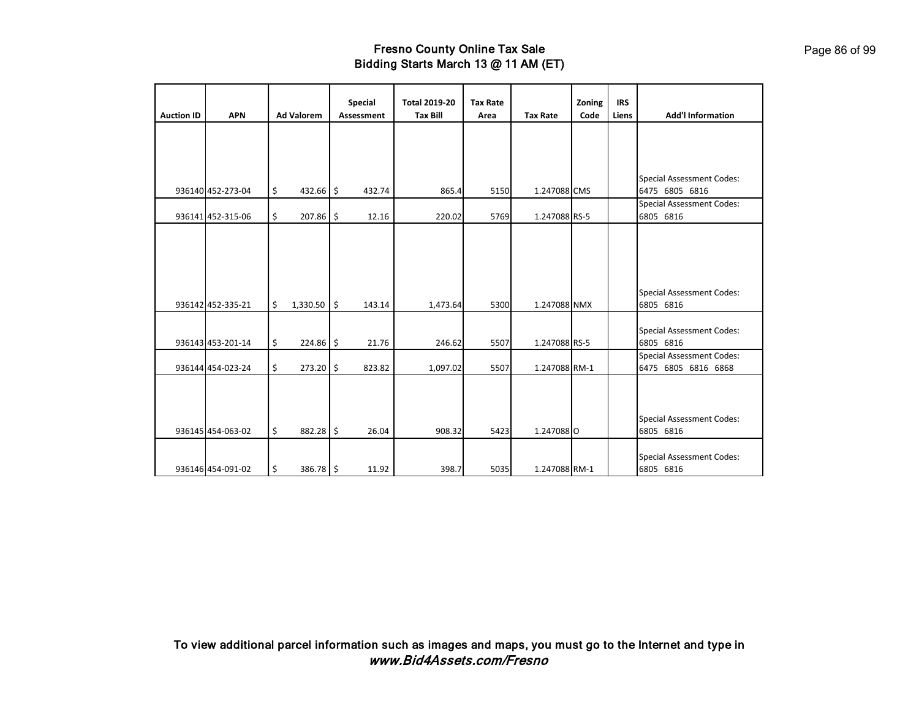|                   |                   |                   |      | <b>Special</b>    | <b>Total 2019-20</b> | <b>Tax Rate</b> |                 | Zoning | <b>IRS</b> |                                                         |
|-------------------|-------------------|-------------------|------|-------------------|----------------------|-----------------|-----------------|--------|------------|---------------------------------------------------------|
| <b>Auction ID</b> | <b>APN</b>        | <b>Ad Valorem</b> |      | <b>Assessment</b> | <b>Tax Bill</b>      | Area            | <b>Tax Rate</b> | Code   | Liens      | <b>Add'l Information</b>                                |
|                   |                   |                   |      |                   |                      |                 |                 |        |            |                                                         |
|                   | 936140 452-273-04 | \$<br>432.66      | l\$  | 432.74            | 865.4                | 5150            | 1.247088 CMS    |        |            | <b>Special Assessment Codes:</b><br>6475 6805 6816      |
|                   | 936141 452-315-06 | \$<br>$207.86$ \$ |      | 12.16             | 220.02               | 5769            | 1.247088 RS-5   |        |            | <b>Special Assessment Codes:</b><br>6805 6816           |
|                   | 936142 452-335-21 | \$<br>1,330.50    | l \$ | 143.14            | 1,473.64             | 5300            | 1.247088 NMX    |        |            | <b>Special Assessment Codes:</b><br>6805 6816           |
|                   | 936143 453-201-14 | \$<br>224.86      | l \$ | 21.76             | 246.62               | 5507            | 1.247088 RS-5   |        |            | <b>Special Assessment Codes:</b><br>6805 6816           |
|                   | 936144 454-023-24 | \$<br>273.20      | l \$ | 823.82            | 1,097.02             | 5507            | 1.247088 RM-1   |        |            | <b>Special Assessment Codes:</b><br>6475 6805 6816 6868 |
|                   | 936145 454-063-02 | \$<br>$882.28$ \$ |      | 26.04             | 908.32               | 5423            | 1.2470880       |        |            | <b>Special Assessment Codes:</b><br>6805 6816           |
|                   | 936146 454-091-02 | \$<br>386.78 \$   |      | 11.92             | 398.7                | 5035            | 1.247088 RM-1   |        |            | <b>Special Assessment Codes:</b><br>6805 6816           |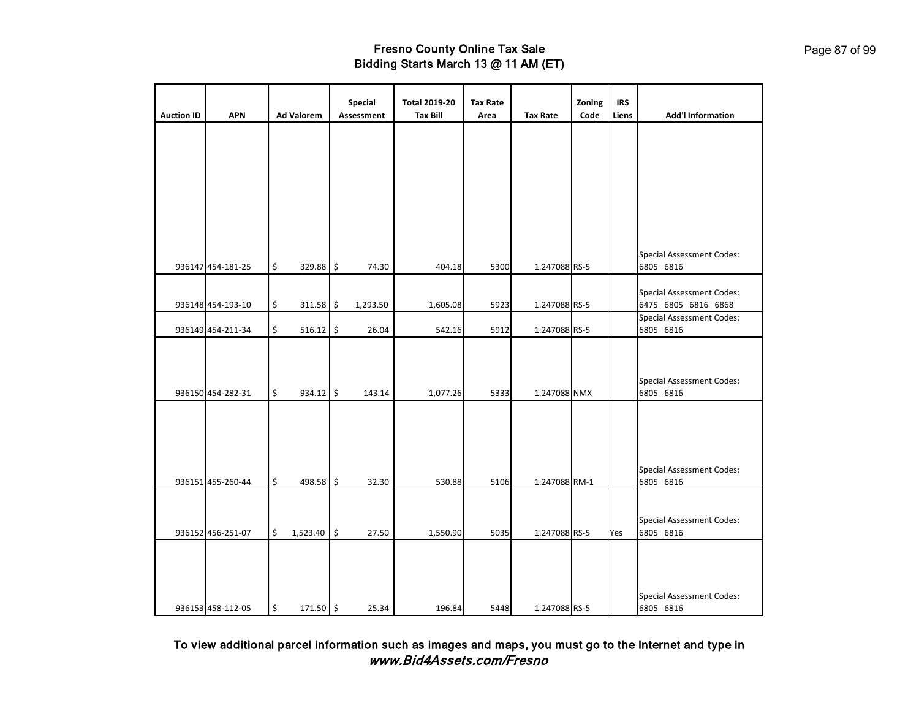| <b>Auction ID</b> | <b>APN</b>        | <b>Ad Valorem</b>   | Special<br><b>Assessment</b> | <b>Total 2019-20</b><br><b>Tax Bill</b> | <b>Tax Rate</b><br>Area | <b>Tax Rate</b> | Zoning<br>Code | <b>IRS</b><br>Liens | <b>Add'l Information</b>                                |
|-------------------|-------------------|---------------------|------------------------------|-----------------------------------------|-------------------------|-----------------|----------------|---------------------|---------------------------------------------------------|
|                   |                   |                     |                              |                                         |                         |                 |                |                     |                                                         |
|                   |                   |                     |                              |                                         |                         |                 |                |                     |                                                         |
|                   |                   |                     |                              |                                         |                         |                 |                |                     |                                                         |
|                   |                   |                     |                              |                                         |                         |                 |                |                     |                                                         |
|                   |                   |                     |                              |                                         |                         |                 |                |                     |                                                         |
|                   |                   |                     |                              |                                         |                         |                 |                |                     |                                                         |
|                   | 936147 454-181-25 | \$<br>329.88 \$     | 74.30                        | 404.18                                  | 5300                    | 1.247088 RS-5   |                |                     | <b>Special Assessment Codes:</b><br>6805 6816           |
|                   |                   |                     |                              |                                         |                         |                 |                |                     |                                                         |
|                   | 936148 454-193-10 | \$<br>$311.58$ \$   | 1,293.50                     | 1,605.08                                | 5923                    | 1.247088 RS-5   |                |                     | <b>Special Assessment Codes:</b><br>6475 6805 6816 6868 |
|                   | 936149 454-211-34 | \$<br>$516.12$ \$   | 26.04                        | 542.16                                  | 5912                    | 1.247088 RS-5   |                |                     | <b>Special Assessment Codes:</b><br>6805 6816           |
|                   |                   |                     |                              |                                         |                         |                 |                |                     |                                                         |
|                   |                   |                     |                              |                                         |                         |                 |                |                     |                                                         |
|                   | 936150 454-282-31 | \$<br>934.12 \$     | 143.14                       | 1,077.26                                | 5333                    | 1.247088 NMX    |                |                     | <b>Special Assessment Codes:</b><br>6805 6816           |
|                   |                   |                     |                              |                                         |                         |                 |                |                     |                                                         |
|                   |                   |                     |                              |                                         |                         |                 |                |                     |                                                         |
|                   |                   |                     |                              |                                         |                         |                 |                |                     |                                                         |
|                   | 936151 455-260-44 | \$<br>498.58 \$     | 32.30                        | 530.88                                  | 5106                    | 1.247088 RM-1   |                |                     | <b>Special Assessment Codes:</b><br>6805 6816           |
|                   |                   |                     |                              |                                         |                         |                 |                |                     |                                                         |
|                   |                   |                     |                              |                                         |                         |                 |                |                     | <b>Special Assessment Codes:</b>                        |
|                   | 936152 456-251-07 | \$<br>$1,523.40$ \$ | 27.50                        | 1,550.90                                | 5035                    | 1.247088 RS-5   |                | Yes                 | 6805 6816                                               |
|                   |                   |                     |                              |                                         |                         |                 |                |                     |                                                         |
|                   |                   |                     |                              |                                         |                         |                 |                |                     |                                                         |
|                   | 936153 458-112-05 | \$<br>171.50 \$     | 25.34                        | 196.84                                  | 5448                    | 1.247088 RS-5   |                |                     | <b>Special Assessment Codes:</b><br>6805 6816           |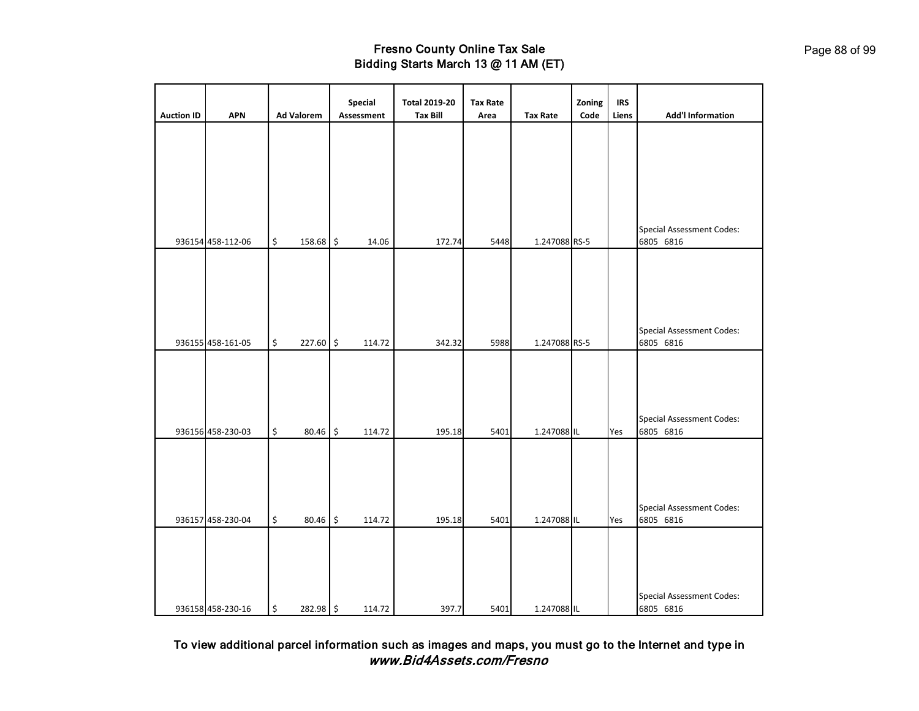|                   |                   |                             | Special    | <b>Total 2019-20</b> | <b>Tax Rate</b> |                 | Zoning | <b>IRS</b> |                                               |
|-------------------|-------------------|-----------------------------|------------|----------------------|-----------------|-----------------|--------|------------|-----------------------------------------------|
| <b>Auction ID</b> | <b>APN</b>        | <b>Ad Valorem</b>           | Assessment | <b>Tax Bill</b>      | Area            | <b>Tax Rate</b> | Code   | Liens      | <b>Add'l Information</b>                      |
|                   |                   |                             |            |                      |                 |                 |        |            |                                               |
|                   |                   |                             |            |                      |                 |                 |        |            | <b>Special Assessment Codes:</b>              |
|                   | 936154 458-112-06 | \$<br>158.68 \$             | 14.06      | 172.74               | 5448            | 1.247088 RS-5   |        |            | 6805 6816                                     |
|                   | 936155 458-161-05 | \$<br>227.60 \$             | 114.72     | 342.32               | 5988            | 1.247088 RS-5   |        |            | <b>Special Assessment Codes:</b><br>6805 6816 |
|                   |                   |                             |            |                      |                 |                 |        |            |                                               |
|                   | 936156 458-230-03 | \$<br>80.46 \$              | 114.72     | 195.18               | 5401            | 1.247088 IL     |        | Yes        | <b>Special Assessment Codes:</b><br>6805 6816 |
|                   | 936157 458-230-04 | \$<br>80.46 \$              | 114.72     | 195.18               | 5401            | 1.247088 IL     |        | Yes        | <b>Special Assessment Codes:</b><br>6805 6816 |
|                   | 936158 458-230-16 | $\updownarrow$<br>282.98 \$ | 114.72     | 397.7                | 5401            | 1.247088 IL     |        |            | <b>Special Assessment Codes:</b><br>6805 6816 |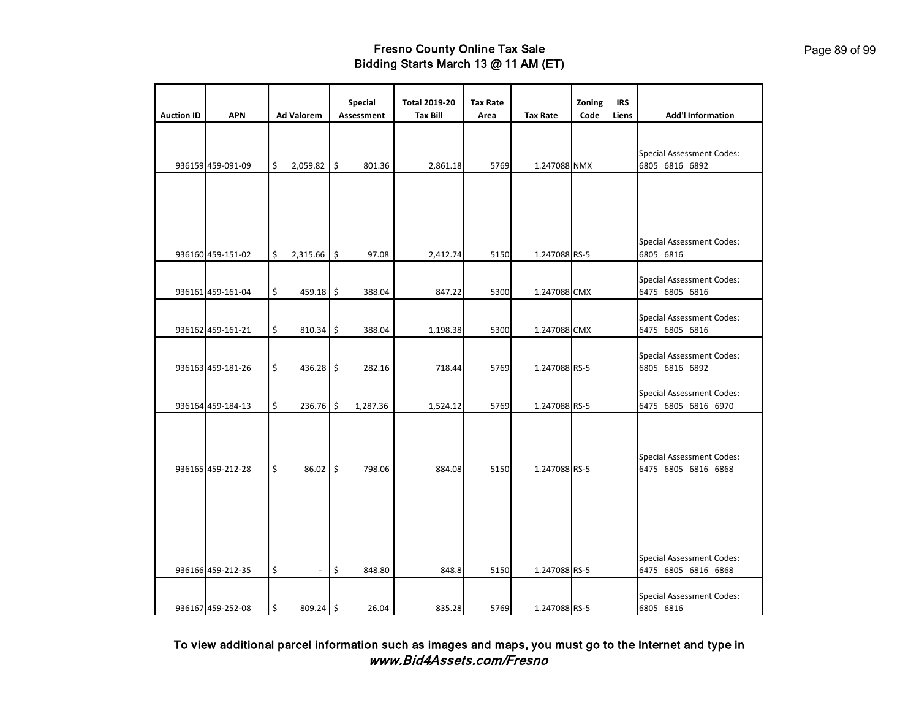|                   |                   |                      | <b>Special</b>    | <b>Total 2019-20</b> | <b>Tax Rate</b> |                 | Zoning | <b>IRS</b> |                                                         |
|-------------------|-------------------|----------------------|-------------------|----------------------|-----------------|-----------------|--------|------------|---------------------------------------------------------|
| <b>Auction ID</b> | <b>APN</b>        | <b>Ad Valorem</b>    | <b>Assessment</b> | <b>Tax Bill</b>      | Area            | <b>Tax Rate</b> | Code   | Liens      | <b>Add'l Information</b>                                |
|                   |                   |                      |                   |                      |                 |                 |        |            |                                                         |
|                   |                   |                      |                   |                      |                 |                 |        |            | <b>Special Assessment Codes:</b>                        |
|                   | 936159 459-091-09 | \$<br>$2,059.82$ \$  | 801.36            | 2,861.18             | 5769            | 1.247088 NMX    |        |            | 6805 6816 6892                                          |
|                   |                   |                      |                   |                      |                 |                 |        |            |                                                         |
|                   |                   |                      |                   |                      |                 |                 |        |            |                                                         |
|                   |                   |                      |                   |                      |                 |                 |        |            |                                                         |
|                   |                   |                      |                   |                      |                 |                 |        |            |                                                         |
|                   | 936160 459-151-02 | \$<br>2,315.66       | \$<br>97.08       | 2,412.74             | 5150            | 1.247088 RS-5   |        |            | <b>Special Assessment Codes:</b><br>6805 6816           |
|                   |                   |                      |                   |                      |                 |                 |        |            |                                                         |
|                   |                   |                      |                   |                      |                 |                 |        |            | <b>Special Assessment Codes:</b>                        |
|                   | 936161 459-161-04 | \$<br>459.18 \$      | 388.04            | 847.22               | 5300            | 1.247088 CMX    |        |            | 6475 6805 6816                                          |
|                   |                   |                      |                   |                      |                 |                 |        |            | <b>Special Assessment Codes:</b>                        |
|                   | 936162 459-161-21 | \$<br>$810.34$ \$    | 388.04            | 1,198.38             | 5300            | 1.247088 CMX    |        |            | 6475 6805 6816                                          |
|                   |                   |                      |                   |                      |                 |                 |        |            | <b>Special Assessment Codes:</b>                        |
|                   | 936163 459-181-26 | \$<br>$436.28$ \$    | 282.16            | 718.44               | 5769            | 1.247088 RS-5   |        |            | 6805 6816 6892                                          |
|                   |                   |                      |                   |                      |                 |                 |        |            |                                                         |
|                   | 936164 459-184-13 | \$<br>236.76 \$      | 1,287.36          | 1,524.12             | 5769            | 1.247088 RS-5   |        |            | <b>Special Assessment Codes:</b><br>6475 6805 6816 6970 |
|                   |                   |                      |                   |                      |                 |                 |        |            |                                                         |
|                   |                   |                      |                   |                      |                 |                 |        |            |                                                         |
|                   |                   |                      |                   |                      |                 |                 |        |            | <b>Special Assessment Codes:</b>                        |
|                   | 936165 459-212-28 | \$<br>$86.02$ \$     | 798.06            | 884.08               | 5150            | 1.247088 RS-5   |        |            | 6475 6805 6816 6868                                     |
|                   |                   |                      |                   |                      |                 |                 |        |            |                                                         |
|                   |                   |                      |                   |                      |                 |                 |        |            |                                                         |
|                   |                   |                      |                   |                      |                 |                 |        |            |                                                         |
|                   |                   |                      |                   |                      |                 |                 |        |            |                                                         |
|                   |                   |                      |                   |                      |                 |                 |        |            | <b>Special Assessment Codes:</b>                        |
|                   | 936166 459-212-35 | \$<br>$\overline{a}$ | \$<br>848.80      | 848.8                | 5150            | 1.247088 RS-5   |        |            | 6475 6805 6816 6868                                     |
|                   |                   |                      |                   |                      |                 |                 |        |            |                                                         |
|                   | 936167 459-252-08 | \$<br>$809.24$ \$    | 26.04             | 835.28               | 5769            | 1.247088 RS-5   |        |            | <b>Special Assessment Codes:</b><br>6805 6816           |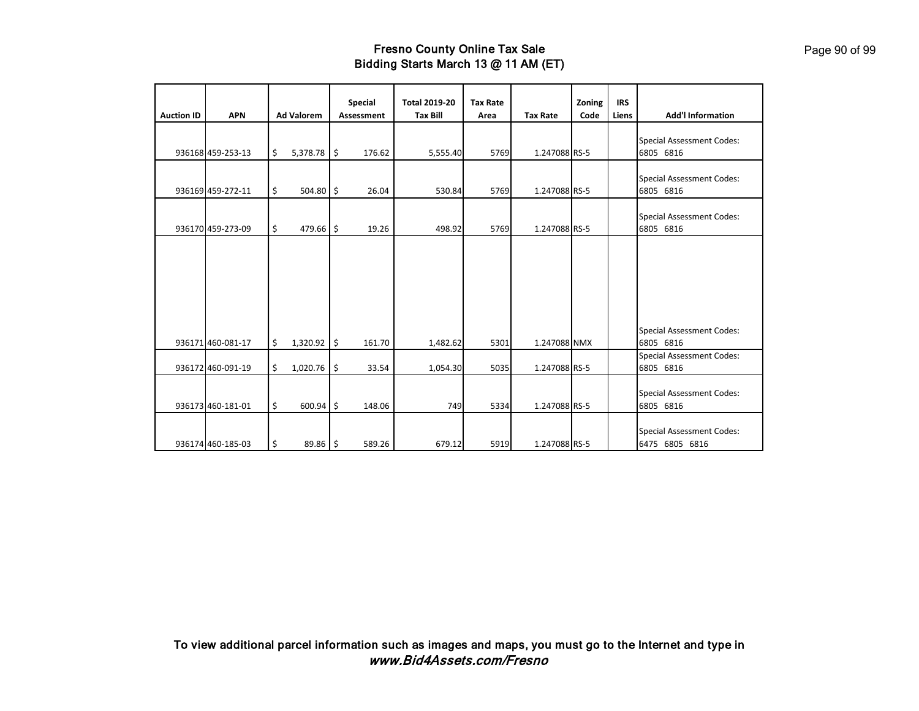| <b>Auction ID</b> | <b>APN</b>        | <b>Ad Valorem</b>   |      | <b>Special</b><br><b>Assessment</b> | <b>Total 2019-20</b><br><b>Tax Bill</b> | <b>Tax Rate</b><br>Area | <b>Tax Rate</b> | Zoning<br>Code | <b>IRS</b><br>Liens | <b>Add'l Information</b>                           |
|-------------------|-------------------|---------------------|------|-------------------------------------|-----------------------------------------|-------------------------|-----------------|----------------|---------------------|----------------------------------------------------|
|                   | 936168 459-253-13 | \$<br>5,378.78      | -\$  | 176.62                              | 5,555.40                                | 5769                    | 1.247088 RS-5   |                |                     | <b>Special Assessment Codes:</b><br>6805 6816      |
|                   | 936169 459-272-11 | \$<br>504.80 \$     |      | 26.04                               | 530.84                                  | 5769                    | 1.247088 RS-5   |                |                     | <b>Special Assessment Codes:</b><br>6805 6816      |
|                   | 936170 459-273-09 | \$<br>479.66        | l \$ | 19.26                               | 498.92                                  | 5769                    | 1.247088 RS-5   |                |                     | <b>Special Assessment Codes:</b><br>6805 6816      |
|                   |                   |                     |      |                                     |                                         |                         |                 |                |                     |                                                    |
|                   |                   |                     |      |                                     |                                         |                         |                 |                |                     |                                                    |
|                   | 936171 460-081-17 | \$<br>$1,320.92$ \$ |      | 161.70                              | 1,482.62                                | 5301                    | 1.247088 NMX    |                |                     | <b>Special Assessment Codes:</b><br>6805 6816      |
|                   | 936172 460-091-19 | \$<br>1,020.76      | \$   | 33.54                               | 1,054.30                                | 5035                    | 1.247088 RS-5   |                |                     | <b>Special Assessment Codes:</b><br>6805 6816      |
|                   | 936173 460-181-01 | \$<br>600.94        | l \$ | 148.06                              | 749                                     | 5334                    | 1.247088 RS-5   |                |                     | <b>Special Assessment Codes:</b><br>6805 6816      |
|                   | 936174 460-185-03 | \$<br>$89.86$ \$    |      | 589.26                              | 679.12                                  | 5919                    | 1.247088 RS-5   |                |                     | <b>Special Assessment Codes:</b><br>6475 6805 6816 |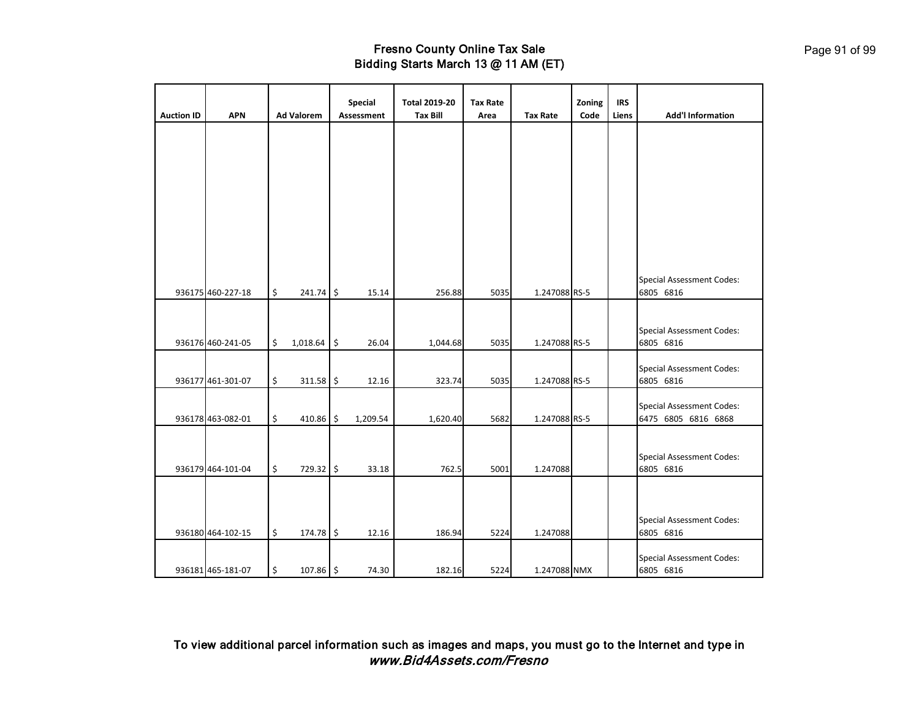| <b>Auction ID</b> | <b>APN</b>        | <b>Ad Valorem</b>   | Special<br>Assessment | <b>Total 2019-20</b><br><b>Tax Bill</b> | <b>Tax Rate</b><br>Area | <b>Tax Rate</b> | Zoning<br>Code | <b>IRS</b><br>Liens | <b>Add'l Information</b>                      |
|-------------------|-------------------|---------------------|-----------------------|-----------------------------------------|-------------------------|-----------------|----------------|---------------------|-----------------------------------------------|
|                   |                   |                     |                       |                                         |                         |                 |                |                     |                                               |
|                   |                   |                     |                       |                                         |                         |                 |                |                     |                                               |
|                   |                   |                     |                       |                                         |                         |                 |                |                     |                                               |
|                   |                   |                     |                       |                                         |                         |                 |                |                     |                                               |
|                   |                   |                     |                       |                                         |                         |                 |                |                     |                                               |
|                   |                   |                     |                       |                                         |                         |                 |                |                     |                                               |
|                   |                   |                     |                       |                                         |                         |                 |                |                     |                                               |
|                   |                   |                     |                       |                                         |                         |                 |                |                     | <b>Special Assessment Codes:</b>              |
|                   | 936175 460-227-18 | \$<br>$241.74$ \$   | 15.14                 | 256.88                                  | 5035                    | 1.247088 RS-5   |                |                     | 6805 6816                                     |
|                   |                   |                     |                       |                                         |                         |                 |                |                     |                                               |
|                   | 936176 460-241-05 | \$<br>$1,018.64$ \$ | 26.04                 | 1,044.68                                | 5035                    | 1.247088 RS-5   |                |                     | <b>Special Assessment Codes:</b><br>6805 6816 |
|                   |                   |                     |                       |                                         |                         |                 |                |                     |                                               |
|                   | 936177 461-301-07 | \$<br>$311.58$ \$   | 12.16                 | 323.74                                  | 5035                    | 1.247088 RS-5   |                |                     | <b>Special Assessment Codes:</b><br>6805 6816 |
|                   |                   |                     |                       |                                         |                         |                 |                |                     | <b>Special Assessment Codes:</b>              |
|                   | 936178 463-082-01 | \$<br>410.86 \$     | 1,209.54              | 1,620.40                                | 5682                    | 1.247088 RS-5   |                |                     | 6475 6805 6816 6868                           |
|                   |                   |                     |                       |                                         |                         |                 |                |                     |                                               |
|                   |                   |                     |                       |                                         |                         |                 |                |                     | <b>Special Assessment Codes:</b>              |
|                   | 936179 464-101-04 | \$<br>729.32 \$     | 33.18                 | 762.5                                   | 5001                    | 1.247088        |                |                     | 6805 6816                                     |
|                   |                   |                     |                       |                                         |                         |                 |                |                     |                                               |
|                   |                   |                     |                       |                                         |                         |                 |                |                     | Special Assessment Codes:                     |
|                   | 936180 464-102-15 | \$<br>174.78 \$     | 12.16                 | 186.94                                  | 5224                    | 1.247088        |                |                     | 6805 6816                                     |
|                   | 936181 465-181-07 | \$<br>$107.86$ \$   | 74.30                 | 182.16                                  | 5224                    | 1.247088 NMX    |                |                     | <b>Special Assessment Codes:</b><br>6805 6816 |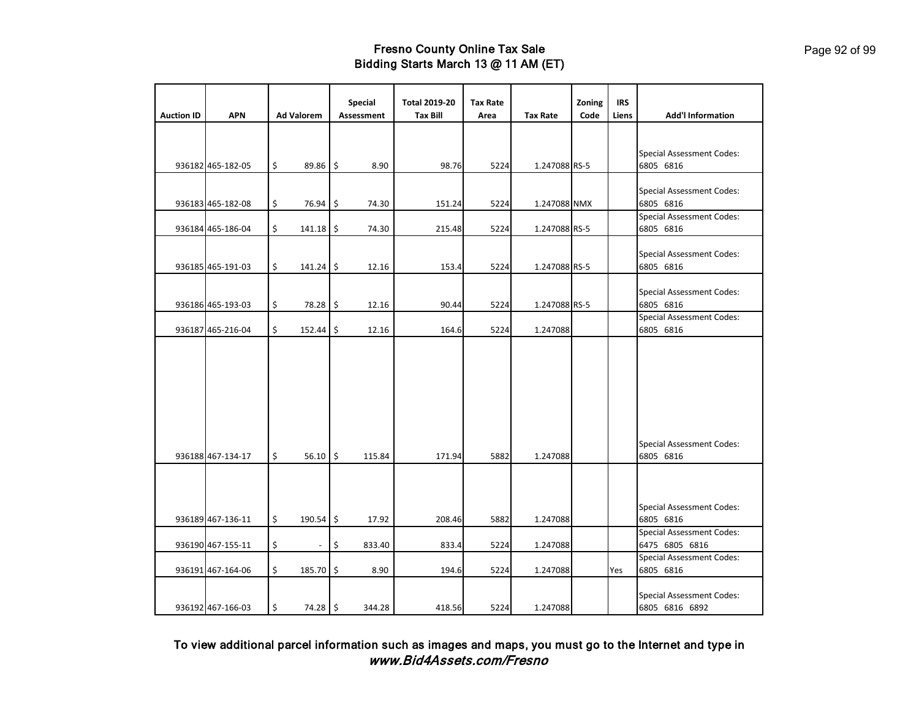|                   |                   |                                | <b>Special</b>    | <b>Total 2019-20</b> | <b>Tax Rate</b> |                 | Zoning | <b>IRS</b> |                                                    |
|-------------------|-------------------|--------------------------------|-------------------|----------------------|-----------------|-----------------|--------|------------|----------------------------------------------------|
| <b>Auction ID</b> | <b>APN</b>        | <b>Ad Valorem</b>              | <b>Assessment</b> | <b>Tax Bill</b>      | Area            | <b>Tax Rate</b> | Code   | Liens      | <b>Add'l Information</b>                           |
|                   | 936182 465-182-05 | \$<br>$89.86$ \$               | 8.90              | 98.76                | 5224            | 1.247088 RS-5   |        |            | <b>Special Assessment Codes:</b><br>6805 6816      |
|                   | 936183 465-182-08 | \$<br>76.94                    | \$<br>74.30       | 151.24               | 5224            | 1.247088 NMX    |        |            | <b>Special Assessment Codes:</b><br>6805 6816      |
|                   | 936184 465-186-04 | \$<br>$141.18$ \$              | 74.30             | 215.48               | 5224            | 1.247088 RS-5   |        |            | <b>Special Assessment Codes:</b><br>6805 6816      |
|                   | 936185 465-191-03 | \$<br>$141.24$ \$              | 12.16             | 153.4                | 5224            | 1.247088 RS-5   |        |            | <b>Special Assessment Codes:</b><br>6805 6816      |
|                   | 936186 465-193-03 | \$<br>78.28                    | \$<br>12.16       | 90.44                | 5224            | 1.247088 RS-5   |        |            | <b>Special Assessment Codes:</b><br>6805 6816      |
|                   | 936187 465-216-04 | \$<br>152.44                   | \$<br>12.16       | 164.6                | 5224            | 1.247088        |        |            | <b>Special Assessment Codes:</b><br>6805 6816      |
|                   | 936188 467-134-17 | \$<br>$56.10$ \$               | 115.84            | 171.94               | 5882            | 1.247088        |        |            | <b>Special Assessment Codes:</b><br>6805 6816      |
|                   | 936189 467-136-11 | \$<br>$190.54$ \$              | 17.92             | 208.46               | 5882            | 1.247088        |        |            | <b>Special Assessment Codes:</b><br>6805 6816      |
|                   | 936190 467-155-11 | \$<br>$\overline{\phantom{a}}$ | \$<br>833.40      | 833.4                | 5224            | 1.247088        |        |            | <b>Special Assessment Codes:</b><br>6475 6805 6816 |
|                   | 936191 467-164-06 | \$<br>185.70                   | \$<br>8.90        | 194.6                | 5224            | 1.247088        |        | Yes        | <b>Special Assessment Codes:</b><br>6805 6816      |
|                   | 936192 467-166-03 | \$<br>$74.28$ \$               | 344.28            | 418.56               | 5224            | 1.247088        |        |            | <b>Special Assessment Codes:</b><br>6805 6816 6892 |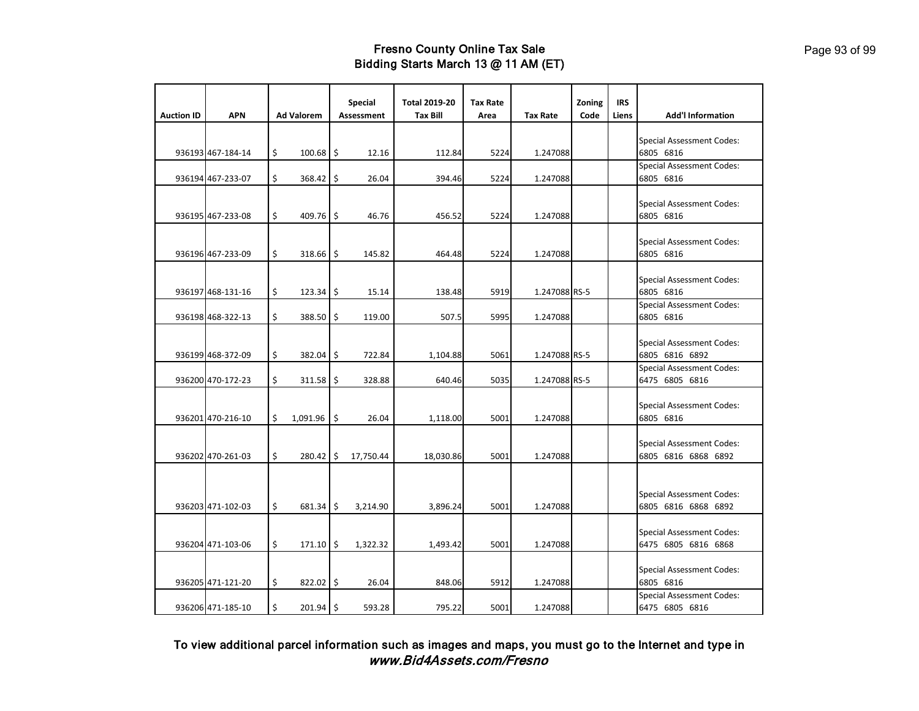|                   |                   |                              | Special    | <b>Total 2019-20</b> | <b>Tax Rate</b> |                 | Zoning | <b>IRS</b> |                                                         |
|-------------------|-------------------|------------------------------|------------|----------------------|-----------------|-----------------|--------|------------|---------------------------------------------------------|
| <b>Auction ID</b> | <b>APN</b>        | <b>Ad Valorem</b>            | Assessment | <b>Tax Bill</b>      | Area            | <b>Tax Rate</b> | Code   | Liens      | <b>Add'l Information</b>                                |
|                   | 936193 467-184-14 | \$<br>$100.68$ \$            | 12.16      | 112.84               | 5224            | 1.247088        |        |            | <b>Special Assessment Codes:</b><br>6805 6816           |
|                   | 936194 467-233-07 | \$<br>368.42 \$              | 26.04      | 394.46               | 5224            | 1.247088        |        |            | <b>Special Assessment Codes:</b><br>6805 6816           |
|                   | 936195 467-233-08 | \$<br>409.76 \$              | 46.76      | 456.52               | 5224            | 1.247088        |        |            | <b>Special Assessment Codes:</b><br>6805 6816           |
|                   | 936196 467-233-09 | \$<br>318.66 \$              | 145.82     | 464.48               | 5224            | 1.247088        |        |            | <b>Special Assessment Codes:</b><br>6805 6816           |
|                   | 936197 468-131-16 | \$<br>$123.34$ \$            | 15.14      | 138.48               | 5919            | 1.247088 RS-5   |        |            | <b>Special Assessment Codes:</b><br>6805 6816           |
|                   | 936198 468-322-13 | \$<br>388.50 \$              | 119.00     | 507.5                | 5995            | 1.247088        |        |            | <b>Special Assessment Codes:</b><br>6805 6816           |
|                   | 936199 468-372-09 | \$<br>382.04 \$              | 722.84     | 1,104.88             | 5061            | 1.247088 RS-5   |        |            | <b>Special Assessment Codes:</b><br>6805 6816 6892      |
|                   | 936200 470-172-23 | \$<br>$311.58$ \$            | 328.88     | 640.46               | 5035            | 1.247088 RS-5   |        |            | <b>Special Assessment Codes:</b><br>6475 6805 6816      |
|                   | 936201 470-216-10 | \$<br>$1,091.96$ \$          | 26.04      | 1,118.00             | 5001            | 1.247088        |        |            | <b>Special Assessment Codes:</b><br>6805 6816           |
|                   | 936202 470-261-03 | \$<br>280.42 \$              | 17,750.44  | 18,030.86            | 5001            | 1.247088        |        |            | <b>Special Assessment Codes:</b><br>6805 6816 6868 6892 |
|                   | 936203 471-102-03 | \$<br>$681.34$ $\frac{1}{2}$ | 3,214.90   | 3,896.24             | 5001            | 1.247088        |        |            | <b>Special Assessment Codes:</b><br>6805 6816 6868 6892 |
|                   | 936204 471-103-06 | \$<br>$171.10$ \$            | 1,322.32   | 1,493.42             | 5001            | 1.247088        |        |            | <b>Special Assessment Codes:</b><br>6475 6805 6816 6868 |
|                   | 936205 471-121-20 | \$<br>$822.02$ \$            | 26.04      | 848.06               | 5912            | 1.247088        |        |            | <b>Special Assessment Codes:</b><br>6805 6816           |
|                   | 936206 471-185-10 | \$<br>$201.94$ \$            | 593.28     | 795.22               | 5001            | 1.247088        |        |            | <b>Special Assessment Codes:</b><br>6475 6805 6816      |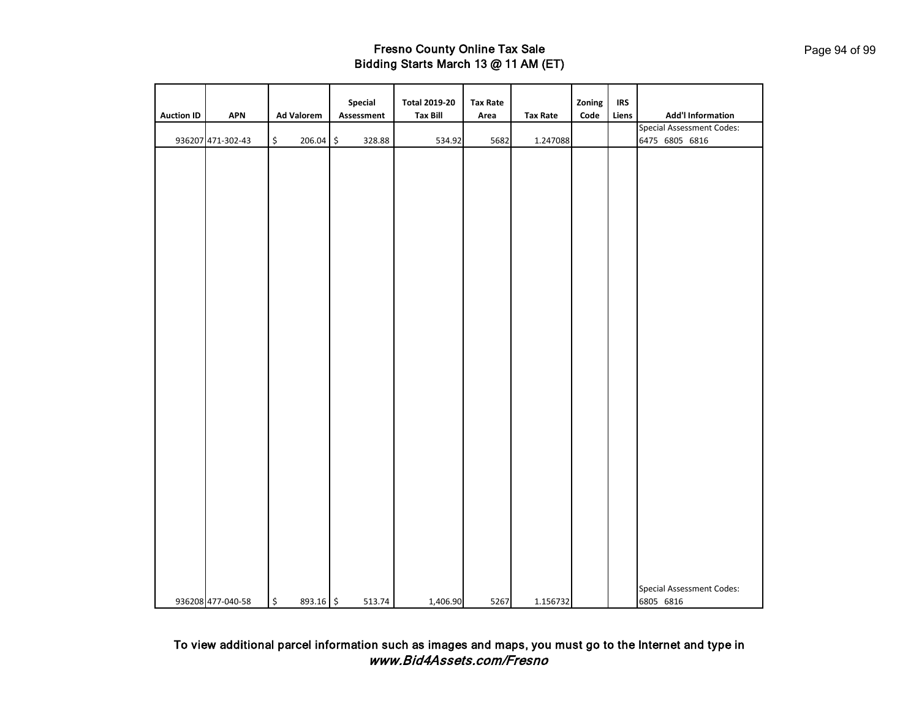| <b>Auction ID</b> | <b>APN</b>        | <b>Ad Valorem</b>               | Special<br>Assessment | <b>Total 2019-20</b><br><b>Tax Bill</b> | <b>Tax Rate</b><br>Area | <b>Tax Rate</b> | Zoning<br>$\mathsf{Code}$ | <b>IRS</b><br>Liens | <b>Add'l Information</b><br><b>Special Assessment Codes:</b> |
|-------------------|-------------------|---------------------------------|-----------------------|-----------------------------------------|-------------------------|-----------------|---------------------------|---------------------|--------------------------------------------------------------|
|                   | 936207 471-302-43 | \$<br>206.04                    | \$<br>328.88          | 534.92                                  | 5682                    | 1.247088        |                           |                     | 6475 6805 6816                                               |
|                   |                   |                                 |                       |                                         |                         |                 |                           |                     |                                                              |
|                   | 936208 477-040-58 | $\ddot{\varsigma}$<br>893.16 \$ | 513.74                | 1,406.90                                | 5267                    | 1.156732        |                           |                     | <b>Special Assessment Codes:</b><br>6805 6816                |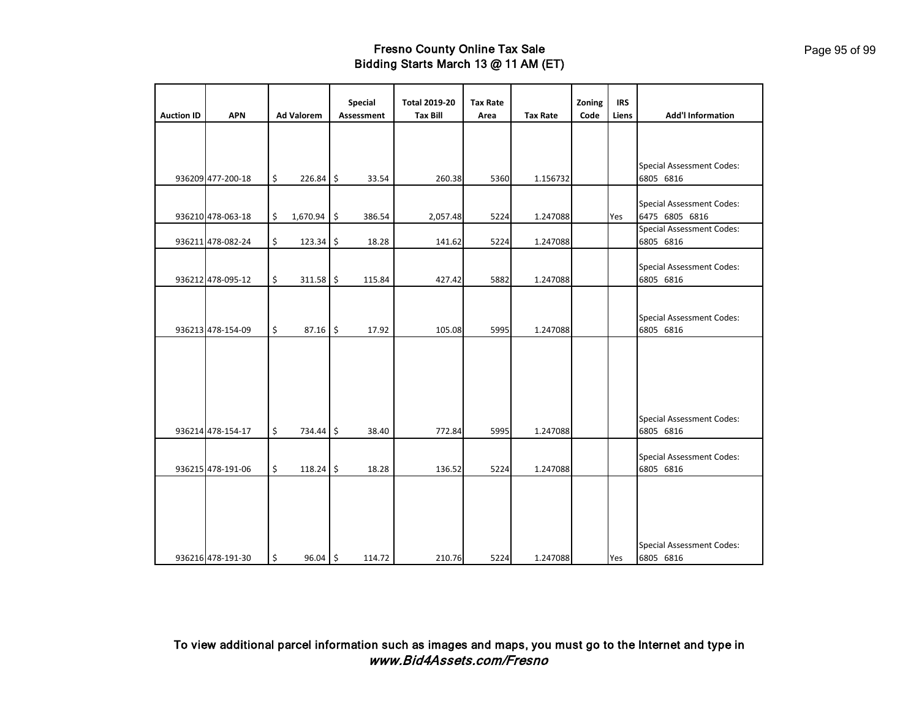| <b>Auction ID</b> | <b>APN</b>        | <b>Ad Valorem</b> | <b>Special</b><br><b>Assessment</b> | <b>Total 2019-20</b><br><b>Tax Bill</b> | <b>Tax Rate</b><br>Area | <b>Tax Rate</b> | Zoning<br>Code | <b>IRS</b><br>Liens | <b>Add'l Information</b>                           |
|-------------------|-------------------|-------------------|-------------------------------------|-----------------------------------------|-------------------------|-----------------|----------------|---------------------|----------------------------------------------------|
|                   |                   |                   |                                     |                                         |                         |                 |                |                     |                                                    |
|                   | 936209 477-200-18 | \$<br>$226.84$ \$ | 33.54                               | 260.38                                  | 5360                    | 1.156732        |                |                     | <b>Special Assessment Codes:</b><br>6805 6816      |
|                   | 936210 478-063-18 | \$<br>1,670.94 \$ | 386.54                              | 2,057.48                                | 5224                    | 1.247088        |                | Yes                 | <b>Special Assessment Codes:</b><br>6475 6805 6816 |
|                   | 936211 478-082-24 | \$<br>123.34 \$   | 18.28                               | 141.62                                  | 5224                    | 1.247088        |                |                     | <b>Special Assessment Codes:</b><br>6805 6816      |
|                   | 936212 478-095-12 | \$<br>$311.58$ \$ | 115.84                              | 427.42                                  | 5882                    | 1.247088        |                |                     | <b>Special Assessment Codes:</b><br>6805 6816      |
|                   | 936213 478-154-09 | \$<br>$87.16$ \$  | 17.92                               | 105.08                                  | 5995                    | 1.247088        |                |                     | <b>Special Assessment Codes:</b><br>6805 6816      |
|                   |                   |                   |                                     |                                         |                         |                 |                |                     |                                                    |
|                   | 936214 478-154-17 | \$<br>734.44 \$   | 38.40                               | 772.84                                  | 5995                    | 1.247088        |                |                     | <b>Special Assessment Codes:</b><br>6805 6816      |
|                   | 936215 478-191-06 | \$<br>$118.24$ \$ | 18.28                               | 136.52                                  | 5224                    | 1.247088        |                |                     | <b>Special Assessment Codes:</b><br>6805 6816      |
|                   | 936216 478-191-30 | \$<br>96.04 \$    | 114.72                              | 210.76                                  | 5224                    | 1.247088        |                | Yes                 | <b>Special Assessment Codes:</b><br>6805 6816      |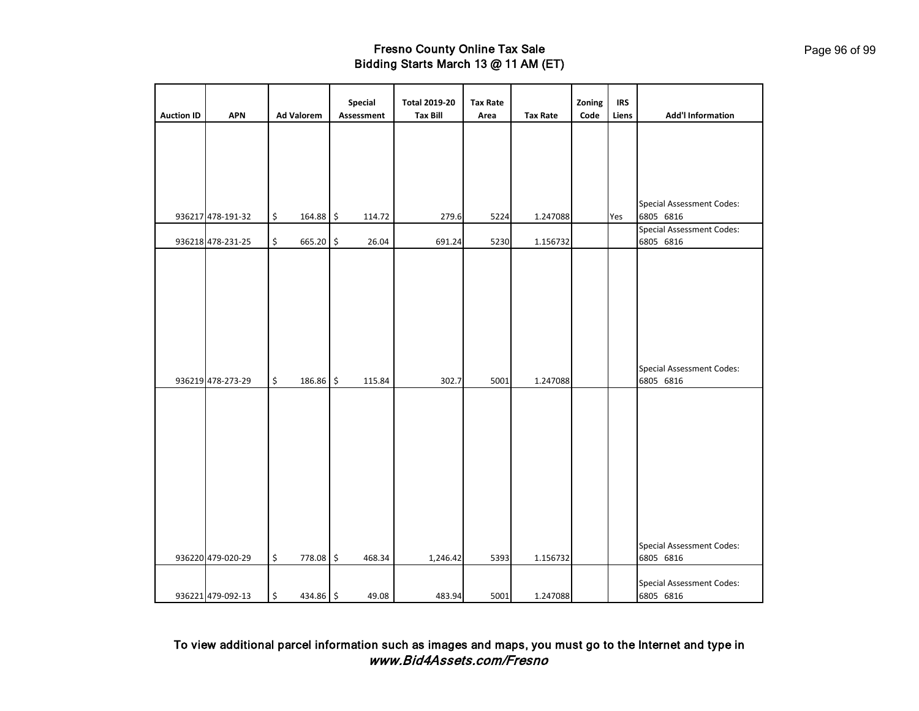|                   |                   |                   | Special     | <b>Total 2019-20</b> | <b>Tax Rate</b> |                 | Zoning | <b>IRS</b> |                                               |
|-------------------|-------------------|-------------------|-------------|----------------------|-----------------|-----------------|--------|------------|-----------------------------------------------|
| <b>Auction ID</b> | <b>APN</b>        | <b>Ad Valorem</b> | Assessment  | <b>Tax Bill</b>      | Area            | <b>Tax Rate</b> | Code   | Liens      | <b>Add'l Information</b>                      |
|                   |                   |                   |             |                      |                 |                 |        |            |                                               |
|                   |                   |                   |             |                      |                 |                 |        |            | <b>Special Assessment Codes:</b>              |
|                   | 936217 478-191-32 | \$<br>164.88 \$   | 114.72      | 279.6                | 5224            | 1.247088        |        | Yes        | 6805 6816                                     |
|                   | 936218 478-231-25 | \$<br>665.20      | \$<br>26.04 | 691.24               | 5230            | 1.156732        |        |            | <b>Special Assessment Codes:</b><br>6805 6816 |
|                   | 936219 478-273-29 | \$<br>186.86 \$   | 115.84      | 302.7                | 5001            | 1.247088        |        |            | <b>Special Assessment Codes:</b><br>6805 6816 |
|                   |                   |                   |             |                      |                 |                 |        |            | <b>Special Assessment Codes:</b>              |
|                   | 936220 479-020-29 | \$<br>778.08 \$   | 468.34      | 1,246.42             | 5393            | 1.156732        |        |            | 6805 6816                                     |
|                   | 936221 479-092-13 | \$<br>434.86 \$   | 49.08       | 483.94               | 5001            | 1.247088        |        |            | <b>Special Assessment Codes:</b><br>6805 6816 |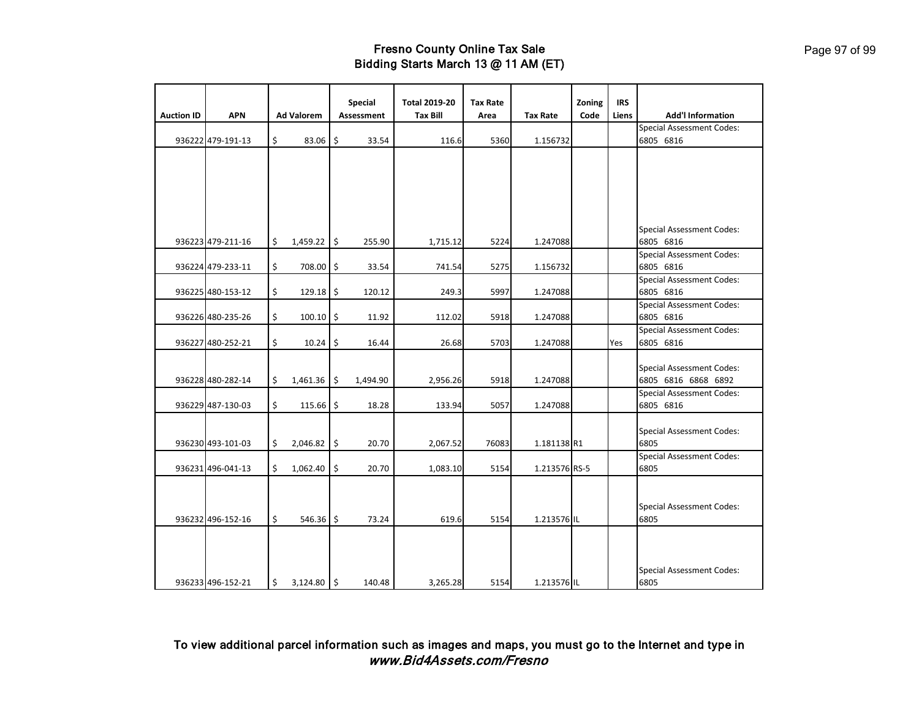| <b>Auction ID</b> | <b>APN</b>        | <b>Ad Valorem</b>   | <b>Special</b><br>Assessment | <b>Total 2019-20</b><br><b>Tax Bill</b> | <b>Tax Rate</b><br>Area | <b>Tax Rate</b> | Zoning<br>Code | <b>IRS</b><br>Liens | <b>Add'l Information</b>                                |
|-------------------|-------------------|---------------------|------------------------------|-----------------------------------------|-------------------------|-----------------|----------------|---------------------|---------------------------------------------------------|
|                   |                   |                     |                              |                                         |                         |                 |                |                     |                                                         |
|                   |                   |                     |                              |                                         |                         |                 |                |                     | <b>Special Assessment Codes:</b>                        |
|                   | 936222 479-191-13 | \$<br>83.06         | \$<br>33.54                  | 116.6                                   | 5360                    | 1.156732        |                |                     | 6805 6816                                               |
|                   |                   |                     |                              |                                         |                         |                 |                |                     |                                                         |
|                   |                   |                     |                              |                                         |                         |                 |                |                     |                                                         |
|                   |                   |                     |                              |                                         |                         |                 |                |                     | <b>Special Assessment Codes:</b>                        |
|                   | 936223 479-211-16 | \$<br>$1,459.22$ \$ | 255.90                       | 1,715.12                                | 5224                    | 1.247088        |                |                     | 6805 6816                                               |
|                   |                   |                     |                              |                                         |                         |                 |                |                     | <b>Special Assessment Codes:</b>                        |
|                   | 936224 479-233-11 | \$<br>708.00 \$     | 33.54                        | 741.54                                  | 5275                    | 1.156732        |                |                     | 6805 6816                                               |
|                   |                   |                     |                              |                                         |                         |                 |                |                     | <b>Special Assessment Codes:</b>                        |
|                   | 936225 480-153-12 | \$<br>$129.18$ \$   | 120.12                       | 249.3                                   | 5997                    | 1.247088        |                |                     | 6805 6816                                               |
|                   |                   |                     |                              |                                         |                         |                 |                |                     | <b>Special Assessment Codes:</b>                        |
|                   | 936226 480-235-26 | \$<br>$100.10$ \$   | 11.92                        | 112.02                                  | 5918                    | 1.247088        |                |                     | 6805 6816                                               |
|                   |                   |                     |                              |                                         |                         |                 |                |                     | <b>Special Assessment Codes:</b>                        |
|                   | 936227 480-252-21 | \$<br>10.24         | \$<br>16.44                  | 26.68                                   | 5703                    | 1.247088        |                | Yes                 | 6805 6816                                               |
|                   | 936228 480-282-14 | \$<br>$1,461.36$ \$ | 1,494.90                     | 2,956.26                                | 5918                    | 1.247088        |                |                     | <b>Special Assessment Codes:</b><br>6805 6816 6868 6892 |
|                   |                   |                     |                              |                                         |                         |                 |                |                     | <b>Special Assessment Codes:</b>                        |
|                   | 936229 487-130-03 | \$<br>115.66        | \$<br>18.28                  | 133.94                                  | 5057                    | 1.247088        |                |                     | 6805 6816                                               |
|                   | 936230 493-101-03 | \$<br>$2,046.82$ \$ | 20.70                        | 2,067.52                                | 76083                   | 1.181138 R1     |                |                     | <b>Special Assessment Codes:</b><br>6805                |
|                   |                   |                     |                              |                                         |                         |                 |                |                     | <b>Special Assessment Codes:</b>                        |
|                   | 936231 496-041-13 | \$<br>1,062.40      | \$<br>20.70                  | 1,083.10                                | 5154                    | 1.213576 RS-5   |                |                     | 6805                                                    |
|                   | 936232 496-152-16 | \$<br>$546.36$ \$   | 73.24                        | 619.6                                   | 5154                    | 1.213576 IL     |                |                     | <b>Special Assessment Codes:</b><br>6805                |
|                   | 936233 496-152-21 | \$<br>$3,124.80$ \$ | 140.48                       | 3,265.28                                | 5154                    | 1.213576 IL     |                |                     | <b>Special Assessment Codes:</b><br>6805                |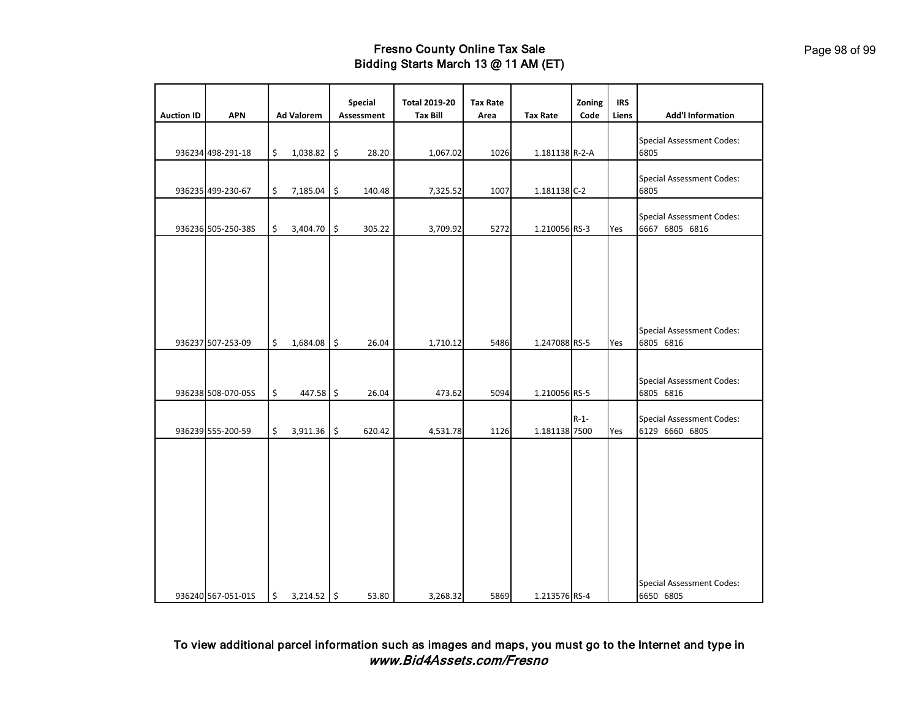| <b>Auction ID</b> | <b>APN</b>         | <b>Ad Valorem</b>   | Special<br><b>Assessment</b> | <b>Total 2019-20</b><br><b>Tax Bill</b> | <b>Tax Rate</b><br>Area | <b>Tax Rate</b> | Zoning<br>Code | <b>IRS</b><br>Liens | <b>Add'l Information</b>                           |
|-------------------|--------------------|---------------------|------------------------------|-----------------------------------------|-------------------------|-----------------|----------------|---------------------|----------------------------------------------------|
|                   | 936234 498-291-18  | \$<br>1,038.82      | \$<br>28.20                  | 1,067.02                                | 1026                    | 1.181138 R-2-A  |                |                     | <b>Special Assessment Codes:</b><br>6805           |
|                   | 936235 499-230-67  | \$<br>7,185.04 \$   | 140.48                       | 7,325.52                                | 1007                    | 1.181138 C-2    |                |                     | <b>Special Assessment Codes:</b><br>6805           |
|                   | 936236 505-250-38S | \$<br>3,404.70      | \$<br>305.22                 | 3,709.92                                | 5272                    | 1.210056 RS-3   |                | Yes                 | <b>Special Assessment Codes:</b><br>6667 6805 6816 |
|                   |                    |                     |                              |                                         |                         |                 |                |                     |                                                    |
|                   |                    |                     |                              |                                         |                         |                 |                |                     |                                                    |
|                   | 936237 507-253-09  | \$<br>1,684.08 \$   | 26.04                        | 1,710.12                                | 5486                    | 1.247088 RS-5   |                | Yes                 | <b>Special Assessment Codes:</b><br>6805 6816      |
|                   | 936238 508-070-05S | \$<br>447.58 \$     | 26.04                        | 473.62                                  | 5094                    | 1.210056 RS-5   |                |                     | <b>Special Assessment Codes:</b><br>6805 6816      |
|                   | 936239 555-200-59  | \$<br>3,911.36 \$   | 620.42                       | 4,531.78                                | 1126                    | 1.181138 7500   | $R - 1 -$      | Yes                 | <b>Special Assessment Codes:</b><br>6129 6660 6805 |
|                   |                    |                     |                              |                                         |                         |                 |                |                     |                                                    |
|                   |                    |                     |                              |                                         |                         |                 |                |                     |                                                    |
|                   |                    |                     |                              |                                         |                         |                 |                |                     |                                                    |
|                   |                    |                     |                              |                                         |                         |                 |                |                     |                                                    |
|                   | 936240 567-051-01S | \$<br>$3,214.52$ \$ | 53.80                        | 3,268.32                                | 5869                    | 1.213576 RS-4   |                |                     | <b>Special Assessment Codes:</b><br>6650 6805      |